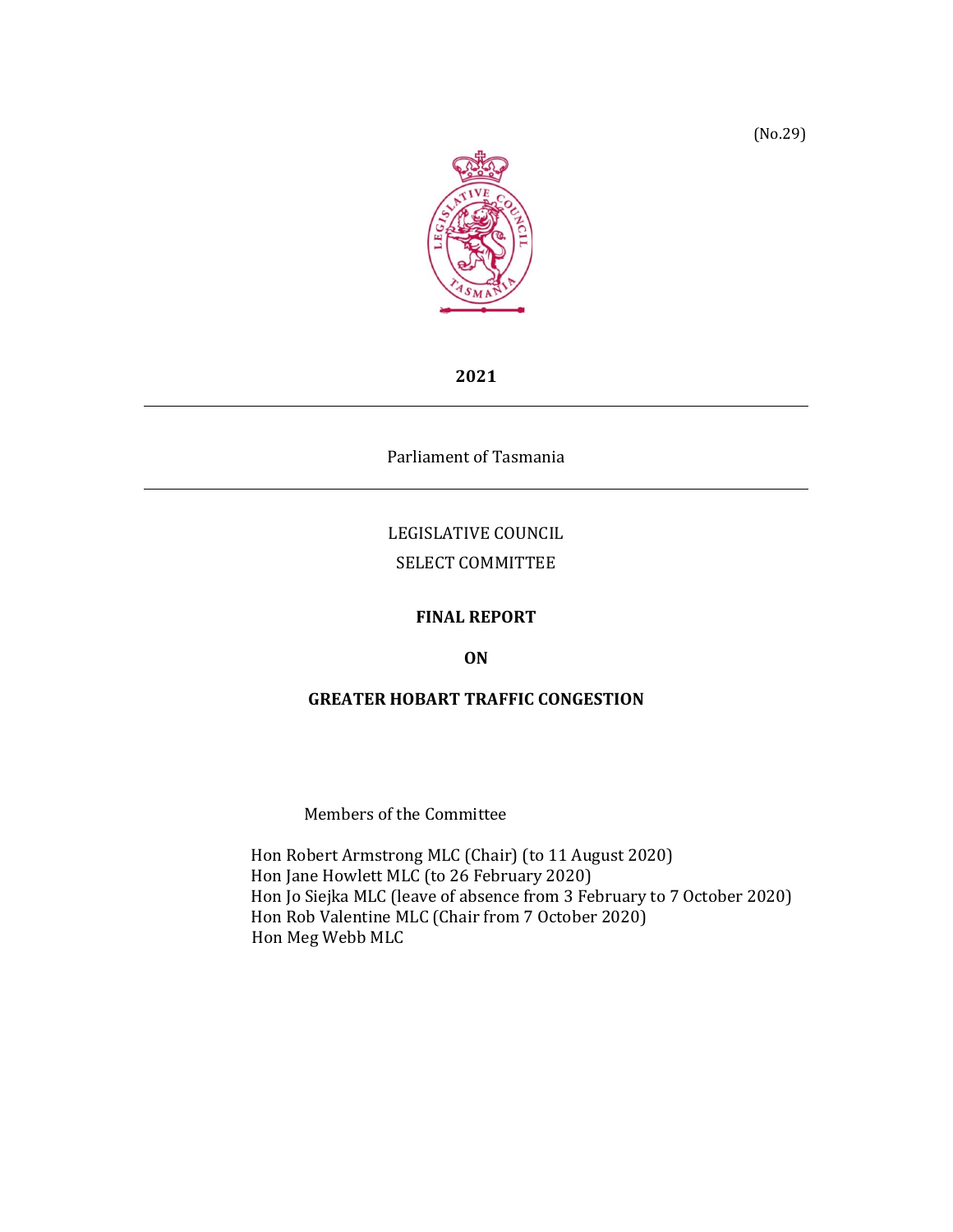

**2021**

Parliament of Tasmania

## LEGISLATIVE COUNCIL SELECT COMMITTEE

#### **FINAL REPORT**

**ON**

#### **GREATER HOBART TRAFFIC CONGESTION**

Members of the Committee

Hon Robert Armstrong MLC (Chair) (to 11 August 2020) Hon Jane Howlett MLC (to 26 February 2020) Hon Jo Siejka MLC (leave of absence from 3 February to 7 October 2020) Hon Rob Valentine MLC (Chair from 7 October 2020) Hon Meg Webb MLC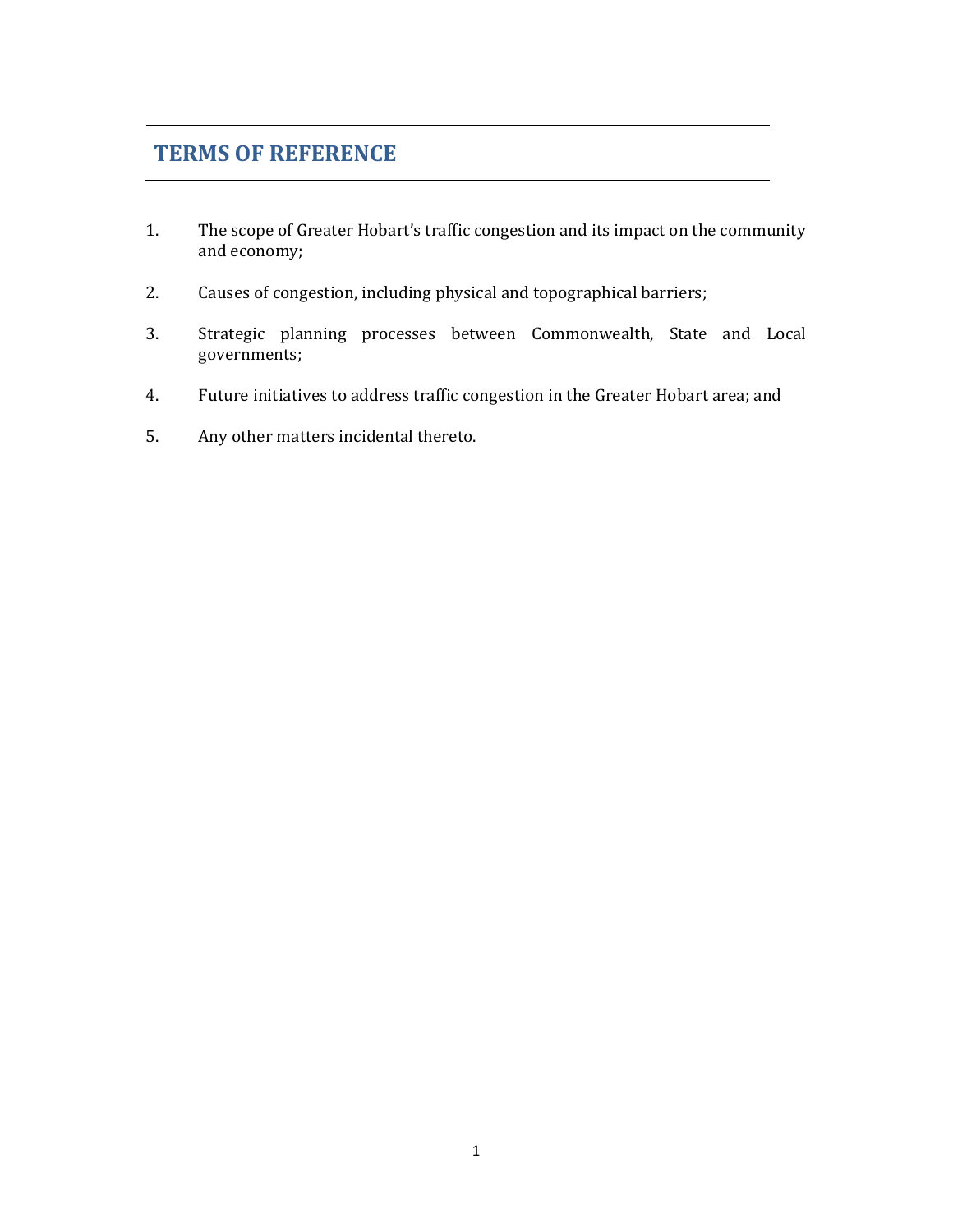# **TERMS OF REFERENCE**

- 1. The scope of Greater Hobart's traffic congestion and its impact on the community and economy;
- 2. Causes of congestion, including physical and topographical barriers;
- 3. Strategic planning processes between Commonwealth, State and Local governments;
- 4. Future initiatives to address traffic congestion in the Greater Hobart area; and
- 5. Any other matters incidental thereto.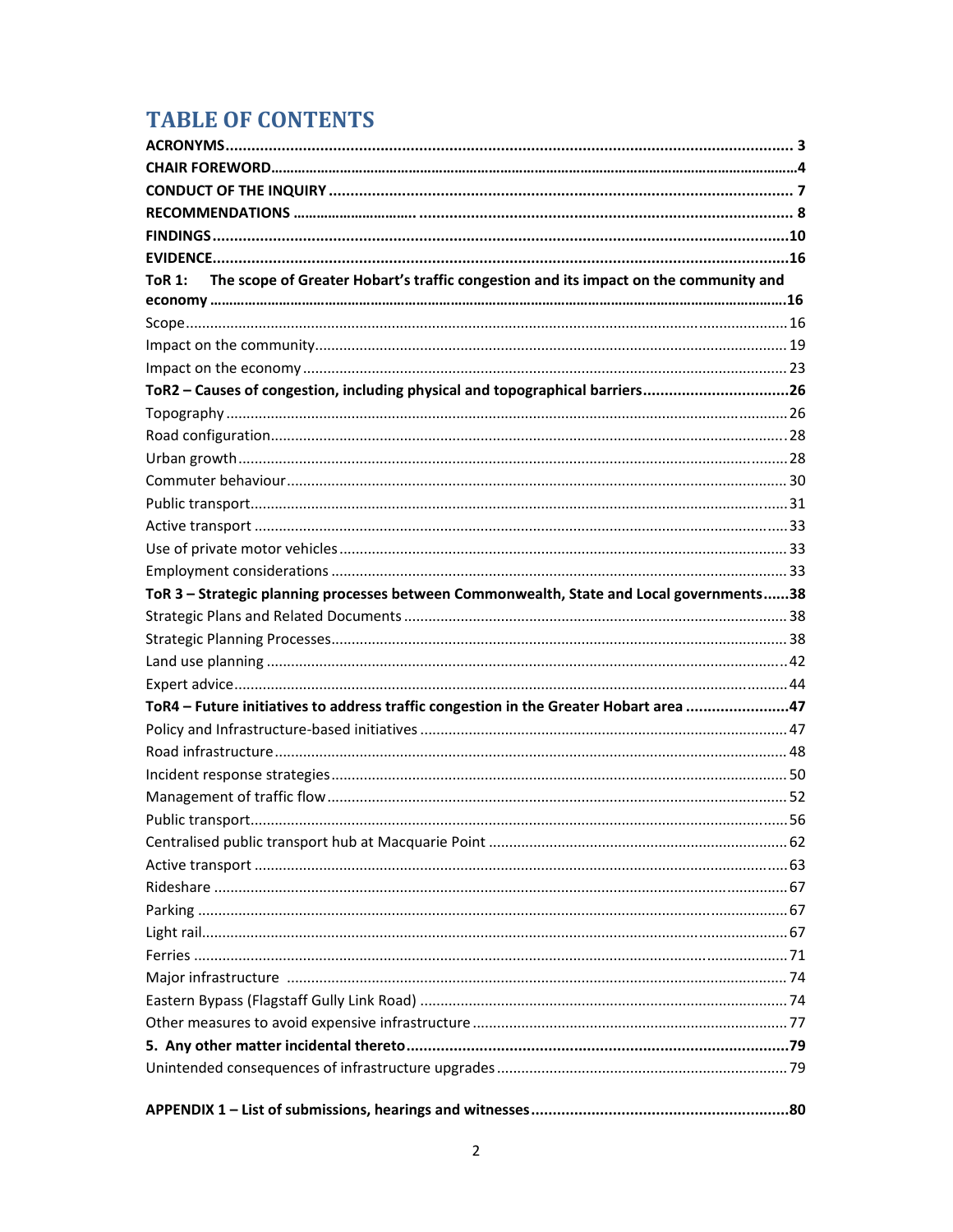# **TABLE OF CONTENTS**

| The scope of Greater Hobart's traffic congestion and its impact on the community and<br><b>ToR 1:</b> |  |
|-------------------------------------------------------------------------------------------------------|--|
|                                                                                                       |  |
|                                                                                                       |  |
|                                                                                                       |  |
|                                                                                                       |  |
| ToR2 - Causes of congestion, including physical and topographical barriers26                          |  |
|                                                                                                       |  |
|                                                                                                       |  |
|                                                                                                       |  |
|                                                                                                       |  |
|                                                                                                       |  |
|                                                                                                       |  |
|                                                                                                       |  |
|                                                                                                       |  |
| ToR 3 - Strategic planning processes between Commonwealth, State and Local governments38              |  |
|                                                                                                       |  |
|                                                                                                       |  |
|                                                                                                       |  |
|                                                                                                       |  |
| ToR4 - Future initiatives to address traffic congestion in the Greater Hobart area 47                 |  |
|                                                                                                       |  |
|                                                                                                       |  |
|                                                                                                       |  |
|                                                                                                       |  |
|                                                                                                       |  |
|                                                                                                       |  |
|                                                                                                       |  |
|                                                                                                       |  |
|                                                                                                       |  |
|                                                                                                       |  |
|                                                                                                       |  |
|                                                                                                       |  |
|                                                                                                       |  |
|                                                                                                       |  |
|                                                                                                       |  |
|                                                                                                       |  |
|                                                                                                       |  |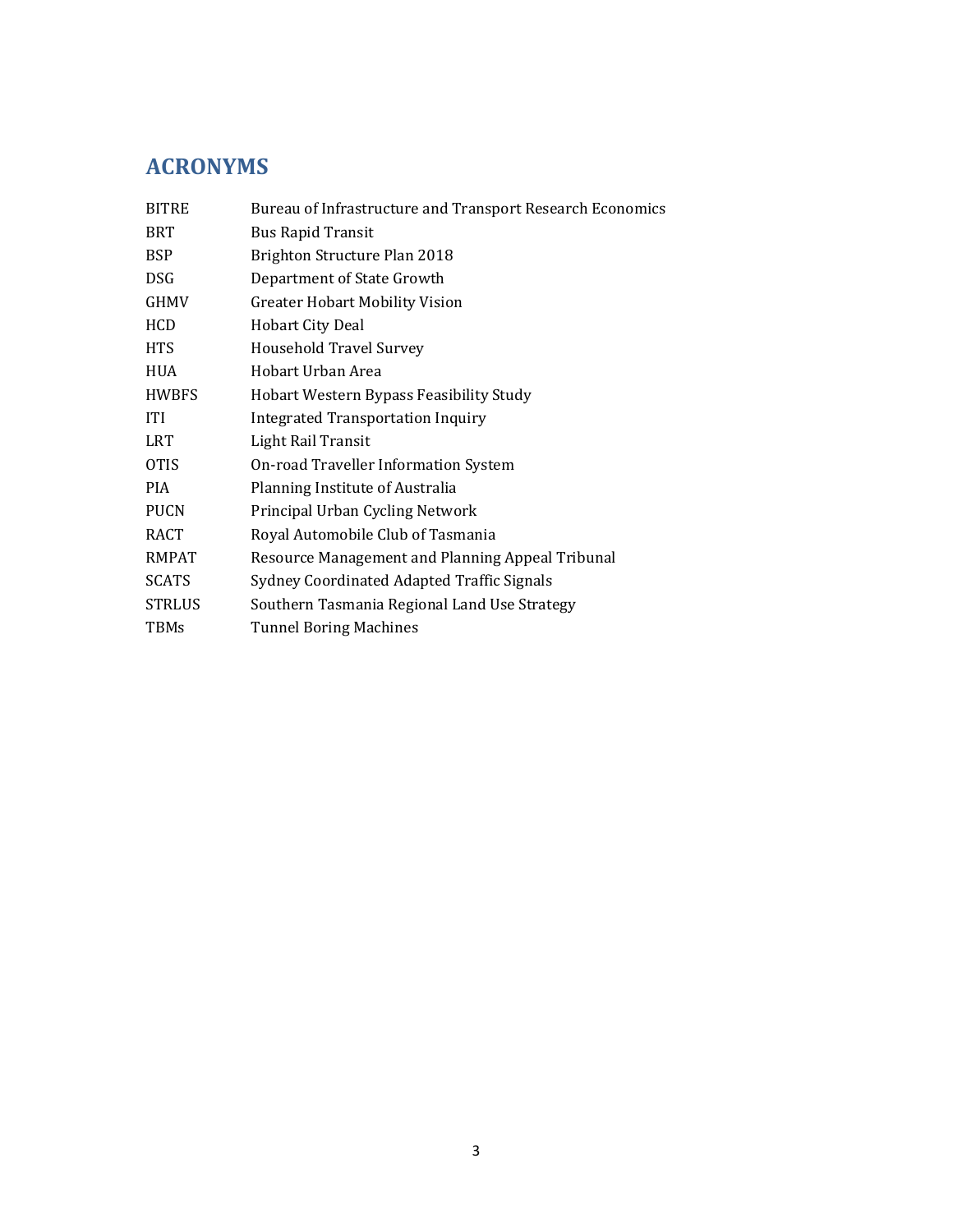# **ACRONYMS**

| <b>BITRE</b>  | Bureau of Infrastructure and Transport Research Economics |  |  |
|---------------|-----------------------------------------------------------|--|--|
| <b>BRT</b>    | <b>Bus Rapid Transit</b>                                  |  |  |
| <b>BSP</b>    | Brighton Structure Plan 2018                              |  |  |
| <b>DSG</b>    | Department of State Growth                                |  |  |
| GHMV          | <b>Greater Hobart Mobility Vision</b>                     |  |  |
| HCD           | <b>Hobart City Deal</b>                                   |  |  |
| HTS           | <b>Household Travel Survey</b>                            |  |  |
| <b>HUA</b>    | Hobart Urban Area                                         |  |  |
| <b>HWBFS</b>  | Hobart Western Bypass Feasibility Study                   |  |  |
| <b>ITI</b>    | <b>Integrated Transportation Inquiry</b>                  |  |  |
| <b>LRT</b>    | Light Rail Transit                                        |  |  |
| <b>OTIS</b>   | On-road Traveller Information System                      |  |  |
| <b>PIA</b>    | Planning Institute of Australia                           |  |  |
| <b>PUCN</b>   | Principal Urban Cycling Network                           |  |  |
| RACT          | Royal Automobile Club of Tasmania                         |  |  |
| <b>RMPAT</b>  | Resource Management and Planning Appeal Tribunal          |  |  |
| <b>SCATS</b>  | Sydney Coordinated Adapted Traffic Signals                |  |  |
| <b>STRLUS</b> | Southern Tasmania Regional Land Use Strategy              |  |  |
| <b>TBMs</b>   | <b>Tunnel Boring Machines</b>                             |  |  |
|               |                                                           |  |  |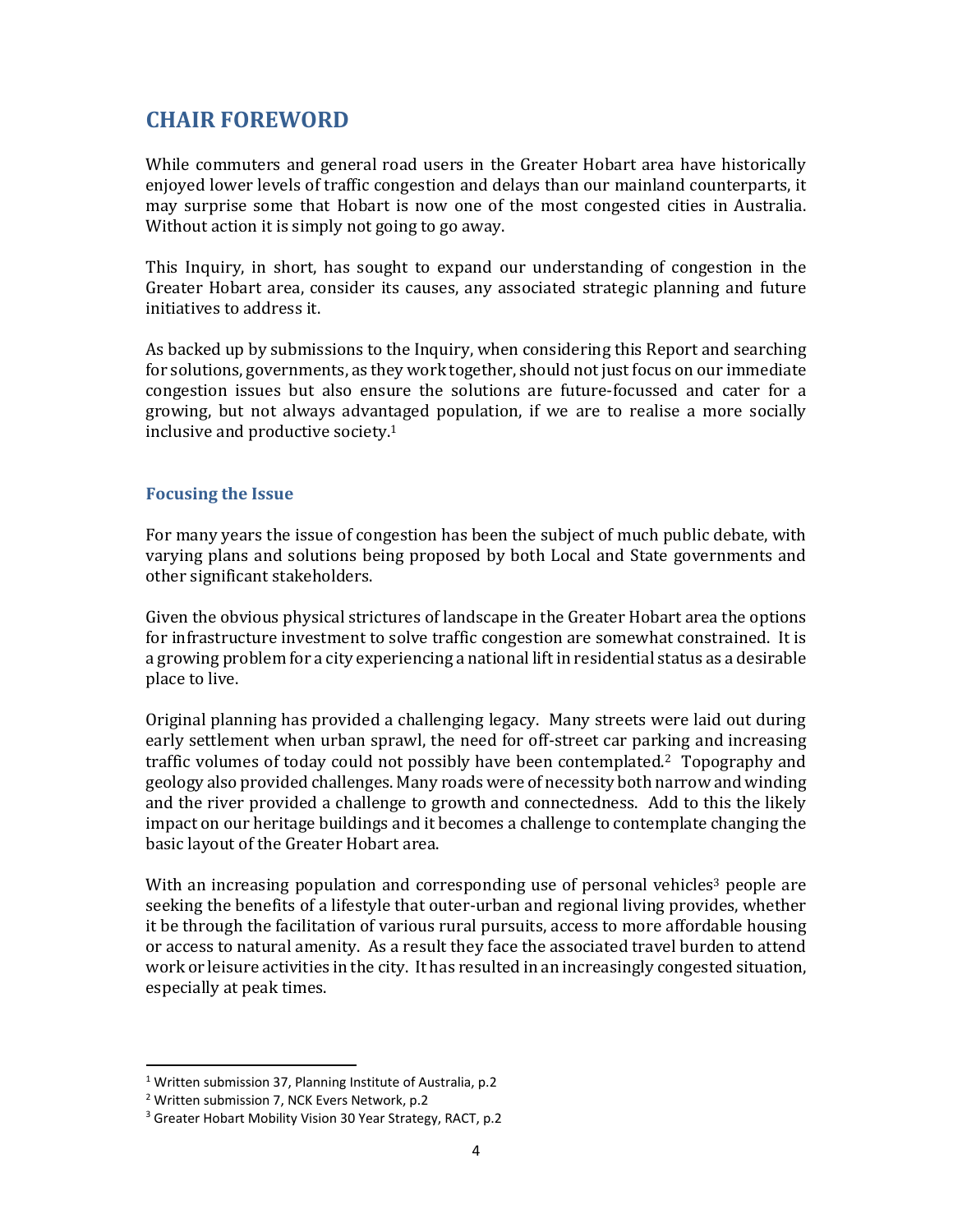## **CHAIR FOREWORD**

While commuters and general road users in the Greater Hobart area have historically enjoyed lower levels of traffic congestion and delays than our mainland counterparts, it may surprise some that Hobart is now one of the most congested cities in Australia. Without action it is simply not going to go away.

This Inquiry, in short, has sought to expand our understanding of congestion in the Greater Hobart area, consider its causes, any associated strategic planning and future initiatives to address it.

As backed up by submissions to the Inquiry, when considering this Report and searching for solutions, governments, as they work together, should not just focus on our immediate congestion issues but also ensure the solutions are future-focussed and cater for a growing, but not always advantaged population, if we are to realise a more socially inclusive and productive society.1

#### **Focusing the Issue**

For many years the issue of congestion has been the subject of much public debate, with varying plans and solutions being proposed by both Local and State governments and other significant stakeholders.

Given the obvious physical strictures of landscape in the Greater Hobart area the options for infrastructure investment to solve traffic congestion are somewhat constrained. It is a growing problem for a city experiencing a national lift in residential status as a desirable place to live.

Original planning has provided a challenging legacy. Many streets were laid out during early settlement when urban sprawl, the need for off-street car parking and increasing traffic volumes of today could not possibly have been contemplated.<sup>2</sup> Topography and geology also provided challenges. Many roads were of necessity both narrow and winding and the river provided a challenge to growth and connectedness. Add to this the likely impact on our heritage buildings and it becomes a challenge to contemplate changing the basic layout of the Greater Hobart area.

With an increasing population and corresponding use of personal vehicles<sup>3</sup> people are seeking the benefits of a lifestyle that outer-urban and regional living provides, whether it be through the facilitation of various rural pursuits, access to more affordable housing or access to natural amenity. As a result they face the associated travel burden to attend work or leisure activities in the city. It has resulted in an increasingly congested situation, especially at peak times.

<sup>&</sup>lt;sup>1</sup> Written submission 37, Planning Institute of Australia, p.2

<sup>2</sup> Written submission 7, NCK Evers Network, p.2

<sup>3</sup> Greater Hobart Mobility Vision 30 Year Strategy, RACT, p.2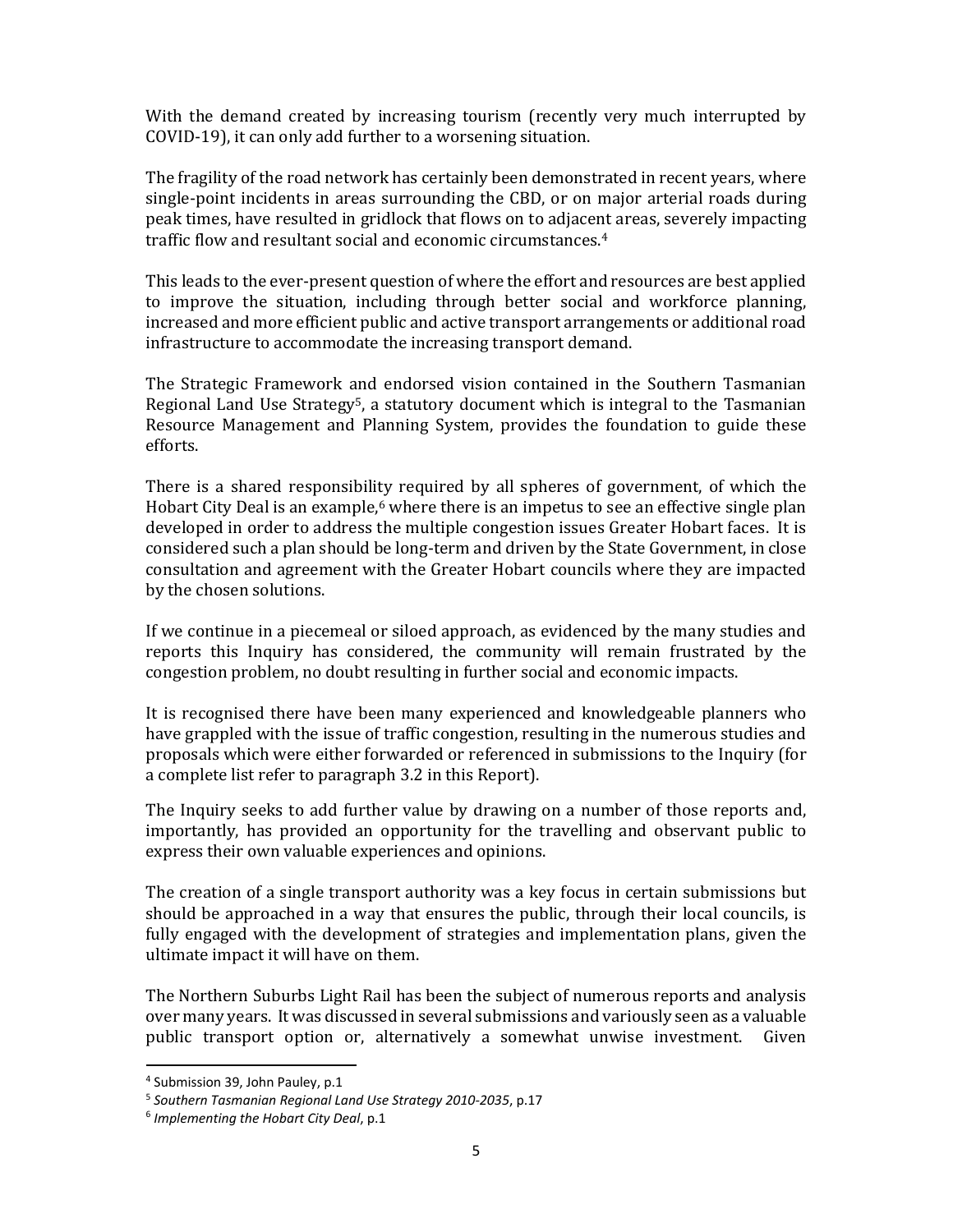With the demand created by increasing tourism (recently very much interrupted by COVID-19), it can only add further to a worsening situation.

The fragility of the road network has certainly been demonstrated in recent years, where single-point incidents in areas surrounding the CBD, or on major arterial roads during peak times, have resulted in gridlock that flows on to adjacent areas, severely impacting traffic flow and resultant social and economic circumstances.4

This leads to the ever-present question of where the effort and resources are best applied to improve the situation, including through better social and workforce planning, increased and more efficient public and active transport arrangements or additional road infrastructure to accommodate the increasing transport demand.

The Strategic Framework and endorsed vision contained in the Southern Tasmanian Regional Land Use Strategy<sup>5</sup>, a statutory document which is integral to the Tasmanian Resource Management and Planning System, provides the foundation to guide these efforts.

There is a shared responsibility required by all spheres of government, of which the Hobart City Deal is an example, $6$  where there is an impetus to see an effective single plan developed in order to address the multiple congestion issues Greater Hobart faces. It is considered such a plan should be long-term and driven by the State Government, in close consultation and agreement with the Greater Hobart councils where they are impacted by the chosen solutions.

If we continue in a piecemeal or siloed approach, as evidenced by the many studies and reports this Inquiry has considered, the community will remain frustrated by the congestion problem, no doubt resulting in further social and economic impacts.

It is recognised there have been many experienced and knowledgeable planners who have grappled with the issue of traffic congestion, resulting in the numerous studies and proposals which were either forwarded or referenced in submissions to the Inquiry (for a complete list refer to paragraph 3.2 in this Report).

The Inquiry seeks to add further value by drawing on a number of those reports and, importantly, has provided an opportunity for the travelling and observant public to express their own valuable experiences and opinions.

The creation of a single transport authority was a key focus in certain submissions but should be approached in a way that ensures the public, through their local councils, is fully engaged with the development of strategies and implementation plans, given the ultimate impact it will have on them.

The Northern Suburbs Light Rail has been the subject of numerous reports and analysis over many years. It was discussed in several submissions and variously seen as a valuable public transport option or, alternatively a somewhat unwise investment. Given

 <sup>4</sup> Submission 39, John Pauley, p.1

<sup>5</sup> *Southern Tasmanian Regional Land Use Strategy 2010‐2035*, p.17

<sup>6</sup> *Implementing the Hobart City Deal*, p.1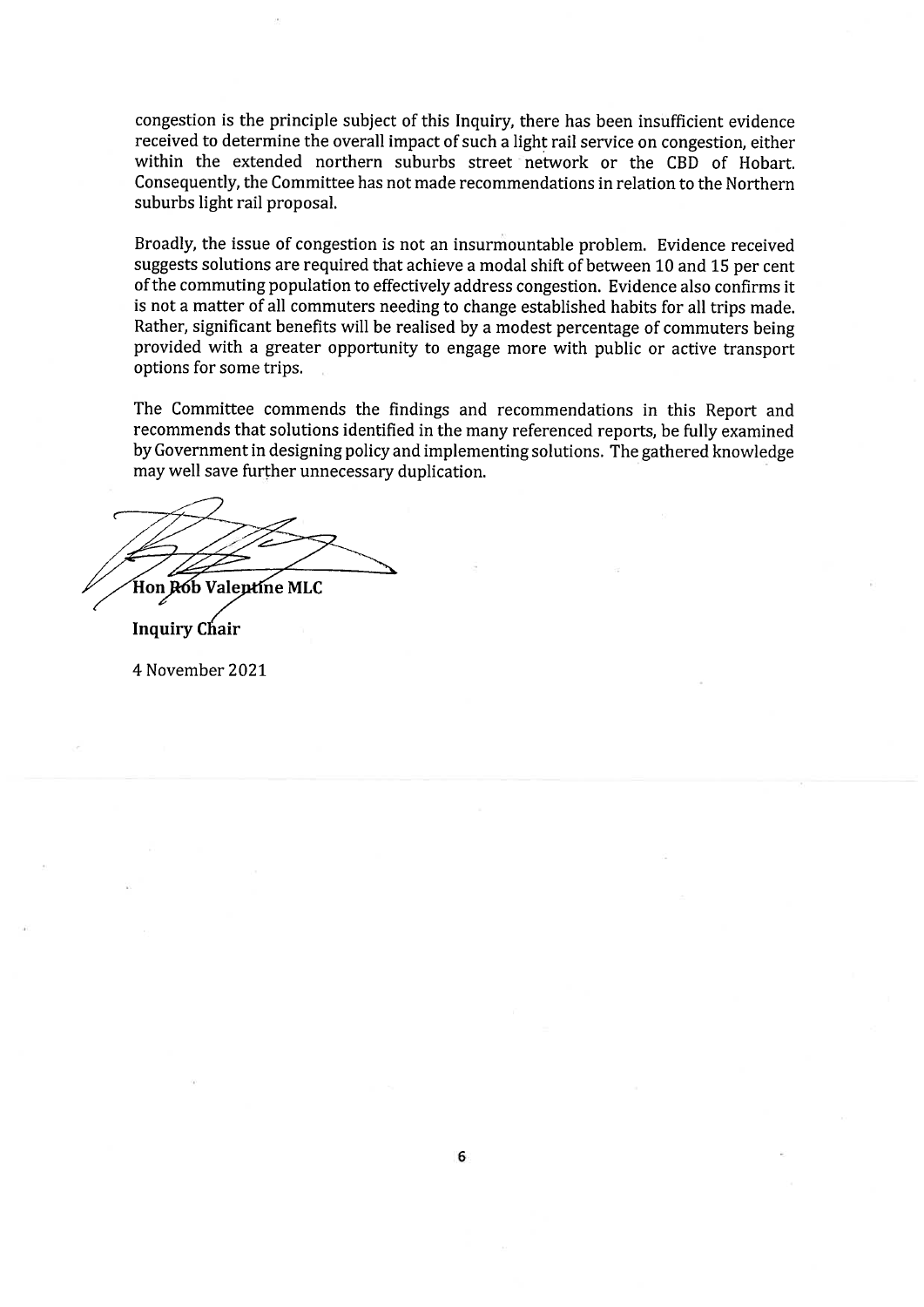congestion is the principle subject of this Inquiry, there has been insufficient evidence received to determine the overall impact of such a light rail service on congestion, either within the extended northern suburbs street network or the CBD of Hobart. Consequently, the Committee has not made recommendations in relation to the Northern suburbs light rail proposal.

Broadly, the issue of congestion is not an insurmountable problem. Evidence received suggests solutions are required that achieve a modal shift of between 10 and 15 per cent of the commuting population to effectively address congestion. Evidence also confirms it is not a matter of all commuters needing to change established habits for all trips made. Rather, significant benefits will be realised by a modest percentage of commuters being provided with a greater opportunity to engage more with public or active transport options for some trips.

The Committee commends the findings and recommendations in this Report and recommends that solutions identified in the many referenced reports, be fully examined by Government in designing policy and implementing solutions. The gathered knowledge may well save further unnecessary duplication.

by m Hon Rób Valentíne MLC  $\geq$ 

Inquiry Chair

4 November 2021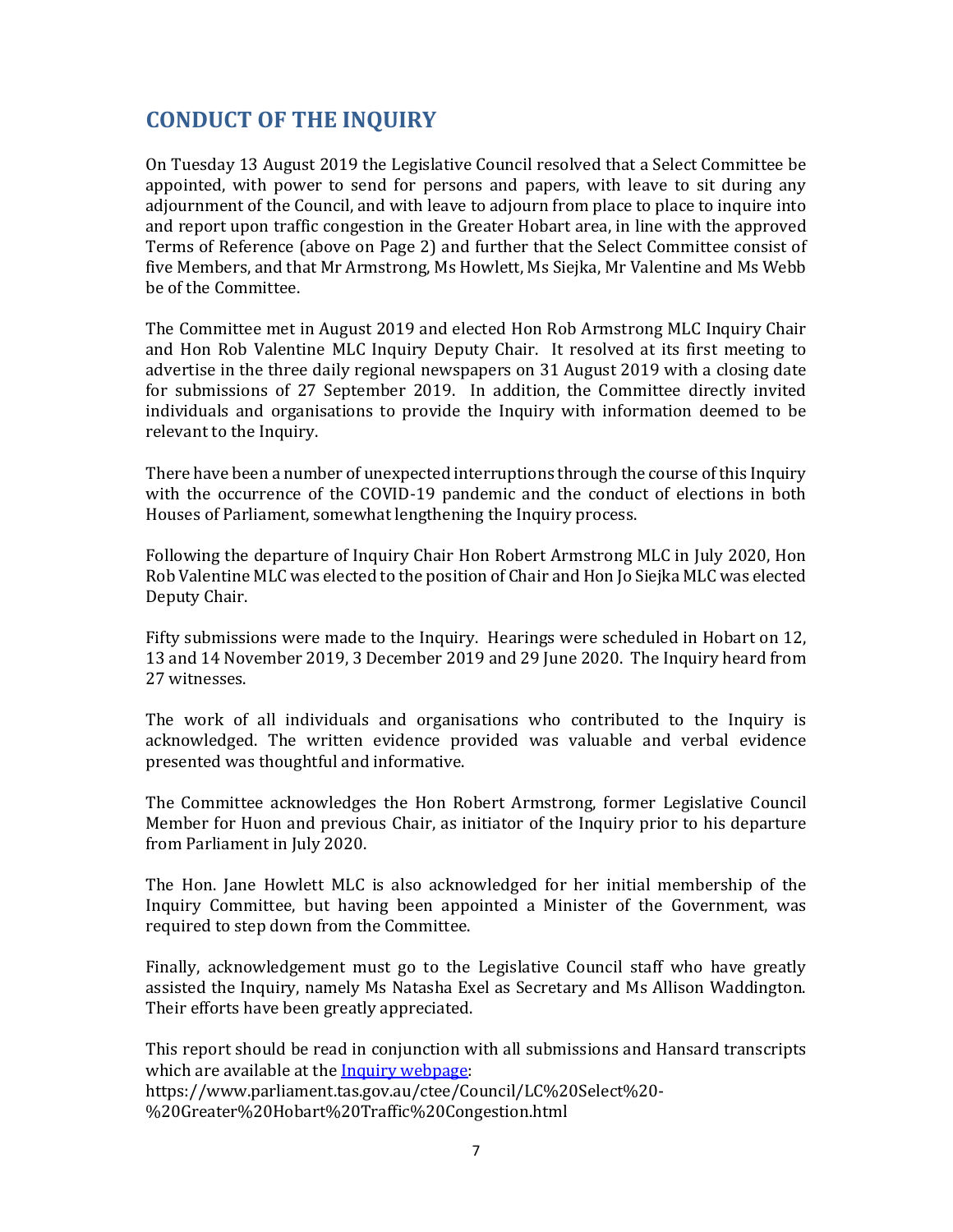## **CONDUCT OF THE INQUIRY**

On Tuesday 13 August 2019 the Legislative Council resolved that a Select Committee be appointed, with power to send for persons and papers, with leave to sit during any adjournment of the Council, and with leave to adjourn from place to place to inquire into and report upon traffic congestion in the Greater Hobart area, in line with the approved Terms of Reference (above on Page 2) and further that the Select Committee consist of five Members, and that Mr Armstrong, Ms Howlett, Ms Siejka, Mr Valentine and Ms Webb be of the Committee.

The Committee met in August 2019 and elected Hon Rob Armstrong MLC Inquiry Chair and Hon Rob Valentine MLC Inquiry Deputy Chair. It resolved at its first meeting to advertise in the three daily regional newspapers on 31 August 2019 with a closing date for submissions of 27 September 2019. In addition, the Committee directly invited individuals and organisations to provide the Inquiry with information deemed to be relevant to the Inquiry.

There have been a number of unexpected interruptions through the course of this Inquiry with the occurrence of the COVID-19 pandemic and the conduct of elections in both Houses of Parliament, somewhat lengthening the Inquiry process.

Following the departure of Inquiry Chair Hon Robert Armstrong MLC in July 2020, Hon Rob Valentine MLC was elected to the position of Chair and Hon Jo Siejka MLC was elected Deputy Chair.

Fifty submissions were made to the Inquiry. Hearings were scheduled in Hobart on 12, 13 and 14 November 2019, 3 December 2019 and 29 June 2020. The Inquiry heard from 27 witnesses.

The work of all individuals and organisations who contributed to the Inquiry is acknowledged. The written evidence provided was valuable and verbal evidence presented was thoughtful and informative.

The Committee acknowledges the Hon Robert Armstrong, former Legislative Council Member for Huon and previous Chair, as initiator of the Inquiry prior to his departure from Parliament in July 2020.

The Hon. Jane Howlett MLC is also acknowledged for her initial membership of the Inquiry Committee, but having been appointed a Minister of the Government, was required to step down from the Committee.

Finally, acknowledgement must go to the Legislative Council staff who have greatly assisted the Inquiry, namely Ms Natasha Exel as Secretary and Ms Allison Waddington. Their efforts have been greatly appreciated.

This report should be read in conjunction with all submissions and Hansard transcripts which are available at the **Inquiry webpage**: https://www.parliament.tas.gov.au/ctee/Council/LC%20Select%20- %20Greater%20Hobart%20Traffic%20Congestion.html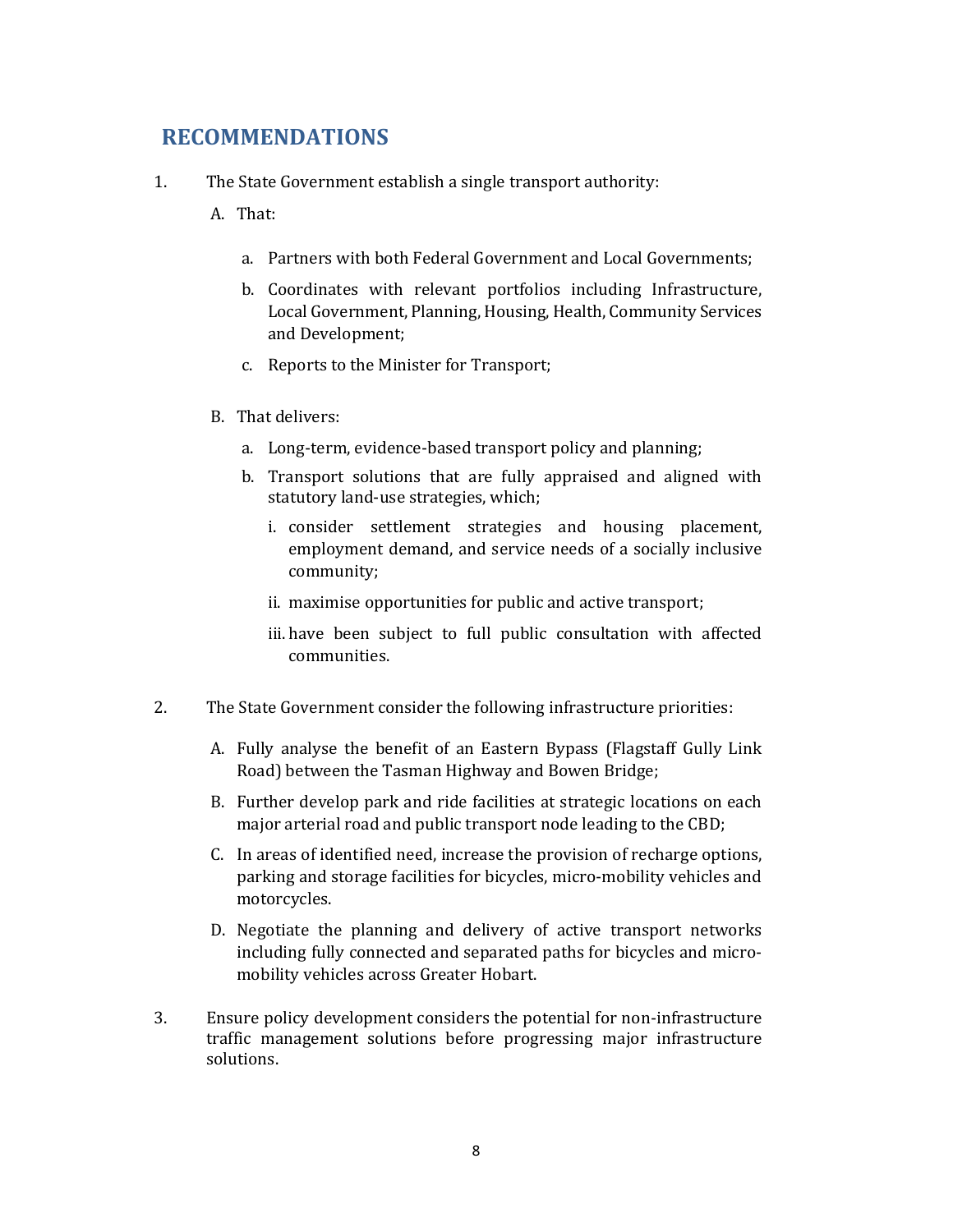## **RECOMMENDATIONS**

- 1. The State Government establish a single transport authority:
	- A. That:
		- a. Partners with both Federal Government and Local Governments;
		- b. Coordinates with relevant portfolios including Infrastructure, Local Government, Planning, Housing, Health, Community Services and Development;
		- c. Reports to the Minister for Transport;
	- B. That delivers:
		- a. Long-term, evidence-based transport policy and planning;
		- b. Transport solutions that are fully appraised and aligned with statutory land-use strategies, which;
			- i. consider settlement strategies and housing placement, employment demand, and service needs of a socially inclusive community;
			- ii. maximise opportunities for public and active transport;
			- iii. have been subject to full public consultation with affected communities.
- 2. The State Government consider the following infrastructure priorities:
	- A. Fully analyse the benefit of an Eastern Bypass (Flagstaff Gully Link Road) between the Tasman Highway and Bowen Bridge;
	- B. Further develop park and ride facilities at strategic locations on each major arterial road and public transport node leading to the CBD;
	- C. In areas of identified need, increase the provision of recharge options, parking and storage facilities for bicycles, micro-mobility vehicles and motorcycles.
	- D. Negotiate the planning and delivery of active transport networks including fully connected and separated paths for bicycles and micromobility vehicles across Greater Hobart.
- 3. Ensure policy development considers the potential for non-infrastructure traffic management solutions before progressing major infrastructure solutions.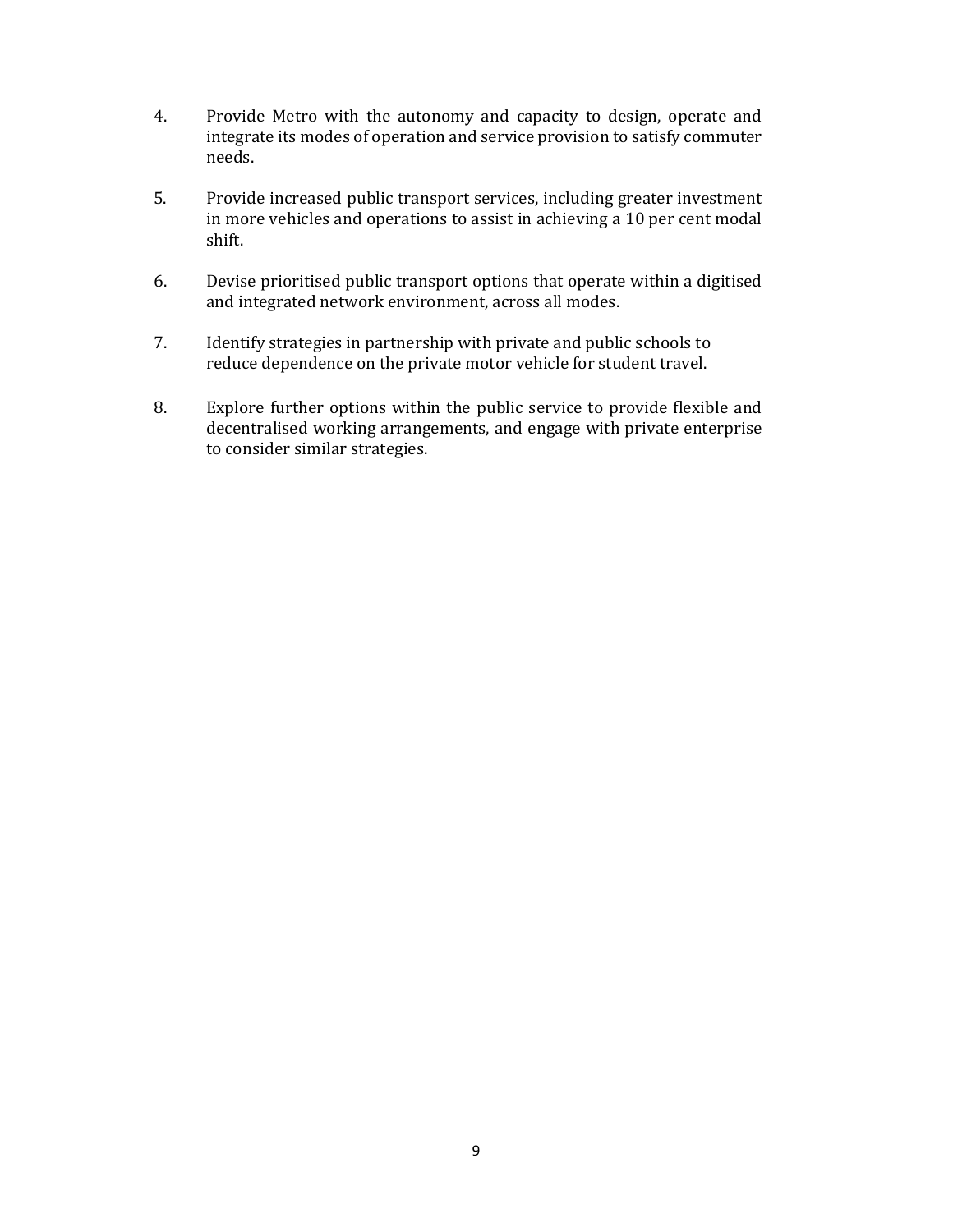- 4. Provide Metro with the autonomy and capacity to design, operate and integrate its modes of operation and service provision to satisfy commuter needs.
- 5. Provide increased public transport services, including greater investment in more vehicles and operations to assist in achieving a 10 per cent modal shift.
- 6. Devise prioritised public transport options that operate within a digitised and integrated network environment, across all modes.
- 7. Identify strategies in partnership with private and public schools to reduce dependence on the private motor vehicle for student travel.
- 8. Explore further options within the public service to provide flexible and decentralised working arrangements, and engage with private enterprise to consider similar strategies.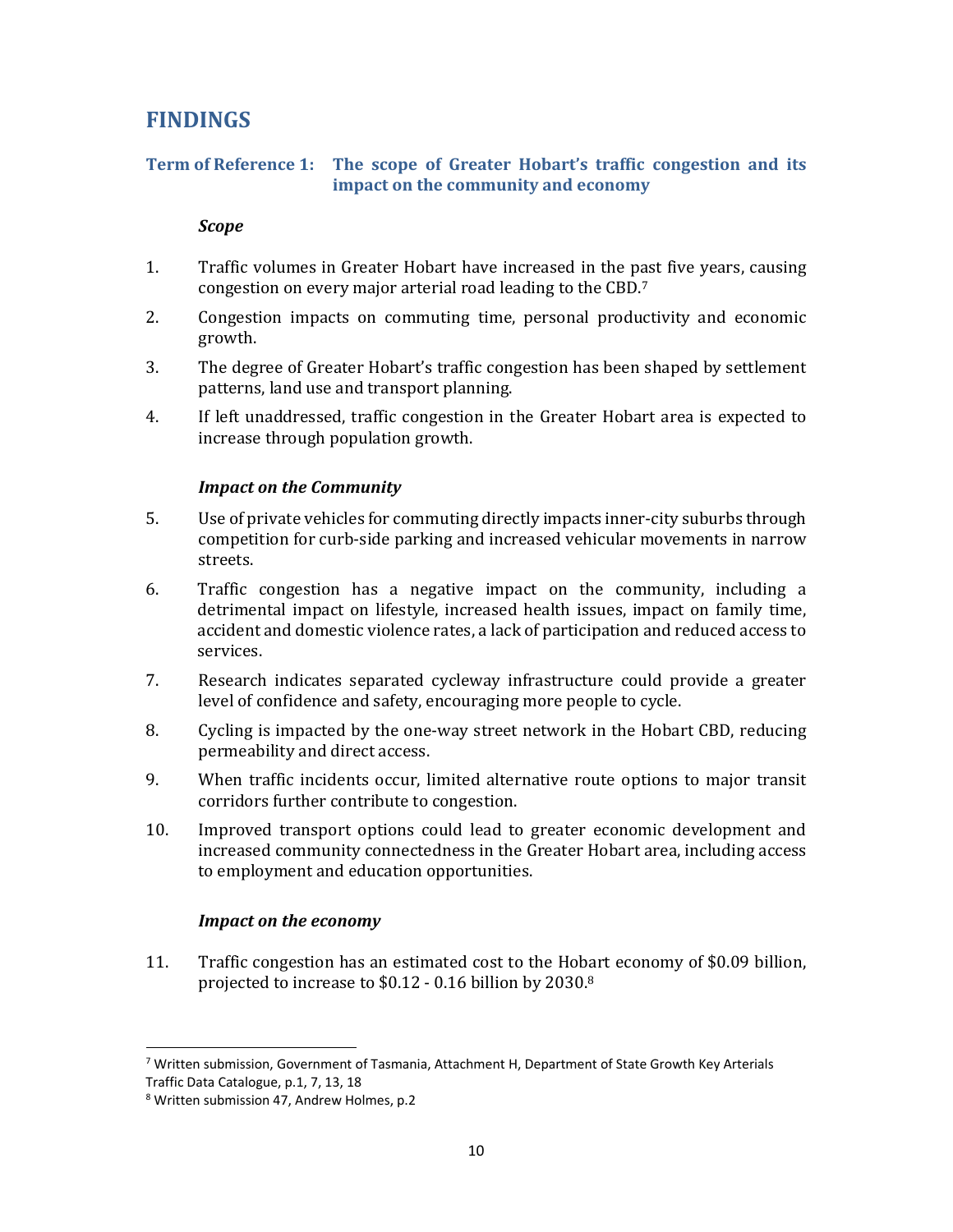## **FINDINGS**

#### **Term of Reference 1: The scope of Greater Hobart's traffic congestion and its impact on the community and economy**

#### *Scope*

- 1. Traffic volumes in Greater Hobart have increased in the past five years, causing congestion on every major arterial road leading to the CBD.7
- 2. Congestion impacts on commuting time, personal productivity and economic growth.
- 3. The degree of Greater Hobart's traffic congestion has been shaped by settlement patterns, land use and transport planning.
- 4. If left unaddressed, traffic congestion in the Greater Hobart area is expected to increase through population growth.

#### *Impact on the Community*

- 5. Use of private vehicles for commuting directly impacts inner-city suburbs through competition for curb-side parking and increased vehicular movements in narrow streets.
- 6. Traffic congestion has a negative impact on the community, including a detrimental impact on lifestyle, increased health issues, impact on family time, accident and domestic violence rates, a lack of participation and reduced access to services.
- 7. Research indicates separated cycleway infrastructure could provide a greater level of confidence and safety, encouraging more people to cycle.
- 8. Cycling is impacted by the one-way street network in the Hobart CBD, reducing permeability and direct access.
- 9. When traffic incidents occur, limited alternative route options to major transit corridors further contribute to congestion.
- 10. Improved transport options could lead to greater economic development and increased community connectedness in the Greater Hobart area, including access to employment and education opportunities.

#### *Impact on the economy*

11. Traffic congestion has an estimated cost to the Hobart economy of \$0.09 billion, projected to increase to \$0.12 - 0.16 billion by 2030.8

 $7$  Written submission, Government of Tasmania, Attachment H, Department of State Growth Key Arterials Traffic Data Catalogue, p.1, 7, 13, 18

<sup>8</sup> Written submission 47, Andrew Holmes, p.2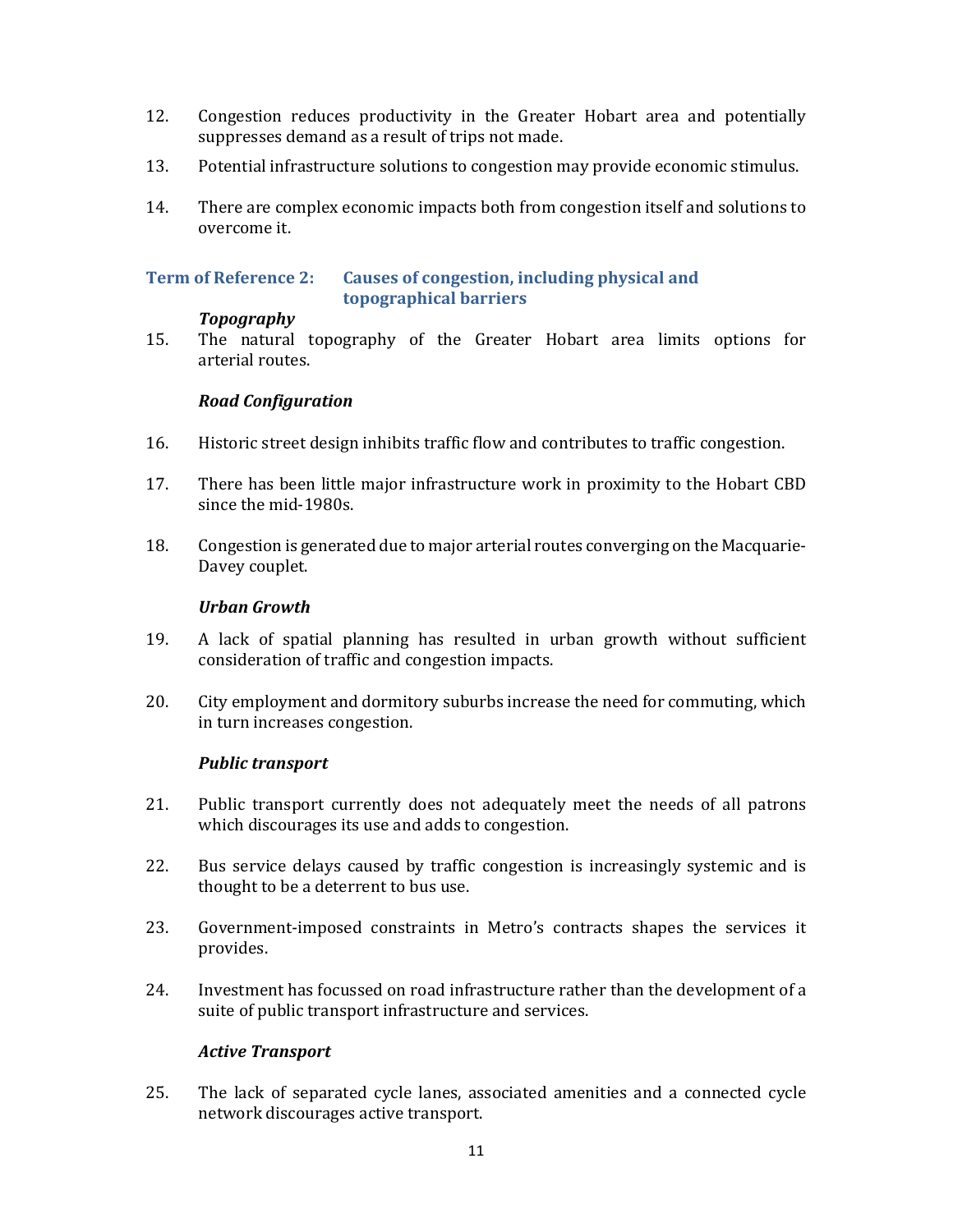- 12. Congestion reduces productivity in the Greater Hobart area and potentially suppresses demand as a result of trips not made.
- 13. Potential infrastructure solutions to congestion may provide economic stimulus.
- 14. There are complex economic impacts both from congestion itself and solutions to overcome it.

#### **Term of Reference 2: Causes of congestion, including physical and topographical barriers**

#### *Topography*

15. The natural topography of the Greater Hobart area limits options for arterial routes.

#### *Road Configuration*

- 16. Historic street design inhibits traffic flow and contributes to traffic congestion.
- 17. There has been little major infrastructure work in proximity to the Hobart CBD since the mid-1980s.
- 18. Congestion is generated due to major arterial routes converging on the Macquarie-Davey couplet.

#### *Urban Growth*

- 19. A lack of spatial planning has resulted in urban growth without sufficient consideration of traffic and congestion impacts.
- 20. City employment and dormitory suburbs increase the need for commuting, which in turn increases congestion.

#### *Public transport*

- 21. Public transport currently does not adequately meet the needs of all patrons which discourages its use and adds to congestion.
- 22. Bus service delays caused by traffic congestion is increasingly systemic and is thought to be a deterrent to bus use.
- 23. Government-imposed constraints in Metro's contracts shapes the services it provides.
- 24. Investment has focussed on road infrastructure rather than the development of a suite of public transport infrastructure and services.

#### *Active Transport*

25. The lack of separated cycle lanes, associated amenities and a connected cycle network discourages active transport.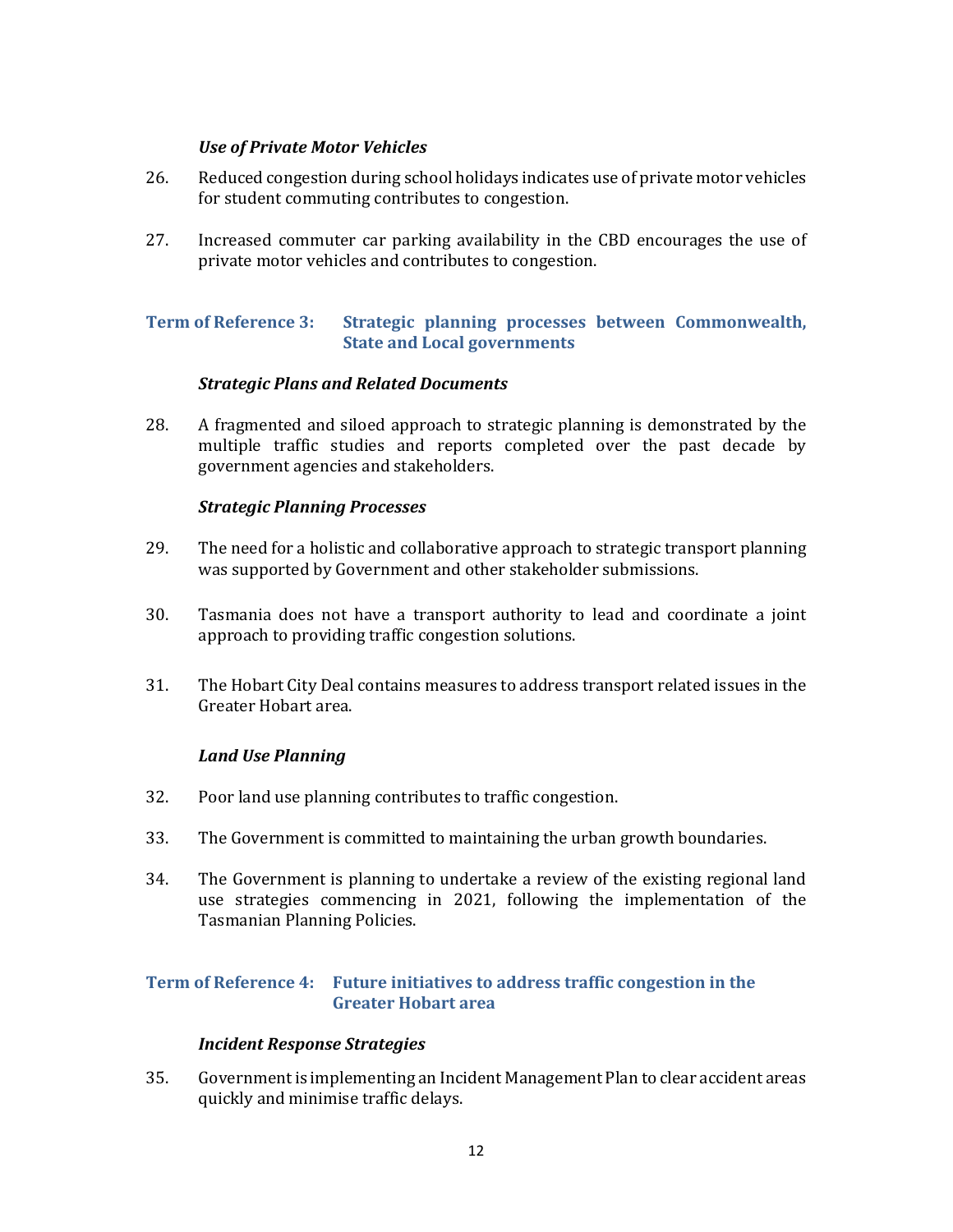#### *Use of Private Motor Vehicles*

- 26. Reduced congestion during school holidays indicates use of private motor vehicles for student commuting contributes to congestion.
- 27. Increased commuter car parking availability in the CBD encourages the use of private motor vehicles and contributes to congestion.

#### **Term of Reference 3: Strategic planning processes between Commonwealth, State and Local governments**

#### *Strategic Plans and Related Documents*

28. A fragmented and siloed approach to strategic planning is demonstrated by the multiple traffic studies and reports completed over the past decade by government agencies and stakeholders.

#### *Strategic Planning Processes*

- 29. The need for a holistic and collaborative approach to strategic transport planning was supported by Government and other stakeholder submissions.
- 30. Tasmania does not have a transport authority to lead and coordinate a joint approach to providing traffic congestion solutions.
- 31. The Hobart City Deal contains measures to address transport related issues in the Greater Hobart area.

#### *Land Use Planning*

- 32. Poor land use planning contributes to traffic congestion.
- 33. The Government is committed to maintaining the urban growth boundaries.
- 34. The Government is planning to undertake a review of the existing regional land use strategies commencing in 2021, following the implementation of the Tasmanian Planning Policies.

#### **Term of Reference 4: Future initiatives to address traffic congestion in the Greater Hobart area**

#### *Incident Response Strategies*

35. Government is implementing an Incident Management Plan to clear accident areas quickly and minimise traffic delays.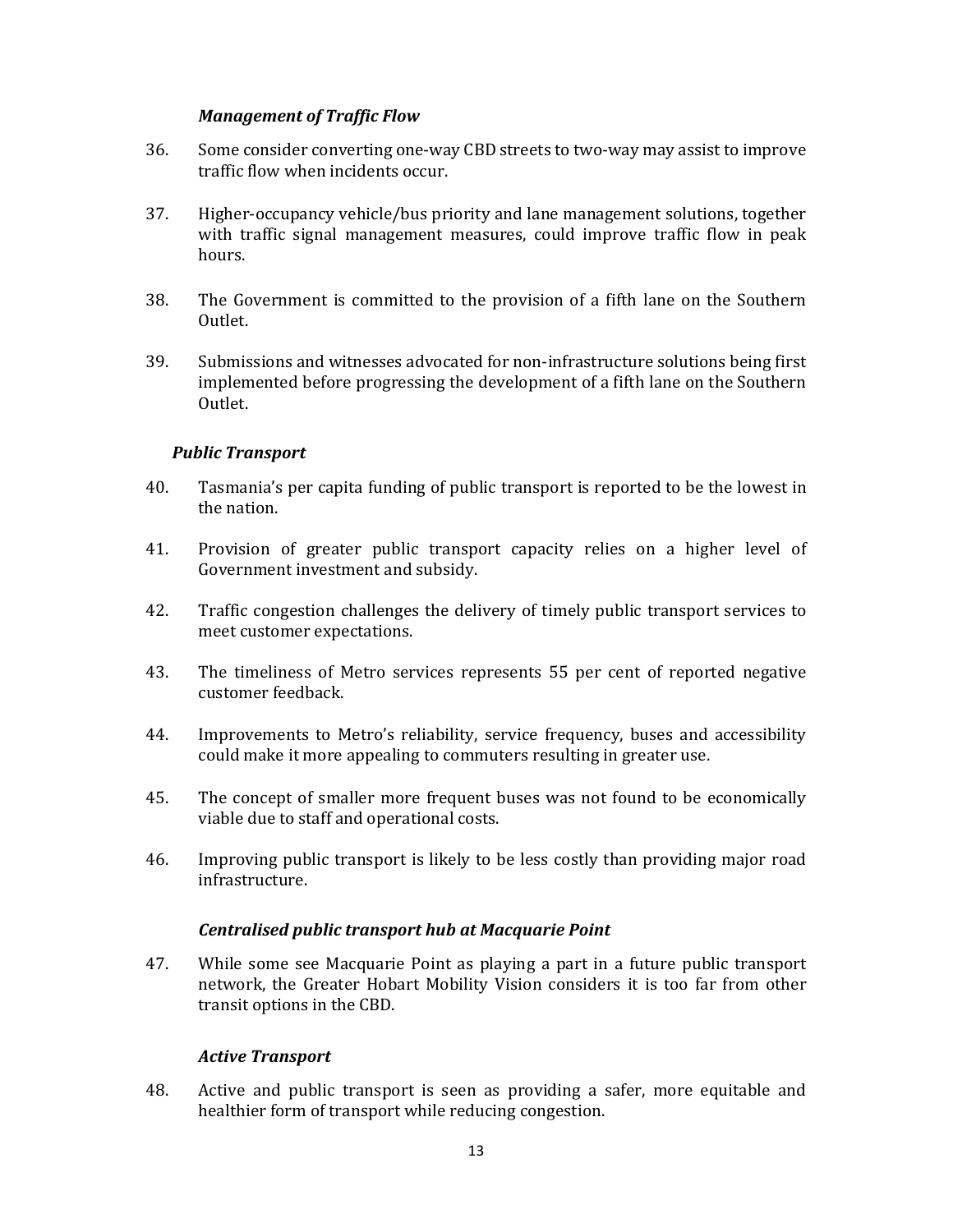#### *Management of Traffic Flow*

- 36. Some consider converting one-way CBD streets to two-way may assist to improve traffic flow when incidents occur.
- 37. Higher-occupancy vehicle/bus priority and lane management solutions, together with traffic signal management measures, could improve traffic flow in peak hours.
- 38. The Government is committed to the provision of a fifth lane on the Southern Outlet.
- 39. Submissions and witnesses advocated for non-infrastructure solutions being first implemented before progressing the development of a fifth lane on the Southern Outlet.

#### *Public Transport*

- 40. Tasmania's per capita funding of public transport is reported to be the lowest in the nation.
- 41. Provision of greater public transport capacity relies on a higher level of Government investment and subsidy.
- 42. Traffic congestion challenges the delivery of timely public transport services to meet customer expectations.
- 43. The timeliness of Metro services represents 55 per cent of reported negative customer feedback.
- 44. Improvements to Metro's reliability, service frequency, buses and accessibility could make it more appealing to commuters resulting in greater use.
- 45. The concept of smaller more frequent buses was not found to be economically viable due to staff and operational costs.
- 46. Improving public transport is likely to be less costly than providing major road infrastructure.

#### *Centralised public transport hub at Macquarie Point*

47. While some see Macquarie Point as playing a part in a future public transport network, the Greater Hobart Mobility Vision considers it is too far from other transit options in the CBD.

#### *Active Transport*

48. Active and public transport is seen as providing a safer, more equitable and healthier form of transport while reducing congestion.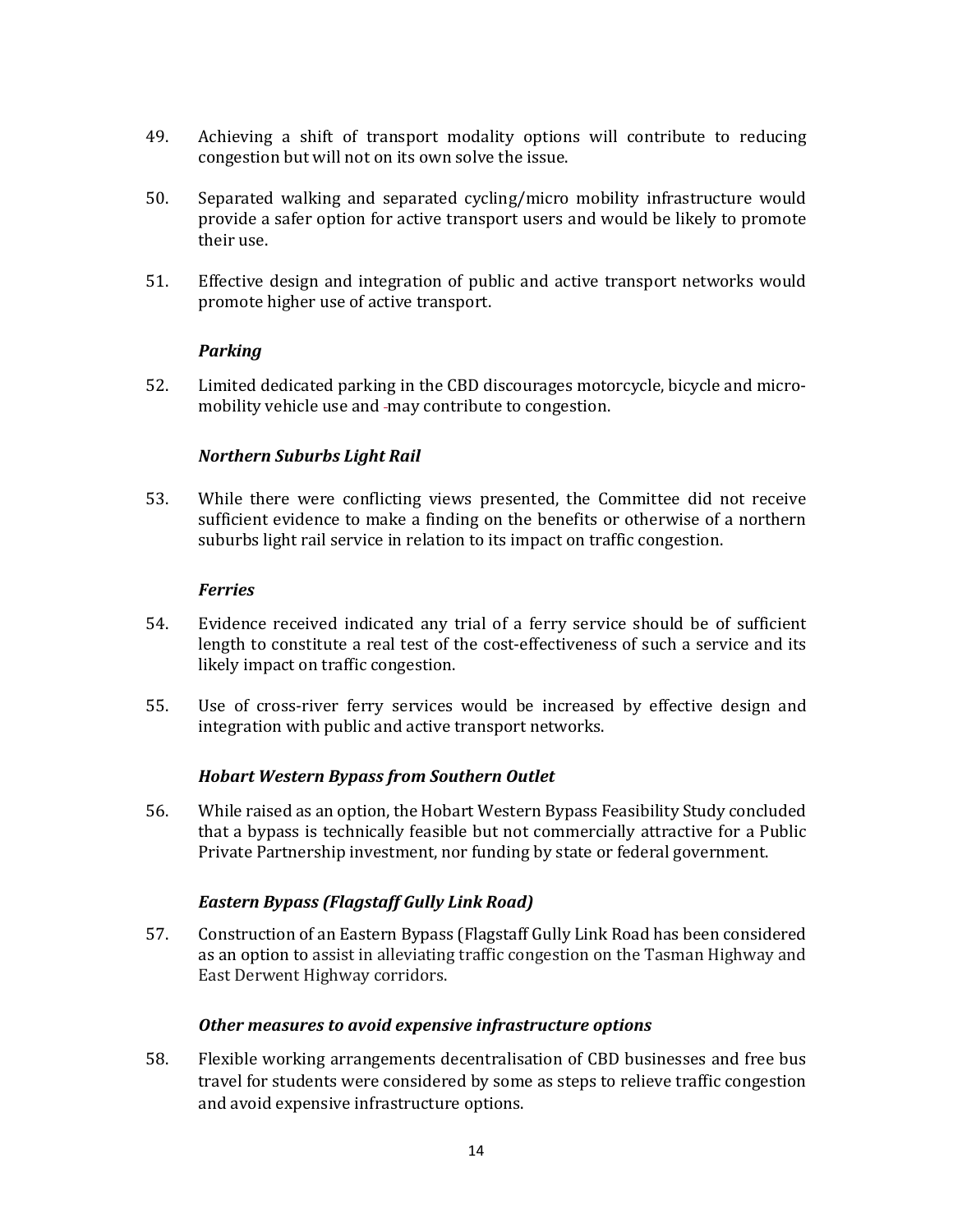- 49. Achieving a shift of transport modality options will contribute to reducing congestion but will not on its own solve the issue.
- 50. Separated walking and separated cycling/micro mobility infrastructure would provide a safer option for active transport users and would be likely to promote their use.
- 51. Effective design and integration of public and active transport networks would promote higher use of active transport.

#### *Parking*

52. Limited dedicated parking in the CBD discourages motorcycle, bicycle and micromobility vehicle use and -may contribute to congestion.

#### *Northern Suburbs Light Rail*

53. While there were conflicting views presented, the Committee did not receive sufficient evidence to make a finding on the benefits or otherwise of a northern suburbs light rail service in relation to its impact on traffic congestion.

#### *Ferries*

- 54. Evidence received indicated any trial of a ferry service should be of sufficient length to constitute a real test of the cost-effectiveness of such a service and its likely impact on traffic congestion.
- 55. Use of cross-river ferry services would be increased by effective design and integration with public and active transport networks.

#### *Hobart Western Bypass from Southern Outlet*

56. While raised as an option, the Hobart Western Bypass Feasibility Study concluded that a bypass is technically feasible but not commercially attractive for a Public Private Partnership investment, nor funding by state or federal government.

#### *Eastern Bypass (Flagstaff Gully Link Road)*

57. Construction of an Eastern Bypass (Flagstaff Gully Link Road has been considered as an option to assist in alleviating traffic congestion on the Tasman Highway and East Derwent Highway corridors.

#### *Other measures to avoid expensive infrastructure options*

58. Flexible working arrangements decentralisation of CBD businesses and free bus travel for students were considered by some as steps to relieve traffic congestion and avoid expensive infrastructure options.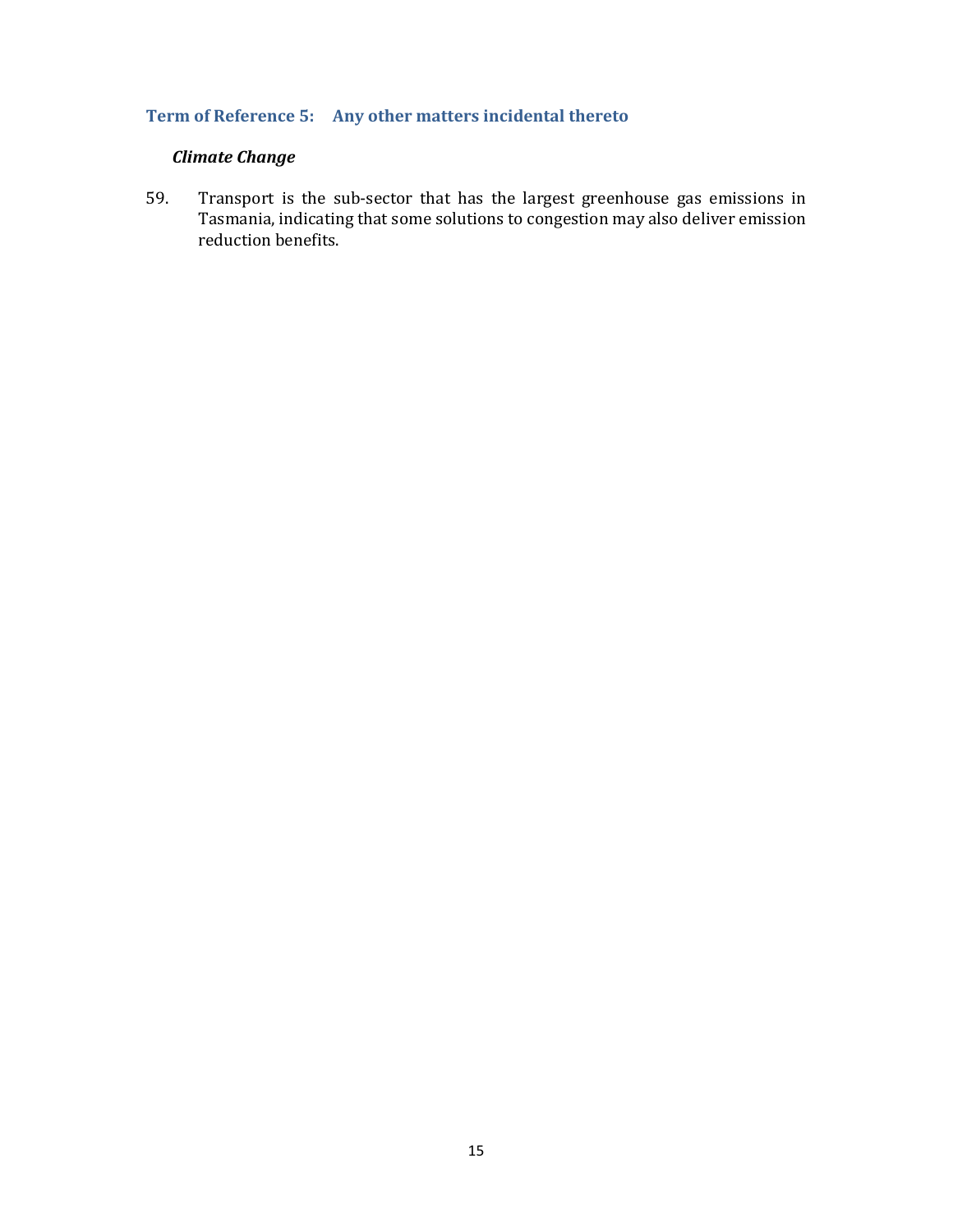## **Term of Reference 5: Any other matters incidental thereto**

## *Climate Change*

59. Transport is the sub-sector that has the largest greenhouse gas emissions in Tasmania, indicating that some solutions to congestion may also deliver emission reduction benefits.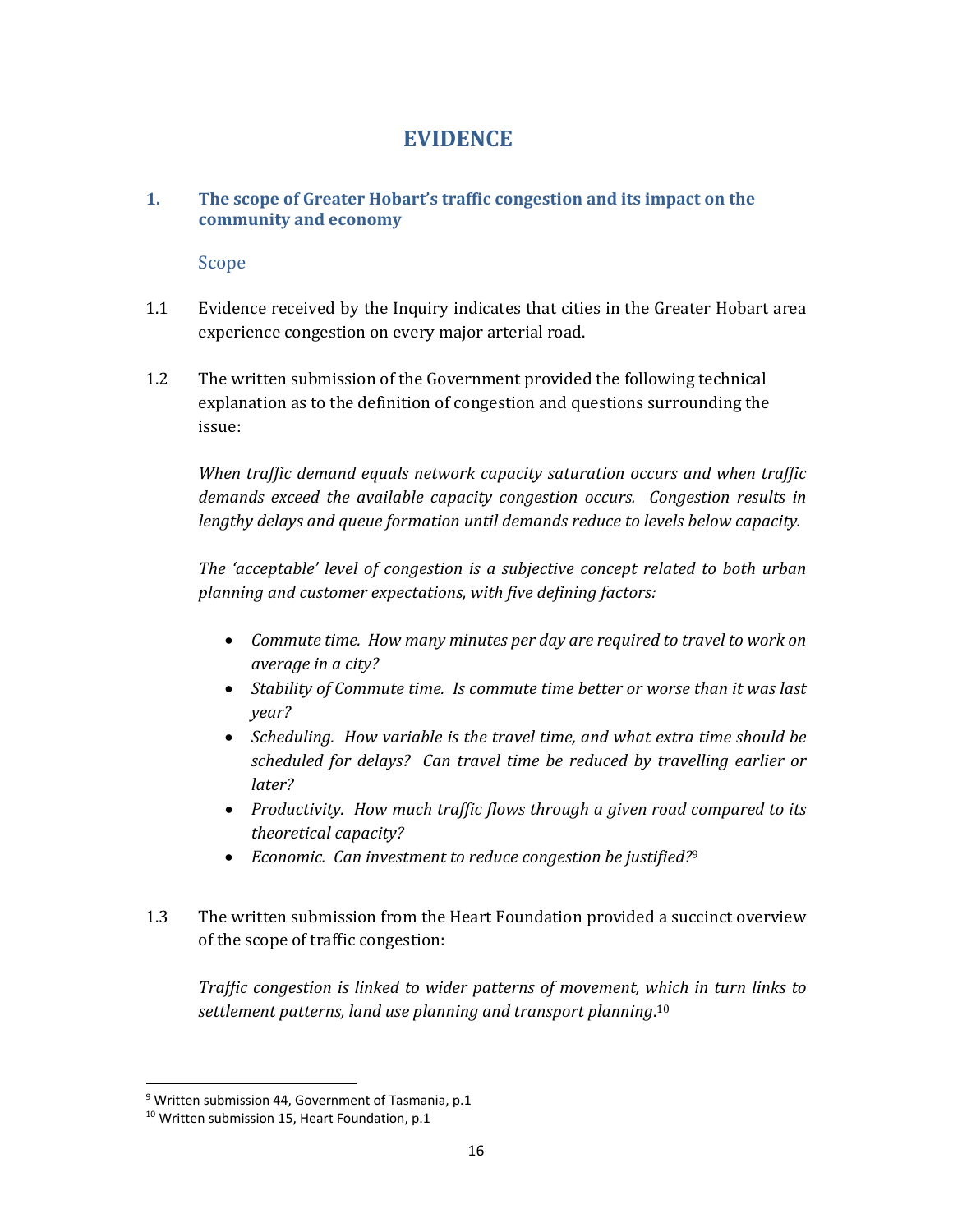## **EVIDENCE**

#### **1. The scope of Greater Hobart's traffic congestion and its impact on the community and economy**

Scope

- 1.1 Evidence received by the Inquiry indicates that cities in the Greater Hobart area experience congestion on every major arterial road.
- 1.2 The written submission of the Government provided the following technical explanation as to the definition of congestion and questions surrounding the issue:

*When traffic demand equals network capacity saturation occurs and when traffic demands exceed the available capacity congestion occurs. Congestion results in lengthy delays and queue formation until demands reduce to levels below capacity.*

*The 'acceptable' level of congestion is a subjective concept related to both urban planning and customer expectations, with five defining factors:*

- *Commute time. How many minutes per day are required to travel to work on average in a city?*
- *Stability of Commute time. Is commute time better or worse than it was last year?*
- *Scheduling. How variable is the travel time, and what extra time should be scheduled for delays? Can travel time be reduced by travelling earlier or later?*
- *Productivity. How much traffic flows through a given road compared to its theoretical capacity?*
- *Economic. Can investment to reduce congestion be justified?*<sup>9</sup>
- 1.3 The written submission from the Heart Foundation provided a succinct overview of the scope of traffic congestion:

*Traffic congestion is linked to wider patterns of movement, which in turn links to settlement patterns, land use planning and transport planning*. 10

 $9$  Written submission 44, Government of Tasmania, p.1

<sup>&</sup>lt;sup>10</sup> Written submission 15, Heart Foundation, p.1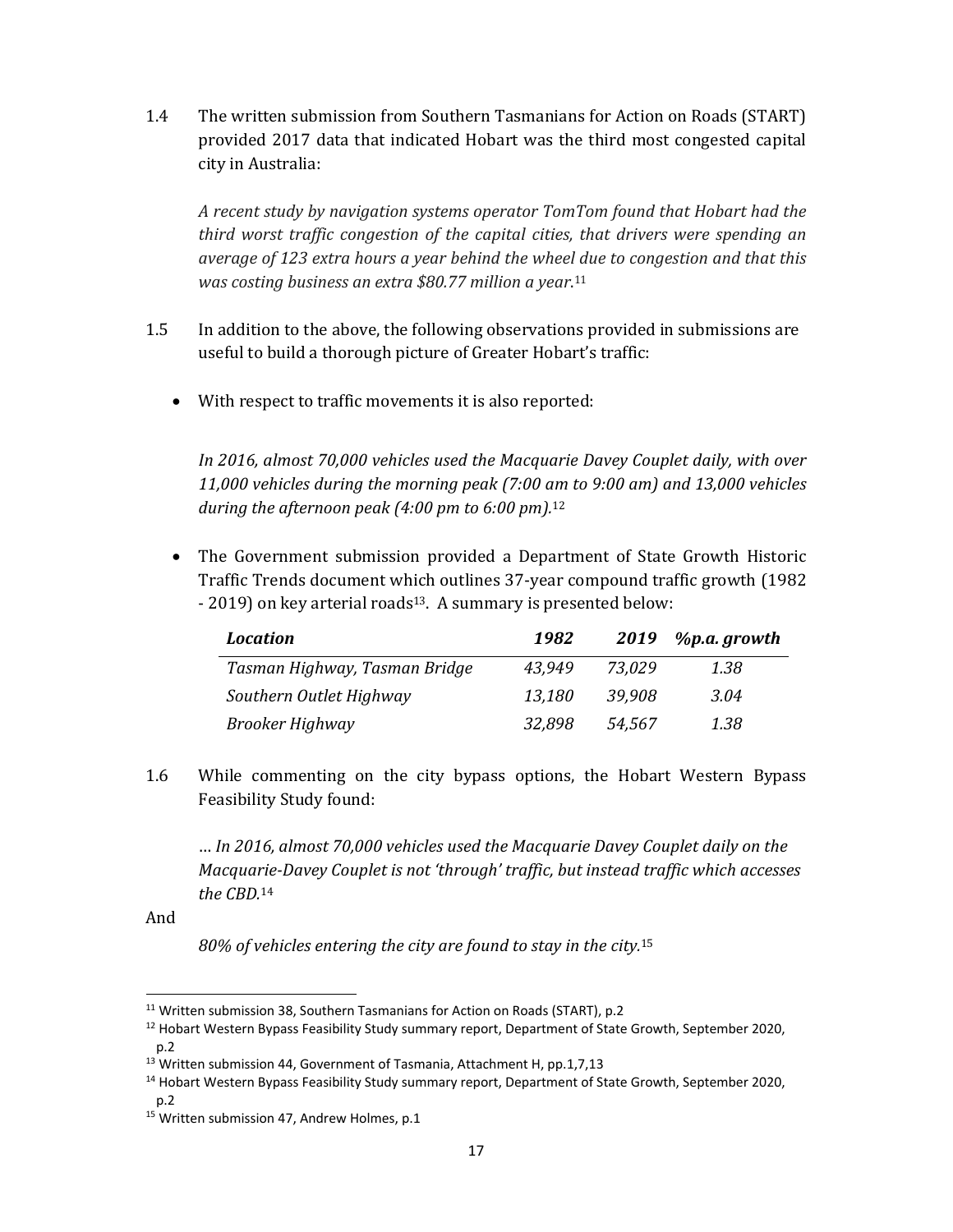1.4 The written submission from Southern Tasmanians for Action on Roads (START) provided 2017 data that indicated Hobart was the third most congested capital city in Australia:

*A recent study by navigation systems operator TomTom found that Hobart had the third worst traffic congestion of the capital cities, that drivers were spending an average of 123 extra hours a year behind the wheel due to congestion and that this was costing business an extra \$80.77 million a year*. 11

- 1.5 In addition to the above, the following observations provided in submissions are useful to build a thorough picture of Greater Hobart's traffic:
	- With respect to traffic movements it is also reported:

*In 2016, almost 70,000 vehicles used the Macquarie Davey Couplet daily, with over 11,000 vehicles during the morning peak (7:00 am to 9:00 am) and 13,000 vehicles during the afternoon peak (4:00 pm to 6:00 pm).*<sup>12</sup>

 The Government submission provided a Department of State Growth Historic Traffic Trends document which outlines 37-year compound traffic growth (1982 - 2019) on key arterial roads<sup>13</sup>. A summary is presented below:

| <i>Location</i>               | 1982   |        | 2019 $\%$ p.a. growth |
|-------------------------------|--------|--------|-----------------------|
| Tasman Highway, Tasman Bridge | 43.949 | 73.029 | 1.38                  |
| Southern Outlet Highway       | 13,180 | 39.908 | 3.04                  |
| Brooker Highway               | 32,898 | 54,567 | 1.38                  |

1.6 While commenting on the city bypass options, the Hobart Western Bypass Feasibility Study found:

… *In 2016, almost 70,000 vehicles used the Macquarie Davey Couplet daily on the Macquarie‐Davey Couplet is not 'through' traffic, but instead traffic which accesses the CBD.*<sup>14</sup>

And

*80% of vehicles entering the city are found to stay in the city.*<sup>15</sup>

<sup>&</sup>lt;sup>11</sup> Written submission 38, Southern Tasmanians for Action on Roads (START), p.2

<sup>&</sup>lt;sup>12</sup> Hobart Western Bypass Feasibility Study summary report, Department of State Growth, September 2020, p.2

<sup>&</sup>lt;sup>13</sup> Written submission 44, Government of Tasmania, Attachment H, pp.1,7,13

<sup>&</sup>lt;sup>14</sup> Hobart Western Bypass Feasibility Study summary report, Department of State Growth, September 2020,  $n.2$ 

<sup>&</sup>lt;sup>15</sup> Written submission 47, Andrew Holmes, p.1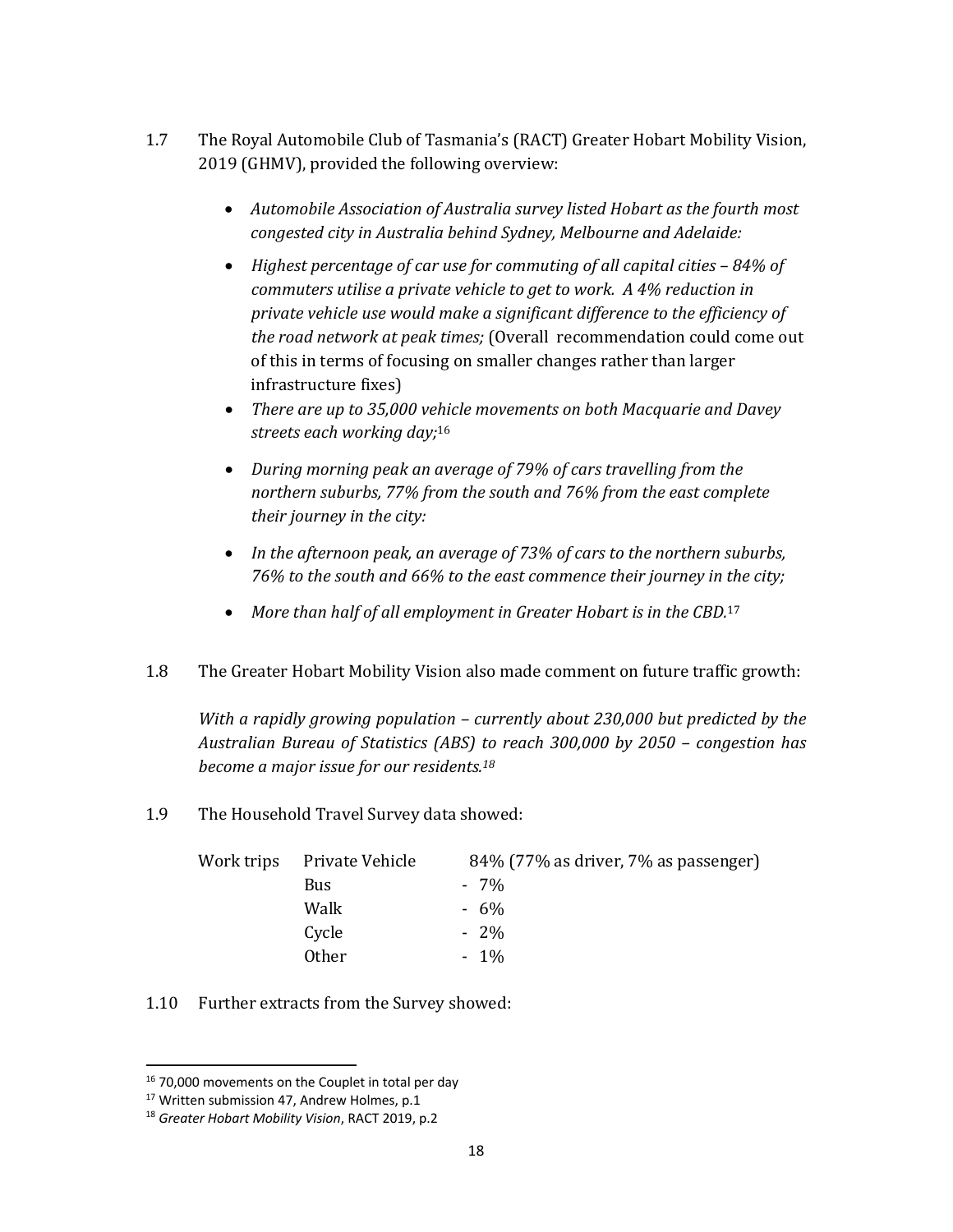- 1.7 The Royal Automobile Club of Tasmania's (RACT) Greater Hobart Mobility Vision, 2019 (GHMV), provided the following overview:
	- *Automobile Association of Australia survey listed Hobart as the fourth most congested city in Australia behind Sydney, Melbourne and Adelaide:*
	- *Highest percentage of car use for commuting of all capital cities – 84% of commuters utilise a private vehicle to get to work. A 4% reduction in private vehicle use would make a significant difference to the efficiency of the road network at peak times;* (Overall recommendation could come out of this in terms of focusing on smaller changes rather than larger infrastructure fixes)
	- *There are up to 35,000 vehicle movements on both Macquarie and Davey streets each working day;*<sup>16</sup>
	- *During morning peak an average of 79% of cars travelling from the northern suburbs, 77% from the south and 76% from the east complete their journey in the city:*
	- *In the afternoon peak, an average of 73% of cars to the northern suburbs, 76% to the south and 66% to the east commence their journey in the city;*
	- *More than half of all employment in Greater Hobart is in the CBD.*<sup>17</sup>
- 1.8 The Greater Hobart Mobility Vision also made comment on future traffic growth:

*With a rapidly growing population – currently about 230,000 but predicted by the Australian Bureau of Statistics (ABS) to reach 300,000 by 2050 – congestion has become a major issue for our residents.18*

1.9 The Household Travel Survey data showed:

| Work trips | Private Vehicle | 84% (77% as driver, 7% as passenger) |
|------------|-----------------|--------------------------------------|
|            | <b>Bus</b>      | $-7\%$                               |
|            | Walk            | $-6\%$                               |
|            | Cycle           | $-2\%$                               |
|            | Other           | $-1\%$                               |

1.10 Further extracts from the Survey showed:

<sup>&</sup>lt;sup>16</sup> 70,000 movements on the Couplet in total per day

<sup>&</sup>lt;sup>17</sup> Written submission 47, Andrew Holmes, p.1

<sup>18</sup> *Greater Hobart Mobility Vision*, RACT 2019, p.2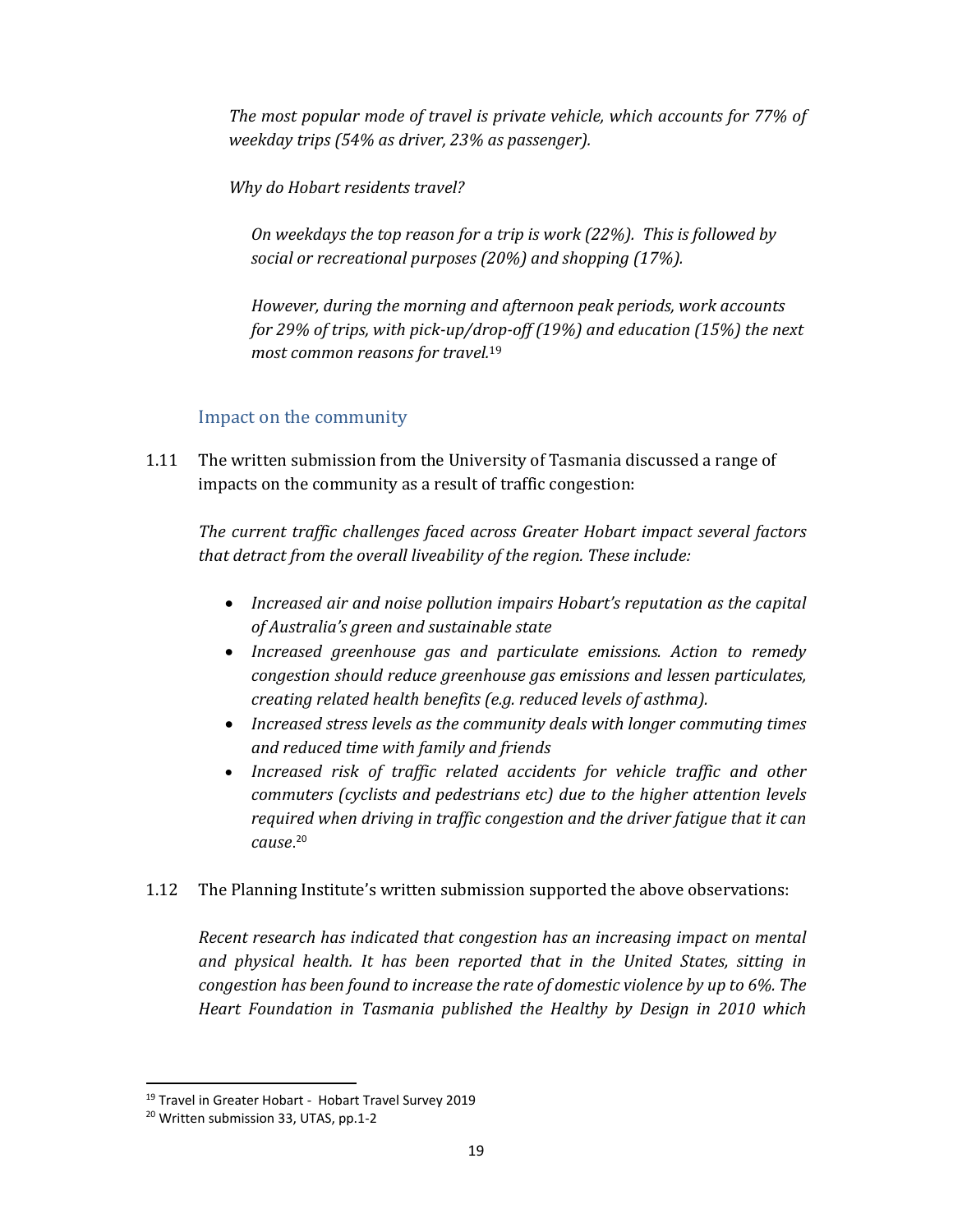*The most popular mode of travel is private vehicle, which accounts for 77% of weekday trips (54% as driver, 23% as passenger).* 

*Why do Hobart residents travel?*

*On weekdays the top reason for a trip is work (22%). This is followed by social or recreational purposes (20%) and shopping (17%).*

*However, during the morning and afternoon peak periods, work accounts for 29% of trips, with pick‐up/drop‐off (19%) and education (15%) the next most common reasons for travel.*<sup>19</sup>

## Impact on the community

1.11 The written submission from the University of Tasmania discussed a range of impacts on the community as a result of traffic congestion:

*The current traffic challenges faced across Greater Hobart impact several factors that detract from the overall liveability of the region. These include:* 

- *Increased air and noise pollution impairs Hobart's reputation as the capital of Australia's green and sustainable state*
- *Increased greenhouse gas and particulate emissions. Action to remedy congestion should reduce greenhouse gas emissions and lessen particulates, creating related health benefits (e.g. reduced levels of asthma).*
- *Increased stress levels as the community deals with longer commuting times and reduced time with family and friends*
- *Increased risk of traffic related accidents for vehicle traffic and other commuters (cyclists and pedestrians etc) due to the higher attention levels required when driving in traffic congestion and the driver fatigue that it can cause*. 20
- 1.12 The Planning Institute's written submission supported the above observations:

*Recent research has indicated that congestion has an increasing impact on mental and physical health. It has been reported that in the United States, sitting in congestion has been found to increase the rate of domestic violence by up to 6%. The Heart Foundation in Tasmania published the Healthy by Design in 2010 which*

<sup>19</sup> Travel in Greater Hobart ‐ Hobart Travel Survey 2019

<sup>20</sup> Written submission 33, UTAS, pp.1‐2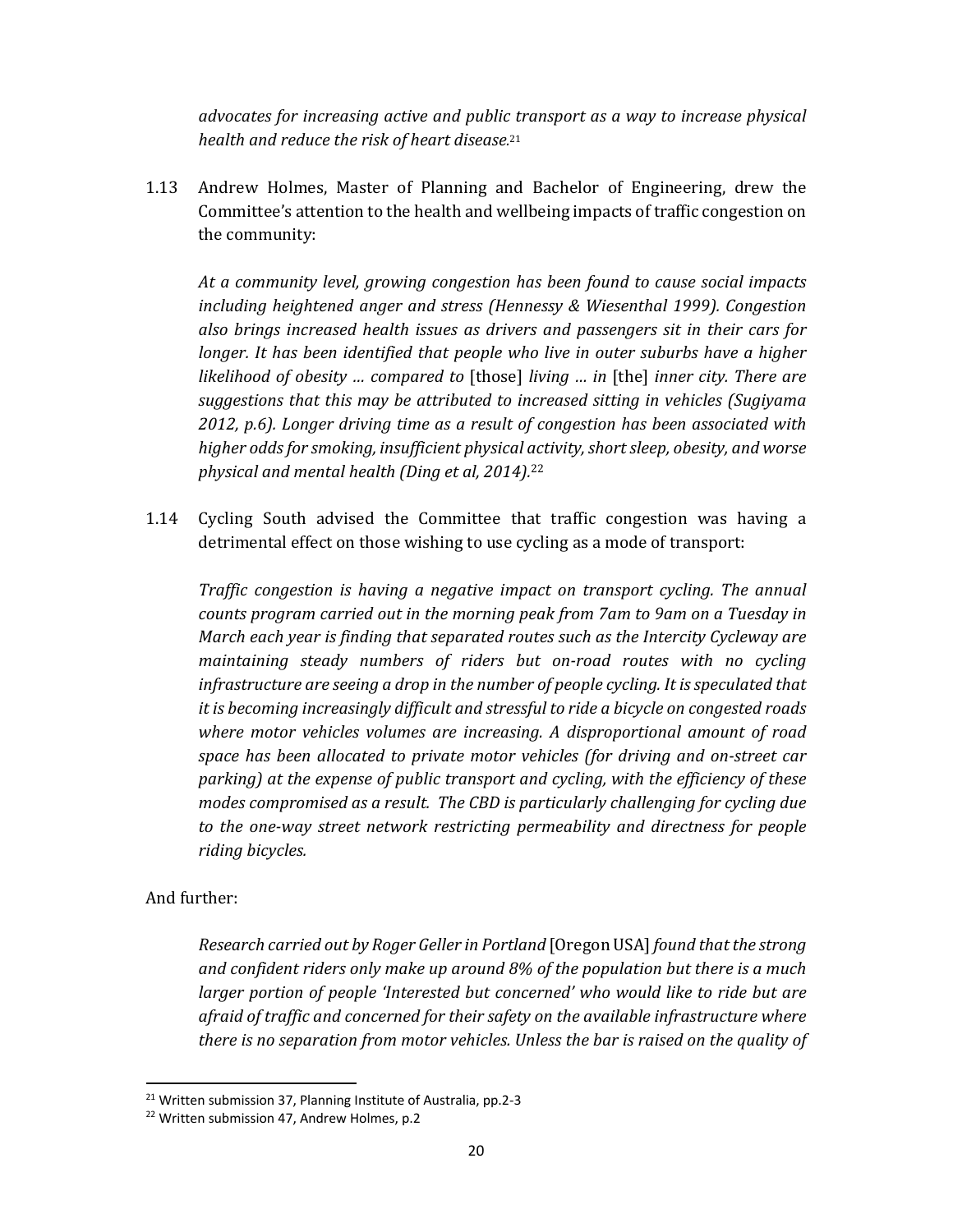*advocates for increasing active and public transport as a way to increase physical health and reduce the risk of heart disease.* 21

1.13 Andrew Holmes, Master of Planning and Bachelor of Engineering, drew the Committee's attention to the health and wellbeing impacts of traffic congestion on the community:

*At a community level, growing congestion has been found to cause social impacts including heightened anger and stress (Hennessy & Wiesenthal 1999). Congestion also brings increased health issues as drivers and passengers sit in their cars for longer. It has been identified that people who live in outer suburbs have a higher likelihood of obesity … compared to* [those] *living … in* [the] *inner city. There are suggestions that this may be attributed to increased sitting in vehicles (Sugiyama 2012, p.6). Longer driving time as a result of congestion has been associated with higher oddsfor smoking, insufficient physical activity,shortsleep, obesity, and worse physical and mental health (Ding et al, 2014).*<sup>22</sup>

1.14 Cycling South advised the Committee that traffic congestion was having a detrimental effect on those wishing to use cycling as a mode of transport:

*Traffic congestion is having a negative impact on transport cycling. The annual counts program carried out in the morning peak from 7am to 9am on a Tuesday in March each year is finding that separated routes such as the Intercity Cycleway are maintaining steady numbers of riders but on‐road routes with no cycling infrastructure are seeing a drop in the number of people cycling. It is speculated that it is becoming increasingly difficult and stressful to ride a bicycle on congested roads where motor vehicles volumes are increasing. A disproportional amount of road space has been allocated to private motor vehicles (for driving and on‐street car parking) at the expense of public transport and cycling, with the efficiency of these modes compromised as a result. The CBD is particularly challenging for cycling due to the one‐way street network restricting permeability and directness for people riding bicycles.* 

### And further:

*Research carried out by Roger Geller in Portland* [Oregon USA] *found that the strong and confident riders only make up around 8% of the population but there is a much larger portion of people 'Interested but concerned' who would like to ride but are afraid of traffic and concerned for their safety on the available infrastructure where there is no separation from motor vehicles. Unless the bar is raised on the quality of*

<sup>21</sup> Written submission 37, Planning Institute of Australia, pp.2‐3

<sup>&</sup>lt;sup>22</sup> Written submission 47, Andrew Holmes, p.2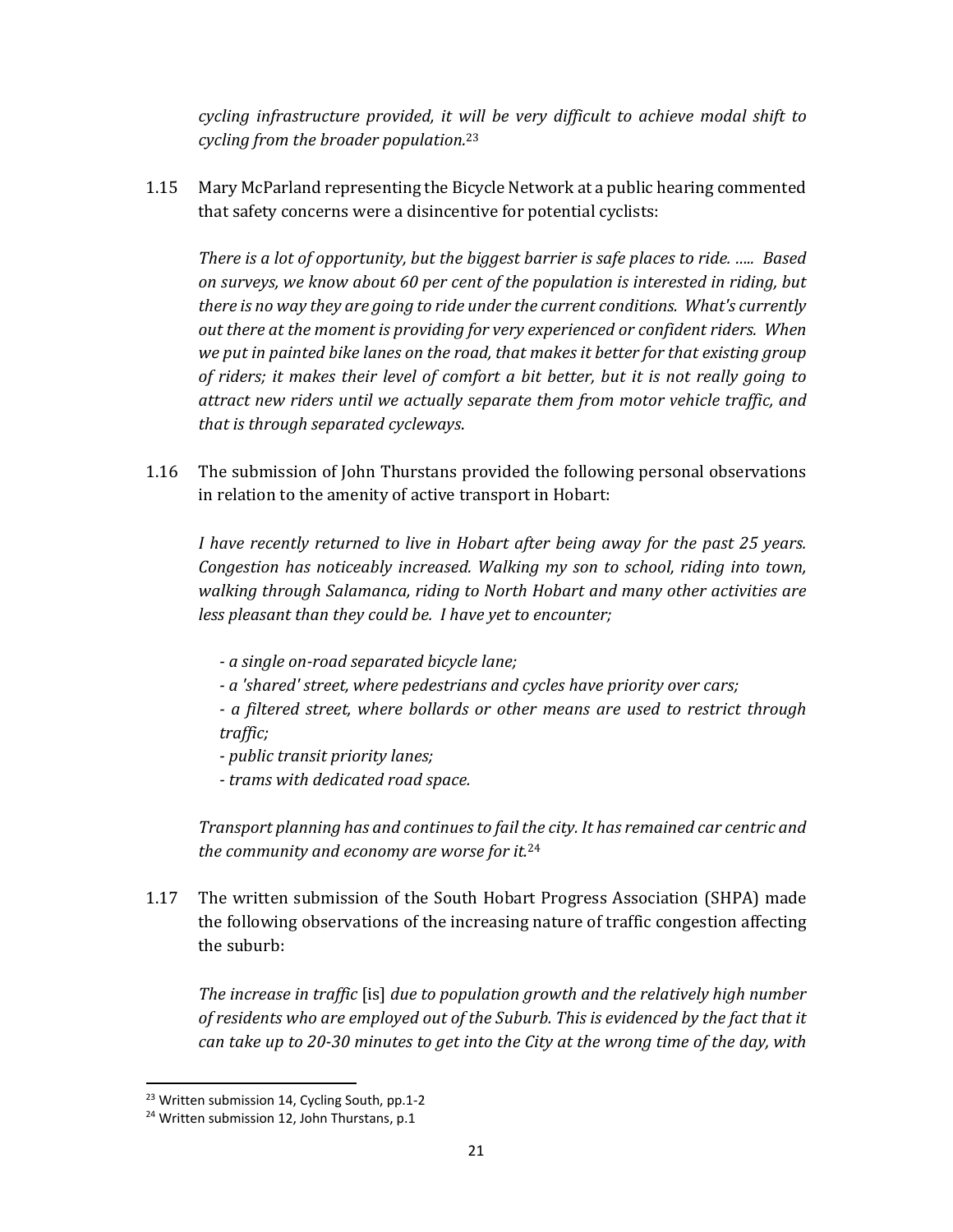*cycling infrastructure provided, it will be very difficult to achieve modal shift to cycling from the broader population.*<sup>23</sup>

1.15 Mary McParland representing the Bicycle Network at a public hearing commented that safety concerns were a disincentive for potential cyclists:

*There is a lot of opportunity, but the biggest barrier is safe places to ride. ….. Based on surveys, we know about 60 per cent of the population is interested in riding, but there is no way they are going to ride under the current conditions. What's currently out there at the moment is providing for very experienced or confident riders. When we put in painted bike lanes on the road, that makes it better for that existing group of riders; it makes their level of comfort a bit better, but it is not really going to attract new riders until we actually separate them from motor vehicle traffic, and that is through separated cycleways*.

1.16 The submission of John Thurstans provided the following personal observations in relation to the amenity of active transport in Hobart:

*I have recently returned to live in Hobart after being away for the past 25 years. Congestion has noticeably increased. Walking my son to school, riding into town, walking through Salamanca, riding to North Hobart and many other activities are less pleasant than they could be. I have yet to encounter;*

- *‐ a single on‐road separated bicycle lane;*
- *‐ a 'shared' street, where pedestrians and cycles have priority over cars;*
- *‐ a filtered street, where bollards or other means are used to restrict through traffic;*
- *‐ public transit priority lanes;*
- *‐ trams with dedicated road space.*

*Transport planning has and continuesto fail the city. It has remained car centric and the community and economy are worse for it.*<sup>24</sup>

1.17 The written submission of the South Hobart Progress Association (SHPA) made the following observations of the increasing nature of traffic congestion affecting the suburb:

*The increase in traffic* [is] *due to population growth and the relatively high number of residents who are employed out of the Suburb. This is evidenced by the fact that it* can take up to 20-30 minutes to get into the City at the wrong time of the day, with

<sup>23</sup> Written submission 14, Cycling South, pp.1‐2

<sup>&</sup>lt;sup>24</sup> Written submission 12, John Thurstans, p.1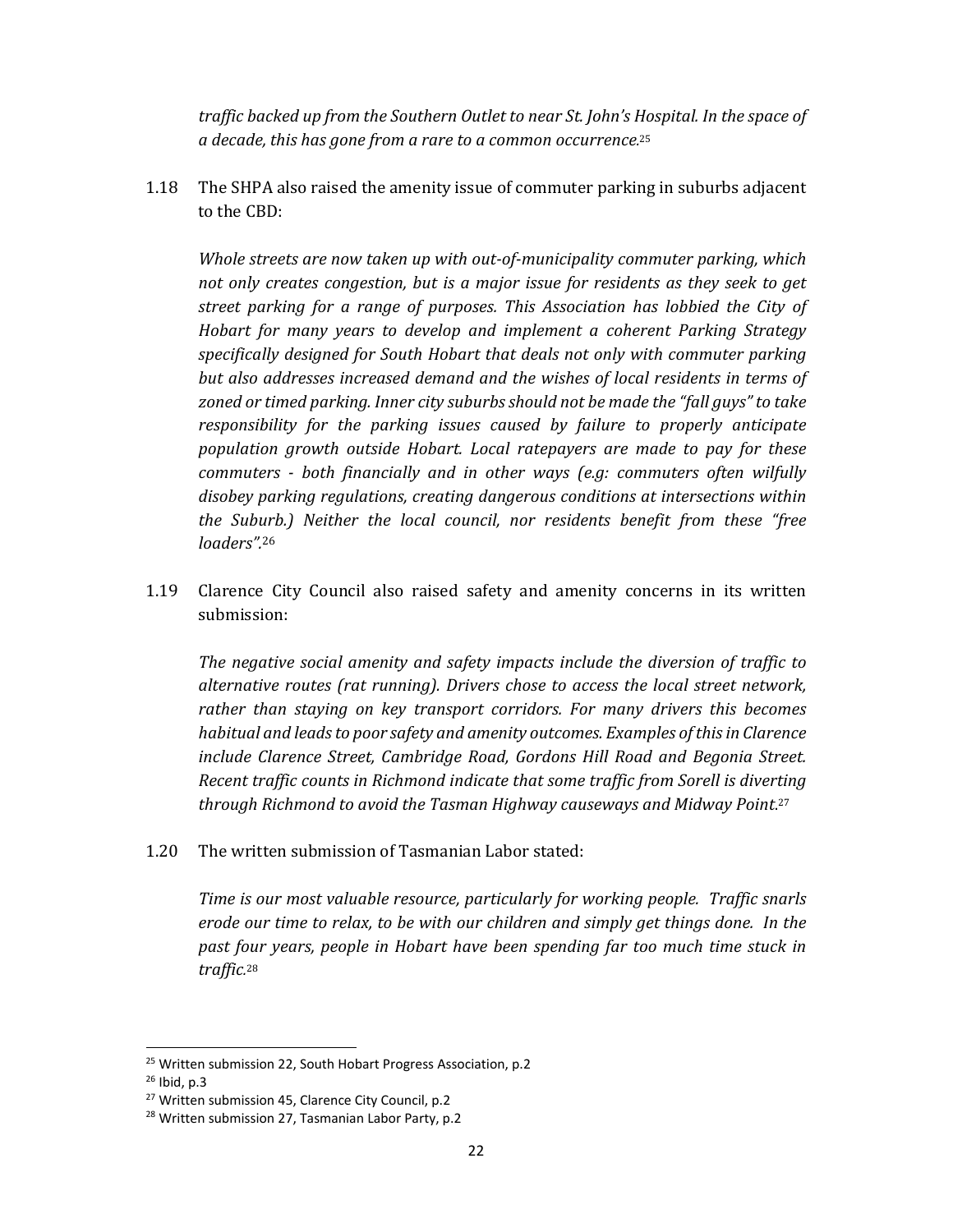*traffic backed up from the Southern Outlet to near St. John's Hospital. In the space of a decade, this has gone from a rare to a common occurrence.* 25

1.18 The SHPA also raised the amenity issue of commuter parking in suburbs adjacent to the CBD:

*Whole streets are now taken up with out‐of‐municipality commuter parking, which not only creates congestion, but is a major issue for residents as they seek to get street parking for a range of purposes. This Association has lobbied the City of Hobart for many years to develop and implement a coherent Parking Strategy specifically designed for South Hobart that deals not only with commuter parking but also addresses increased demand and the wishes of local residents in terms of zoned or timed parking. Inner city suburbs should not be made the "fall guys" to take responsibility for the parking issues caused by failure to properly anticipate population growth outside Hobart. Local ratepayers are made to pay for these commuters ‐ both financially and in other ways (e.g: commuters often wilfully disobey parking regulations, creating dangerous conditions at intersections within the Suburb.) Neither the local council, nor residents benefit from these "free loaders".*<sup>26</sup>

1.19 Clarence City Council also raised safety and amenity concerns in its written submission:

*The negative social amenity and safety impacts include the diversion of traffic to alternative routes (rat running). Drivers chose to access the local street network, rather than staying on key transport corridors. For many drivers this becomes habitual and leadsto poor safety and amenity outcomes. Examples ofthisin Clarence include Clarence Street, Cambridge Road, Gordons Hill Road and Begonia Street. Recent traffic counts in Richmond indicate that some traffic from Sorell is diverting through Richmond to avoid the Tasman Highway causeways and Midway Point*. 27

1.20 The written submission of Tasmanian Labor stated:

*Time is our most valuable resource, particularly for working people. Traffic snarls erode our time to relax, to be with our children and simply get things done. In the past four years, people in Hobart have been spending far too much time stuck in traffic.* 28

<sup>&</sup>lt;sup>25</sup> Written submission 22, South Hobart Progress Association, p.2

<sup>26</sup> Ibid, p.3

<sup>&</sup>lt;sup>27</sup> Written submission 45, Clarence City Council, p.2

<sup>28</sup> Written submission 27, Tasmanian Labor Party, p.2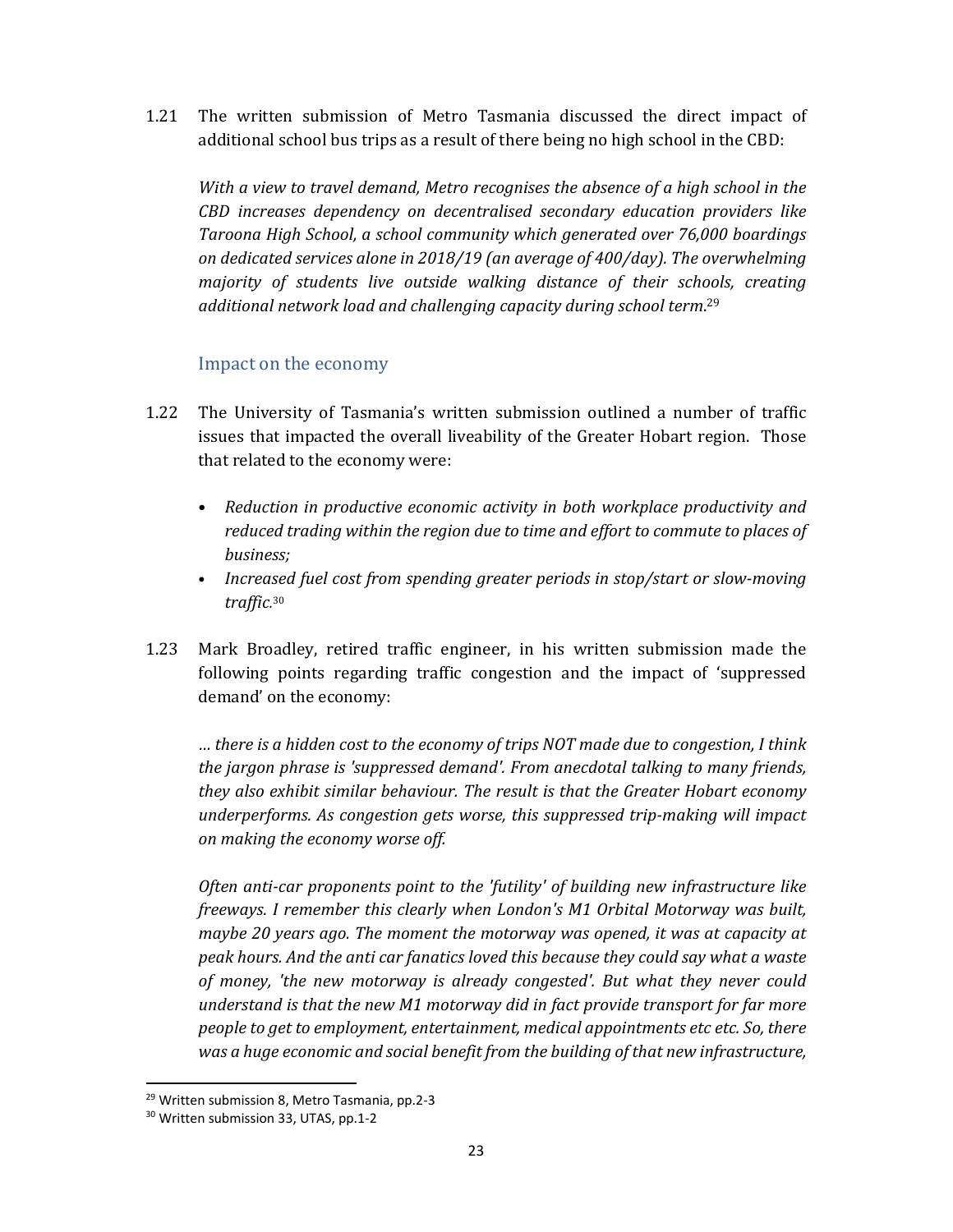1.21 The written submission of Metro Tasmania discussed the direct impact of additional school bus trips as a result of there being no high school in the CBD:

*With a view to travel demand, Metro recognises the absence of a high school in the CBD increases dependency on decentralised secondary education providers like Taroona High School, a school community which generated over 76,000 boardings on dedicated services alone in 2018/19 (an average of 400/day). The overwhelming majority of students live outside walking distance of their schools, creating additional network load and challenging capacity during school term*. 29

#### Impact on the economy

- 1.22 The University of Tasmania's written submission outlined a number of traffic issues that impacted the overall liveability of the Greater Hobart region. Those that related to the economy were:
	- *Reduction in productive economic activity in both workplace productivity and reduced trading within the region due to time and effort to commute to places of business;*
	- *Increased fuel cost from spending greater periods in stop/start or slow‐moving traffic.* 30
- 1.23 Mark Broadley, retired traffic engineer, in his written submission made the following points regarding traffic congestion and the impact of 'suppressed demand' on the economy:

*… there is a hidden cost to the economy of trips NOT made due to congestion, I think the jargon phrase is 'suppressed demand'. From anecdotal talking to many friends, they also exhibit similar behaviour. The result is that the Greater Hobart economy underperforms. As congestion gets worse, this suppressed trip‐making will impact on making the economy worse off.*

*Often anti‐car proponents point to the 'futility' of building new infrastructure like freeways. I remember this clearly when London's M1 Orbital Motorway was built, maybe 20 years ago. The moment the motorway was opened, it was at capacity at peak hours. And the anti car fanatics loved this because they could say what a waste of money, 'the new motorway is already congested'. But what they never could understand is that the new M1 motorway did in fact provide transport for far more people to get to employment, entertainment, medical appointments etc etc. So, there was a huge economic and social benefit from the building of that new infrastructure,*

<sup>29</sup> Written submission 8, Metro Tasmania, pp.2‐3

<sup>30</sup> Written submission 33, UTAS, pp.1‐2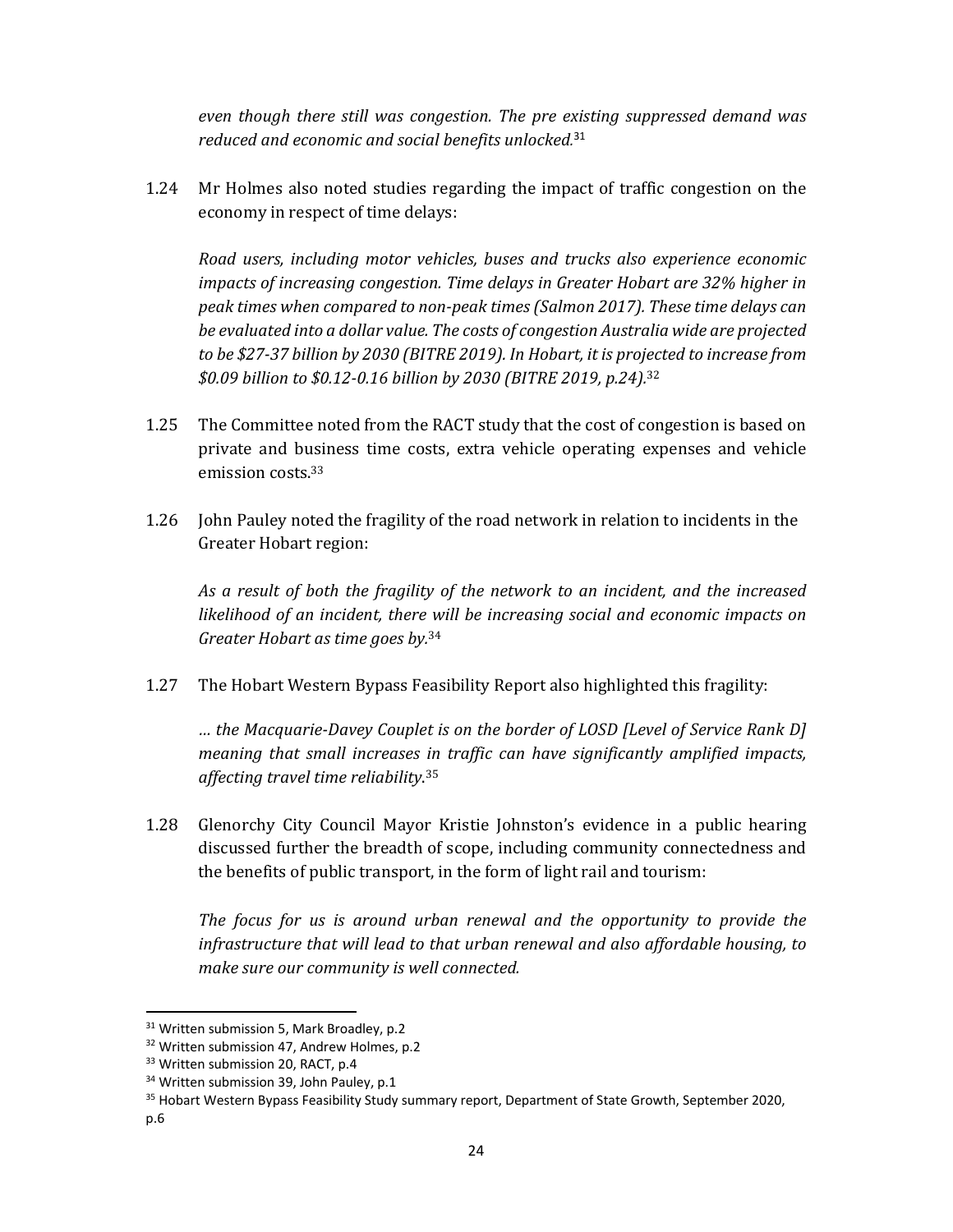*even though there still was congestion. The pre existing suppressed demand was reduced and economic and social benefits unlocked.* <sup>31</sup>

1.24 Mr Holmes also noted studies regarding the impact of traffic congestion on the economy in respect of time delays:

*Road users, including motor vehicles, buses and trucks also experience economic impacts of increasing congestion. Time delays in Greater Hobart are 32% higher in peak times when compared to non‐peak times (Salmon 2017). These time delays can be evaluated into a dollar value. The costs of congestion Australia wide are projected to be \$27‐37 billion by 2030 (BITRE 2019). In Hobart, it is projected to increase from \$0.09 billion to \$0.12‐0.16 billion by 2030 (BITRE 2019, p.24).*<sup>32</sup>

- 1.25 The Committee noted from the RACT study that the cost of congestion is based on private and business time costs, extra vehicle operating expenses and vehicle emission costs.<sup>33</sup>
- 1.26 John Pauley noted the fragility of the road network in relation to incidents in the Greater Hobart region:

*As a result of both the fragility of the network to an incident, and the increased likelihood of an incident, there will be increasing social and economic impacts on Greater Hobart as time goes by.*<sup>34</sup>

1.27 The Hobart Western Bypass Feasibility Report also highlighted this fragility:

*… the Macquarie‐Davey Couplet is on the border of LOSD [Level of Service Rank D] meaning that small increases in traffic can have significantly amplified impacts, affecting travel time reliability*. 35

1.28 Glenorchy City Council Mayor Kristie Johnston's evidence in a public hearing discussed further the breadth of scope, including community connectedness and the benefits of public transport, in the form of light rail and tourism:

*The focus for us is around urban renewal and the opportunity to provide the infrastructure that will lead to that urban renewal and also affordable housing, to make sure our community is well connected.*

<sup>&</sup>lt;sup>31</sup> Written submission 5, Mark Broadley, p.2

<sup>&</sup>lt;sup>32</sup> Written submission 47, Andrew Holmes, p.2

<sup>&</sup>lt;sup>33</sup> Written submission 20, RACT, p.4

<sup>&</sup>lt;sup>34</sup> Written submission 39, John Pauley, p.1

<sup>&</sup>lt;sup>35</sup> Hobart Western Bypass Feasibility Study summary report, Department of State Growth, September 2020, p.6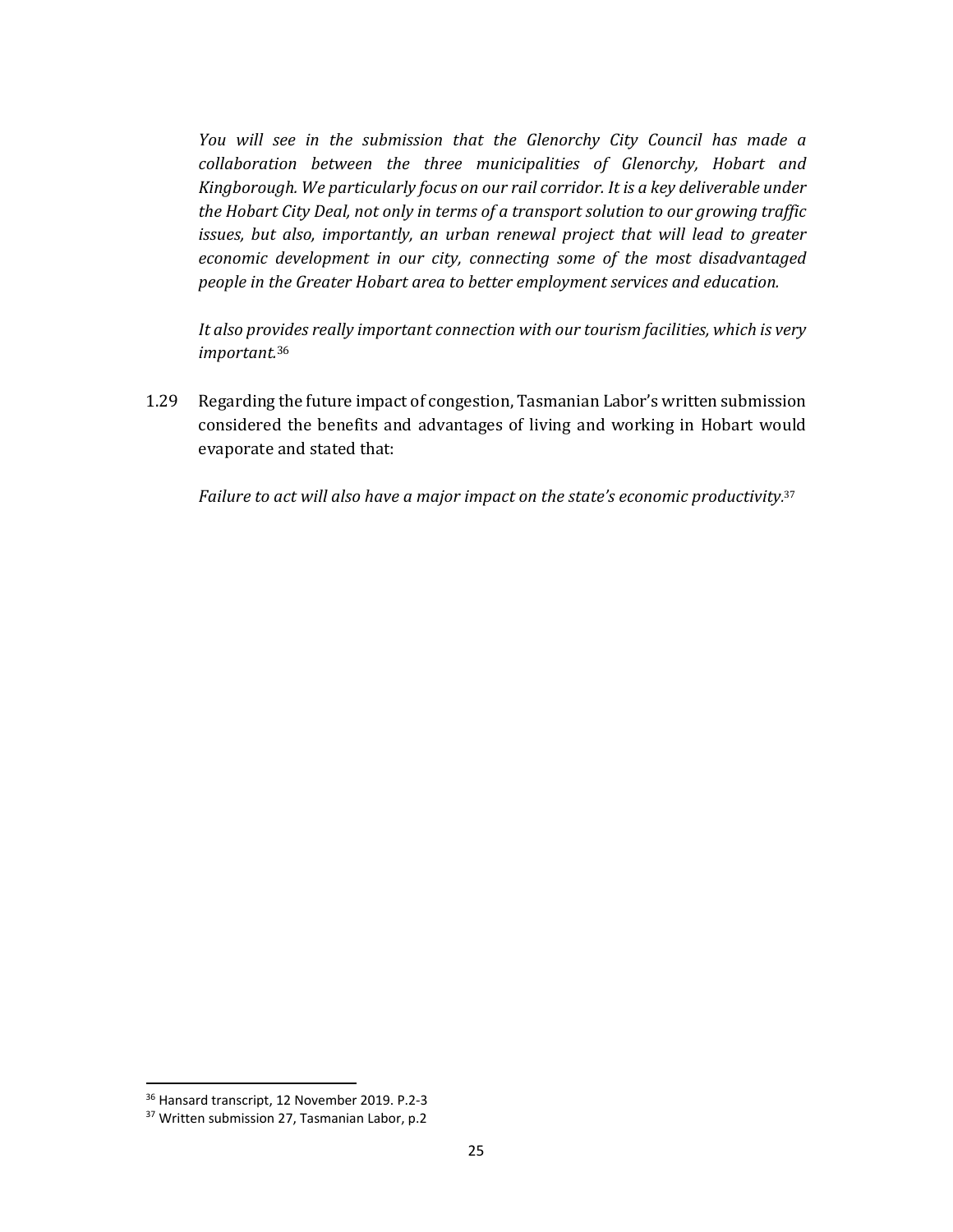*You will see in the submission that the Glenorchy City Council has made a collaboration between the three municipalities of Glenorchy, Hobart and Kingborough. We particularly focus on our rail corridor. It is a key deliverable under the Hobart City Deal, not only in terms of a transport solution to our growing traffic issues, but also, importantly, an urban renewal project that will lead to greater economic development in our city, connecting some of the most disadvantaged people in the Greater Hobart area to better employment services and education.*

*It also provides really important connection with our tourism facilities, which is very important.*<sup>36</sup>

1.29 Regarding the future impact of congestion, Tasmanian Labor's written submission considered the benefits and advantages of living and working in Hobart would evaporate and stated that:

*Failure to act will also have a major impact on the state's economic productivity.* 37

<sup>36</sup> Hansard transcript, 12 November 2019. P.2‐3

<sup>&</sup>lt;sup>37</sup> Written submission 27, Tasmanian Labor, p.2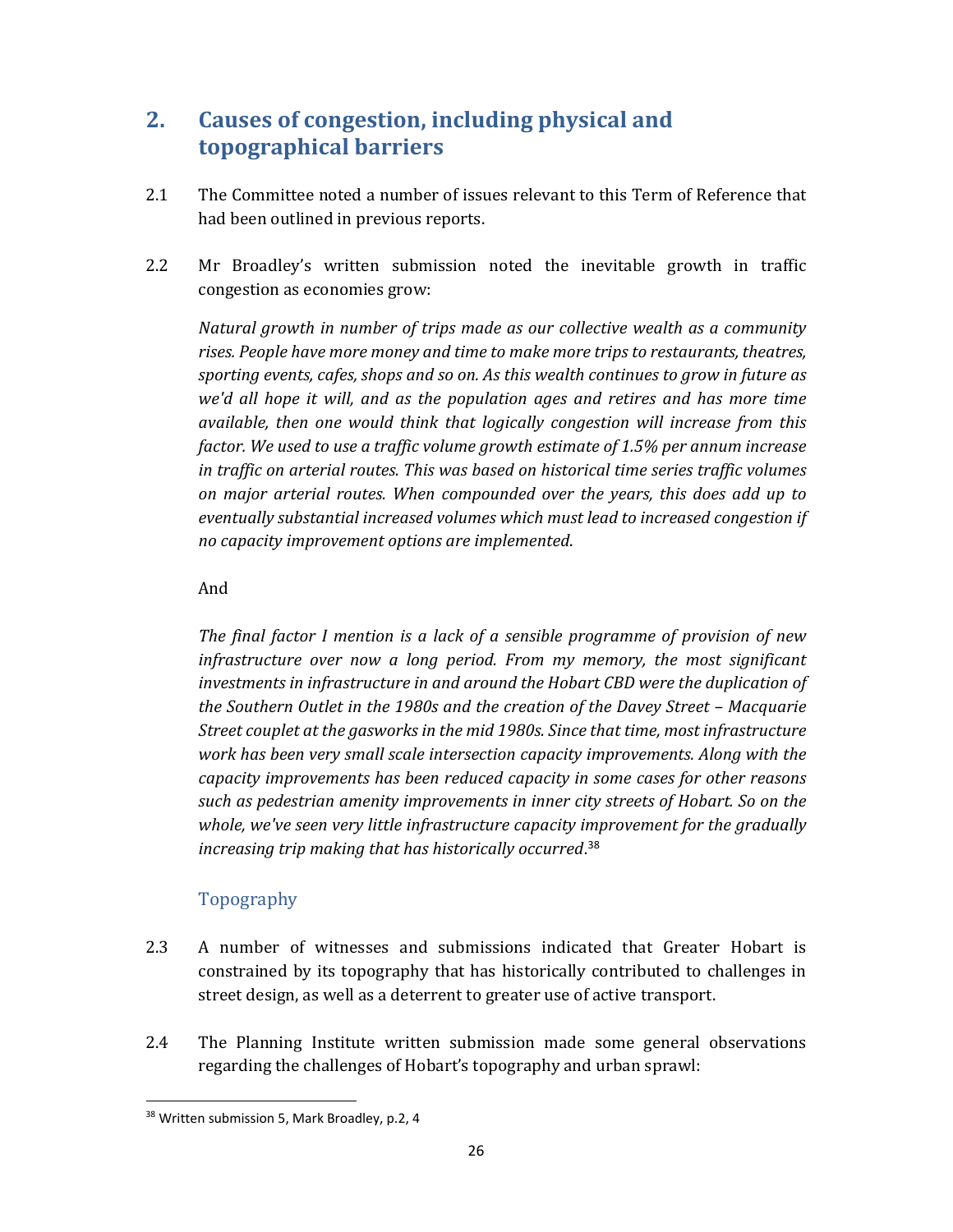# **2. Causes of congestion, including physical and topographical barriers**

- 2.1 The Committee noted a number of issues relevant to this Term of Reference that had been outlined in previous reports.
- 2.2 Mr Broadley's written submission noted the inevitable growth in traffic congestion as economies grow:

*Natural growth in number of trips made as our collective wealth as a community rises. People have more money and time to make more trips to restaurants, theatres, sporting events, cafes, shops and so on. As this wealth continues to grow in future as we'd all hope it will, and as the population ages and retires and has more time available, then one would think that logically congestion will increase from this factor. We used to use a traffic volume growth estimate of 1.5% per annum increase in traffic on arterial routes. This was based on historical time series traffic volumes on major arterial routes. When compounded over the years, this does add up to eventually substantial increased volumes which must lead to increased congestion if no capacity improvement options are implemented*.

#### And

*The final factor I mention is a lack of a sensible programme of provision of new infrastructure over now a long period. From my memory, the most significant investments in infrastructure in and around the Hobart CBD were the duplication of the Southern Outlet in the 1980s and the creation of the Davey Street – Macquarie Street couplet at the gasworks in the mid 1980s. Since that time, most infrastructure work has been very small scale intersection capacity improvements. Along with the capacity improvements has been reduced capacity in some cases for other reasons such as pedestrian amenity improvements in inner city streets of Hobart. So on the whole, we've seen very little infrastructure capacity improvement for the gradually increasing trip making that has historically occurred*. 38

## Topography

- 2.3 A number of witnesses and submissions indicated that Greater Hobart is constrained by its topography that has historically contributed to challenges in street design, as well as a deterrent to greater use of active transport.
- 2.4 The Planning Institute written submission made some general observations regarding the challenges of Hobart's topography and urban sprawl:

 <sup>38</sup> Written submission 5, Mark Broadley, p.2, 4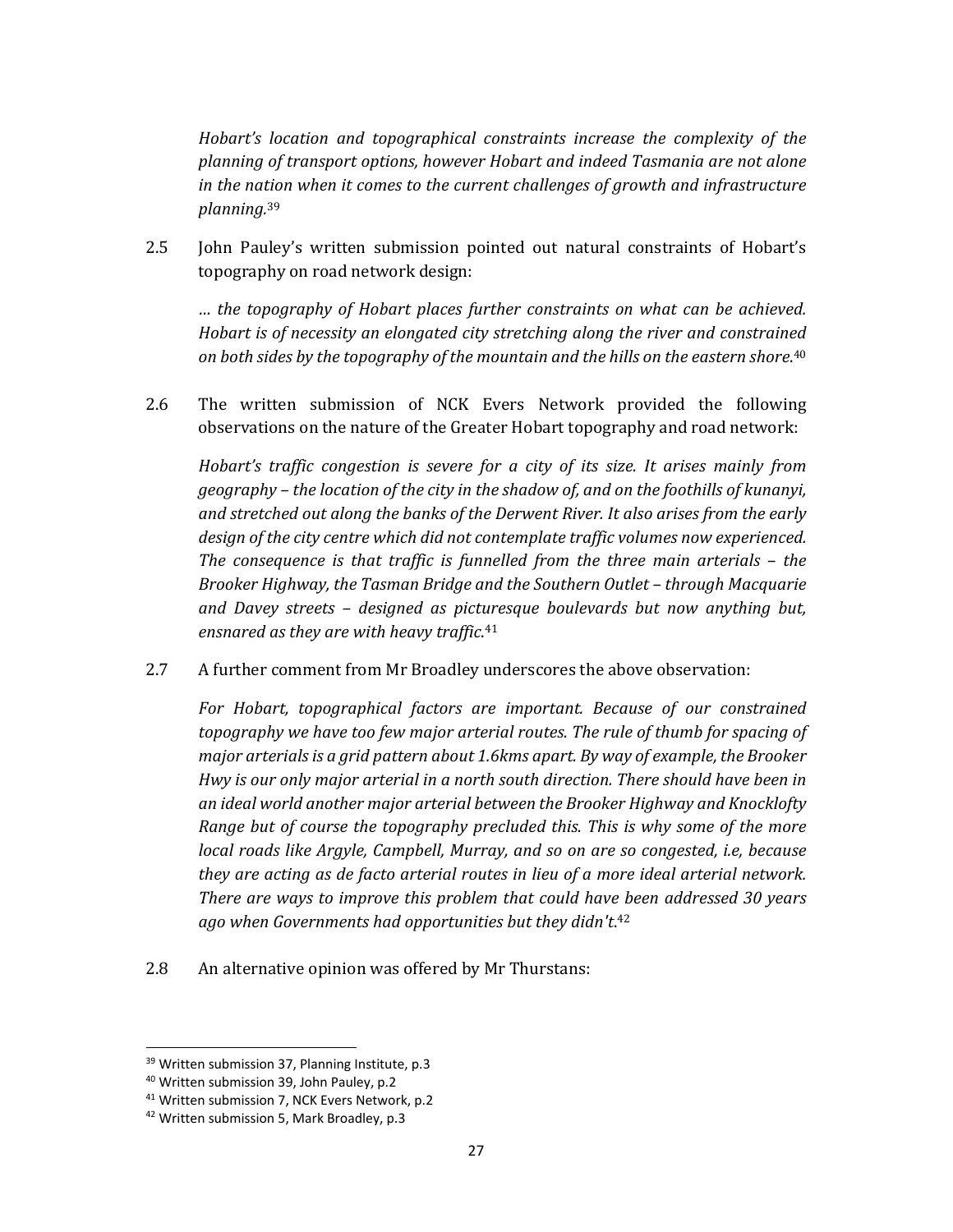*Hobart's location and topographical constraints increase the complexity of the planning of transport options, however Hobart and indeed Tasmania are not alone in the nation when it comes to the current challenges of growth and infrastructure planning.*<sup>39</sup>

2.5 John Pauley's written submission pointed out natural constraints of Hobart's topography on road network design:

*… the topography of Hobart places further constraints on what can be achieved. Hobart is of necessity an elongated city stretching along the river and constrained on both sides by the topography of the mountain and the hills on the eastern shore*. 40

2.6 The written submission of NCK Evers Network provided the following observations on the nature of the Greater Hobart topography and road network:

*Hobart's traffic congestion is severe for a city of its size. It arises mainly from geography – the location of the city in the shadow of, and on the foothills of kunanyi, and stretched out along the banks of the Derwent River. It also arises from the early design of the city centre which did not contemplate traffic volumes now experienced. The consequence is that traffic is funnelled from the three main arterials – the Brooker Highway, the Tasman Bridge and the Southern Outlet – through Macquarie and Davey streets – designed as picturesque boulevards but now anything but, ensnared as they are with heavy traffic*. 41

2.7 A further comment from Mr Broadley underscores the above observation:

*For Hobart, topographical factors are important. Because of our constrained topography we have too few major arterial routes. The rule of thumb for spacing of major arterialsis a grid pattern about 1.6kms apart. By way of example, the Brooker Hwy is our only major arterial in a north south direction. There should have been in an ideal world another major arterial between the Brooker Highway and Knocklofty Range but of course the topography precluded this. This is why some of the more local roads like Argyle, Campbell, Murray, and so on are so congested, i.e, because they are acting as de facto arterial routes in lieu of a more ideal arterial network. There are ways to improve this problem that could have been addressed 30 years ago when Governments had opportunities but they didn't*. 42

2.8 An alternative opinion was offered by Mr Thurstans:

<sup>&</sup>lt;sup>39</sup> Written submission 37, Planning Institute, p.3

<sup>40</sup> Written submission 39, John Pauley, p.2

<sup>&</sup>lt;sup>41</sup> Written submission 7, NCK Evers Network, p.2

<sup>&</sup>lt;sup>42</sup> Written submission 5, Mark Broadley, p.3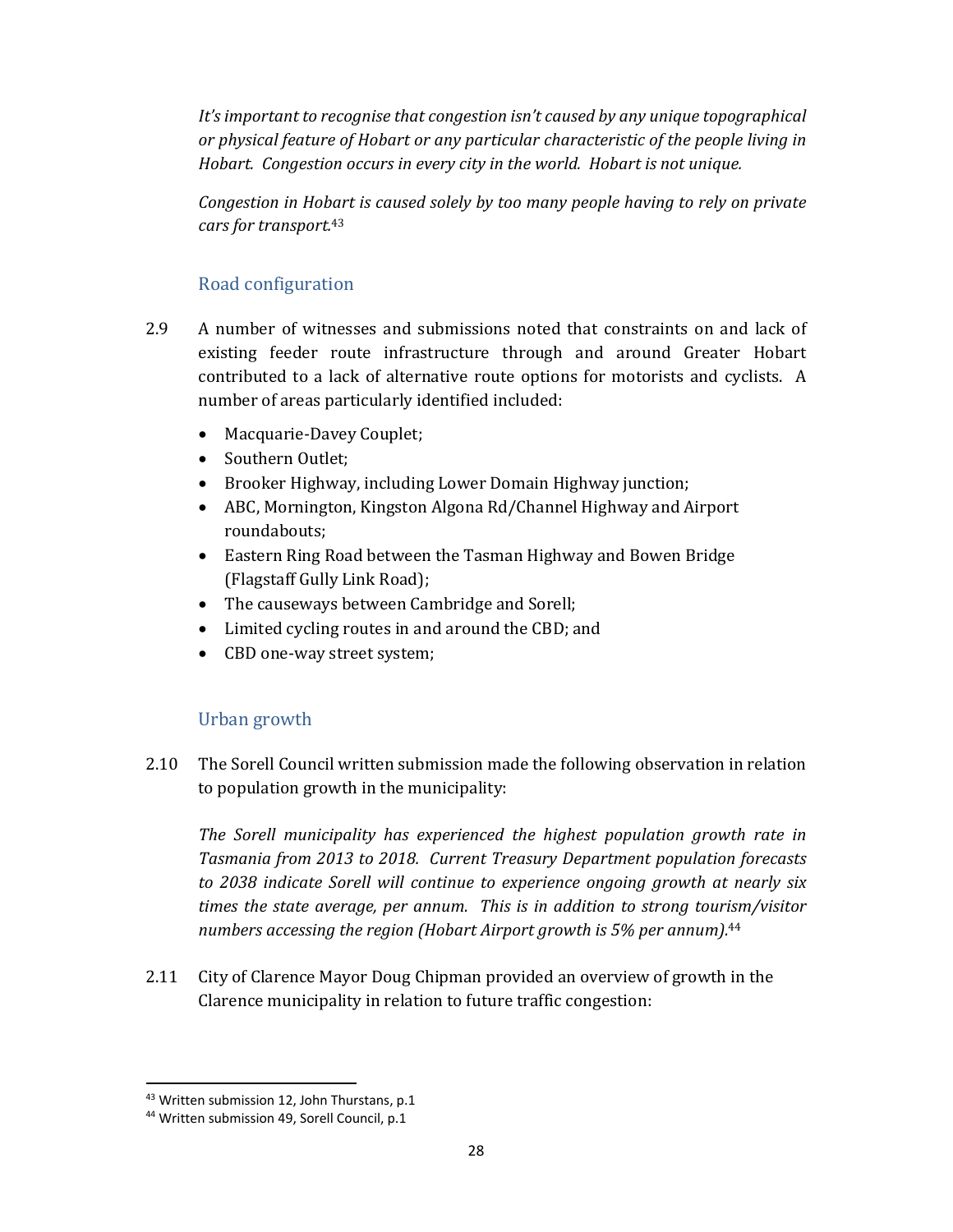*It's important to recognise that congestion isn't caused by any unique topographical or physical feature of Hobart or any particular characteristic of the people living in Hobart. Congestion occurs in every city in the world. Hobart is not unique.*

*Congestion in Hobart is caused solely by too many people having to rely on private cars for transport.*<sup>43</sup>

## Road configuration

- 2.9 A number of witnesses and submissions noted that constraints on and lack of existing feeder route infrastructure through and around Greater Hobart contributed to a lack of alternative route options for motorists and cyclists. A number of areas particularly identified included:
	- Macquarie-Davey Couplet;
	- Southern Outlet;
	- Brooker Highway, including Lower Domain Highway junction;
	- ABC, Mornington, Kingston Algona Rd/Channel Highway and Airport roundabouts;
	- Eastern Ring Road between the Tasman Highway and Bowen Bridge (Flagstaff Gully Link Road);
	- The causeways between Cambridge and Sorell;
	- Limited cycling routes in and around the CBD; and
	- CBD one-way street system;

### Urban growth

2.10 The Sorell Council written submission made the following observation in relation to population growth in the municipality:

*The Sorell municipality has experienced the highest population growth rate in Tasmania from 2013 to 2018. Current Treasury Department population forecasts to 2038 indicate Sorell will continue to experience ongoing growth at nearly six times the state average, per annum. This is in addition to strong tourism/visitor numbers accessing the region (Hobart Airport growth is 5% per annum).*<sup>44</sup>

2.11 City of Clarence Mayor Doug Chipman provided an overview of growth in the Clarence municipality in relation to future traffic congestion:

<sup>&</sup>lt;sup>43</sup> Written submission 12, John Thurstans, p.1

<sup>44</sup> Written submission 49, Sorell Council, p.1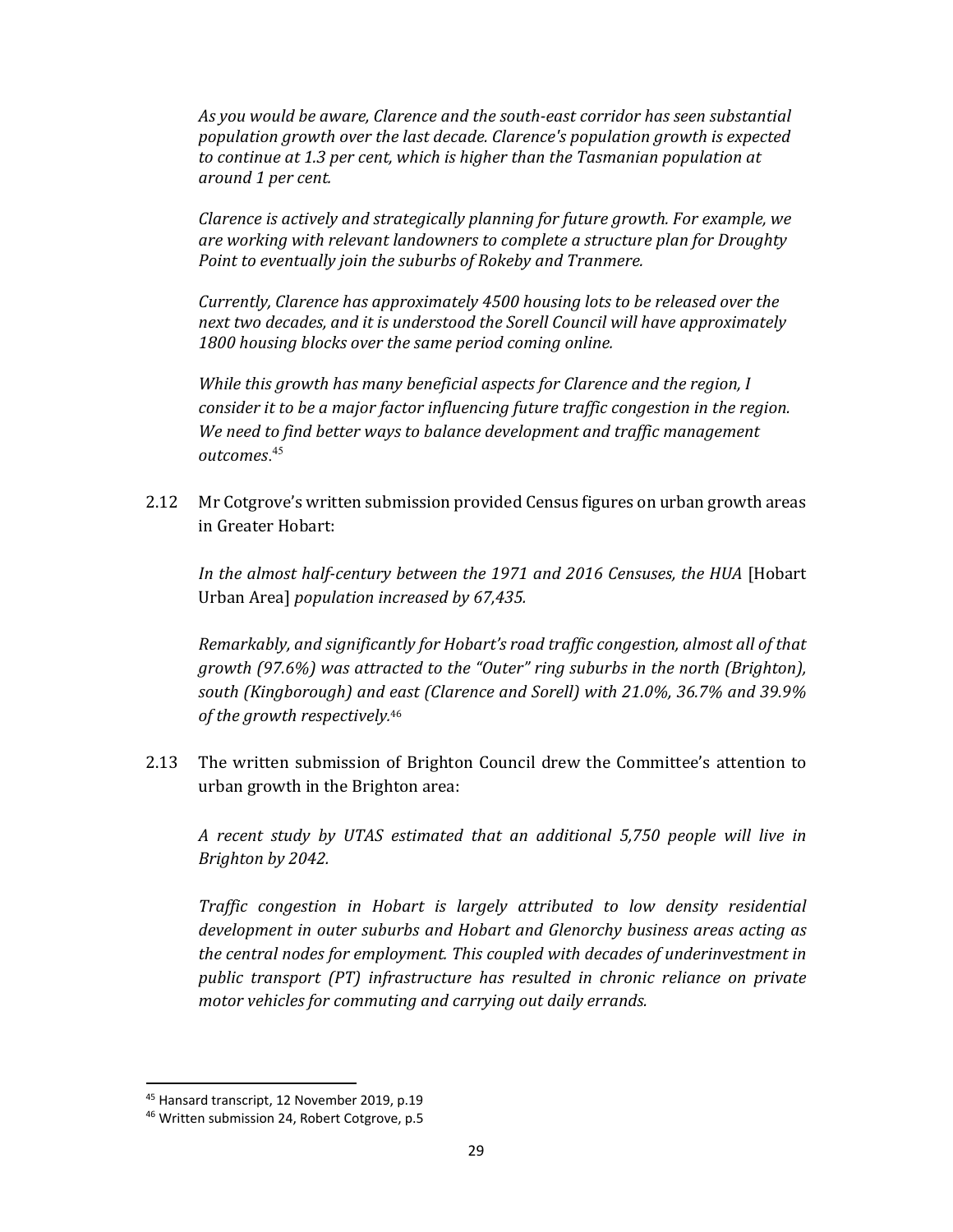*As you would be aware, Clarence and the south‐east corridor has seen substantial population growth over the last decade. Clarence's population growth is expected to continue at 1.3 per cent, which is higher than the Tasmanian population at around 1 per cent.* 

*Clarence is actively and strategically planning for future growth. For example, we are working with relevant landowners to complete a structure plan for Droughty Point to eventually join the suburbs of Rokeby and Tranmere.* 

*Currently, Clarence has approximately 4500 housing lots to be released over the next two decades, and it is understood the Sorell Council will have approximately 1800 housing blocks over the same period coming online.* 

*While this growth has many beneficial aspects for Clarence and the region, I consider it to be a major factor influencing future traffic congestion in the region. We need to find better ways to balance development and traffic management outcomes*. 45

2.12 Mr Cotgrove's written submission provided Census figures on urban growth areas in Greater Hobart:

*In the almost half‐century between the 1971 and 2016 Censuses, the HUA* [Hobart Urban Area] *population increased by 67,435.*

*Remarkably, and significantly for Hobart's road traffic congestion, almost all of that growth (97.6%) was attracted to the "Outer" ring suburbs in the north (Brighton), south (Kingborough) and east (Clarence and Sorell) with 21.0%, 36.7% and 39.9% of the growth respectively.*<sup>46</sup>

2.13 The written submission of Brighton Council drew the Committee's attention to urban growth in the Brighton area:

*A recent study by UTAS estimated that an additional 5,750 people will live in Brighton by 2042.* 

*Traffic congestion in Hobart is largely attributed to low density residential development in outer suburbs and Hobart and Glenorchy business areas acting as the central nodes for employment. This coupled with decades of underinvestment in public transport (PT) infrastructure has resulted in chronic reliance on private motor vehicles for commuting and carrying out daily errands.* 

<sup>45</sup> Hansard transcript, 12 November 2019, p.19

<sup>46</sup> Written submission 24, Robert Cotgrove, p.5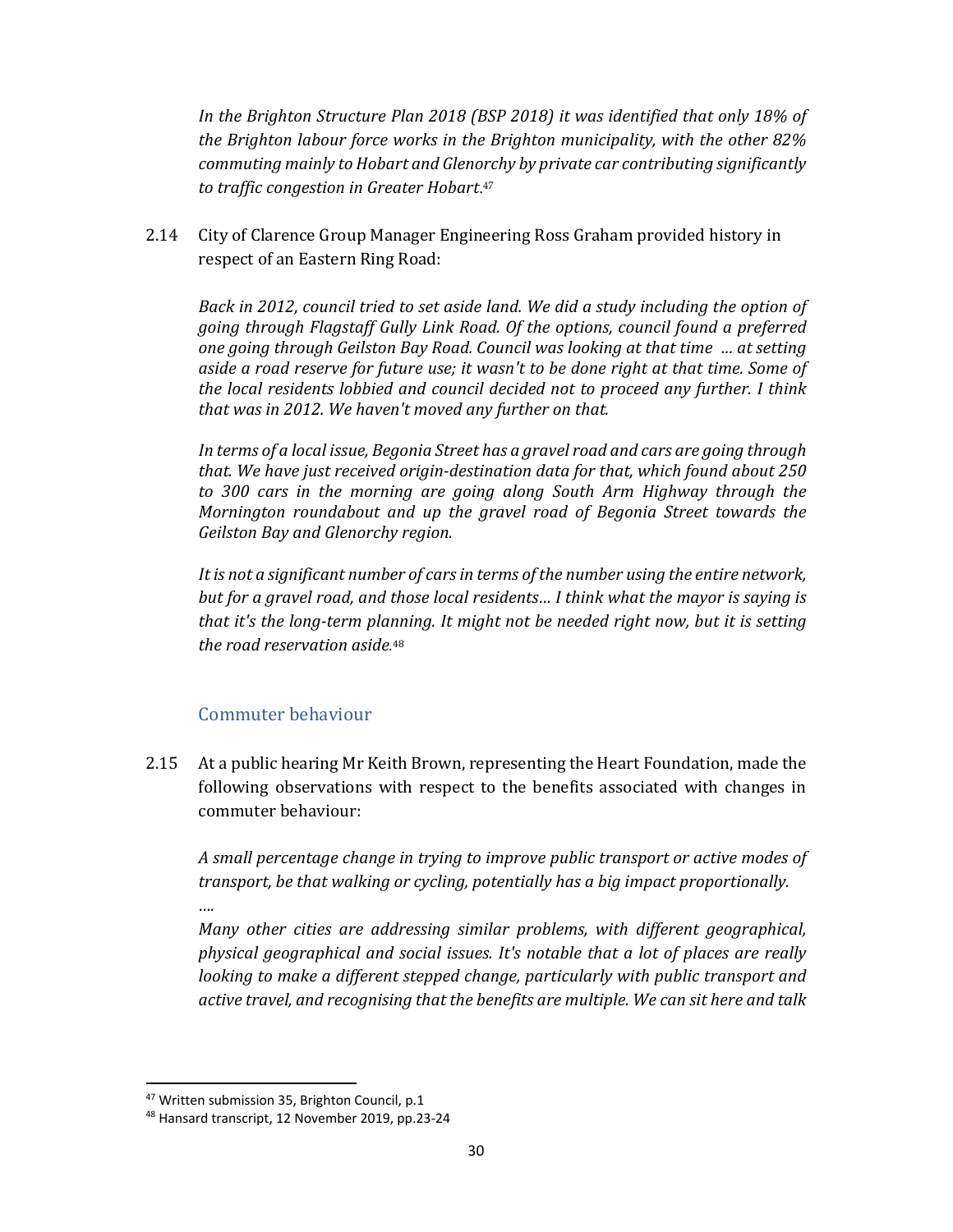*In the Brighton Structure Plan 2018 (BSP 2018) it was identified that only 18% of the Brighton labour force works in the Brighton municipality, with the other 82% commuting mainly to Hobart and Glenorchy by private car contributing significantly to traffic congestion in Greater Hobart*.47

2.14 City of Clarence Group Manager Engineering Ross Graham provided history in respect of an Eastern Ring Road:

*Back in 2012, council tried to set aside land. We did a study including the option of going through Flagstaff Gully Link Road. Of the options, council found a preferred one going through Geilston Bay Road. Council was looking at that time … at setting aside a road reserve for future use; it wasn't to be done right at that time. Some of the local residents lobbied and council decided not to proceed any further. I think that was in 2012. We haven't moved any further on that.*

*In terms of a local issue, Begonia Street has a gravel road and cars are going through that. We have just received origin‐destination data for that, which found about 250 to 300 cars in the morning are going along South Arm Highway through the Mornington roundabout and up the gravel road of Begonia Street towards the Geilston Bay and Glenorchy region.*

*It is not a significant number of carsin terms of the number using the entire network, but for a gravel road, and those local residents… I think what the mayor is saying is that it's the long‐term planning. It might not be needed right now, but it is setting the road reservation aside.* 48

### Commuter behaviour

2.15 At a public hearing Mr Keith Brown, representing the Heart Foundation, made the following observations with respect to the benefits associated with changes in commuter behaviour:

*A small percentage change in trying to improve public transport or active modes of transport, be that walking or cycling, potentially has a big impact proportionally. ….*

*Many other cities are addressing similar problems, with different geographical, physical geographical and social issues. It's notable that a lot of places are really looking to make a different stepped change, particularly with public transport and active travel, and recognising that the benefits are multiple. We can sit here and talk*

<sup>&</sup>lt;sup>47</sup> Written submission 35, Brighton Council, p.1

<sup>48</sup> Hansard transcript, 12 November 2019, pp.23‐24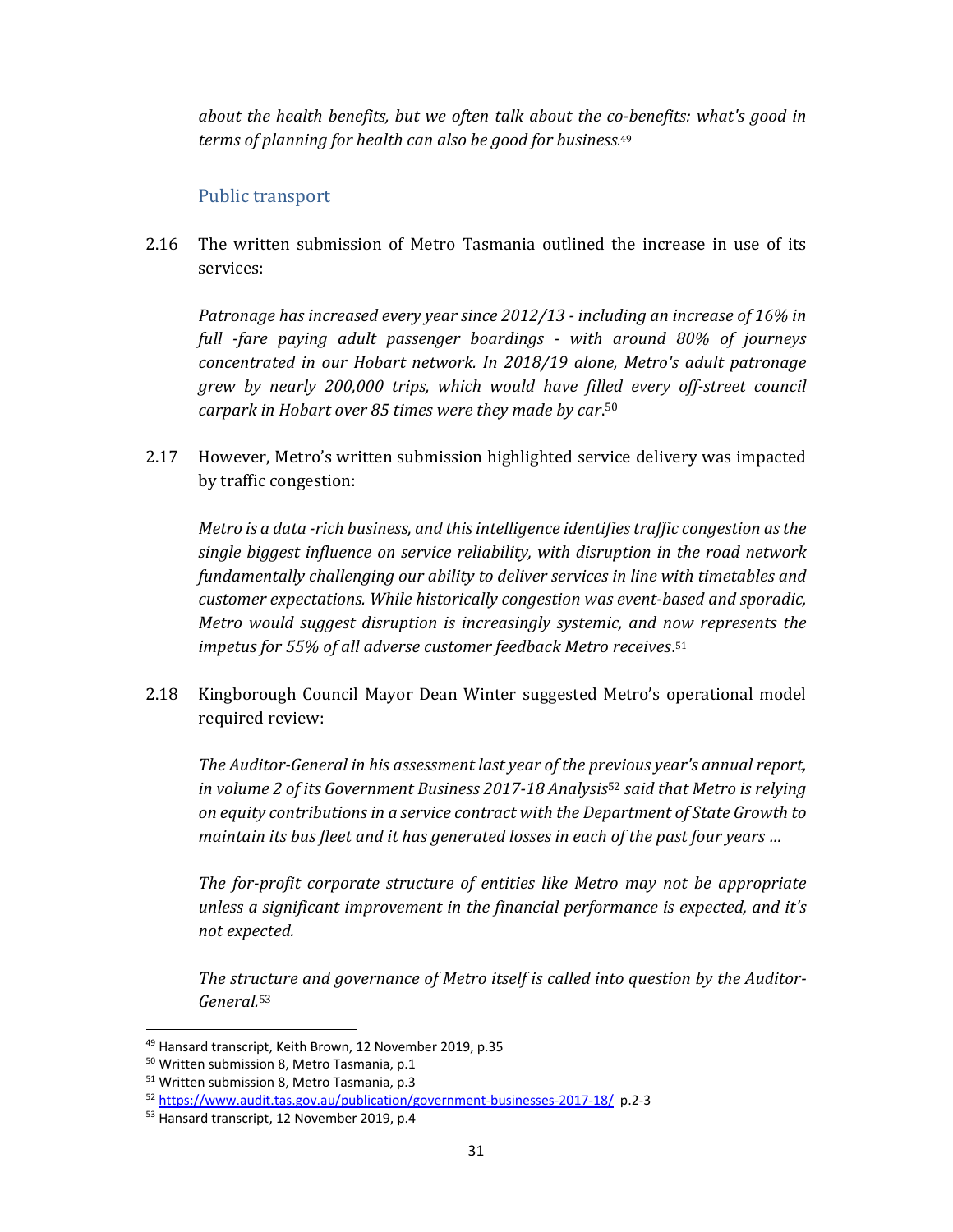*about the health benefits, but we often talk about the co‐benefits: what's good in terms of planning for health can also be good for business.* 49

### Public transport

2.16 The written submission of Metro Tasmania outlined the increase in use of its services:

*Patronage has increased every year since 2012/13 ‐ including an increase of 16% in full ‐fare paying adult passenger boardings ‐ with around 80% of journeys concentrated in our Hobart network. In 2018/19 alone, Metro's adult patronage grew by nearly 200,000 trips, which would have filled every off‐street council carpark in Hobart over 85 times were they made by car*. 50

2.17 However, Metro's written submission highlighted service delivery was impacted by traffic congestion:

*Metro is a data ‐rich business, and thisintelligence identifiestraffic congestion asthe single biggest influence on service reliability, with disruption in the road network fundamentally challenging our ability to deliver services in line with timetables and customer expectations. While historically congestion was event‐based and sporadic, Metro would suggest disruption is increasingly systemic, and now represents the impetus for 55% of all adverse customer feedback Metro receives*.<sup>51</sup>

2.18 Kingborough Council Mayor Dean Winter suggested Metro's operational model required review:

*The Auditor‐General in his assessment last year of the previous year's annual report, in volume 2 of its Government Business 2017‐18 Analysis*<sup>52</sup> *said that Metro is relying on equity contributions in a service contract with the Department of State Growth to maintain its bus fleet and it has generated losses in each of the past four years …*

*The for‐profit corporate structure of entities like Metro may not be appropriate unless a significant improvement in the financial performance is expected, and it's not expected.*

*The structure and governance of Metro itself is called into question by the Auditor‐ General.*<sup>53</sup>

<sup>49</sup> Hansard transcript, Keith Brown, 12 November 2019, p.35

<sup>50</sup> Written submission 8, Metro Tasmania, p.1

<sup>51</sup> Written submission 8, Metro Tasmania, p.3

<sup>52</sup> https://www.audit.tas.gov.au/publication/government-businesses-2017-18/ p.2-3

<sup>&</sup>lt;sup>53</sup> Hansard transcript, 12 November 2019, p.4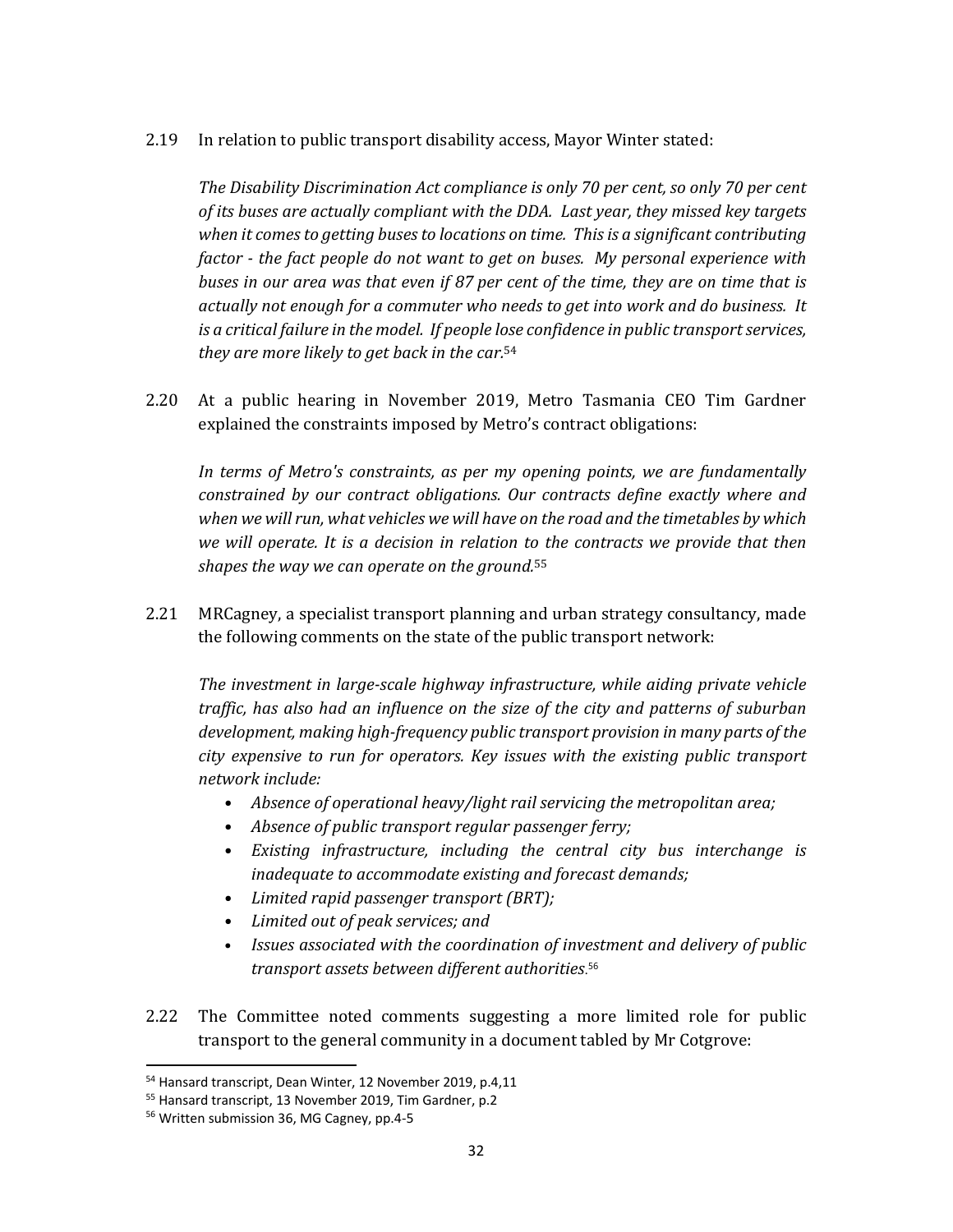2.19 In relation to public transport disability access, Mayor Winter stated:

*The Disability Discrimination Act compliance is only 70 per cent, so only 70 per cent of its buses are actually compliant with the DDA. Last year, they missed key targets when it comes to getting buses to locations on time. Thisis a significant contributing factor ‐ the fact people do not want to get on buses. My personal experience with buses in our area was that even if 87 per cent of the time, they are on time that is actually not enough for a commuter who needs to get into work and do business. It is a critical failure in the model. If people lose confidence in public transportservices, they are more likely to get back in the car.*<sup>54</sup>

2.20 At a public hearing in November 2019, Metro Tasmania CEO Tim Gardner explained the constraints imposed by Metro's contract obligations:

*In terms of Metro's constraints, as per my opening points, we are fundamentally constrained by our contract obligations. Our contracts define exactly where and when we will run, what vehicles we will have on the road and the timetables by which we will operate. It is a decision in relation to the contracts we provide that then shapes the way we can operate on the ground.*<sup>55</sup>

2.21 MRCagney, a specialist transport planning and urban strategy consultancy, made the following comments on the state of the public transport network:

*The investment in large‐scale highway infrastructure, while aiding private vehicle traffic, has also had an influence on the size of the city and patterns of suburban development, making high‐frequency public transport provision in many parts of the city expensive to run for operators. Key issues with the existing public transport network include:* 

- *Absence of operational heavy/light rail servicing the metropolitan area;*
- Absence of public transport regular passenger ferry;
- *Existing infrastructure, including the central city bus interchange is inadequate to accommodate existing and forecast demands;*
- *Limited rapid passenger transport (BRT);*
- *Limited out of peak services; and*
- *Issues associated with the coordination of investment and delivery of public transport assets between different authorities*. 56
- 2.22 The Committee noted comments suggesting a more limited role for public transport to the general community in a document tabled by Mr Cotgrove:

<sup>54</sup> Hansard transcript, Dean Winter, 12 November 2019, p.4,11

<sup>55</sup> Hansard transcript, 13 November 2019, Tim Gardner, p.2

<sup>&</sup>lt;sup>56</sup> Written submission 36, MG Cagney, pp.4-5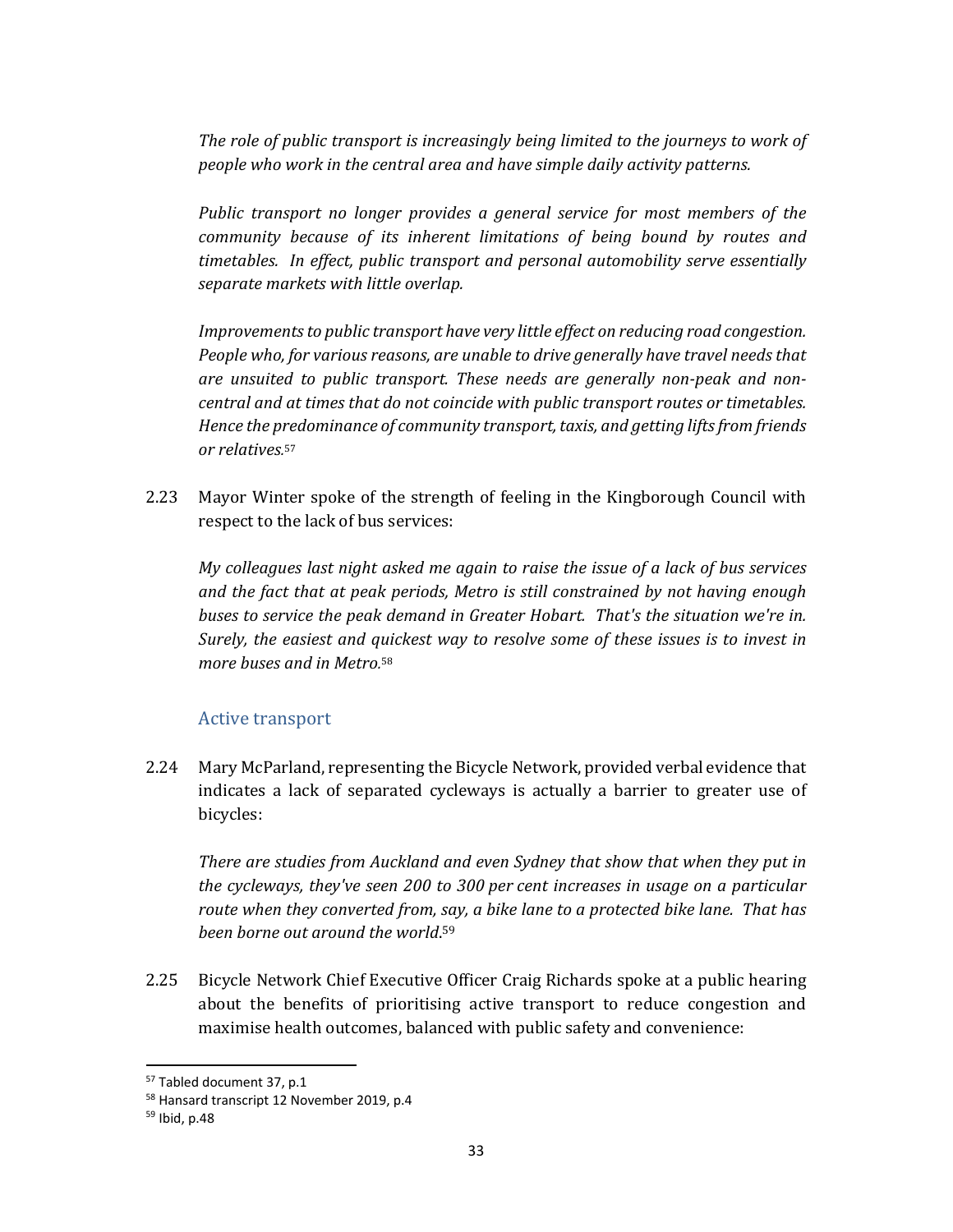*The role of public transport is increasingly being limited to the journeys to work of people who work in the central area and have simple daily activity patterns.*

*Public transport no longer provides a general service for most members of the community because of its inherent limitations of being bound by routes and timetables. In effect, public transport and personal automobility serve essentially separate markets with little overlap.* 

*Improvements* to *public transport have very little effect on reducing road congestion. People who, for various reasons, are unable to drive generally have travel needs that are unsuited to public transport. These needs are generally non‐peak and non‐ central and at times that do not coincide with public transport routes or timetables. Hence the predominance of community transport, taxis, and getting lifts from friends or relatives.* 57

2.23 Mayor Winter spoke of the strength of feeling in the Kingborough Council with respect to the lack of bus services:

*My colleagues last night asked me again to raise the issue of a lack of bus services and the fact that at peak periods, Metro is still constrained by not having enough buses to service the peak demand in Greater Hobart. That's the situation we're in. Surely, the easiest and quickest way to resolve some of these issues is to invest in more buses and in Metro.* 58

### Active transport

2.24 Mary McParland, representing the Bicycle Network, provided verbal evidence that indicates a lack of separated cycleways is actually a barrier to greater use of bicycles:

*There are studies from Auckland and even Sydney that show that when they put in the cycleways, they've seen 200 to 300 per cent increases in usage on a particular route when they converted from, say, a bike lane to a protected bike lane. That has been borne out around the world*. 59

2.25 Bicycle Network Chief Executive Officer Craig Richards spoke at a public hearing about the benefits of prioritising active transport to reduce congestion and maximise health outcomes, balanced with public safety and convenience:

<sup>57</sup> Tabled document 37, p.1

<sup>58</sup> Hansard transcript 12 November 2019, p.4

<sup>59</sup> Ibid, p.48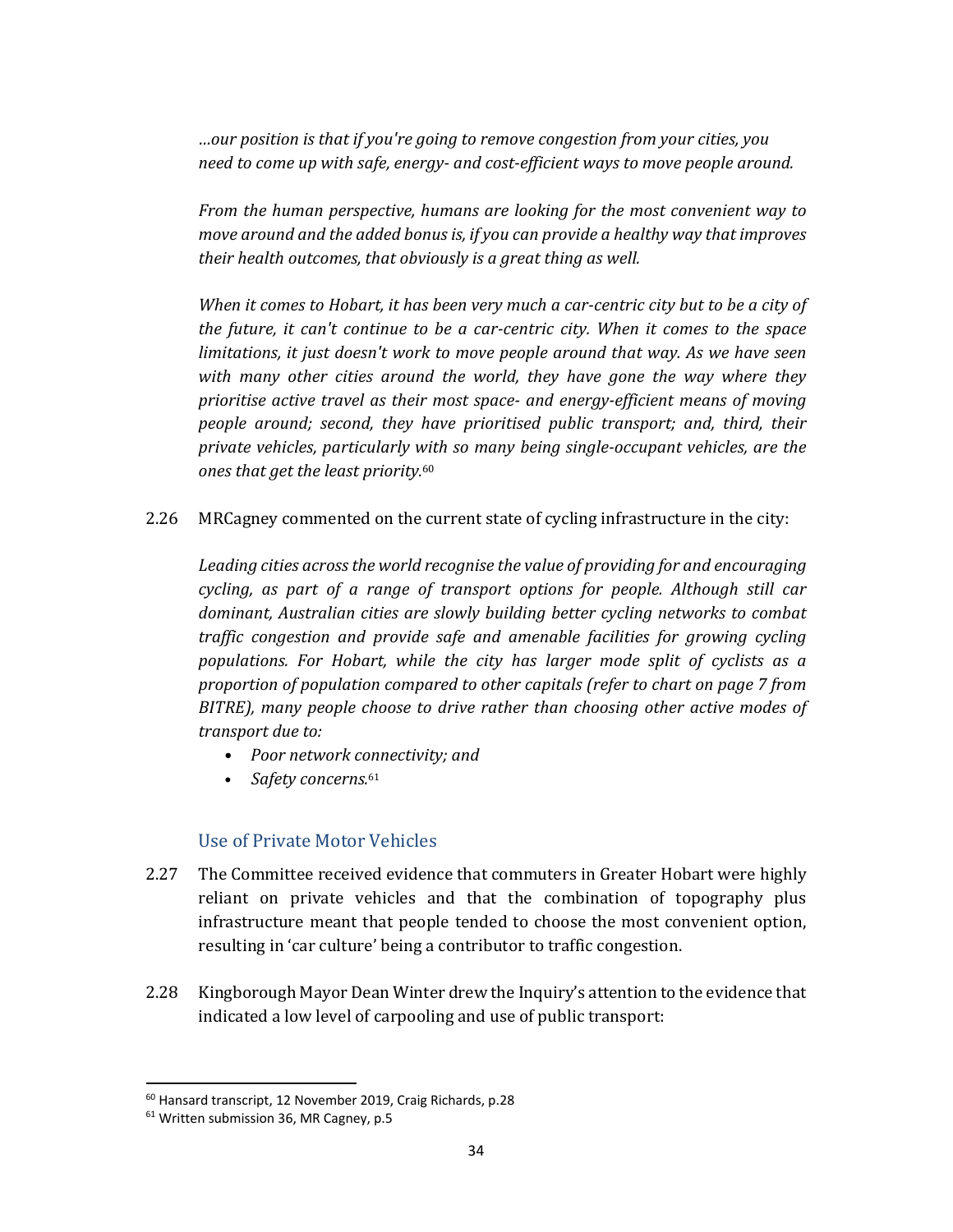*…our position is that if you're going to remove congestion from your cities, you need to come up with safe, energy‐ and cost‐efficient ways to move people around.* 

*From the human perspective, humans are looking for the most convenient way to move around and the added bonus is, if you can provide a healthy way that improves their health outcomes, that obviously is a great thing as well.* 

When it comes to Hobart, it has been very much a car-centric city but to be a city of *the future, it can't continue to be a car‐centric city. When it comes to the space limitations, it just doesn't work to move people around that way. As we have seen with many other cities around the world, they have gone the way where they prioritise active travel as their most space‐ and energy‐efficient means of moving people around; second, they have prioritised public transport; and, third, their private vehicles, particularly with so many being single‐occupant vehicles, are the ones that get the least priority.* 60

2.26 MRCagney commented on the current state of cycling infrastructure in the city:

*Leading cities across the world recognise the value of providing for and encouraging cycling, as part of a range of transport options for people. Although still car dominant, Australian cities are slowly building better cycling networks to combat traffic congestion and provide safe and amenable facilities for growing cycling populations. For Hobart, while the city has larger mode split of cyclists as a proportion of population compared to other capitals (refer to chart on page 7 from BITRE), many people choose to drive rather than choosing other active modes of transport due to:* 

- *Poor network connectivity; and*
- *Safety concerns.*<sup>61</sup>

### Use of Private Motor Vehicles

- 2.27 The Committee received evidence that commuters in Greater Hobart were highly reliant on private vehicles and that the combination of topography plus infrastructure meant that people tended to choose the most convenient option, resulting in 'car culture' being a contributor to traffic congestion.
- 2.28 Kingborough Mayor Dean Winter drew the Inquiry's attention to the evidence that indicated a low level of carpooling and use of public transport:

<sup>60</sup> Hansard transcript, 12 November 2019, Craig Richards, p.28

<sup>&</sup>lt;sup>61</sup> Written submission 36, MR Cagney, p.5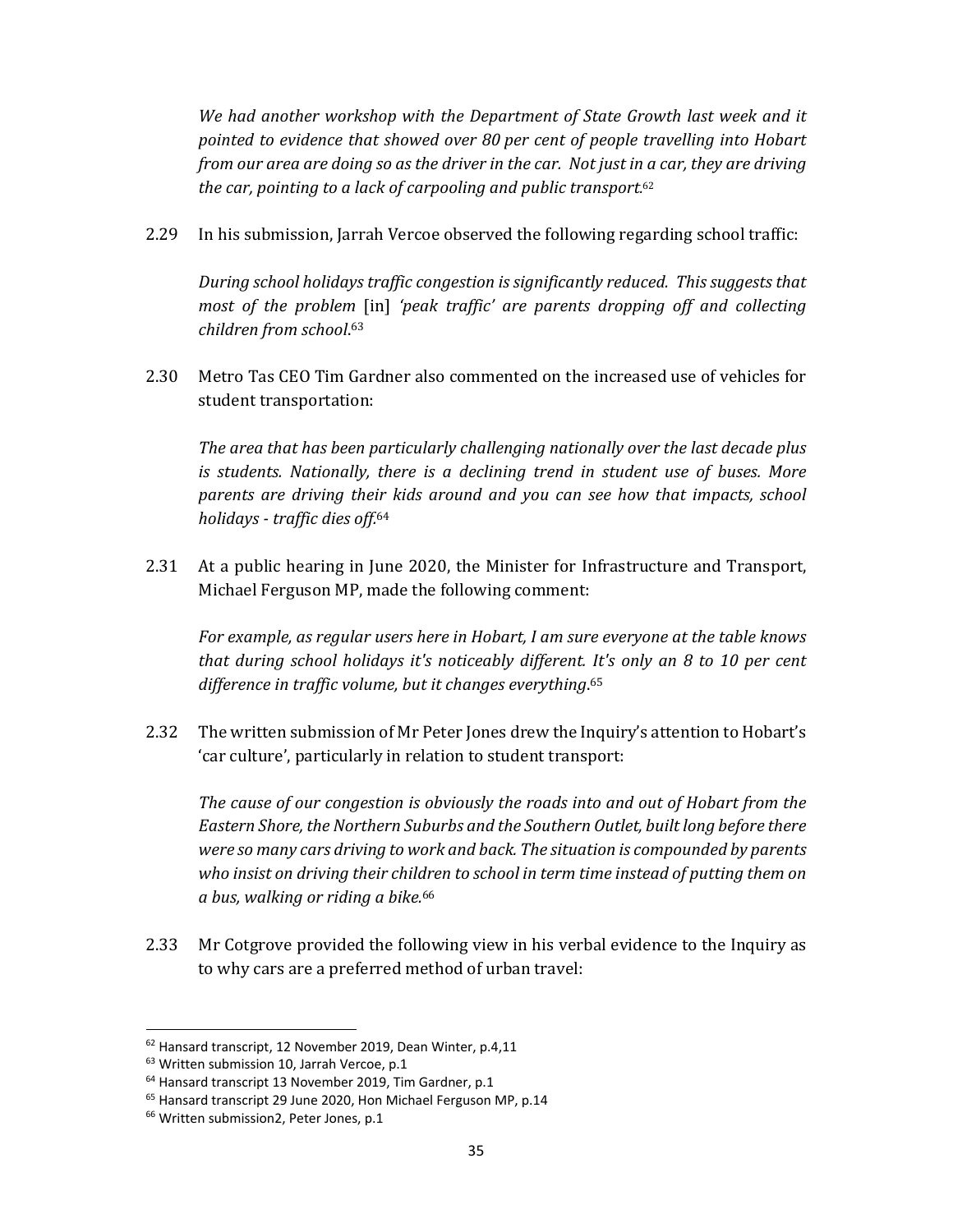*We had another workshop with the Department of State Growth last week and it pointed to evidence that showed over 80 per cent of people travelling into Hobart* from our area are doing so as the driver in the car. Not just in a car, they are driving *the car, pointing to a lack of carpooling and public transport.* 62

2.29 In his submission, Jarrah Vercoe observed the following regarding school traffic:

*During school holidays traffic congestion is significantly reduced. This suggests that most of the problem* [in] *'peak traffic' are parents dropping off and collecting children from school*. 63

2.30 Metro Tas CEO Tim Gardner also commented on the increased use of vehicles for student transportation:

*The area that has been particularly challenging nationally over the last decade plus is students. Nationally, there is a declining trend in student use of buses. More parents are driving their kids around and you can see how that impacts, school holidays ‐ traffic dies off.*<sup>64</sup>

2.31 At a public hearing in June 2020, the Minister for Infrastructure and Transport, Michael Ferguson MP, made the following comment:

*For example, as regular users here in Hobart, I am sure everyone at the table knows that during school holidays it's noticeably different. It's only an 8 to 10 per cent difference in traffic volume, but it changes everything*. 65

2.32 The written submission of Mr Peter Jones drew the Inquiry's attention to Hobart's 'car culture', particularly in relation to student transport:

*The cause of our congestion is obviously the roads into and out of Hobart from the Eastern Shore, the Northern Suburbs and the Southern Outlet, built long before there were so many cars driving to work and back. The situation is compounded by parents who insist on driving their children to school in term time instead of putting them on a bus, walking or riding a bike.*<sup>66</sup>

2.33 Mr Cotgrove provided the following view in his verbal evidence to the Inquiry as to why cars are a preferred method of urban travel:

<sup>62</sup> Hansard transcript, 12 November 2019, Dean Winter, p.4,11

<sup>&</sup>lt;sup>63</sup> Written submission 10, Jarrah Vercoe, p.1

<sup>64</sup> Hansard transcript 13 November 2019, Tim Gardner, p.1

<sup>&</sup>lt;sup>65</sup> Hansard transcript 29 June 2020, Hon Michael Ferguson MP, p.14

<sup>&</sup>lt;sup>66</sup> Written submission2, Peter Jones, p.1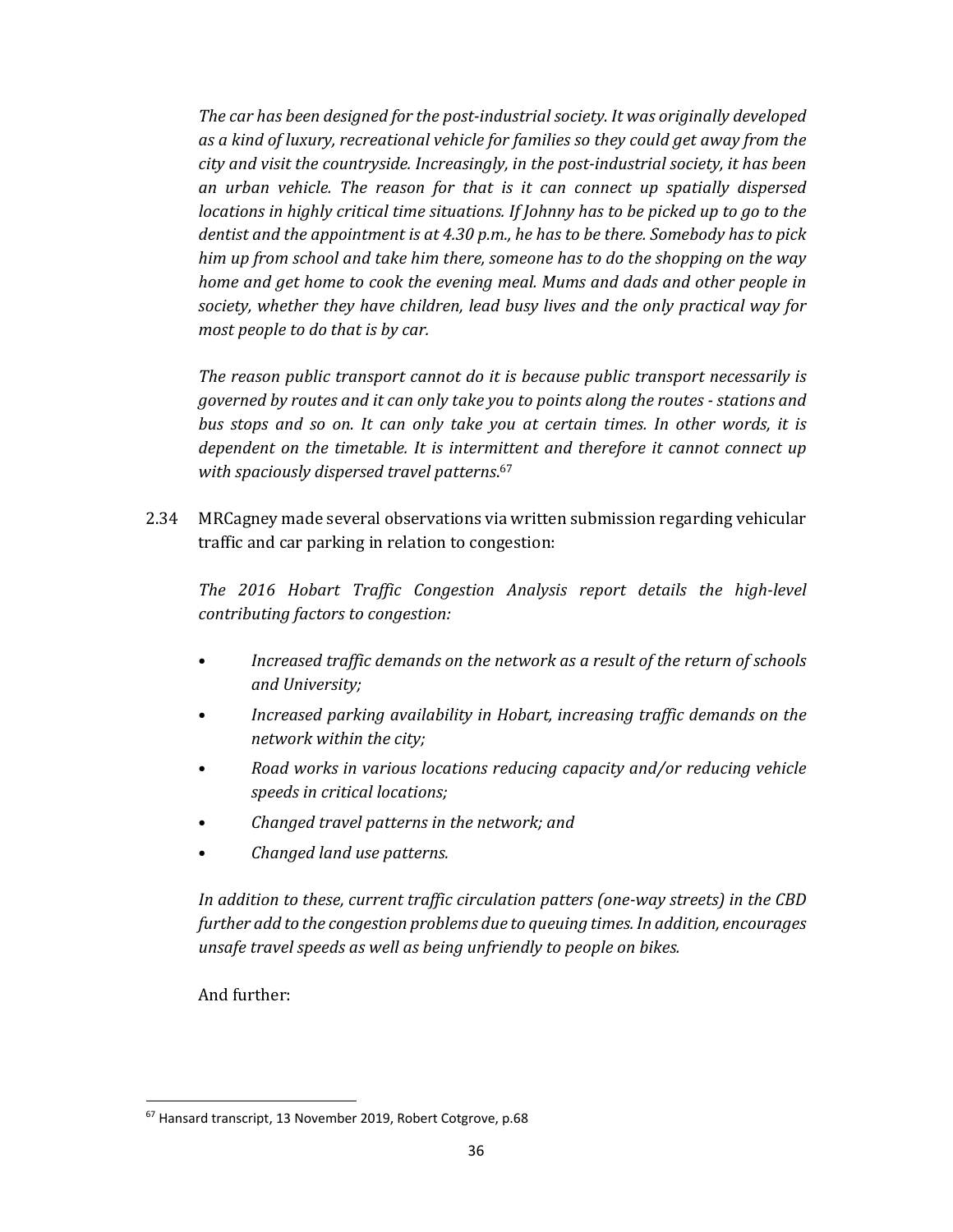*The car has been designed for the post‐industrial society. It was originally developed as a kind of luxury, recreational vehicle for families so they could get away from the city and visit the countryside. Increasingly, in the post‐industrial society, it has been an urban vehicle. The reason for that is it can connect up spatially dispersed locations in highly critical time situations. If Johnny has to be picked up to go to the dentist and the appointment is at 4.30 p.m., he has to be there. Somebody has to pick him up from school and take him there, someone has to do the shopping on the way home and get home to cook the evening meal. Mums and dads and other people in society, whether they have children, lead busy lives and the only practical way for most people to do that is by car.* 

*The reason public transport cannot do it is because public transport necessarily is governed by routes and it can only take you to points along the routes ‐ stations and bus stops and so on. It can only take you at certain times. In other words, it is dependent on the timetable. It is intermittent and therefore it cannot connect up with spaciously dispersed travel patterns*. 67

2.34 MRCagney made several observations via written submission regarding vehicular traffic and car parking in relation to congestion:

*The 2016 Hobart Traffic Congestion Analysis report details the high‐level contributing factors to congestion:* 

- *Increased traffic demands on the network as a result of the return of schools and University;*
- *Increased parking availability in Hobart, increasing traffic demands on the network within the city;*
- *Road works in various locations reducing capacity and/or reducing vehicle speeds in critical locations;*
- *Changed travel patterns in the network; and*
- *Changed land use patterns.*

*In addition to these, current traffic circulation patters (one‐way streets) in the CBD further add to the congestion problems due to queuing times. In addition, encourages unsafe travel speeds as well as being unfriendly to people on bikes.* 

And further:

<sup>67</sup> Hansard transcript, 13 November 2019, Robert Cotgrove, p.68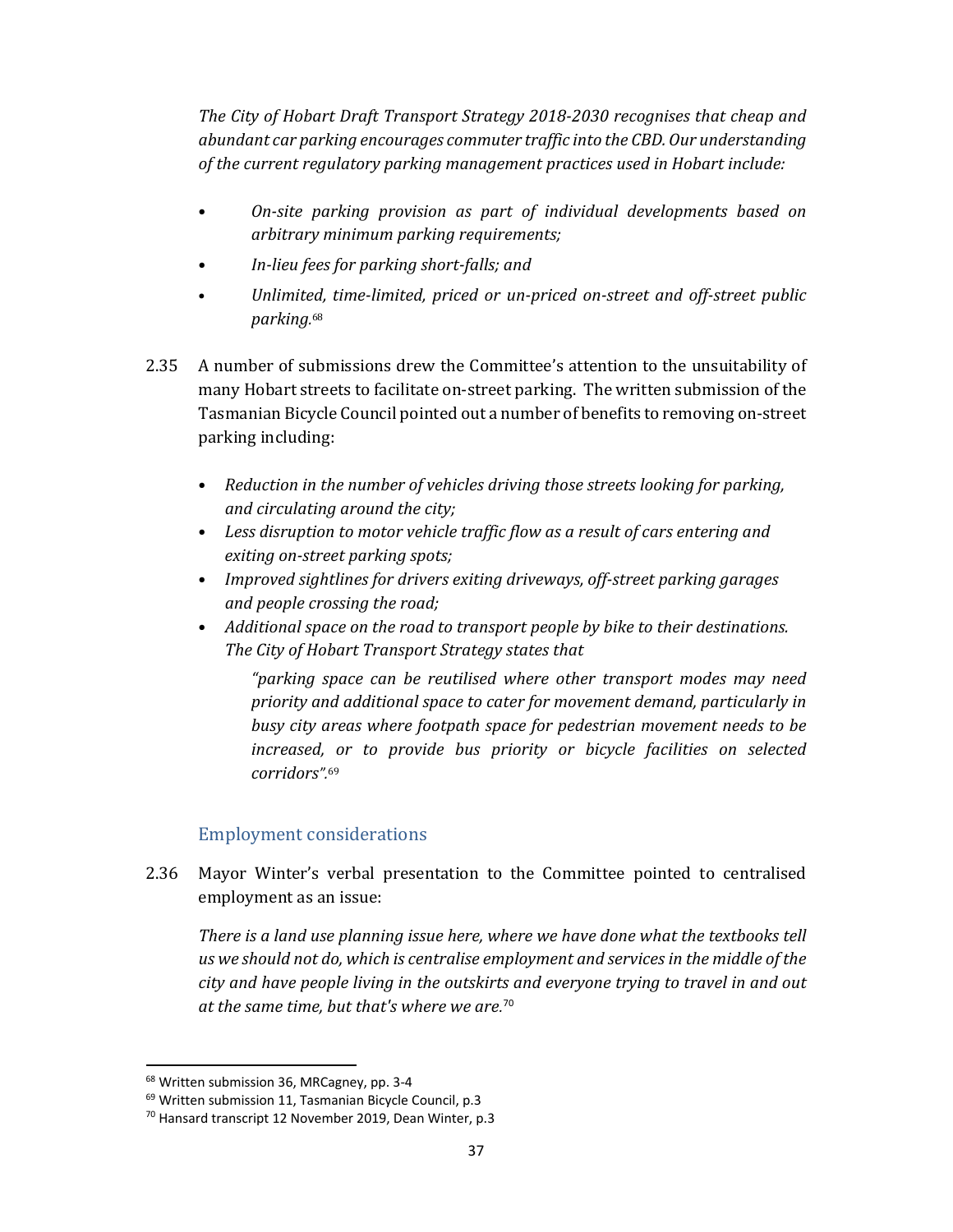*The City of Hobart Draft Transport Strategy 2018‐2030 recognises that cheap and abundant car parking encourages commuter traffic into the CBD. Our understanding of the current regulatory parking management practices used in Hobart include:* 

- *On‐site parking provision as part of individual developments based on arbitrary minimum parking requirements;*
- *In‐lieu fees for parking short‐falls; and*
- *Unlimited, time‐limited, priced or un‐priced on‐street and off‐street public parking.* 68
- 2.35 A number of submissions drew the Committee's attention to the unsuitability of many Hobart streets to facilitate on-street parking. The written submission of the Tasmanian Bicycle Council pointed out a number of benefits to removing on-street parking including:
	- *Reduction in the number of vehicles driving those streets looking for parking, and circulating around the city;*
	- *Less disruption to motor vehicle traffic flow as a result of cars entering and exiting on‐street parking spots;*
	- *Improved sightlines for drivers exiting driveways, off‐street parking garages and people crossing the road;*
	- *Additional space on the road to transport people by bike to their destinations. The City of Hobart Transport Strategy states that*

*"parking space can be reutilised where other transport modes may need priority and additional space to cater for movement demand, particularly in busy city areas where footpath space for pedestrian movement needs to be increased, or to provide bus priority or bicycle facilities on selected corridors".*<sup>69</sup>

# Employment considerations

2.36 Mayor Winter's verbal presentation to the Committee pointed to centralised employment as an issue:

*There is a land use planning issue here, where we have done what the textbooks tell us we should not do, which is centralise employment and services in the middle of the city and have people living in the outskirts and everyone trying to travel in and out at the same time, but that's where we are.* 70

<sup>68</sup> Written submission 36, MRCagney, pp. 3‐4

<sup>&</sup>lt;sup>69</sup> Written submission 11, Tasmanian Bicycle Council, p.3

<sup>70</sup> Hansard transcript 12 November 2019, Dean Winter, p.3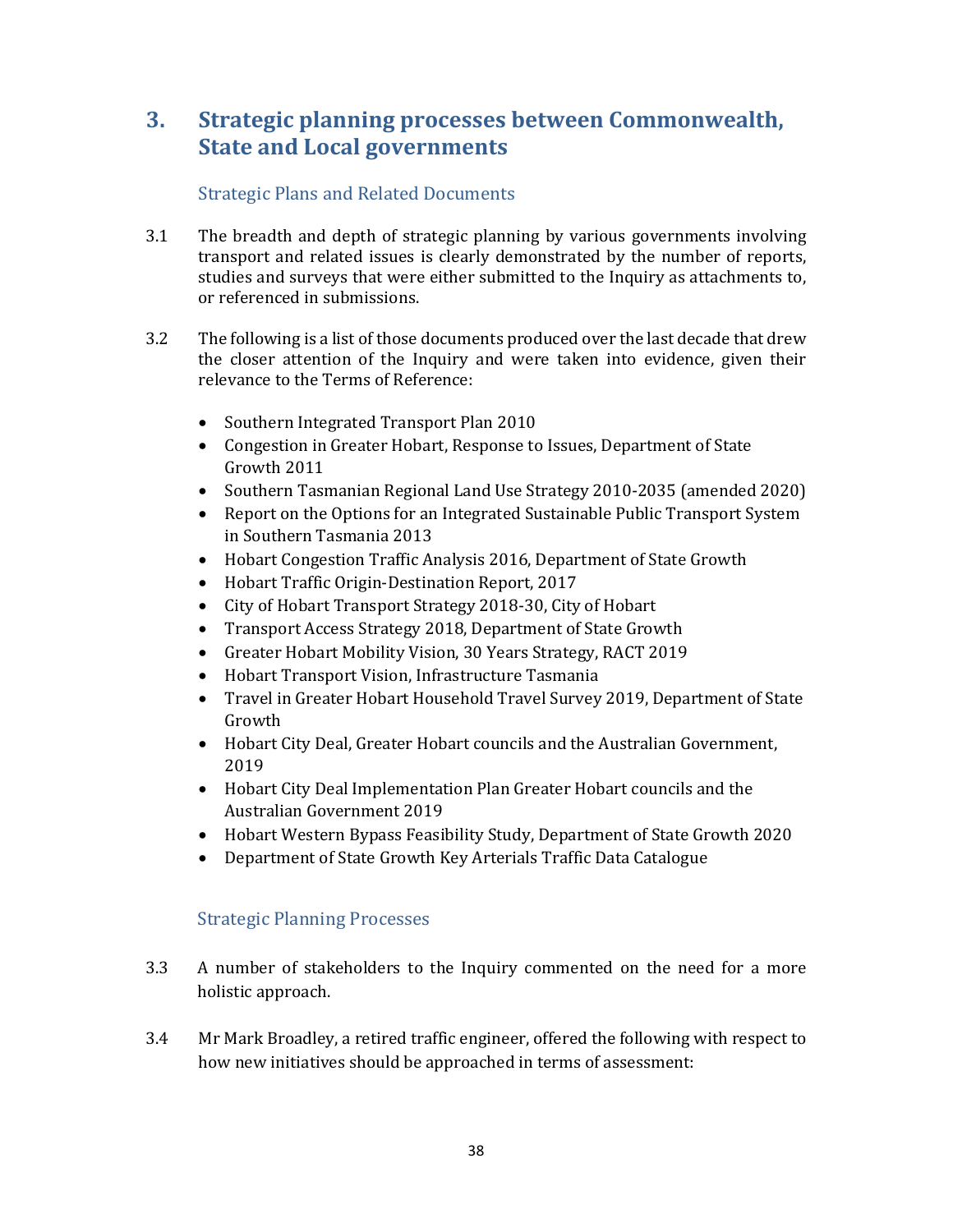# **3. Strategic planning processes between Commonwealth, State and Local governments**

# Strategic Plans and Related Documents

- 3.1 The breadth and depth of strategic planning by various governments involving transport and related issues is clearly demonstrated by the number of reports, studies and surveys that were either submitted to the Inquiry as attachments to, or referenced in submissions.
- 3.2 The following is a list of those documents produced over the last decade that drew the closer attention of the Inquiry and were taken into evidence, given their relevance to the Terms of Reference:
	- Southern Integrated Transport Plan 2010
	- Congestion in Greater Hobart, Response to Issues, Department of State Growth 2011
	- Southern Tasmanian Regional Land Use Strategy 2010-2035 (amended 2020)
	- Report on the Options for an Integrated Sustainable Public Transport System in Southern Tasmania 2013
	- Hobart Congestion Traffic Analysis 2016, Department of State Growth
	- Hobart Traffic Origin-Destination Report, 2017
	- City of Hobart Transport Strategy 2018-30, City of Hobart
	- Transport Access Strategy 2018, Department of State Growth
	- Greater Hobart Mobility Vision, 30 Years Strategy, RACT 2019
	- Hobart Transport Vision, Infrastructure Tasmania
	- Travel in Greater Hobart Household Travel Survey 2019, Department of State Growth
	- Hobart City Deal, Greater Hobart councils and the Australian Government, 2019
	- Hobart City Deal Implementation Plan Greater Hobart councils and the Australian Government 2019
	- Hobart Western Bypass Feasibility Study, Department of State Growth 2020
	- Department of State Growth Key Arterials Traffic Data Catalogue

# Strategic Planning Processes

- 3.3 A number of stakeholders to the Inquiry commented on the need for a more holistic approach.
- 3.4 Mr Mark Broadley, a retired traffic engineer, offered the following with respect to how new initiatives should be approached in terms of assessment: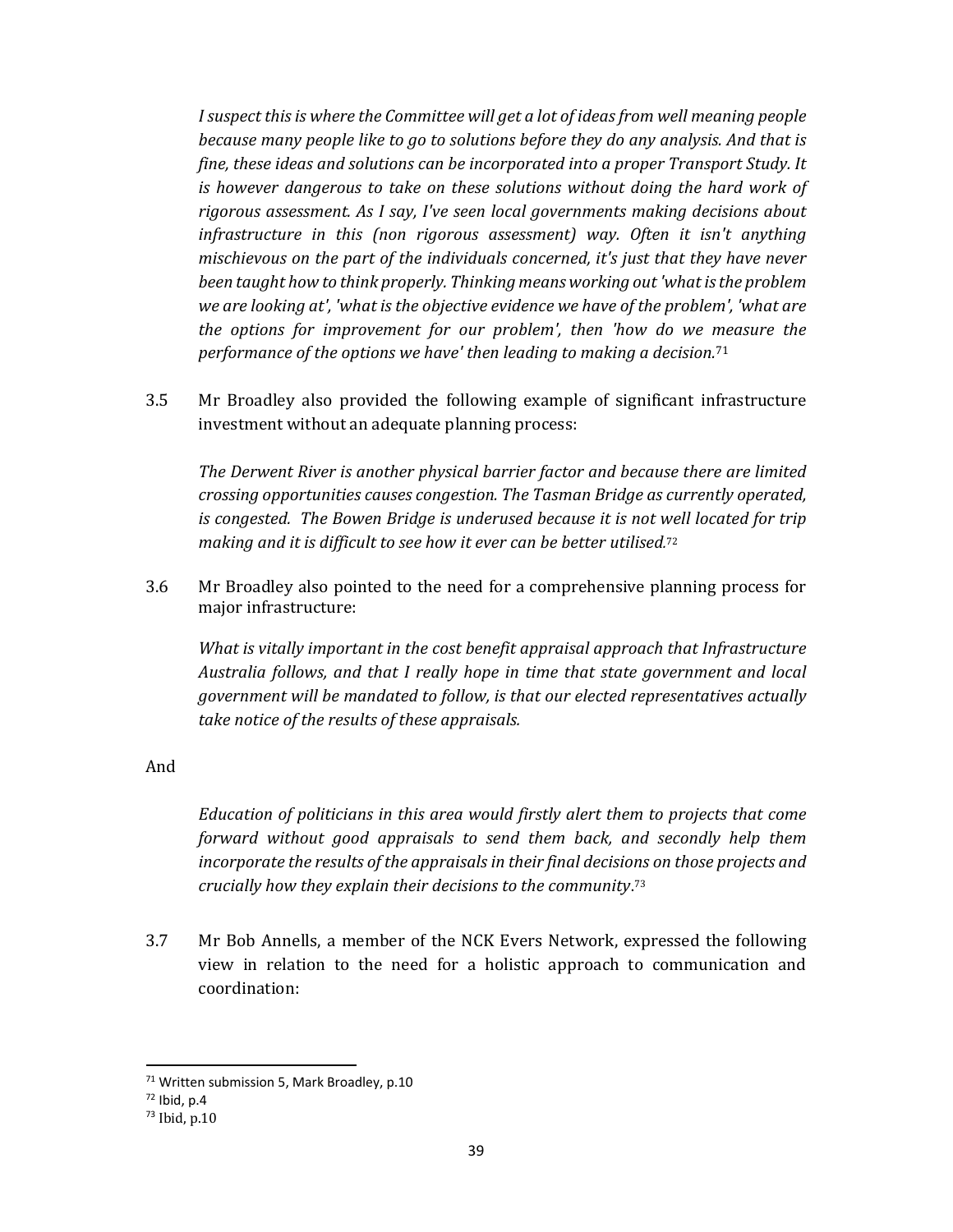*Isuspect this is where the Committee will get a lot of ideas from well meaning people because many people like to go to solutions before they do any analysis. And that is fine, these ideas and solutions can be incorporated into a proper Transport Study. It is however dangerous to take on these solutions without doing the hard work of rigorous assessment. As I say, I've seen local governments making decisions about infrastructure in this (non rigorous assessment) way. Often it isn't anything mischievous on the part of the individuals concerned, it's just that they have never been taught how to think properly. Thinking means working out'whatisthe problem we are looking at', 'what is the objective evidence we have of the problem', 'what are the options for improvement for our problem', then 'how do we measure the performance of the options we have' then leading to making a decision.*<sup>71</sup>

3.5 Mr Broadley also provided the following example of significant infrastructure investment without an adequate planning process:

*The Derwent River is another physical barrier factor and because there are limited crossing opportunities causes congestion. The Tasman Bridge as currently operated, is congested. The Bowen Bridge is underused because it is not well located for trip making and it is difficult to see how it ever can be better utilised.* 72

3.6 Mr Broadley also pointed to the need for a comprehensive planning process for major infrastructure:

*What is vitally important in the cost benefit appraisal approach that Infrastructure Australia follows, and that I really hope in time that state government and local government will be mandated to follow, is that our elected representatives actually take notice of the results of these appraisals.*

And

*Education of politicians in this area would firstly alert them to projects that come forward without good appraisals to send them back, and secondly help them incorporate the results of the appraisals in their final decisions on those projects and crucially how they explain their decisions to the community*.<sup>73</sup>

3.7 Mr Bob Annells, a member of the NCK Evers Network, expressed the following view in relation to the need for a holistic approach to communication and coordination:

<sup>&</sup>lt;sup>71</sup> Written submission 5, Mark Broadley, p.10

<sup>72</sup> Ibid, p.4

<sup>73</sup> Ibid, p.10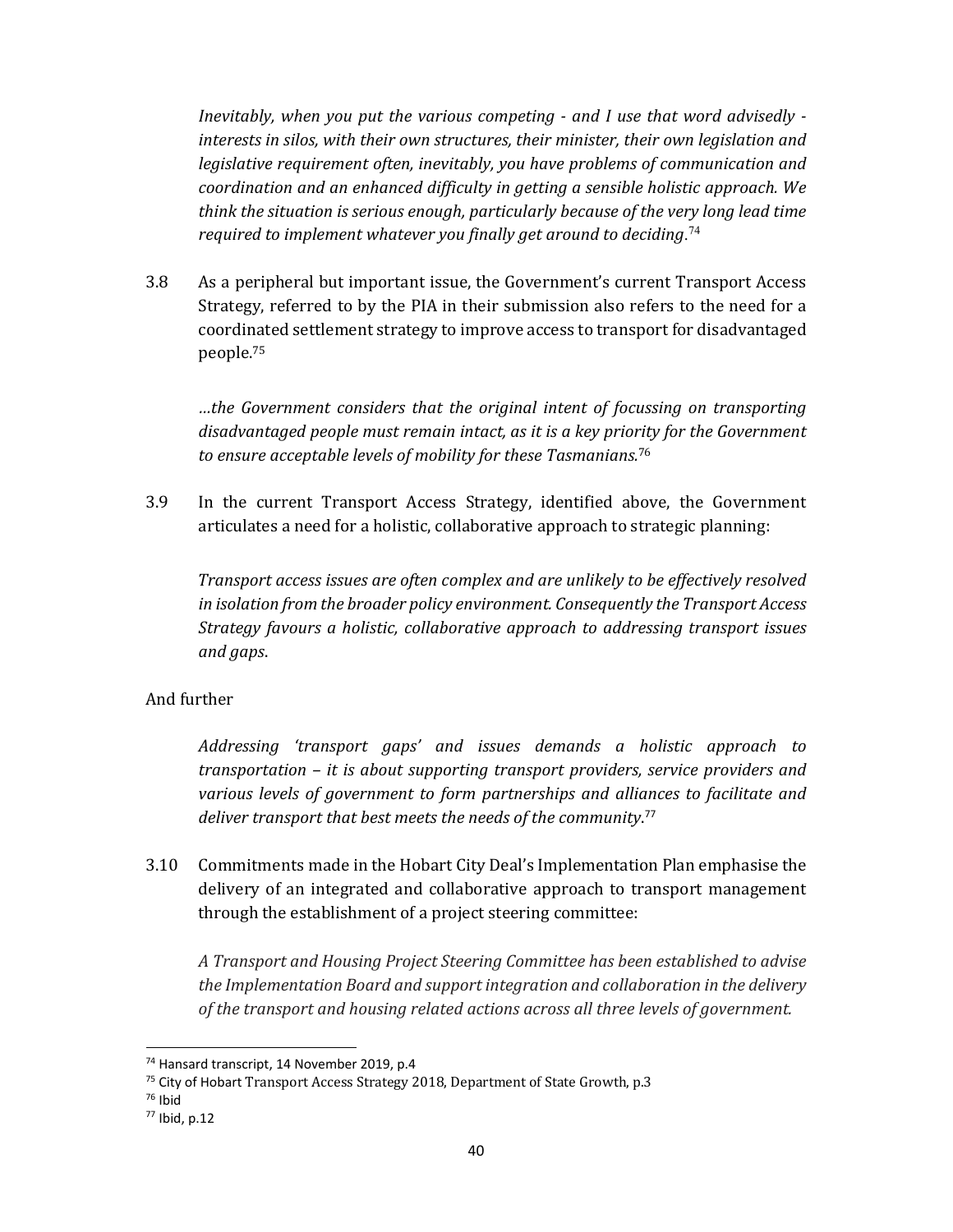*Inevitably, when you put the various competing ‐ and I use that word advisedly ‐ interests in silos, with their own structures, their minister, their own legislation and legislative requirement often, inevitably, you have problems of communication and coordination and an enhanced difficulty in getting a sensible holistic approach. We think the situation is serious enough, particularly because of the very long lead time required to implement whatever you finally get around to deciding*. 74

3.8 As a peripheral but important issue, the Government's current Transport Access Strategy, referred to by the PIA in their submission also refers to the need for a coordinated settlement strategy to improve access to transport for disadvantaged people.75

*…the Government considers that the original intent of focussing on transporting disadvantaged people must remain intact, as it is a key priority for the Government to ensure acceptable levels of mobility for these Tasmanians.*<sup>76</sup>

3.9 In the current Transport Access Strategy, identified above, the Government articulates a need for a holistic, collaborative approach to strategic planning:

*Transport access issues are often complex and are unlikely to be effectively resolved in isolation from the broader policy environment. Consequently the Transport Access Strategy favours a holistic, collaborative approach to addressing transport issues and gaps*.

#### And further

*Addressing 'transport gaps' and issues demands a holistic approach to transportation – it is about supporting transport providers, service providers and various levels of government to form partnerships and alliances to facilitate and deliver transport that best meets the needs of the community*. 77

3.10 Commitments made in the Hobart City Deal's Implementation Plan emphasise the delivery of an integrated and collaborative approach to transport management through the establishment of a project steering committee:

*A Transport and Housing Project Steering Committee has been established to advise the Implementation Board and support integration and collaboration in the delivery of the transport and housing related actions across all three levels of government.* 

<sup>74</sup> Hansard transcript, 14 November 2019, p.4

<sup>&</sup>lt;sup>75</sup> City of Hobart Transport Access Strategy 2018, Department of State Growth, p.3

<sup>76</sup> Ibid

<sup>77</sup> Ibid, p.12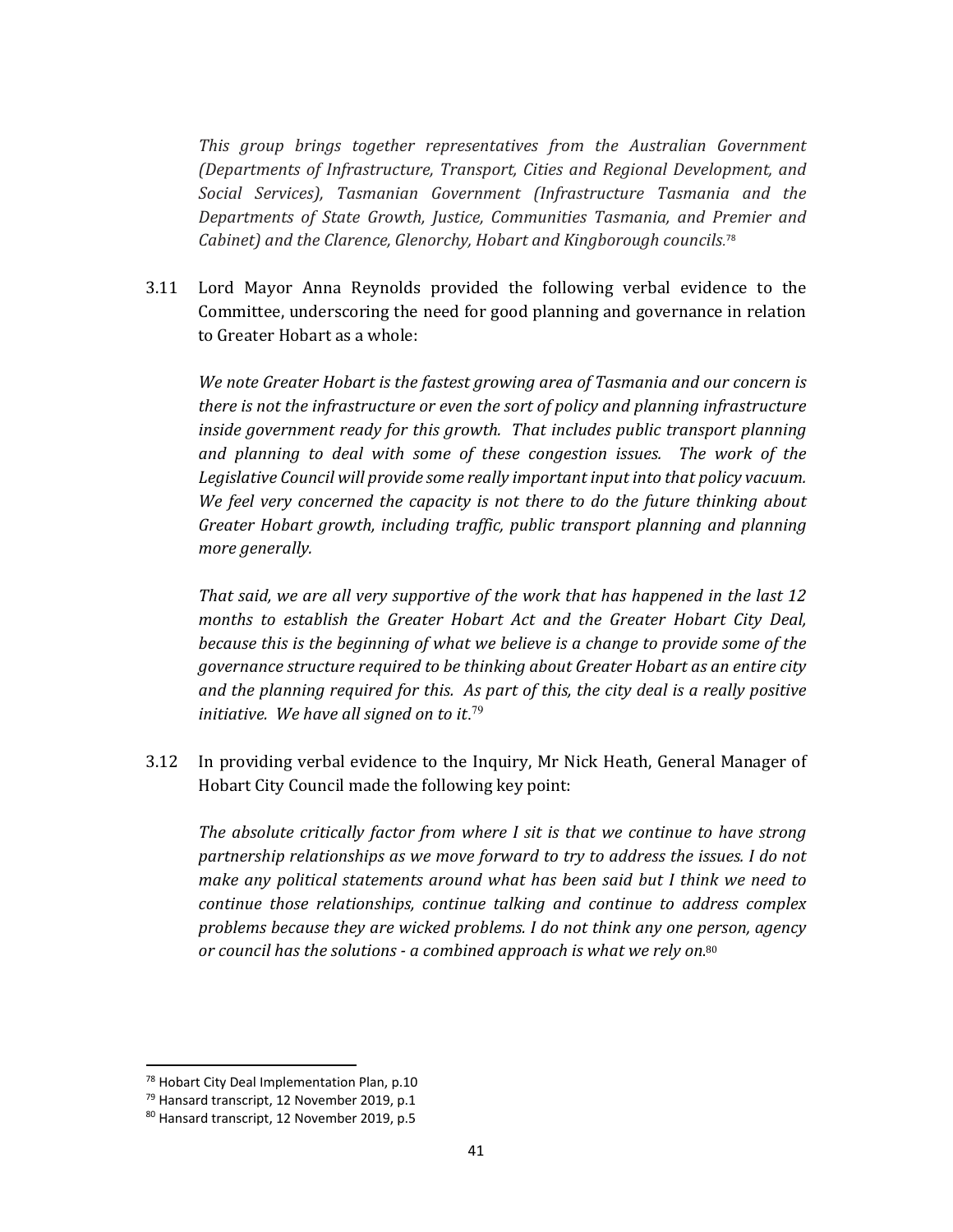*This group brings together representatives from the Australian Government (Departments of Infrastructure, Transport, Cities and Regional Development, and Social Services), Tasmanian Government (Infrastructure Tasmania and the Departments of State Growth, Justice, Communities Tasmania, and Premier and Cabinet) and the Clarence, Glenorchy, Hobart and Kingborough councils.* 78

3.11 Lord Mayor Anna Reynolds provided the following verbal evidence to the Committee, underscoring the need for good planning and governance in relation to Greater Hobart as a whole:

*We note Greater Hobart is the fastest growing area of Tasmania and our concern is there is not the infrastructure or even the sort of policy and planning infrastructure inside government ready for this growth. That includes public transport planning and planning to deal with some of these congestion issues. The work of the Legislative Council will provide some really important input into that policy vacuum. We feel very concerned the capacity is not there to do the future thinking about Greater Hobart growth, including traffic, public transport planning and planning more generally.*

*That said, we are all very supportive of the work that has happened in the last 12 months to establish the Greater Hobart Act and the Greater Hobart City Deal, because this is the beginning of what we believe is a change to provide some of the governance structure required to be thinking about Greater Hobart as an entire city and the planning required for this. As part of this, the city deal is a really positive initiative. We have all signed on to it*. 79

3.12 In providing verbal evidence to the Inquiry, Mr Nick Heath, General Manager of Hobart City Council made the following key point:

*The absolute critically factor from where I sit is that we continue to have strong partnership relationships as we move forward to try to address the issues. I do not make any political statements around what has been said but I think we need to continue those relationships, continue talking and continue to address complex problems because they are wicked problems. I do not think any one person, agency or council has the solutions ‐ a combined approach is what we rely on*. 80

<sup>&</sup>lt;sup>78</sup> Hobart City Deal Implementation Plan, p.10

<sup>&</sup>lt;sup>79</sup> Hansard transcript, 12 November 2019, p.1

<sup>80</sup> Hansard transcript, 12 November 2019, p.5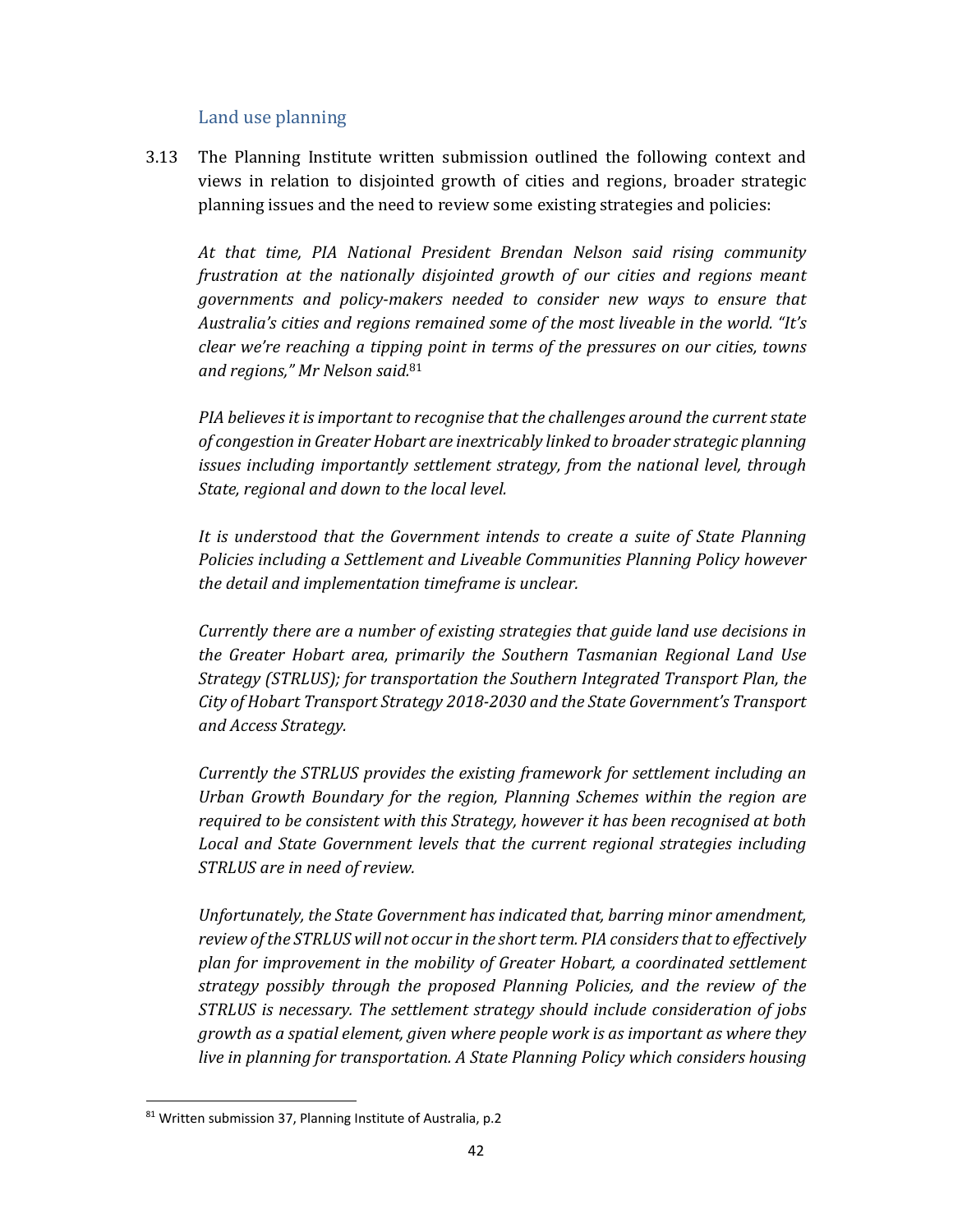#### Land use planning

3.13 The Planning Institute written submission outlined the following context and views in relation to disjointed growth of cities and regions, broader strategic planning issues and the need to review some existing strategies and policies:

*At that time, PIA National President Brendan Nelson said rising community frustration at the nationally disjointed growth of our cities and regions meant governments and policy‐makers needed to consider new ways to ensure that Australia's cities and regions remained some of the most liveable in the world. "It's clear we're reaching a tipping point in terms of the pressures on our cities, towns and regions," Mr Nelson said.*<sup>81</sup>

*PIA believes it is important to recognise that the challenges around the current state of congestion in GreaterHobart are inextricably linked to broader strategic planning issues including importantly settlement strategy, from the national level, through State, regional and down to the local level.* 

*It is understood that the Government intends to create a suite of State Planning Policies including a Settlement and Liveable Communities Planning Policy however the detail and implementation timeframe is unclear.* 

*Currently there are a number of existing strategies that guide land use decisions in the Greater Hobart area, primarily the Southern Tasmanian Regional Land Use Strategy (STRLUS); for transportation the Southern Integrated Transport Plan, the City of Hobart Transport Strategy 2018‐2030 and the State Government's Transport and Access Strategy.* 

*Currently the STRLUS provides the existing framework for settlement including an Urban Growth Boundary for the region, Planning Schemes within the region are required to be consistent with this Strategy, however it has been recognised at both Local and State Government levels that the current regional strategies including STRLUS are in need of review.* 

*Unfortunately, the State Government has indicated that, barring minor amendment, review ofthe STRLUS will not occur in the shortterm. PIA considersthatto effectively plan for improvement in the mobility of Greater Hobart, a coordinated settlement strategy possibly through the proposed Planning Policies, and the review of the STRLUS is necessary. The settlement strategy should include consideration of jobs growth as a spatial element, given where people work is as important as where they live in planning for transportation. A State Planning Policy which considers housing*

<sup>81</sup> Written submission 37, Planning Institute of Australia, p.2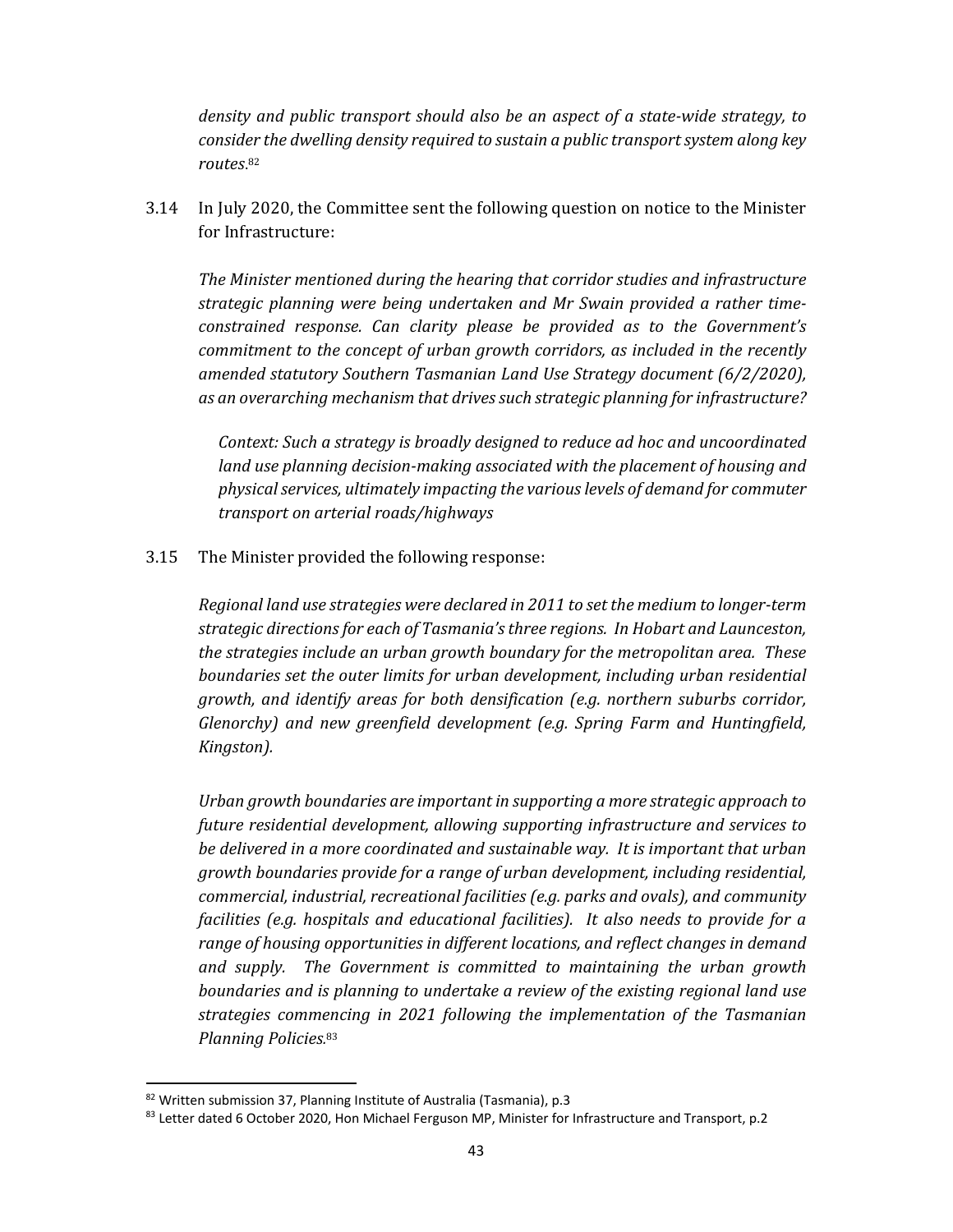*density and public transport should also be an aspect of a state‐wide strategy, to consider the dwelling density required to sustain a public transportsystem along key routes*.<sup>82</sup>

3.14 In July 2020, the Committee sent the following question on notice to the Minister for Infrastructure:

*The Minister mentioned during the hearing that corridor studies and infrastructure strategic planning were being undertaken and Mr Swain provided a rather time‐ constrained response. Can clarity please be provided as to the Government's commitment to the concept of urban growth corridors, as included in the recently amended statutory Southern Tasmanian Land Use Strategy document (6/2/2020), as an overarching mechanism that drivessuch strategic planning for infrastructure?* 

*Context: Such a strategy is broadly designed to reduce ad hoc and uncoordinated land use planning decision‐making associated with the placement of housing and physicalservices, ultimately impacting the variouslevels of demand for commuter transport on arterial roads/highways*

3.15 The Minister provided the following response:

*Regional land use strategies were declared in 2011 to set the medium to longer‐term strategic directions for each of Tasmania'sthree regions. In Hobart and Launceston, the strategies include an urban growth boundary for the metropolitan area. These boundaries set the outer limits for urban development, including urban residential growth, and identify areas for both densification (e.g. northern suburbs corridor, Glenorchy) and new greenfield development (e.g. Spring Farm and Huntingfield, Kingston).*

*Urban growth boundaries are important in supporting a more strategic approach to future residential development, allowing supporting infrastructure and services to be delivered in a more coordinated and sustainable way. It is important that urban growth boundaries provide for a range of urban development, including residential, commercial, industrial, recreational facilities (e.g. parks and ovals), and community facilities (e.g. hospitals and educational facilities). It also needs to provide for a range of housing opportunities in different locations, and reflect changes in demand and supply. The Government is committed to maintaining the urban growth boundaries and is planning to undertake a review of the existing regional land use strategies commencing in 2021 following the implementation of the Tasmanian Planning Policies.* 83

<sup>82</sup> Written submission 37, Planning Institute of Australia (Tasmania), p.3

<sup>83</sup> Letter dated 6 October 2020, Hon Michael Ferguson MP, Minister for Infrastructure and Transport, p.2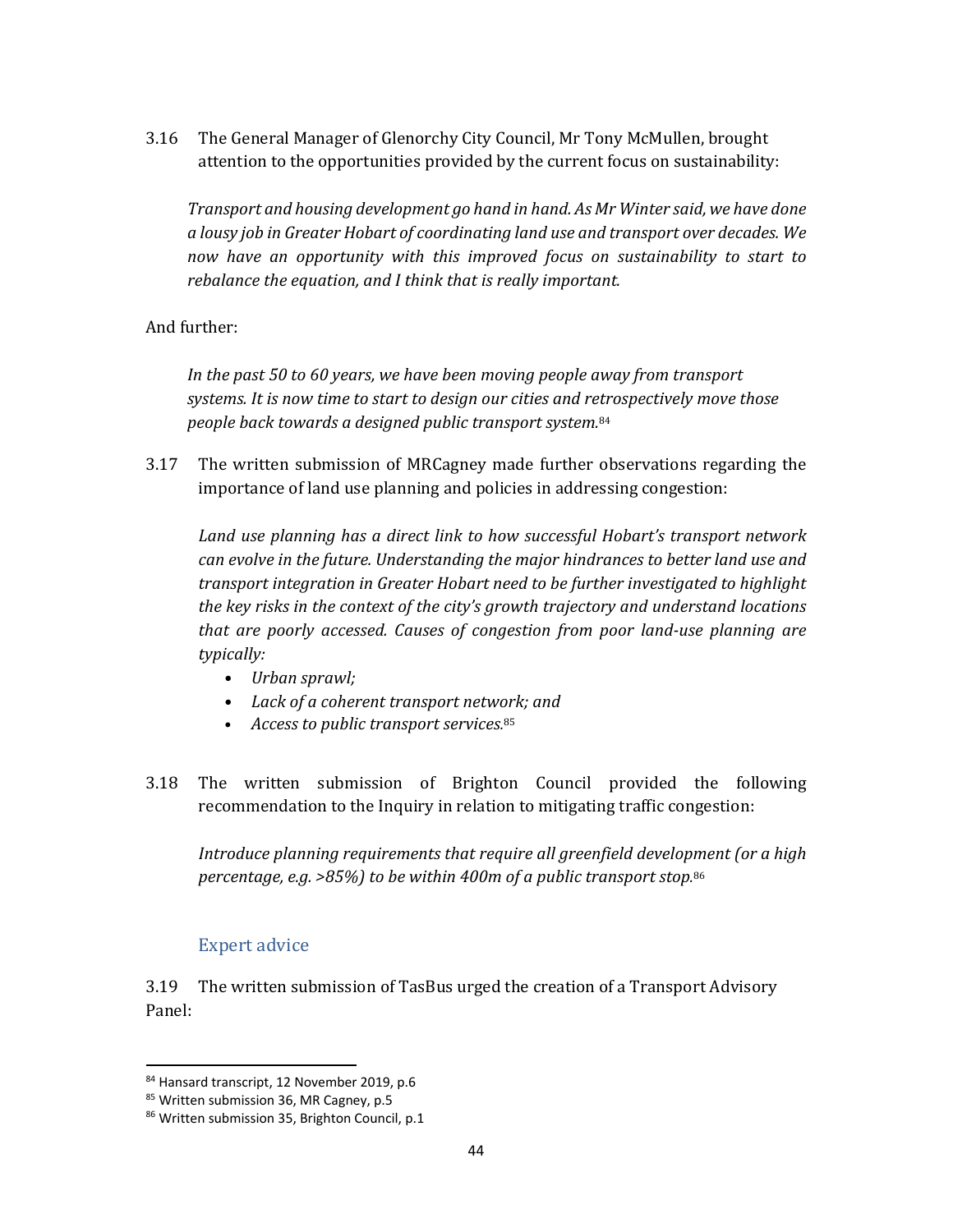3.16 The General Manager of Glenorchy City Council, Mr Tony McMullen, brought attention to the opportunities provided by the current focus on sustainability:

*Transport and housing development go hand in hand. As Mr Winter said, we have done a lousy job in Greater Hobart of coordinating land use and transport over decades. We now have an opportunity with this improved focus on sustainability to start to rebalance the equation, and I think that is really important.*

#### And further:

*In the past 50 to 60 years, we have been moving people away from transport systems. It is now time to start to design our cities and retrospectively move those people back towards a designed public transport system.*<sup>84</sup>

3.17 The written submission of MRCagney made further observations regarding the importance of land use planning and policies in addressing congestion:

*Land use planning has a direct link to how successful Hobart's transport network can evolve in the future. Understanding the major hindrances to better land use and transport integration in Greater Hobart need to be further investigated to highlight the key risks in the context of the city's growth trajectory and understand locations that are poorly accessed. Causes of congestion from poor land‐use planning are typically:* 

- *Urban sprawl;*
- *Lack of a coherent transport network; and*
- *Access to public transport services.* 85
- 3.18 The written submission of Brighton Council provided the following recommendation to the Inquiry in relation to mitigating traffic congestion:

*Introduce planning requirements that require all greenfield development (or a high percentage, e.g. >85%) to be within 400m of a public transport stop.* 86

#### Expert advice

3.19 The written submission of TasBus urged the creation of a Transport Advisory Panel:

<sup>84</sup> Hansard transcript, 12 November 2019, p.6

<sup>85</sup> Written submission 36, MR Cagney, p.5

<sup>86</sup> Written submission 35, Brighton Council, p.1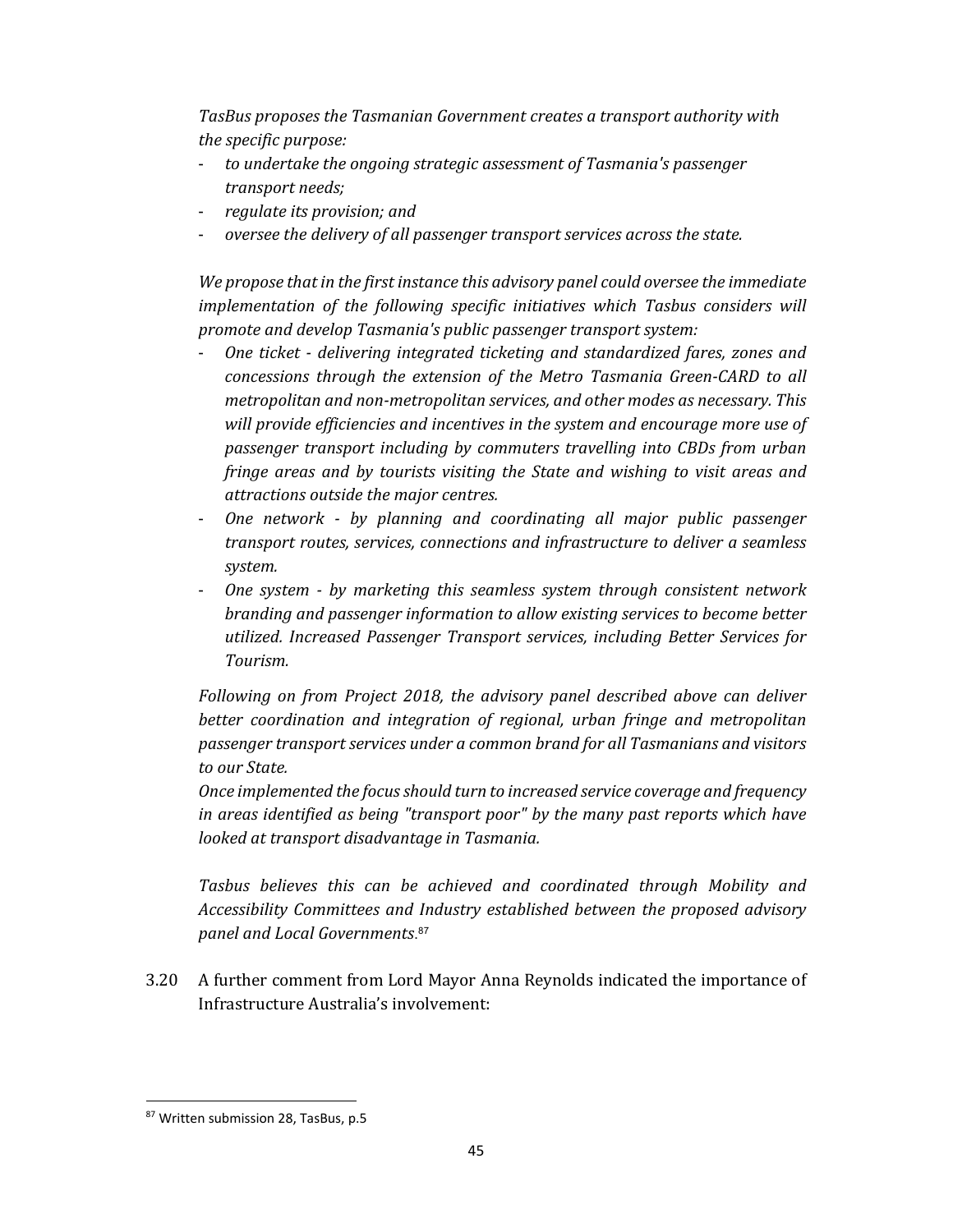*TasBus proposes the Tasmanian Government creates a transport authority with the specific purpose:*

- *to undertake the ongoing strategic assessment of Tasmania's passenger transport needs;*
- *regulate its provision; and*
- *oversee the delivery of all passenger transport services across the state.*

*We propose that in the first instance this advisory panel could oversee the immediate implementation of the following specific initiatives which Tasbus considers will promote and develop Tasmania's public passenger transport system:*

- *One ticket ‐ delivering integrated ticketing and standardized fares, zones and concessions through the extension of the Metro Tasmania Green‐CARD to all metropolitan and non‐metropolitan services, and other modes as necessary. This will provide efficiencies and incentives in the system and encourage more use of passenger transport including by commuters travelling into CBDs from urban fringe areas and by tourists visiting the State and wishing to visit areas and attractions outside the major centres.*
- *One network ‐ by planning and coordinating all major public passenger transport routes, services, connections and infrastructure to deliver a seamless system.*
- *One system ‐ by marketing this seamless system through consistent network branding and passenger information to allow existing services to become better utilized. Increased Passenger Transport services, including Better Services for Tourism.*

*Following on from Project 2018, the advisory panel described above can deliver better coordination and integration of regional, urban fringe and metropolitan passenger transport services under a common brand for all Tasmanians and visitors to our State.*

*Once implemented the focusshould turn to increased service coverage and frequency in areas identified as being "transport poor" by the many past reports which have looked at transport disadvantage in Tasmania.*

*Tasbus believes this can be achieved and coordinated through Mobility and Accessibility Committees and Industry established between the proposed advisory panel and Local Governments*. 87

3.20 A further comment from Lord Mayor Anna Reynolds indicated the importance of Infrastructure Australia's involvement:

 87 Written submission 28, TasBus, p.5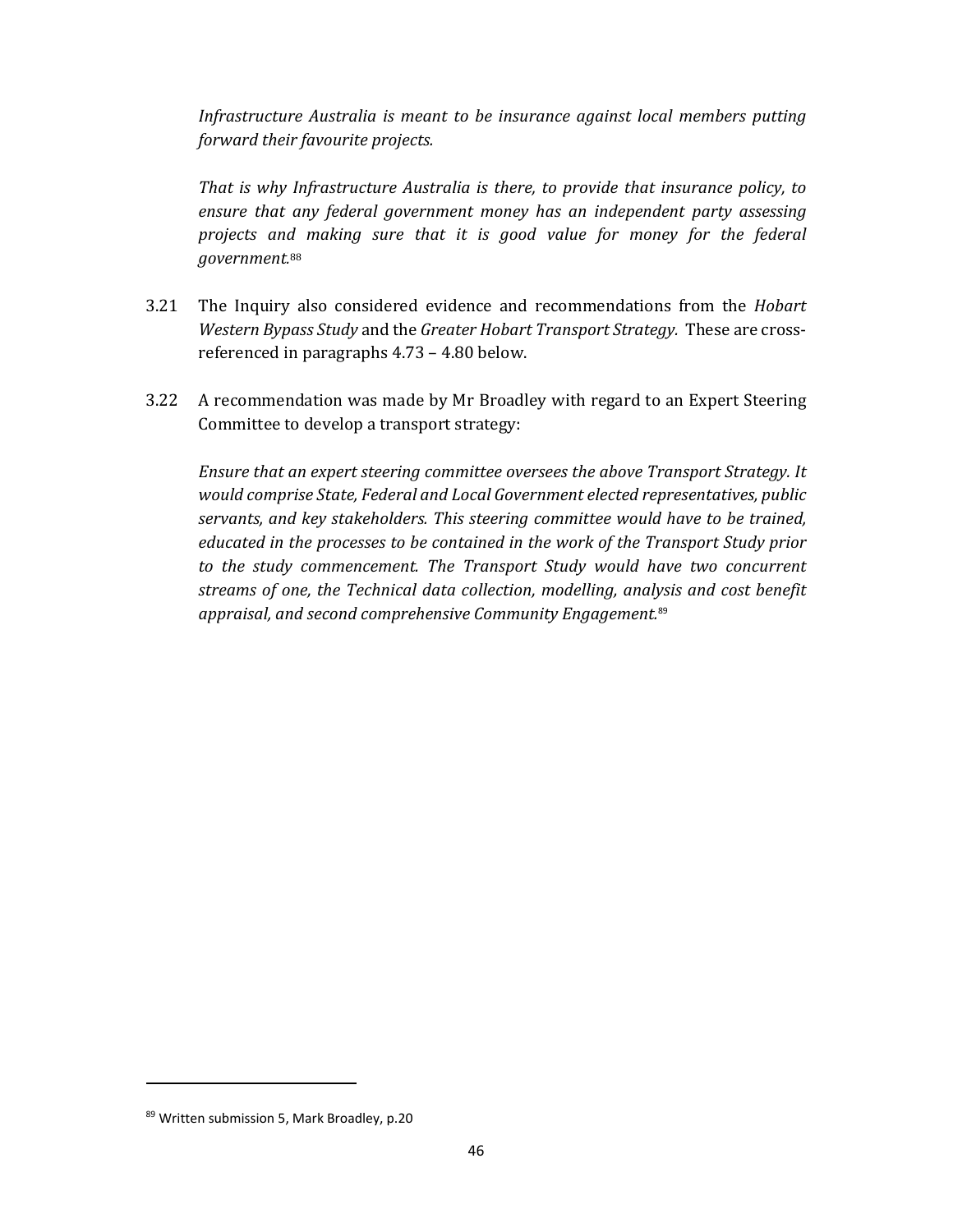*Infrastructure Australia is meant to be insurance against local members putting forward their favourite projects.*

*That is why Infrastructure Australia is there, to provide that insurance policy, to ensure that any federal government money has an independent party assessing projects and making sure that it is good value for money for the federal government.* 88

- 3.21 The Inquiry also considered evidence and recommendations from the *Hobart Western Bypass Study* and the *Greater Hobart Transport Strategy.* These are crossreferenced in paragraphs 4.73 – 4.80 below.
- 3.22 A recommendation was made by Mr Broadley with regard to an Expert Steering Committee to develop a transport strategy:

*Ensure that an expert steering committee oversees the above Transport Strategy. It would comprise State, Federal and Local Government elected representatives, public servants, and key stakeholders. This steering committee would have to be trained, educated in the processes to be contained in the work of the Transport Study prior to the study commencement. The Transport Study would have two concurrent streams of one, the Technical data collection, modelling, analysis and cost benefit appraisal, and second comprehensive Community Engagement.*<sup>89</sup>

<sup>89</sup> Written submission 5, Mark Broadley, p.20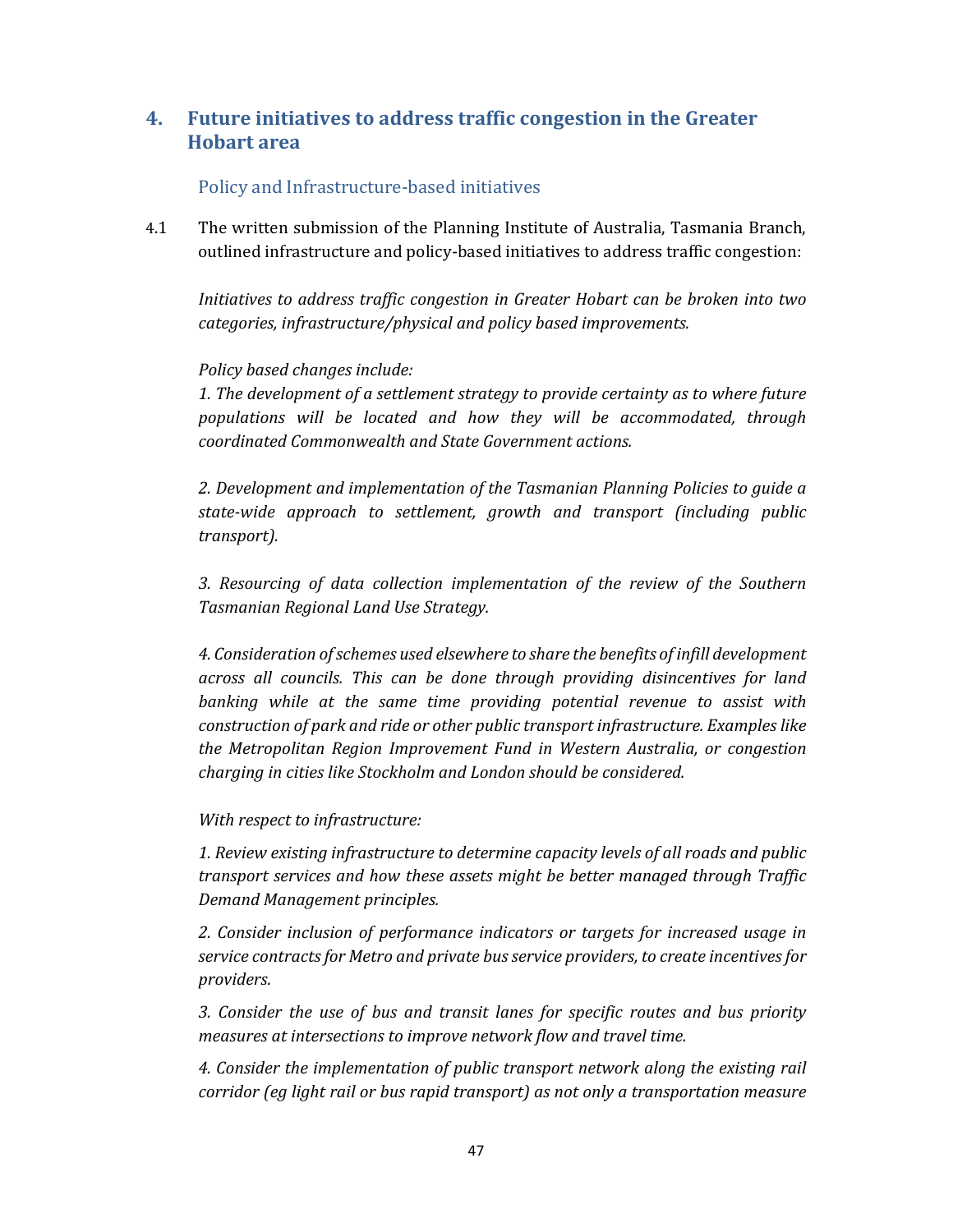# **4. Future initiatives to address traffic congestion in the Greater Hobart area**

#### Policy and Infrastructure-based initiatives

4.1 The written submission of the Planning Institute of Australia, Tasmania Branch, outlined infrastructure and policy-based initiatives to address traffic congestion:

*Initiatives to address traffic congestion in Greater Hobart can be broken into two categories, infrastructure/physical and policy based improvements.* 

#### *Policy based changes include:*

*1. The development of a settlement strategy to provide certainty as to where future populations will be located and how they will be accommodated, through coordinated Commonwealth and State Government actions.* 

*2. Development and implementation of the Tasmanian Planning Policies to guide a state‐wide approach to settlement, growth and transport (including public*  $transport$ *).* 

*3. Resourcing of data collection implementation of the review of the Southern Tasmanian Regional Land Use Strategy.* 

*4. Consideration ofschemes used elsewhere to share the benefits of infill development across all councils. This can be done through providing disincentives for land banking while at the same time providing potential revenue to assist with construction of park and ride or other public transport infrastructure. Examples like the Metropolitan Region Improvement Fund in Western Australia, or congestion charging in cities like Stockholm and London should be considered.* 

*With respect to infrastructure:* 

*1. Review existing infrastructure to determine capacity levels of all roads and public transport services and how these assets might be better managed through Traffic Demand Management principles.* 

*2. Consider inclusion of performance indicators or targets for increased usage in service contractsfor Metro and private bus service providers, to create incentives for providers.* 

*3. Consider the use of bus and transit lanes for specific routes and bus priority measures at intersections to improve network flow and travel time.* 

*4. Consider the implementation of public transport network along the existing rail corridor (eg light rail or bus rapid transport) as not only a transportation measure*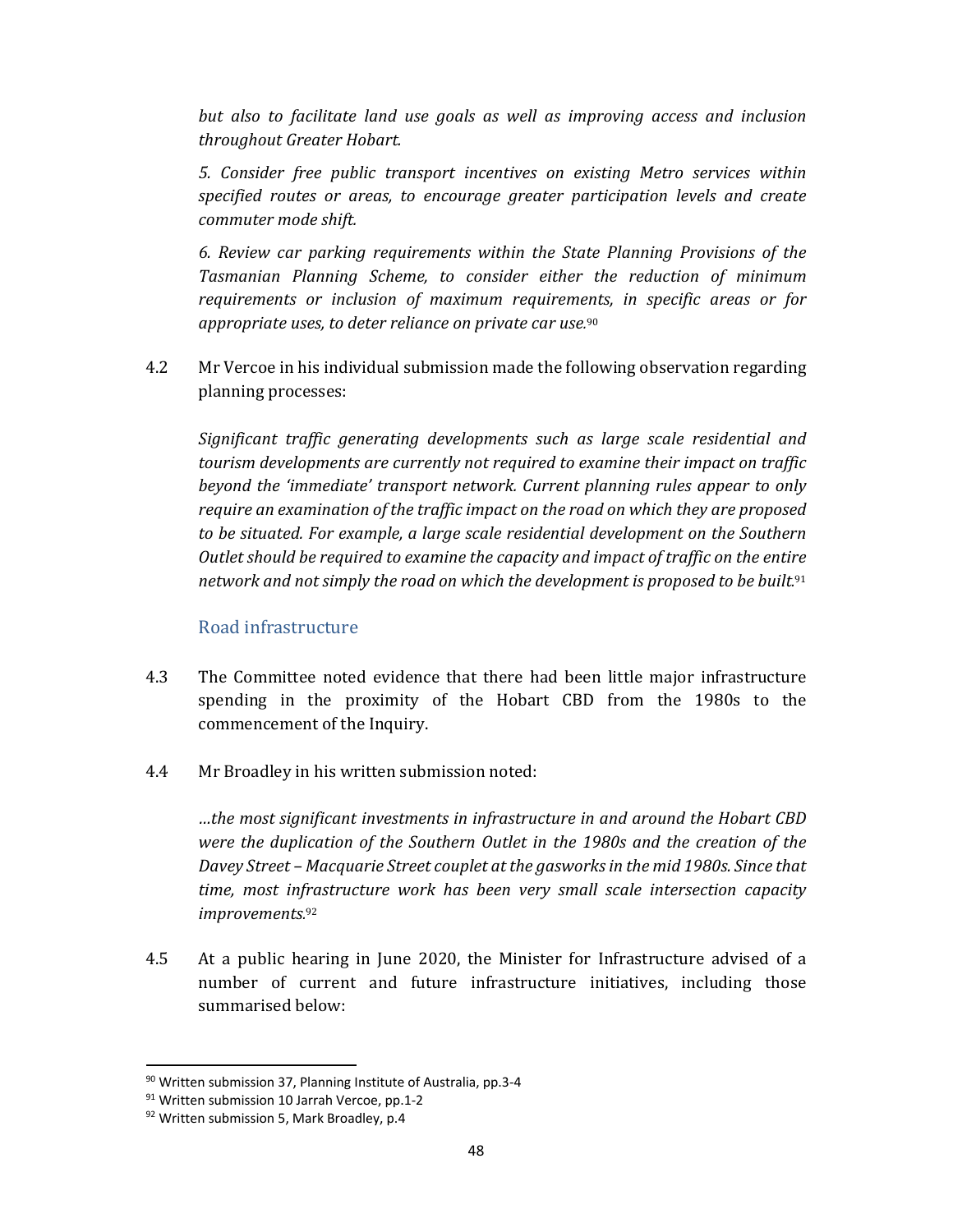*but also to facilitate land use goals as well as improving access and inclusion throughout Greater Hobart.* 

*5. Consider free public transport incentives on existing Metro services within specified routes or areas, to encourage greater participation levels and create commuter mode shift.* 

*6. Review car parking requirements within the State Planning Provisions of the Tasmanian Planning Scheme, to consider either the reduction of minimum requirements or inclusion of maximum requirements, in specific areas or for appropriate uses, to deter reliance on private car use.* 90

4.2 Mr Vercoe in his individual submission made the following observation regarding planning processes:

*Significant traffic generating developments such as large scale residential and tourism developments are currently not required to examine their impact on traffic beyond the 'immediate' transport network. Current planning rules appear to only require an examination of the traffic impact on the road on which they are proposed to be situated. For example, a large scale residential development on the Southern Outlet should be required to examine the capacity and impact of traffic on the entire network and not simply the road on which the development is proposed to be built.* 91

#### Road infrastructure

- 4.3 The Committee noted evidence that there had been little major infrastructure spending in the proximity of the Hobart CBD from the 1980s to the commencement of the Inquiry.
- 4.4 Mr Broadley in his written submission noted:

*…the most significant investments in infrastructure in and around the Hobart CBD were the duplication of the Southern Outlet in the 1980s and the creation of the Davey Street – Macquarie Street couplet at the gasworksin the mid 1980s. Since that time, most infrastructure work has been very small scale intersection capacity improvements.* 92

4.5 At a public hearing in June 2020, the Minister for Infrastructure advised of a number of current and future infrastructure initiatives, including those summarised below:

<sup>90</sup> Written submission 37, Planning Institute of Australia, pp.3‐4

<sup>91</sup> Written submission 10 Jarrah Vercoe, pp.1-2

<sup>92</sup> Written submission 5, Mark Broadley, p.4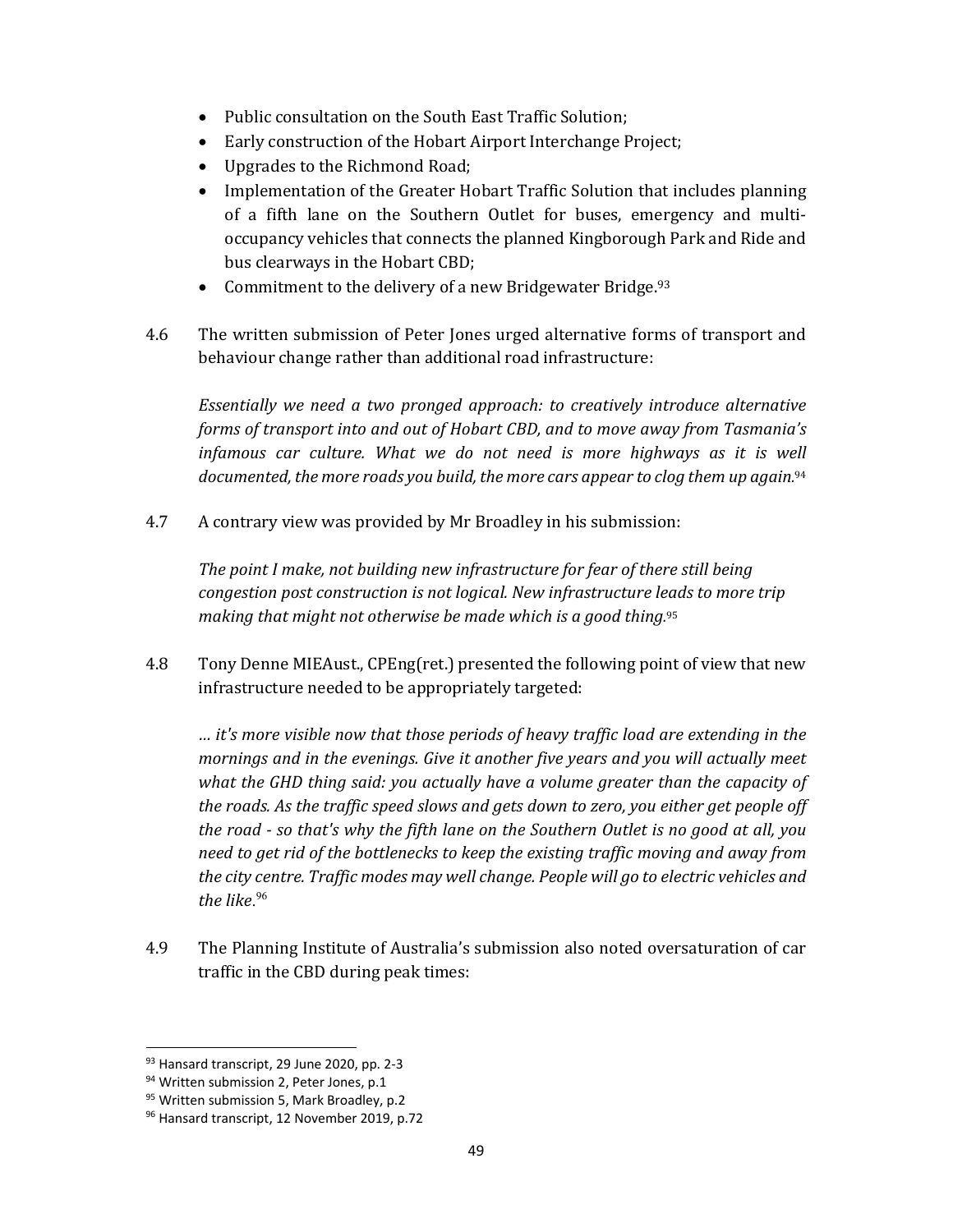- Public consultation on the South East Traffic Solution;
- Early construction of the Hobart Airport Interchange Project;
- Upgrades to the Richmond Road;
- Implementation of the Greater Hobart Traffic Solution that includes planning of a fifth lane on the Southern Outlet for buses, emergency and multioccupancy vehicles that connects the planned Kingborough Park and Ride and bus clearways in the Hobart CBD;
- Commitment to the delivery of a new Bridgewater Bridge.  $93$
- 4.6 The written submission of Peter Jones urged alternative forms of transport and behaviour change rather than additional road infrastructure:

*Essentially we need a two pronged approach: to creatively introduce alternative forms of transport into and out of Hobart CBD, and to move away from Tasmania's infamous car culture. What we do not need is more highways as it is well documented, the more roads you build, the more cars appear to clog them up again.* 94

4.7 A contrary view was provided by Mr Broadley in his submission:

*The point I make, not building new infrastructure for fear of there still being congestion post construction is not logical. New infrastructure leads to more trip making that might not otherwise be made which is a good thing.* 95

4.8 Tony Denne MIEAust., CPEng(ret.) presented the following point of view that new infrastructure needed to be appropriately targeted:

*… it's more visible now that those periods of heavy traffic load are extending in the mornings and in the evenings. Give it another five years and you will actually meet what the GHD thing said: you actually have a volume greater than the capacity of the roads. As the traffic speed slows and gets down to zero, you either get people off the road ‐ so that's why the fifth lane on the Southern Outlet is no good at all, you need to get rid of the bottlenecks to keep the existing traffic moving and away from the city centre. Traffic modes may well change. People will go to electric vehicles and the like*. 96

4.9 The Planning Institute of Australia's submission also noted oversaturation of car traffic in the CBD during peak times:

<sup>93</sup> Hansard transcript, 29 June 2020, pp. 2-3

<sup>94</sup> Written submission 2, Peter Jones, p.1

<sup>&</sup>lt;sup>95</sup> Written submission 5, Mark Broadley, p.2

<sup>96</sup> Hansard transcript, 12 November 2019, p.72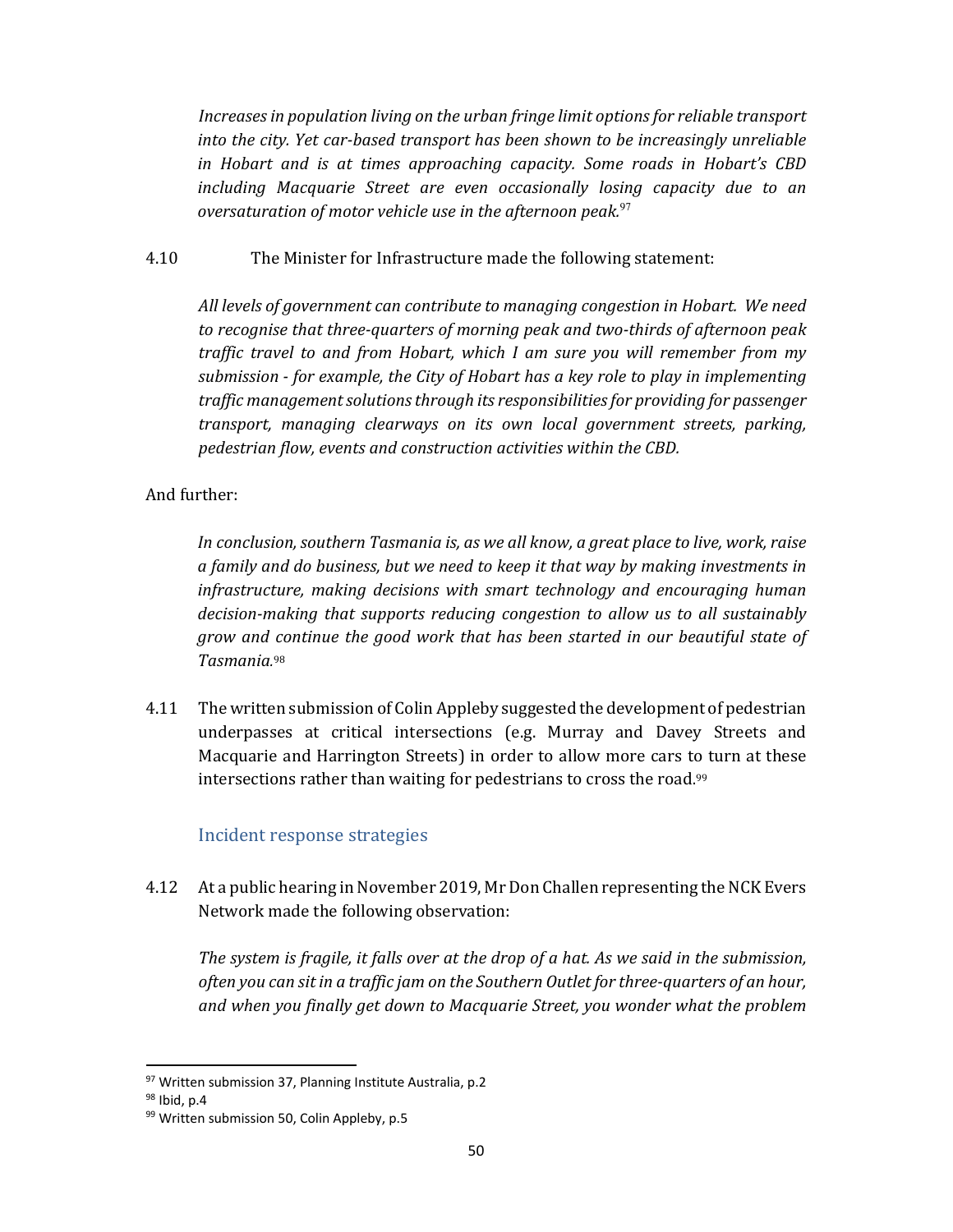*Increases in population living on the urban fringe limit options for reliable transport into the city. Yet car‐based transport has been shown to be increasingly unreliable in Hobart and is at times approaching capacity. Some roads in Hobart's CBD including Macquarie Street are even occasionally losing capacity due to an oversaturation of motor vehicle use in the afternoon peak.*<sup>97</sup>

#### 4.10 The Minister for Infrastructure made the following statement:

*All levels of government can contribute to managing congestion in Hobart. We need to recognise that three‐quarters of morning peak and two‐thirds of afternoon peak traffic travel to and from Hobart, which I am sure you will remember from my submission ‐ for example, the City of Hobart has a key role to play in implementing traffic managementsolutionsthrough its responsibilitiesfor providing for passenger transport, managing clearways on its own local government streets, parking, pedestrian flow, events and construction activities within the CBD.*

#### And further:

*In conclusion, southern Tasmania is, as we all know, a great place to live, work, raise a family and do business, but we need to keep it that way by making investments in infrastructure, making decisions with smart technology and encouraging human decision‐making that supports reducing congestion to allow us to all sustainably grow and continue the good work that has been started in our beautiful state of Tasmania.* 98

4.11 The written submission of Colin Appleby suggested the development of pedestrian underpasses at critical intersections (e.g. Murray and Davey Streets and Macquarie and Harrington Streets) in order to allow more cars to turn at these intersections rather than waiting for pedestrians to cross the road. 99

#### Incident response strategies

4.12 At a public hearing in November 2019, Mr Don Challen representing the NCK Evers Network made the following observation:

*The system is fragile, it falls over at the drop of a hat. As we said in the submission, often you can sit in a traffic jam on the Southern Outlet for three‐quarters of an hour, and when you finally get down to Macquarie Street, you wonder what the problem*

<sup>97</sup> Written submission 37, Planning Institute Australia, p.2

<sup>98</sup> Ibid, p.4

<sup>99</sup> Written submission 50, Colin Appleby, p.5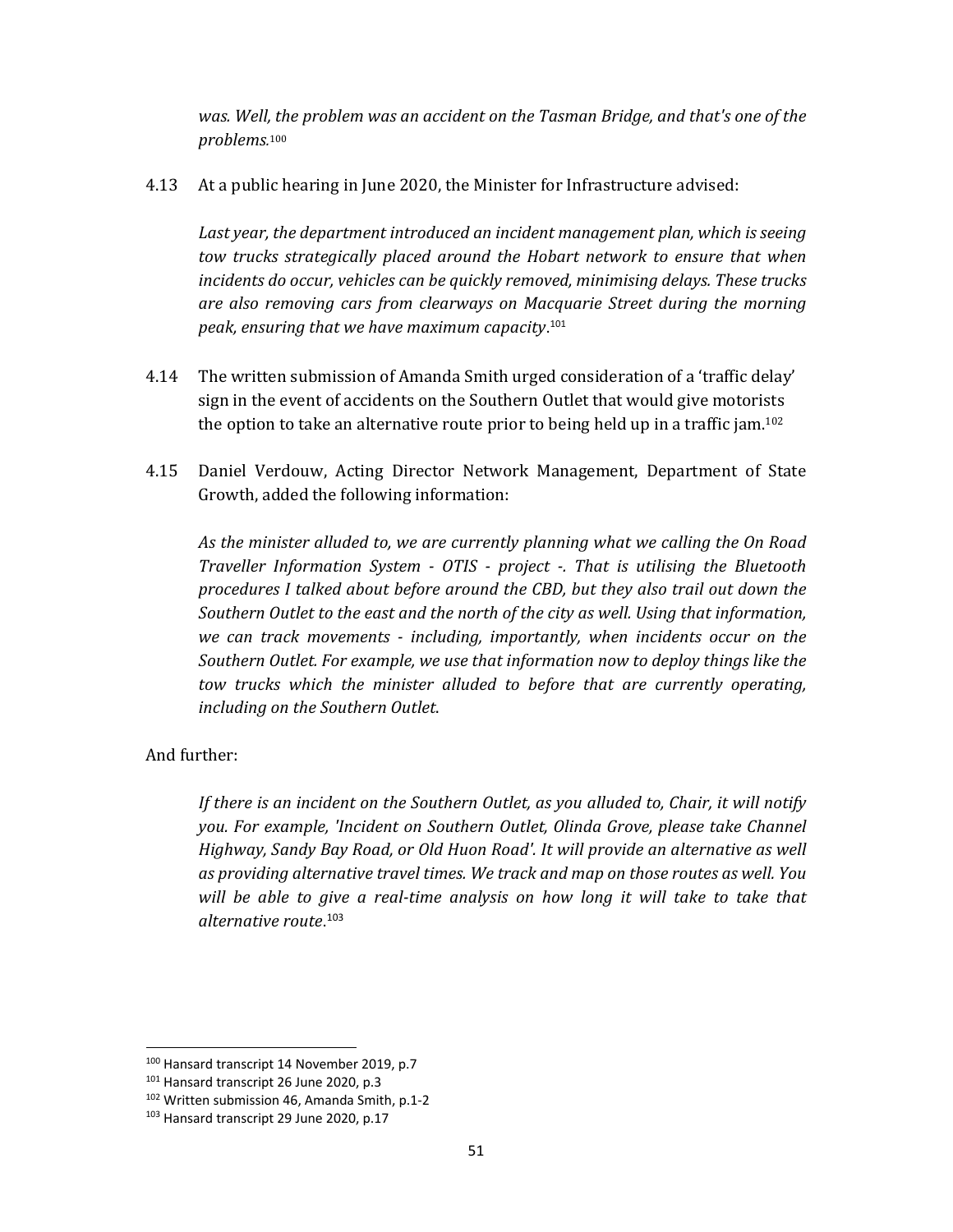*was. Well, the problem was an accident on the Tasman Bridge, and that's one of the problems.* 100

4.13 At a public hearing in June 2020, the Minister for Infrastructure advised:

*Last year, the department introduced an incident management plan, which is seeing tow trucks strategically placed around the Hobart network to ensure that when incidents do occur, vehicles can be quickly removed, minimising delays. These trucks are also removing cars from clearways on Macquarie Street during the morning peak, ensuring that we have maximum capacity*. 101

- 4.14 The written submission of Amanda Smith urged consideration of a 'traffic delay' sign in the event of accidents on the Southern Outlet that would give motorists the option to take an alternative route prior to being held up in a traffic jam. 102
- 4.15 Daniel Verdouw, Acting Director Network Management, Department of State Growth, added the following information:

*As the minister alluded to, we are currently planning what we calling the On Road Traveller Information System ‐ OTIS ‐ project ‐. That is utilising the Bluetooth procedures I talked about before around the CBD, but they also trail out down the Southern Outlet to the east and the north of the city as well. Using that information, we can track movements ‐ including, importantly, when incidents occur on the Southern Outlet. For example, we use that information now to deploy things like the tow trucks which the minister alluded to before that are currently operating, including on the Southern Outlet*.

#### And further:

*If there is an incident on the Southern Outlet, as you alluded to, Chair, it will notify you. For example, 'Incident on Southern Outlet, Olinda Grove, please take Channel Highway, Sandy Bay Road, or Old Huon Road'. It will provide an alternative as well as providing alternative travel times. We track and map on those routes as well. You will be able to give a real‐time analysis on how long it will take to take that alternative route*. 103

<sup>100</sup> Hansard transcript 14 November 2019, p.7

<sup>&</sup>lt;sup>101</sup> Hansard transcript 26 June 2020, p.3

<sup>102</sup> Written submission 46, Amanda Smith, p.1‐2

<sup>103</sup> Hansard transcript 29 June 2020, p.17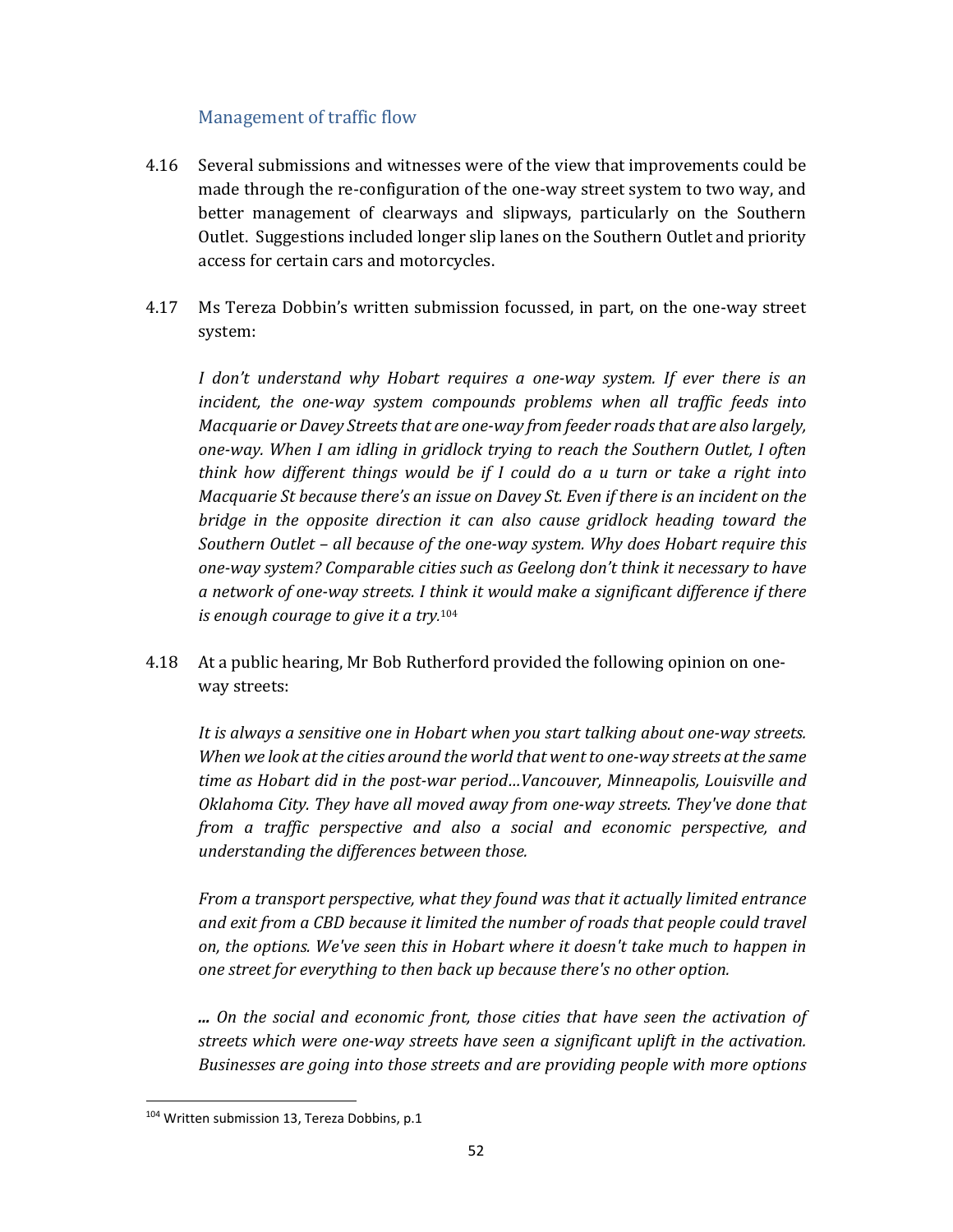# Management of traffic flow

- 4.16 Several submissions and witnesses were of the view that improvements could be made through the re-configuration of the one-way street system to two way, and better management of clearways and slipways, particularly on the Southern Outlet. Suggestions included longer slip lanes on the Southern Outlet and priority access for certain cars and motorcycles.
- 4.17 Ms Tereza Dobbin's written submission focussed, in part, on the one-way street system:

*I don't understand why Hobart requires a one‐way system. If ever there is an incident, the one‐way system compounds problems when all traffic feeds into Macquarie or Davey Streetsthat are one‐way from feeder roadsthat are also largely, one‐way. When I am idling in gridlock trying to reach the Southern Outlet, I often think how different things would be if I could do a u turn or take a right into Macquarie St because there's an issue on Davey St. Even if there is an incident on the bridge in the opposite direction it can also cause gridlock heading toward the Southern Outlet – all because of the one‐way system. Why does Hobart require this one‐way system? Comparable cities such as Geelong don't think it necessary to have a network of one‐way streets. I think it would make a significant difference if there is enough courage to give it a try.* 104

4.18 At a public hearing, Mr Bob Rutherford provided the following opinion on oneway streets:

*It is always a sensitive one in Hobart when you start talking about one‐way streets. When we look atthe cities around the world that wentto one‐way streets atthe same time as Hobart did in the post‐war period…Vancouver, Minneapolis, Louisville and Oklahoma City. They have all moved away from one‐way streets. They've done that from a traffic perspective and also a social and economic perspective, and understanding the differences between those.* 

*From a transport perspective, what they found was that it actually limited entrance and exit from a CBD because it limited the number of roads that people could travel on, the options. We've seen this in Hobart where it doesn't take much to happen in one street for everything to then back up because there's no other option.* 

*... On the social and economic front, those cities that have seen the activation of streets which were one‐way streets have seen a significant uplift in the activation. Businesses are going into those streets and are providing people with more options*

<sup>104</sup> Written submission 13, Tereza Dobbins, p.1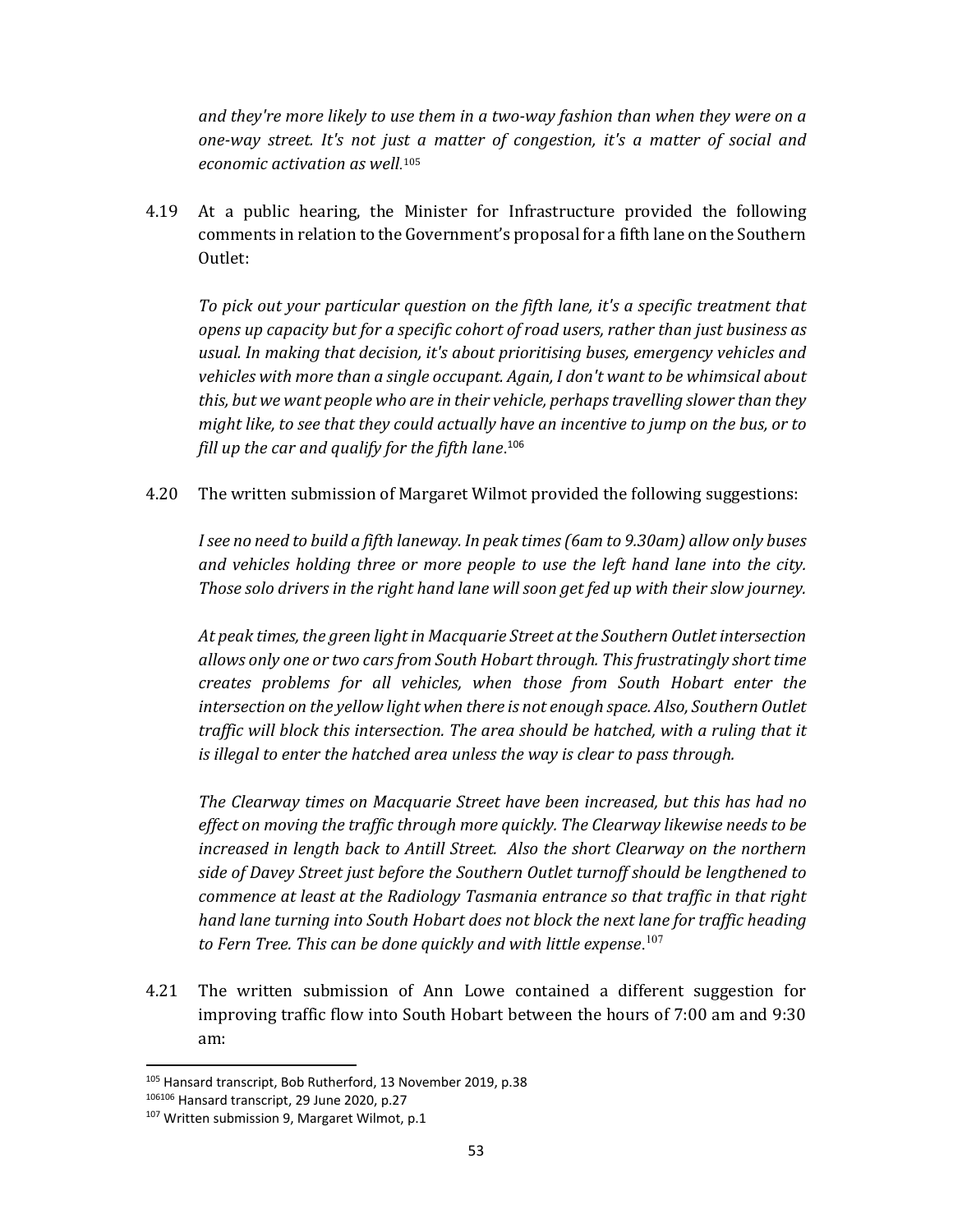*and they're more likely to use them in a two‐way fashion than when they were on a one‐way street. It's not just a matter of congestion, it's a matter of social and economic activation as well.*<sup>105</sup>

4.19 At a public hearing, the Minister for Infrastructure provided the following comments in relation to the Government's proposal for a fifth lane on the Southern Outlet:

*To pick out your particular question on the fifth lane, it's a specific treatment that opens up capacity but for a specific cohort of road users, rather than just business as usual. In making that decision, it's about prioritising buses, emergency vehicles and vehicles with more than a single occupant. Again, I don't want to be whimsical about this, but we want people who are in their vehicle, perhapstravelling slower than they might like, to see that they could actually have an incentive to jump on the bus, or to fill up the car and qualify for the fifth lane*. 106

4.20 The written submission of Margaret Wilmot provided the following suggestions:

*Isee no need to build a fifth laneway. In peak times(6am to 9.30am) allow only buses and vehicles holding three or more people to use the left hand lane into the city. Those solo drivers in the right hand lane will soon get fed up with their slow journey.*

*At peak times, the green light in Macquarie Street at the Southern Outlet intersection allows only one or two carsfrom South Hobart through. Thisfrustratingly short time creates problems for all vehicles, when those from South Hobart enter the intersection on the yellow light when there is not enough space. Also, Southern Outlet traffic will block this intersection. The area should be hatched, with a ruling that it is illegal to enter the hatched area unless the way is clear to pass through.*

*The Clearway times on Macquarie Street have been increased, but this has had no effect on moving the traffic through more quickly. The Clearway likewise needs to be increased in length back to Antill Street. Also the short Clearway on the northern side of Davey Street just before the Southern Outlet turnoff should be lengthened to commence at least at the Radiology Tasmania entrance so that traffic in that right hand lane turning into South Hobart does not block the next lane for traffic heading to Fern Tree. This can be done quickly and with little expense*. 107

4.21 The written submission of Ann Lowe contained a different suggestion for improving traffic flow into South Hobart between the hours of 7:00 am and 9:30 am:

<sup>105</sup> Hansard transcript, Bob Rutherford, 13 November 2019, p.38

<sup>106106</sup> Hansard transcript, 29 June 2020, p.27

<sup>&</sup>lt;sup>107</sup> Written submission 9, Margaret Wilmot, p.1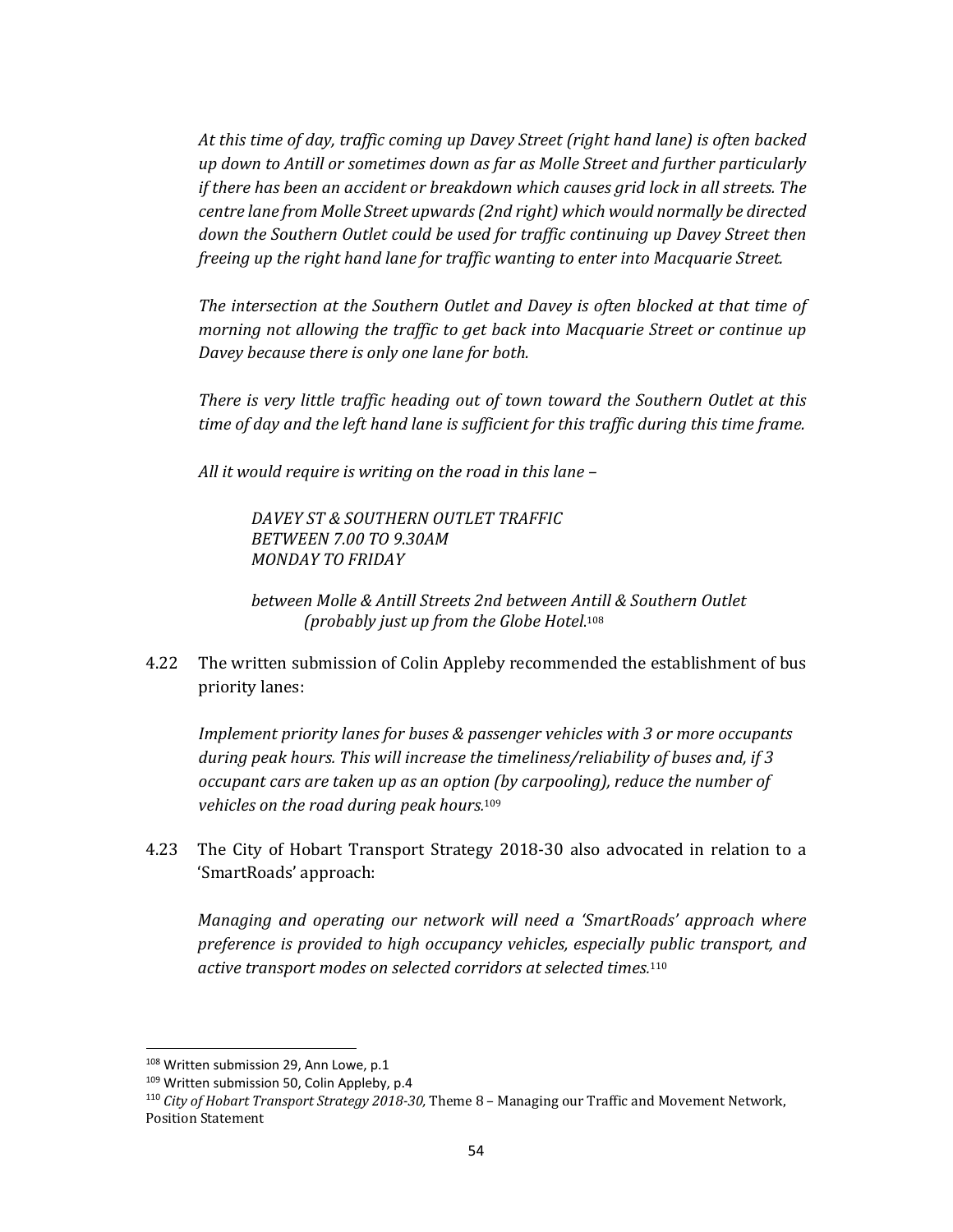*At this time of day, traffic coming up Davey Street (right hand lane) is often backed up down to Antill or sometimes down as far as Molle Street and further particularly if there has been an accident or breakdown which causes grid lock in all streets. The centre lane from Molle Street upwards(2nd right) which would normally be directed down the Southern Outlet could be used for traffic continuing up Davey Street then freeing up the right hand lane for traffic wanting to enter into Macquarie Street.* 

*The intersection at the Southern Outlet and Davey is often blocked at that time of morning not allowing the traffic to get back into Macquarie Street or continue up Davey because there is only one lane for both.* 

*There is very little traffic heading out of town toward the Southern Outlet at this time of day and the left hand lane is sufficient for this traffic during this time frame.* 

*All it would require is writing on the road in this lane –* 

*DAVEY ST & SOUTHERN OUTLET TRAFFIC BETWEEN 7.00 TO 9.30AM MONDAY TO FRIDAY* 

*between Molle & Antill Streets 2nd between Antill & Southern Outlet (probably just up from the Globe Hotel*. 108

4.22 The written submission of Colin Appleby recommended the establishment of bus priority lanes:

*Implement priority lanes for buses & passenger vehicles with 3 or more occupants during peak hours. This will increase the timeliness/reliability of buses and, if 3 occupant cars are taken up as an option (by carpooling), reduce the number of vehicles on the road during peak hours.* 109

4.23 The City of Hobart Transport Strategy 2018-30 also advocated in relation to a 'SmartRoads' approach:

*Managing and operating our network will need a 'SmartRoads' approach where preference is provided to high occupancy vehicles, especially public transport, and active transport modes on selected corridors at selected times.* 110

<sup>108</sup> Written submission 29, Ann Lowe, p.1

<sup>109</sup> Written submission 50, Colin Appleby, p.4

<sup>110</sup> *City of Hobart Transport Strategy 2018‐30,* Theme 8 – Managing our Traffic and Movement Network, Position Statement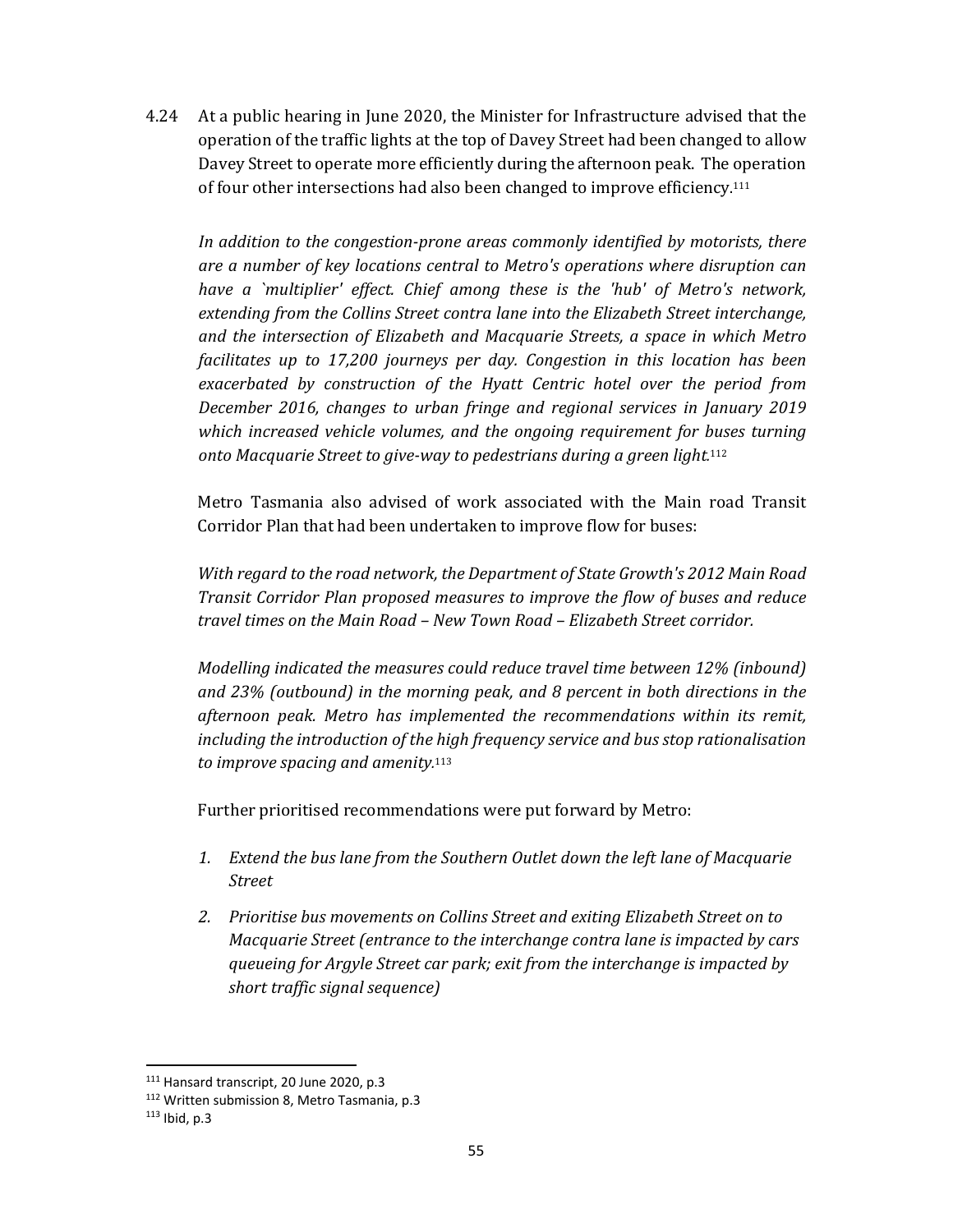4.24 At a public hearing in June 2020, the Minister for Infrastructure advised that the operation of the traffic lights at the top of Davey Street had been changed to allow Davey Street to operate more efficiently during the afternoon peak. The operation of four other intersections had also been changed to improve efficiency.<sup>111</sup>

*In addition to the congestion‐prone areas commonly identified by motorists, there are a number of key locations central to Metro's operations where disruption can have a `multiplier' effect. Chief among these is the 'hub' of Metro's network, extending from the Collins Street contra lane into the Elizabeth Street interchange, and the intersection of Elizabeth and Macquarie Streets, a space in which Metro facilitates up to 17,200 journeys per day. Congestion in this location has been exacerbated by construction of the Hyatt Centric hotel over the period from December 2016, changes to urban fringe and regional services in January 2019 which increased vehicle volumes, and the ongoing requirement for buses turning onto Macquarie Street to give‐way to pedestrians during a green light.* 112

Metro Tasmania also advised of work associated with the Main road Transit Corridor Plan that had been undertaken to improve flow for buses:

*With regard to the road network, the Department of State Growth's 2012 Main Road Transit Corridor Plan proposed measures to improve the flow of buses and reduce travel times on the Main Road – New Town Road – Elizabeth Street corridor.* 

*Modelling indicated the measures could reduce travel time between 12% (inbound) and 23% (outbound) in the morning peak, and 8 percent in both directions in the afternoon peak. Metro has implemented the recommendations within its remit, including the introduction of the high frequency service and bus stop rationalisation to improve spacing and amenity.* 113

Further prioritised recommendations were put forward by Metro:

- *1. Extend the bus lane from the Southern Outlet down the left lane of Macquarie Street*
- *2. Prioritise bus movements on Collins Street and exiting Elizabeth Street on to Macquarie Street (entrance to the interchange contra lane is impacted by cars queueing for Argyle Street car park; exit from the interchange is impacted by short traffic signal sequence)*

<sup>111</sup> Hansard transcript, 20 June 2020, p.3

<sup>112</sup> Written submission 8, Metro Tasmania, p.3

 $113$  Ibid, p.3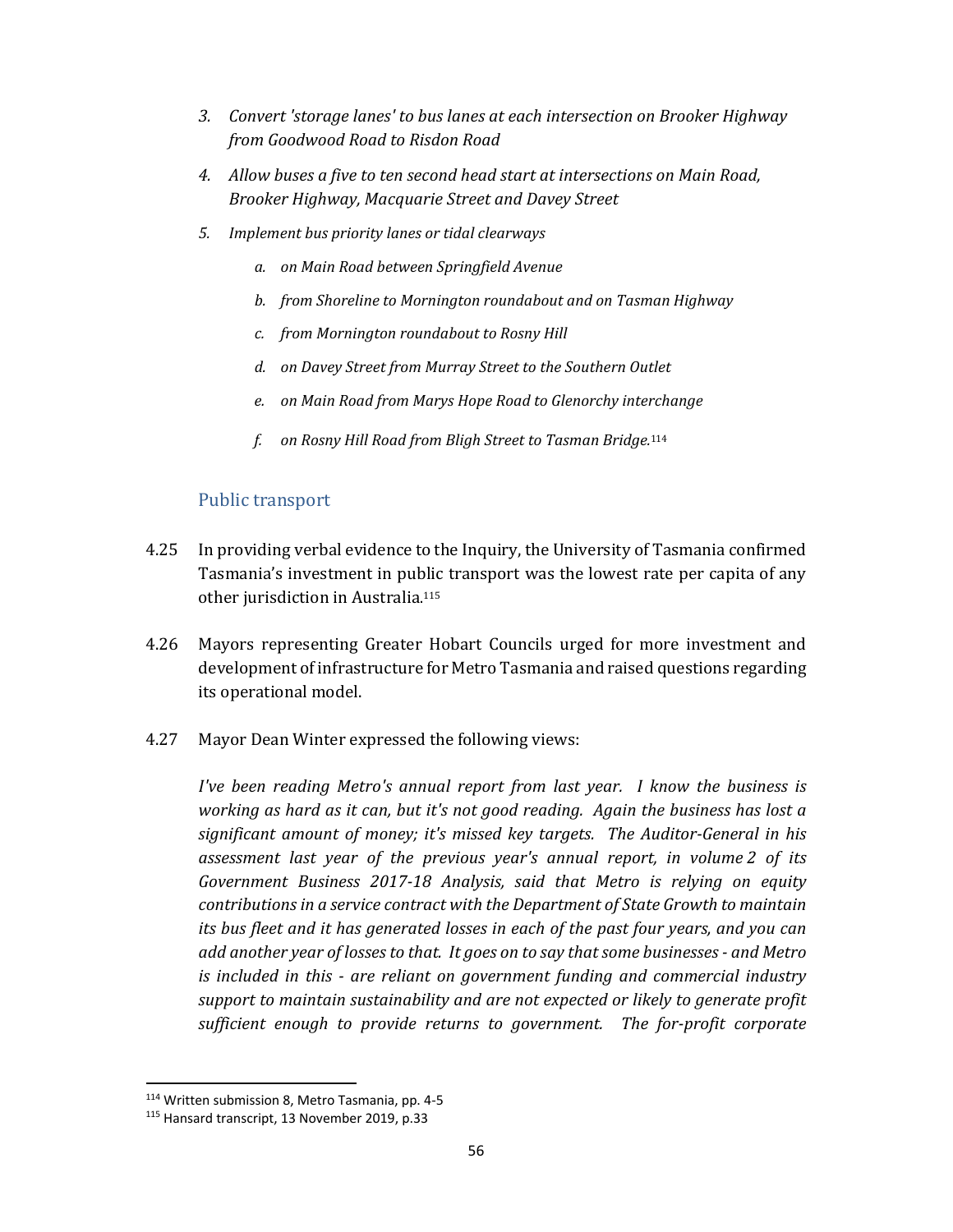- *3. Convert 'storage lanes' to bus lanes at each intersection on Brooker Highway from Goodwood Road to Risdon Road*
- *4. Allow buses a five to ten second head start at intersections on Main Road, Brooker Highway, Macquarie Street and Davey Street*
- *5. Implement bus priority lanes or tidal clearways*
	- *a. on Main Road between Springfield Avenue*
	- *b. from Shoreline to Mornington roundabout and on Tasman Highway*
	- *c. from Mornington roundabout to Rosny Hill*
	- *d. on Davey Street from Murray Street to the Southern Outlet*
	- *e. on Main Road from Marys Hope Road to Glenorchy interchange*
	- *f. on Rosny Hill Road from Bligh Street to Tasman Bridge.*<sup>114</sup>

#### Public transport

- 4.25 In providing verbal evidence to the Inquiry, the University of Tasmania confirmed Tasmania's investment in public transport was the lowest rate per capita of any other jurisdiction in Australia. 115
- 4.26 Mayors representing Greater Hobart Councils urged for more investment and development of infrastructure for Metro Tasmania and raised questions regarding its operational model.
- 4.27 Mayor Dean Winter expressed the following views:

*I've been reading Metro's annual report from last year. I know the business is working as hard as it can, but it's not good reading. Again the business has lost a significant amount of money; it's missed key targets. The Auditor‐General in his assessment last year of the previous year's annual report, in volume 2 of its Government Business 2017‐18 Analysis, said that Metro is relying on equity contributions in a service contract with the Department of State Growth to maintain its bus fleet and it has generated losses in each of the past four years, and you can add another year of losses to that. It goes on to say that some businesses ‐ and Metro is included in this ‐ are reliant on government funding and commercial industry support to maintain sustainability and are not expected or likely to generate profit sufficient enough to provide returns to government. The for‐profit corporate*

<sup>114</sup> Written submission 8, Metro Tasmania, pp. 4‐5

<sup>115</sup> Hansard transcript, 13 November 2019, p.33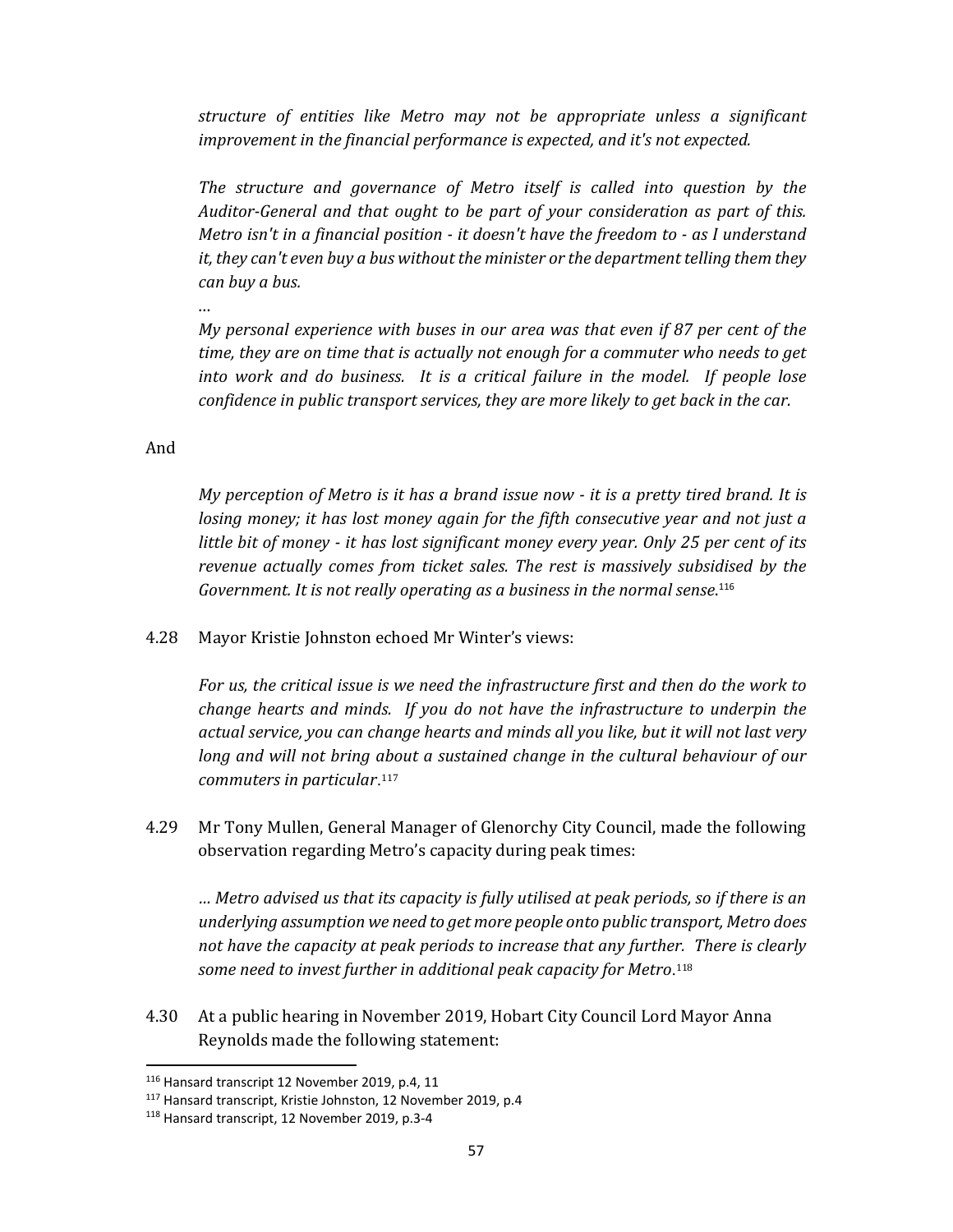*structure of entities like Metro may not be appropriate unless a significant improvement in the financial performance is expected, and it's not expected.*

*The structure and governance of Metro itself is called into question by the Auditor‐General and that ought to be part of your consideration as part of this. Metro isn't in a financial position ‐ it doesn't have the freedom to ‐ as I understand it, they can't even buy a bus without the minister or the department telling them they can buy a bus.*

…

*My personal experience with buses in our area was that even if 87 per cent of the time, they are on time that is actually not enough for a commuter who needs to get into work and do business. It is a critical failure in the model. If people lose confidence in public transport services, they are more likely to get back in the car.* 

#### And

My perception of Metro is it has a brand issue now - it is a pretty tired brand. It is *losing money; it has lost money again for the fifth consecutive year and not just a little bit of money ‐ it has lost significant money every year. Only 25 per cent of its revenue actually comes from ticket sales. The rest is massively subsidised by the Government. It is not really operating as a business in the normal sense*. 116

4.28 Mayor Kristie Johnston echoed Mr Winter's views:

*For us, the critical issue is we need the infrastructure first and then do the work to change hearts and minds. If you do not have the infrastructure to underpin the actual service, you can change hearts and minds all you like, but it will not last very long and will not bring about a sustained change in the cultural behaviour of our commuters in particular*.<sup>117</sup>

4.29 Mr Tony Mullen, General Manager of Glenorchy City Council, made the following observation regarding Metro's capacity during peak times:

*… Metro advised us that its capacity is fully utilised at peak periods, so if there is an underlying assumption we need to get more people onto public transport, Metro does not have the capacity at peak periods to increase that any further. There is clearly some need to invest further in additional peak capacity for Metro*.<sup>118</sup>

4.30 At a public hearing in November 2019, Hobart City Council Lord Mayor Anna Reynolds made the following statement:

<sup>116</sup> Hansard transcript 12 November 2019, p.4, 11

<sup>117</sup> Hansard transcript, Kristie Johnston, 12 November 2019, p.4

<sup>118</sup> Hansard transcript, 12 November 2019, p.3‐4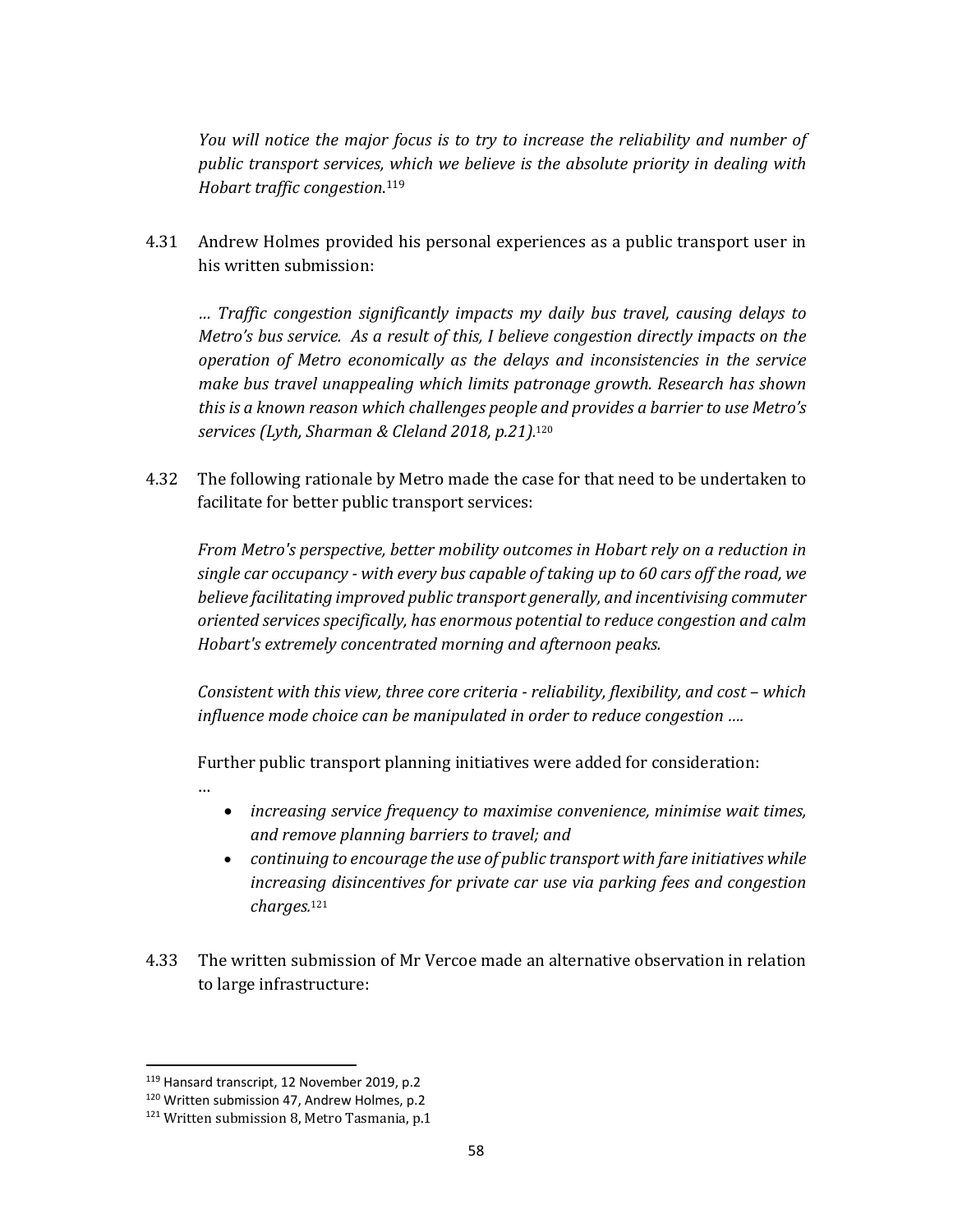*You will notice the major focus is to try to increase the reliability and number of public transport services, which we believe is the absolute priority in dealing with Hobart traffic congestion*. 119

4.31 Andrew Holmes provided his personal experiences as a public transport user in his written submission:

*… Traffic congestion significantly impacts my daily bus travel, causing delays to Metro's bus service. As a result of this, I believe congestion directly impacts on the operation of Metro economically as the delays and inconsistencies in the service make bus travel unappealing which limits patronage growth. Research has shown this is a known reason which challenges people and provides a barrier to use Metro's services (Lyth, Sharman & Cleland 2018, p.21).* 120

4.32 The following rationale by Metro made the case for that need to be undertaken to facilitate for better public transport services:

*From Metro's perspective, better mobility outcomes in Hobart rely on a reduction in single car occupancy ‐ with every bus capable of taking up to 60 cars off the road, we believe facilitating improved public transport generally, and incentivising commuter oriented services specifically, has enormous potential to reduce congestion and calm Hobart's extremely concentrated morning and afternoon peaks.*

*Consistent with this view, three core criteria ‐ reliability, flexibility, and cost – which influence mode choice can be manipulated in order to reduce congestion ….*

Further public transport planning initiatives were added for consideration:

- *increasing service frequency to maximise convenience, minimise wait times, and remove planning barriers to travel; and*
- *continuing to encourage the use of public transport with fare initiatives while increasing disincentives for private car use via parking fees and congestion charges.*<sup>121</sup>
- 4.33 The written submission of Mr Vercoe made an alternative observation in relation to large infrastructure:

…

<sup>119</sup> Hansard transcript, 12 November 2019, p.2

<sup>120</sup> Written submission 47, Andrew Holmes, p.2

<sup>&</sup>lt;sup>121</sup> Written submission 8, Metro Tasmania, p.1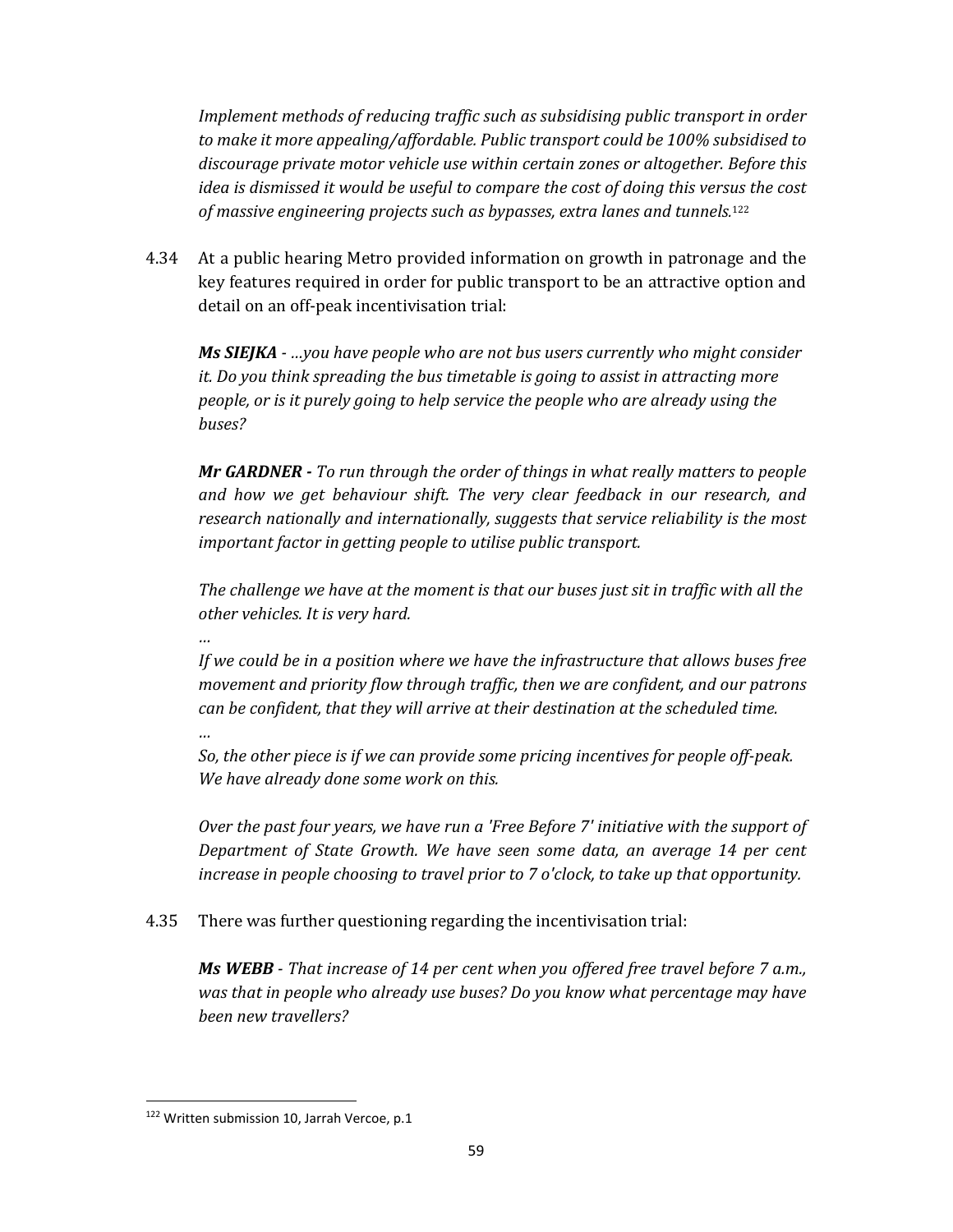*Implement methods of reducing traffic such as subsidising public transport in order to make it more appealing/affordable. Public transport could be 100% subsidised to discourage private motor vehicle use within certain zones or altogether. Before this idea is dismissed it would be useful to compare the cost of doing this versus the cost of massive engineering projects such as bypasses, extra lanes and tunnels.* 122

4.34 At a public hearing Metro provided information on growth in patronage and the key features required in order for public transport to be an attractive option and detail on an off-peak incentivisation trial:

*Ms SIEJKA ‐ …you have people who are not bus users currently who might consider it. Do you think spreading the bus timetable is going to assist in attracting more people, or is it purely going to help service the people who are already using the buses?*

*Mr GARDNER ‐ To run through the order of things in what really matters to people and how we get behaviour shift. The very clear feedback in our research, and research nationally and internationally, suggests that service reliability is the most important factor in getting people to utilise public transport.*

*The challenge we have at the moment is that our buses just sit in traffic with all the other vehicles. It is very hard.*

*…*

*…*

*If we could be in a position where we have the infrastructure that allows buses free movement and priority flow through traffic, then we are confident, and our patrons can be confident, that they will arrive at their destination at the scheduled time.*

*So, the other piece is if we can provide some pricing incentives for people off‐peak. We have already done some work on this.*

*Over the past four years, we have run a 'Free Before 7' initiative with the support of Department of State Growth. We have seen some data, an average 14 per cent increase in people choosing to travel prior to 7 o'clock, to take up that opportunity.*

4.35 There was further questioning regarding the incentivisation trial:

*Ms WEBB ‐ That increase of 14 per cent when you offered free travel before 7 a.m., was that in people who already use buses? Do you know what percentage may have been new travellers?*

<sup>&</sup>lt;sup>122</sup> Written submission 10, Jarrah Vercoe, p.1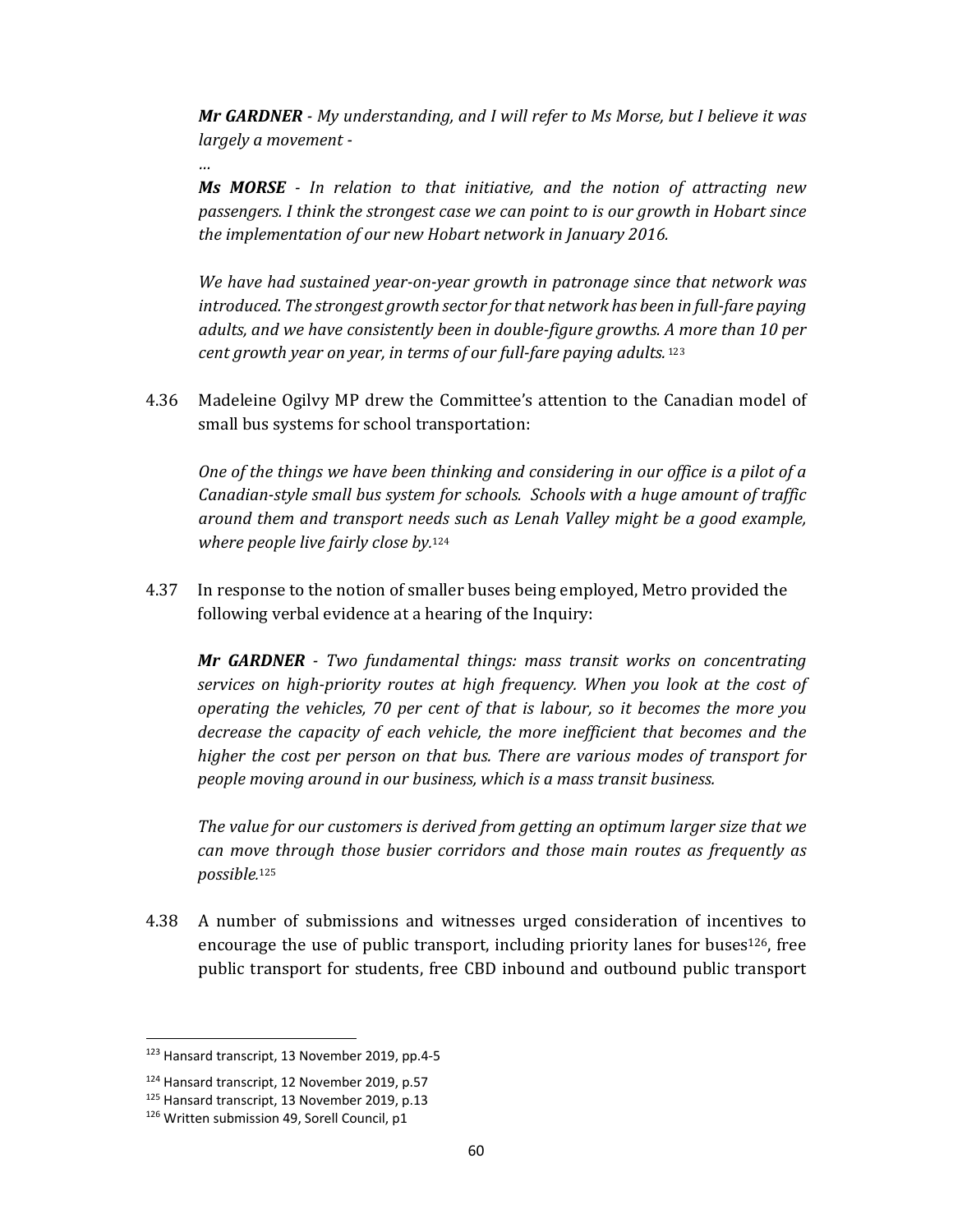*Mr GARDNER ‐ My understanding, and I will refer to Ms Morse, but I believe it was largely a movement ‐* 

*…*

*Ms MORSE ‐ In relation to that initiative, and the notion of attracting new passengers. I think the strongest case we can point to is our growth in Hobart since the implementation of our new Hobart network in January 2016.*

*We have had sustained year‐on‐year growth in patronage since that network was introduced. The strongest growth sector for that network has been in full‐fare paying adults, and we have consistently been in double‐figure growths. A more than 10 per cent growth year on year, in terms of our full‐fare paying adults.*<sup>123</sup>

4.36 Madeleine Ogilvy MP drew the Committee's attention to the Canadian model of small bus systems for school transportation:

*One of the things we have been thinking and considering in our office is a pilot of a Canadian‐style small bus system for schools. Schools with a huge amount of traffic around them and transport needs such as Lenah Valley might be a good example, where people live fairly close by.* 124

4.37 In response to the notion of smaller buses being employed, Metro provided the following verbal evidence at a hearing of the Inquiry:

*Mr GARDNER ‐ Two fundamental things: mass transit works on concentrating services on high‐priority routes at high frequency. When you look at the cost of operating the vehicles, 70 per cent of that is labour, so it becomes the more you decrease the capacity of each vehicle, the more inefficient that becomes and the higher the cost per person on that bus. There are various modes of transport for people moving around in our business, which is a mass transit business.*

*The value for our customers is derived from getting an optimum larger size that we can move through those busier corridors and those main routes as frequently as possible.* <sup>125</sup>

4.38 A number of submissions and witnesses urged consideration of incentives to encourage the use of public transport, including priority lanes for buses<sup>126</sup>, free public transport for students, free CBD inbound and outbound public transport

<sup>123</sup> Hansard transcript, 13 November 2019, pp.4‐5

<sup>124</sup> Hansard transcript, 12 November 2019, p.57

<sup>125</sup> Hansard transcript, 13 November 2019, p.13

<sup>&</sup>lt;sup>126</sup> Written submission 49, Sorell Council, p1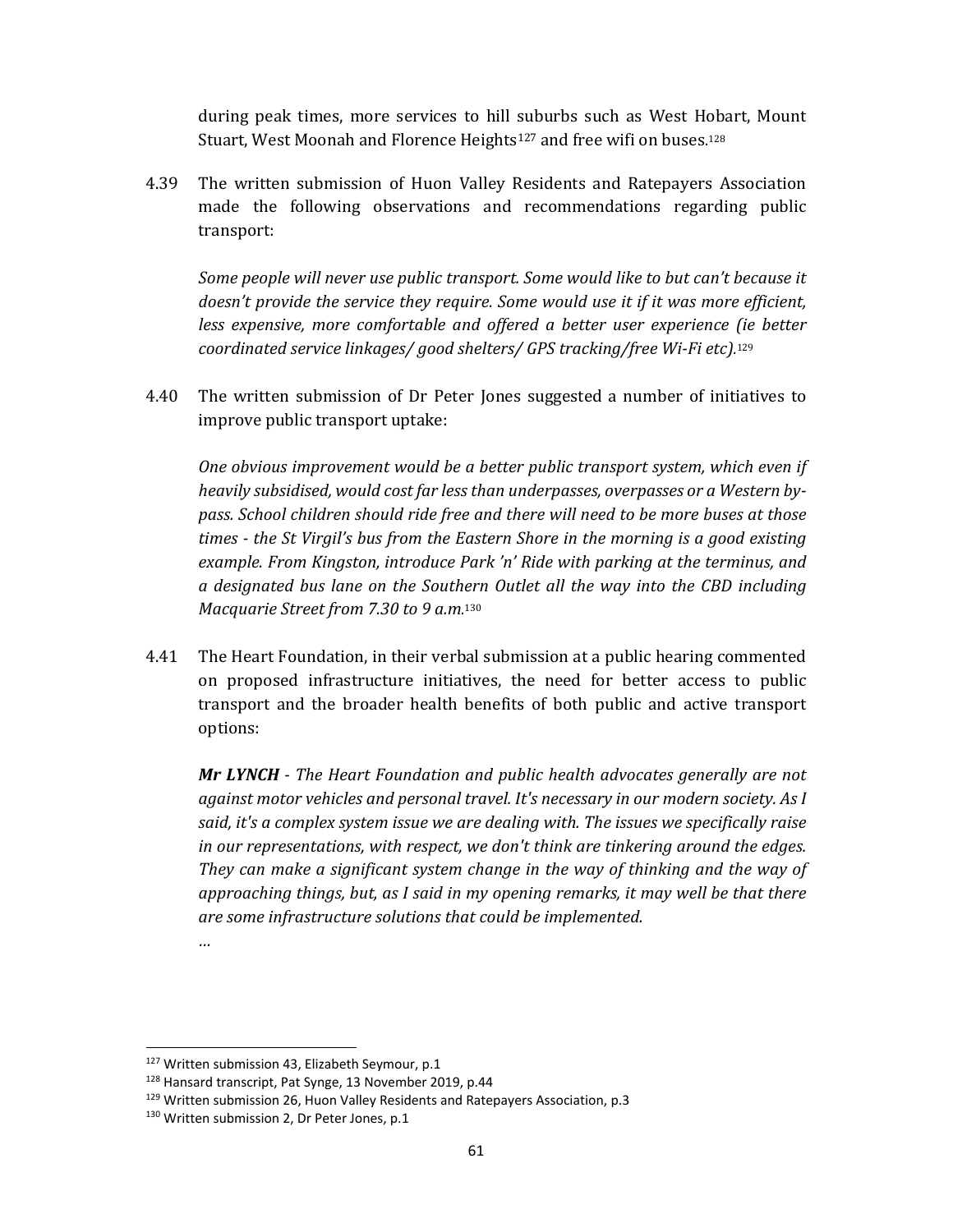during peak times, more services to hill suburbs such as West Hobart, Mount Stuart, West Moonah and Florence Heights<sup>127</sup> and free wifi on buses.<sup>128</sup>

4.39 The written submission of Huon Valley Residents and Ratepayers Association made the following observations and recommendations regarding public transport:

*Some people will never use public transport. Some would like to but can't because it doesn't provide the service they require. Some would use it if it was more efficient, less expensive, more comfortable and offered a better user experience (ie better coordinated service linkages/ good shelters/ GPS tracking/free Wi‐Fi etc).* 129

4.40 The written submission of Dr Peter Jones suggested a number of initiatives to improve public transport uptake:

*One obvious improvement would be a better public transport system, which even if heavily subsidised, would cost far less than underpasses, overpasses or a Western by‐ pass. School children should ride free and there will need to be more buses at those times ‐ the St Virgil's bus from the Eastern Shore in the morning is a good existing example. From Kingston, introduce Park 'n' Ride with parking at the terminus, and a designated bus lane on the Southern Outlet all the way into the CBD including Macquarie Street from 7.30 to 9 a.m.* 130

4.41 The Heart Foundation, in their verbal submission at a public hearing commented on proposed infrastructure initiatives, the need for better access to public transport and the broader health benefits of both public and active transport options:

*Mr LYNCH ‐ The Heart Foundation and public health advocates generally are not against motor vehicles and personal travel. It's necessary in our modern society. As I said, it's a complex system issue we are dealing with. The issues we specifically raise in our representations, with respect, we don't think are tinkering around the edges. They can make a significant system change in the way of thinking and the way of approaching things, but, as I said in my opening remarks, it may well be that there are some infrastructure solutions that could be implemented.*

*…*

<sup>&</sup>lt;sup>127</sup> Written submission 43, Elizabeth Seymour, p.1

<sup>128</sup> Hansard transcript, Pat Synge, 13 November 2019, p.44

<sup>&</sup>lt;sup>129</sup> Written submission 26, Huon Valley Residents and Ratepayers Association, p.3

<sup>&</sup>lt;sup>130</sup> Written submission 2, Dr Peter Jones, p.1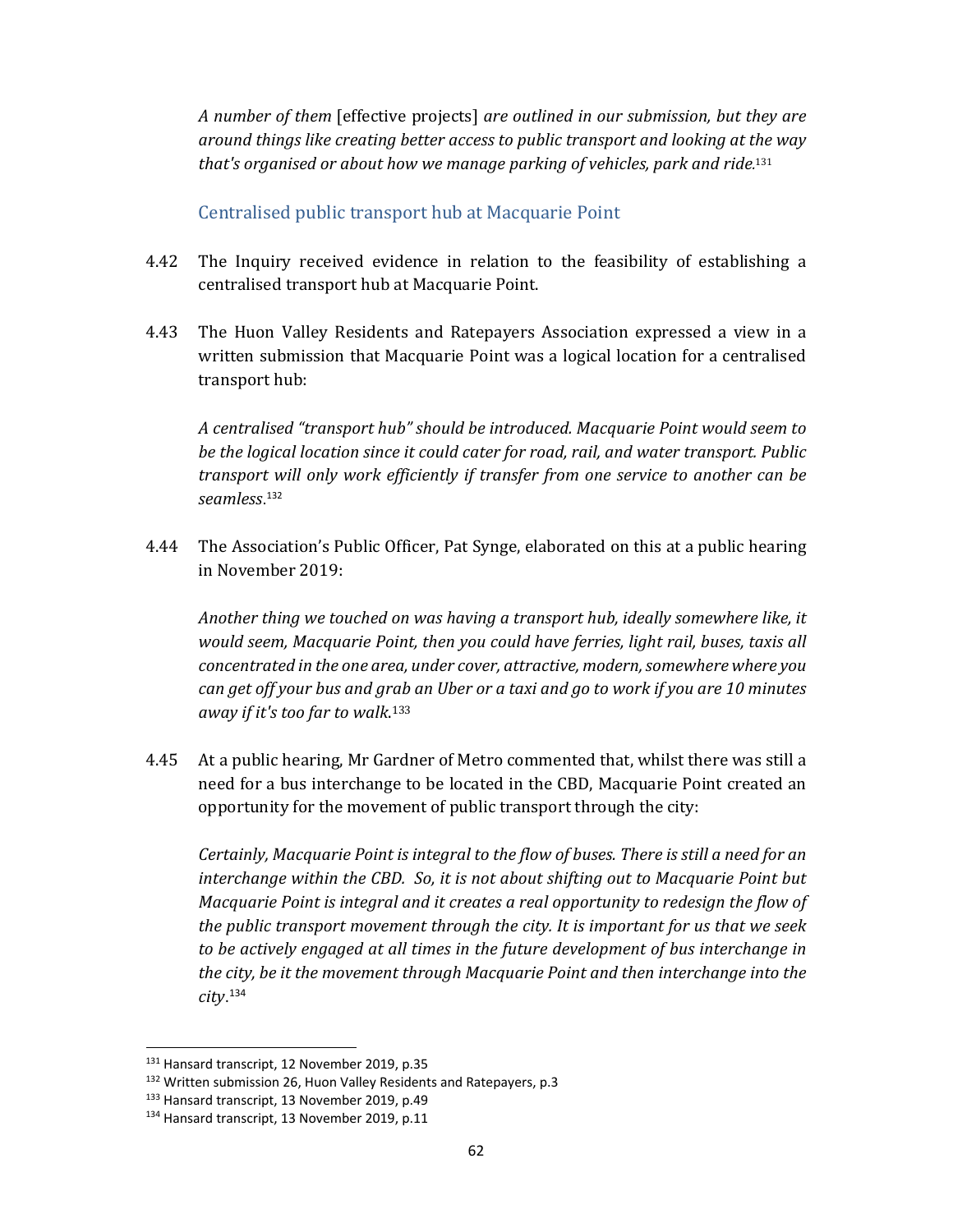*A number of them* [effective projects] *are outlined in our submission, but they are around things like creating better access to public transport and looking at the way that's organised or about how we manage parking of vehicles, park and ride.* 131

#### Centralised public transport hub at Macquarie Point

- 4.42 The Inquiry received evidence in relation to the feasibility of establishing a centralised transport hub at Macquarie Point.
- 4.43 The Huon Valley Residents and Ratepayers Association expressed a view in a written submission that Macquarie Point was a logical location for a centralised transport hub:

*A centralised "transport hub" should be introduced. Macquarie Point would seem to be the logical location since it could cater for road, rail, and water transport. Public transport will only work efficiently if transfer from one service to another can be seamless*. <sup>132</sup>

4.44 The Association's Public Officer, Pat Synge, elaborated on this at a public hearing in November 2019:

*Another thing we touched on was having a transport hub, ideally somewhere like, it would seem, Macquarie Point, then you could have ferries, light rail, buses, taxis all concentrated in the one area, under cover, attractive, modern,somewhere where you* can get off your bus and grab an Uber or a taxi and go to work if you are 10 minutes *away if it's too far to walk*. 133

4.45 At a public hearing, Mr Gardner of Metro commented that, whilst there was still a need for a bus interchange to be located in the CBD, Macquarie Point created an opportunity for the movement of public transport through the city:

*Certainly, Macquarie Point is integral to the flow of buses. There is still a need for an interchange within the CBD. So, it is not about shifting out to Macquarie Point but Macquarie Point is integral and it creates a real opportunity to redesign the flow of the public transport movement through the city. It is important for us that we seek to be actively engaged at all times in the future development of bus interchange in the city, be it the movement through Macquarie Point and then interchange into the city*. 134

<sup>131</sup> Hansard transcript, 12 November 2019, p.35

<sup>132</sup> Written submission 26, Huon Valley Residents and Ratepayers, p.3

<sup>133</sup> Hansard transcript, 13 November 2019, p.49

<sup>&</sup>lt;sup>134</sup> Hansard transcript, 13 November 2019, p.11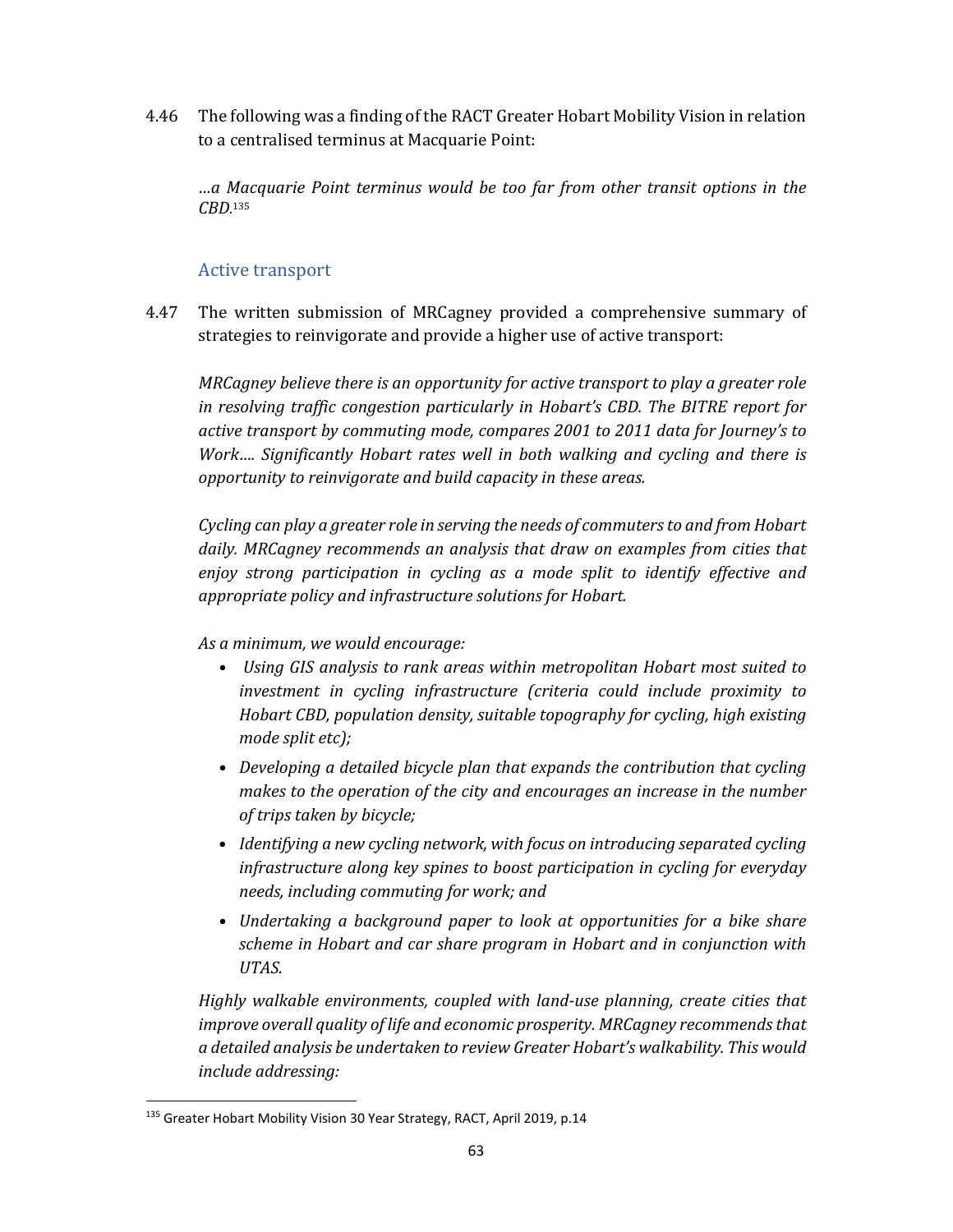4.46 The following was a finding of the RACT Greater Hobart Mobility Vision in relation to a centralised terminus at Macquarie Point:

*…a Macquarie Point terminus would be too far from other transit options in the CBD.* 135

# Active transport

4.47 The written submission of MRCagney provided a comprehensive summary of strategies to reinvigorate and provide a higher use of active transport:

*MRCagney believe there is an opportunity for active transport to play a greater role in resolving traffic congestion particularly in Hobart's CBD. The BITRE report for active transport by commuting mode, compares 2001 to 2011 data for Journey's to Work…. Significantly Hobart rates well in both walking and cycling and there is opportunity to reinvigorate and build capacity in these areas.* 

*Cycling can play a greater role in serving the needs of commutersto and from Hobart daily. MRCagney recommends an analysis that draw on examples from cities that enjoy strong participation in cycling as a mode split to identify effective and appropriate policy and infrastructure solutions for Hobart.* 

*As a minimum, we would encourage:* 

- *• Using GIS analysis to rank areas within metropolitan Hobart most suited to investment in cycling infrastructure (criteria could include proximity to Hobart CBD, population density, suitable topography for cycling, high existing mode split etc*);
- *• Developing a detailed bicycle plan that expands the contribution that cycling makes to the operation of the city and encourages an increase in the number of trips taken by bicycle;*
- *Identifying a new cycling network, with focus on introducing separated cycling infrastructure along key spines to boost participation in cycling for everyday needs, including commuting for work; and*
- *• Undertaking a background paper to look at opportunities for a bike share scheme in Hobart and car share program in Hobart and in conjunction with UTAS.*

*Highly walkable environments, coupled with land‐use planning, create cities that improve overall quality of life and economic prosperity. MRCagney recommendsthat a detailed analysis be undertaken to review Greater Hobart's walkability. This would include addressing:* 

<sup>&</sup>lt;sup>135</sup> Greater Hobart Mobility Vision 30 Year Strategy, RACT, April 2019, p.14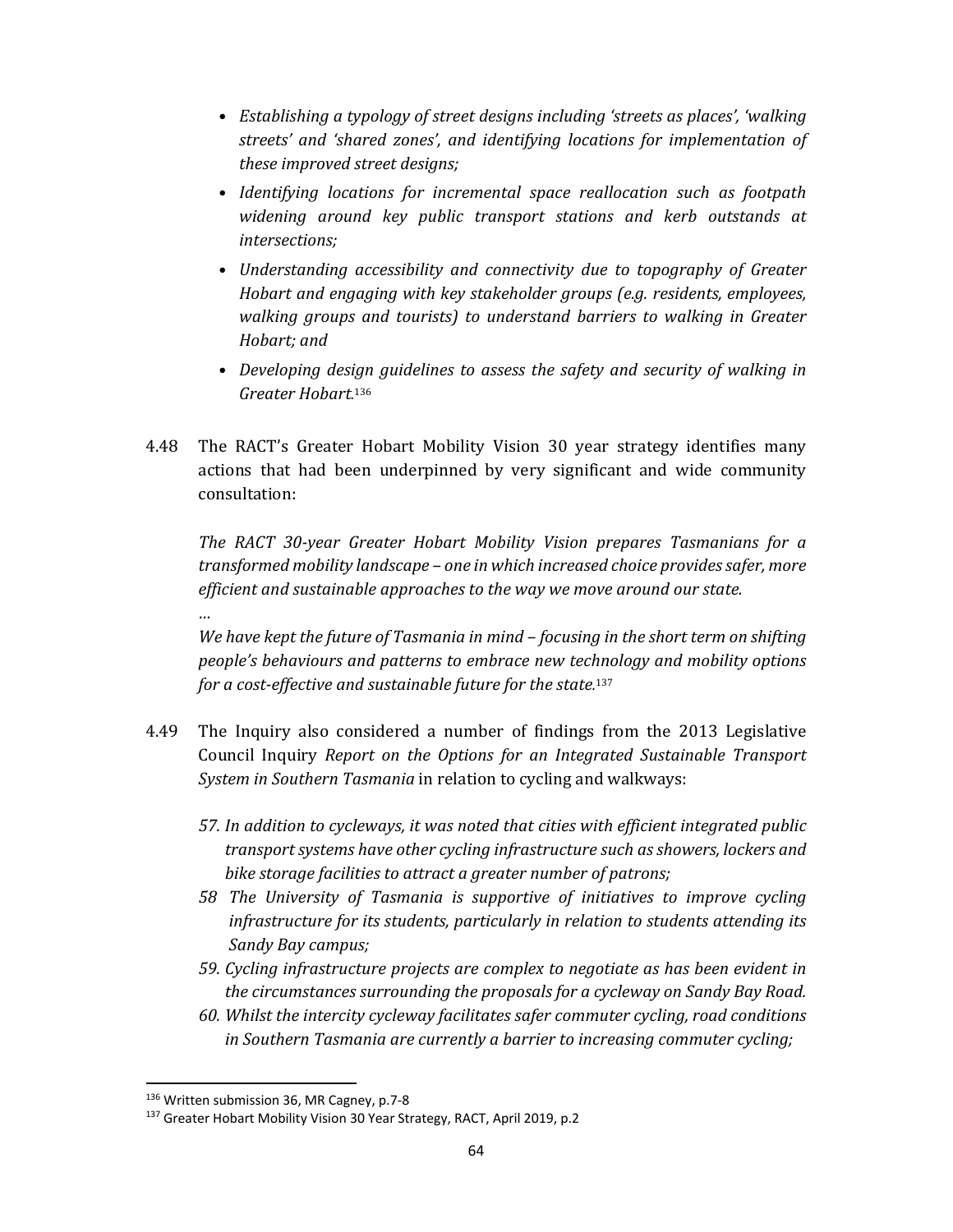- *• Establishing a typology of street designs including 'streets as places', 'walking streets' and 'shared zones', and identifying locations for implementation of these improved street designs;*
- *• Identifying locations for incremental space reallocation such as footpath widening around key public transport stations and kerb outstands at*  $intersections;$
- *• Understanding accessibility and connectivity due to topography of Greater Hobart and engaging with key stakeholder groups (e.g. residents, employees, walking groups and tourists) to understand barriers to walking in Greater Hobart:* and
- *• Developing design guidelines to assess the safety and security of walking in Greater Hobart.* 136
- 4.48 The RACT's Greater Hobart Mobility Vision 30 year strategy identifies many actions that had been underpinned by very significant and wide community consultation:

*The RACT 30‐year Greater Hobart Mobility Vision prepares Tasmanians for a transformed mobility landscape – one in which increased choice providessafer, more efficient and sustainable approaches to the way we move around our state.*

*We have kept the future of Tasmania in mind – focusing in the short term on shifting people's behaviours and patterns to embrace new technology and mobility options for a cost‐effective and sustainable future for the state.* 137

- 4.49 The Inquiry also considered a number of findings from the 2013 Legislative Council Inquiry *Report on the Options for an Integrated Sustainable Transport System in Southern Tasmania* in relation to cycling and walkways:
	- *57. In addition to cycleways, it was noted that cities with efficient integrated public transport systems have other cycling infrastructure such as showers, lockers and bike storage facilities to attract a greater number of patrons;*
	- *58 The University of Tasmania is supportive of initiatives to improve cycling infrastructure for its students, particularly in relation to students attending its Sandy Bay campus;*
	- *59. Cycling infrastructure projects are complex to negotiate as has been evident in the circumstances surrounding the proposals for a cycleway on Sandy Bay Road.*
	- *60. Whilst the intercity cycleway facilitates safer commuter cycling, road conditions in Southern Tasmania are currently a barrier to increasing commuter cycling;*

*…*

<sup>136</sup> Written submission 36, MR Cagney, p.7-8

<sup>137</sup> Greater Hobart Mobility Vision 30 Year Strategy, RACT, April 2019, p.2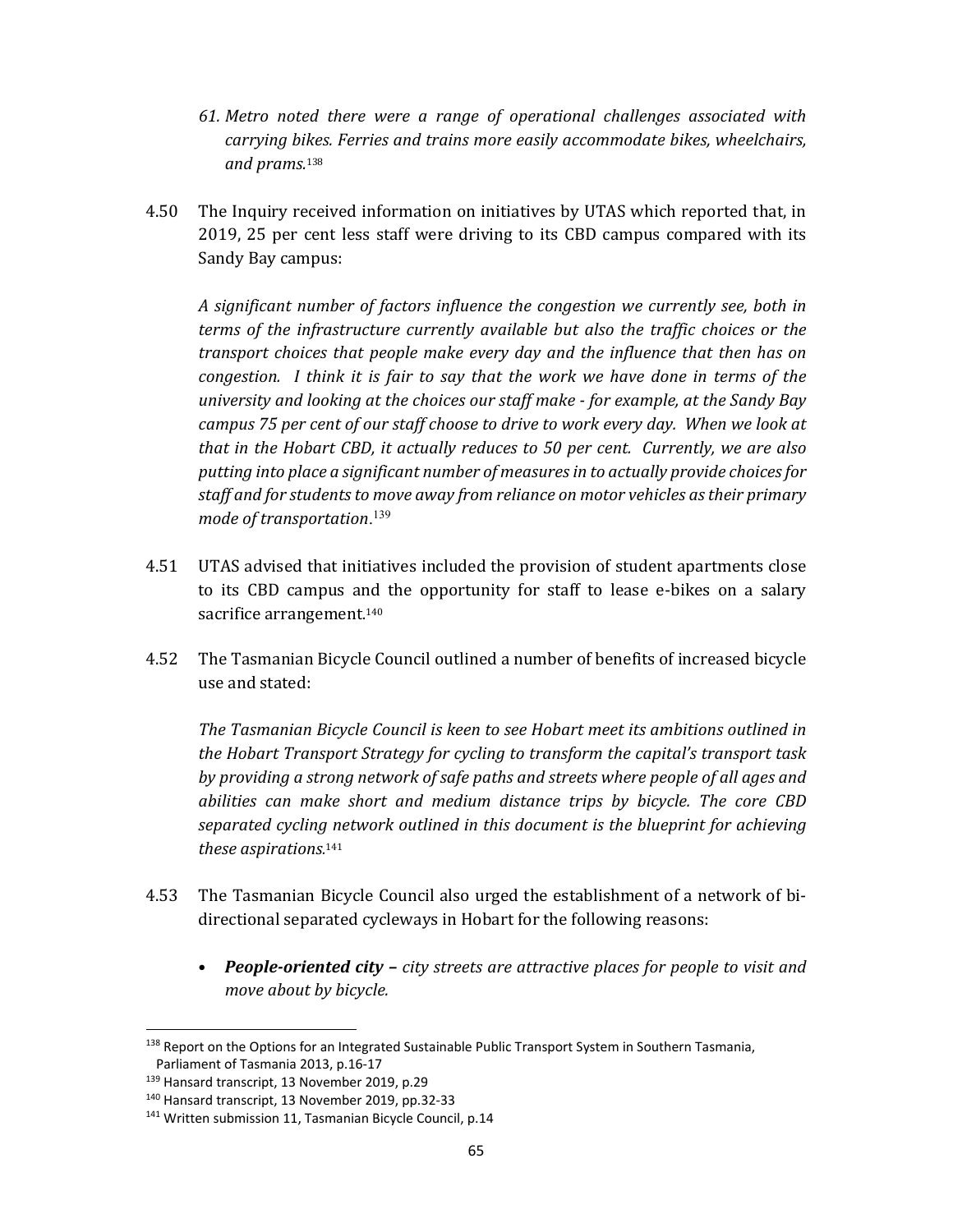- *61. Metro noted there were a range of operational challenges associated with carrying bikes. Ferries and trains more easily accommodate bikes, wheelchairs, and prams.*<sup>138</sup>
- 4.50 The Inquiry received information on initiatives by UTAS which reported that, in 2019, 25 per cent less staff were driving to its CBD campus compared with its Sandy Bay campus:

*A significant number of factors influence the congestion we currently see, both in terms of the infrastructure currently available but also the traffic choices or the transport choices that people make every day and the influence that then has on congestion. I think it is fair to say that the work we have done in terms of the university and looking at the choices our staff make ‐ for example, at the Sandy Bay campus 75 per cent of our staff choose to drive to work every day. When we look at that in the Hobart CBD, it actually reduces to 50 per cent. Currently, we are also putting into place a significant number of measuresin to actually provide choicesfor staff and for studentsto move away from reliance on motor vehicles astheir primary mode of transportation*. 139

- 4.51 UTAS advised that initiatives included the provision of student apartments close to its CBD campus and the opportunity for staff to lease e-bikes on a salary sacrifice arrangement.<sup>140</sup>
- 4.52 The Tasmanian Bicycle Council outlined a number of benefits of increased bicycle use and stated:

*The Tasmanian Bicycle Council is keen to see Hobart meet its ambitions outlined in the Hobart Transport Strategy for cycling to transform the capital's transport task by providing a strong network of safe paths and streets where people of all ages and abilities can make short and medium distance trips by bicycle. The core CBD separated cycling network outlined in this document is the blueprint for achieving these aspirations.* 141

- 4.53 The Tasmanian Bicycle Council also urged the establishment of a network of bidirectional separated cycleways in Hobart for the following reasons:
	- *People‐oriented city – city streets are attractive places for people to visit and move about by bicycle.*

<sup>&</sup>lt;sup>138</sup> Report on the Options for an Integrated Sustainable Public Transport System in Southern Tasmania, Parliament of Tasmania 2013, p.16‐17

<sup>139</sup> Hansard transcript, 13 November 2019, p.29

<sup>140</sup> Hansard transcript, 13 November 2019, pp.32‐33

<sup>&</sup>lt;sup>141</sup> Written submission 11, Tasmanian Bicycle Council, p.14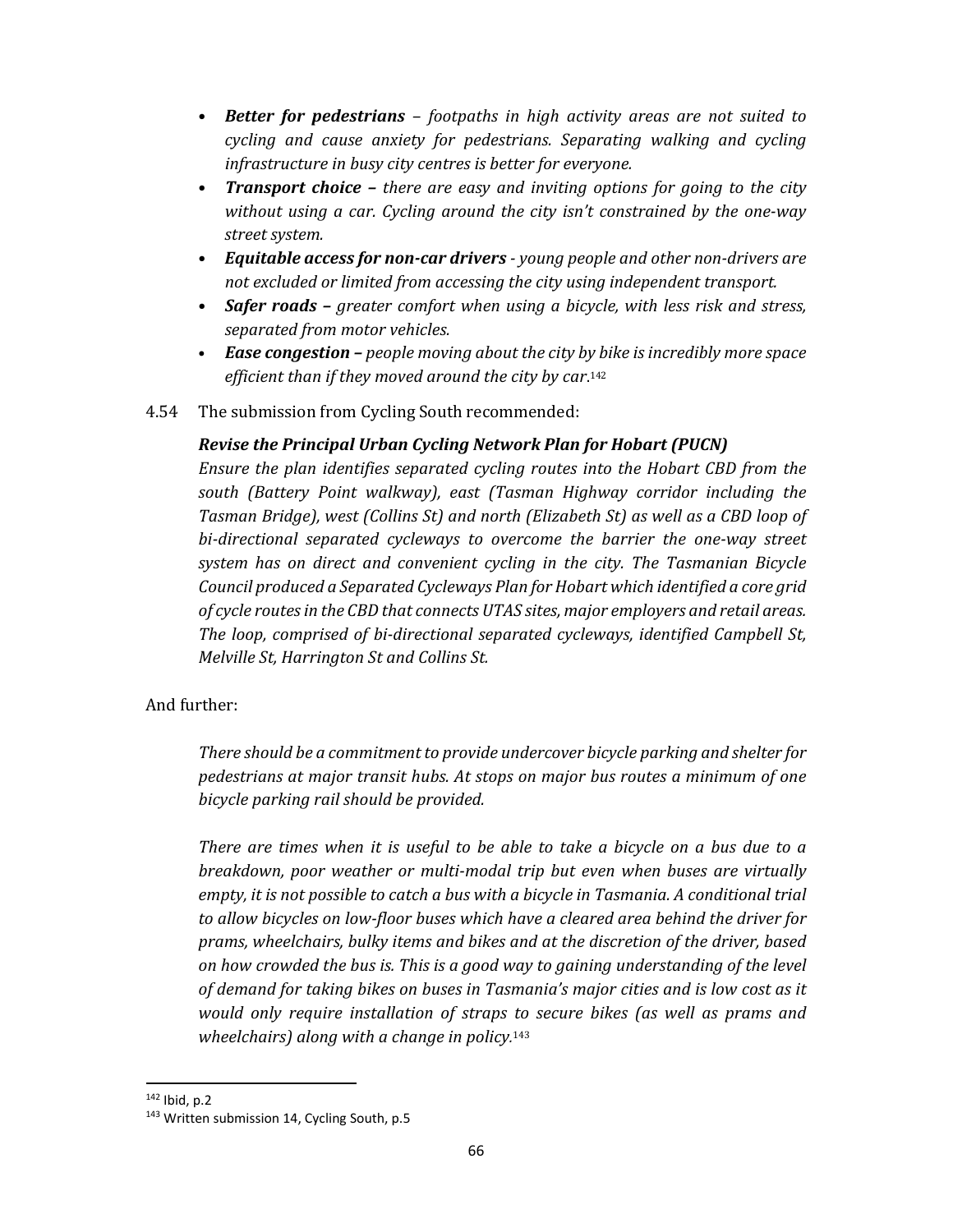- *Better for pedestrians – footpaths in high activity areas are not suited to cycling and cause anxiety for pedestrians. Separating walking and cycling infrastructure in busy city centres is better for everyone.*
- *Transport choice – there are easy and inviting options for going to the city without using a car. Cycling around the city isn't constrained by the one‐way street system.*
- *Equitable access for non‐car drivers ‐ young people and other non‐drivers are not excluded or limited from accessing the city using independent transport.*
- *Safer roads – greater comfort when using a bicycle, with less risk and stress, separated from motor vehicles.*
- *Ease congestion – people moving about the city by bike is incredibly more space efficient than if they moved around the city by car*. 142
- 4.54 The submission from Cycling South recommended:

#### *Revise the Principal Urban Cycling Network Plan for Hobart (PUCN)*

*Ensure the plan identifies separated cycling routes into the Hobart CBD from the south (Battery Point walkway), east (Tasman Highway corridor including the Tasman Bridge), west (Collins St) and north (Elizabeth St) as well as a CBD loop of bi‐directional separated cycleways to overcome the barrier the one‐way street system has on direct and convenient cycling in the city. The Tasmanian Bicycle Council produced a Separated Cycleways Plan for Hobart which identified a core grid of cycle routesin the CBD that connects UTAS sites, major employers and retail areas. The loop, comprised of bi‐directional separated cycleways, identified Campbell St, Melville St, Harrington St and Collins St.*

#### And further:

*There should be a commitment to provide undercover bicycle parking and shelter for pedestrians at major transit hubs. At stops on major bus routes a minimum of one bicycle parking rail should be provided.*

*There are times when it is useful to be able to take a bicycle on a bus due to a breakdown, poor weather or multi‐modal trip but even when buses are virtually empty, it is not possible to catch a bus with a bicycle in Tasmania. A conditional trial to allow bicycles on low‐floor buses which have a cleared area behind the driver for prams, wheelchairs, bulky items and bikes and at the discretion of the driver, based on how crowded the bus is. This is a good way to gaining understanding of the level of demand for taking bikes on buses in Tasmania's major cities and is low cost as it would only require installation of straps to secure bikes (as well as prams and wheelchairs) along with a change in policy.* <sup>143</sup>

<sup>142</sup> Ibid, p.2

<sup>&</sup>lt;sup>143</sup> Written submission 14, Cycling South, p.5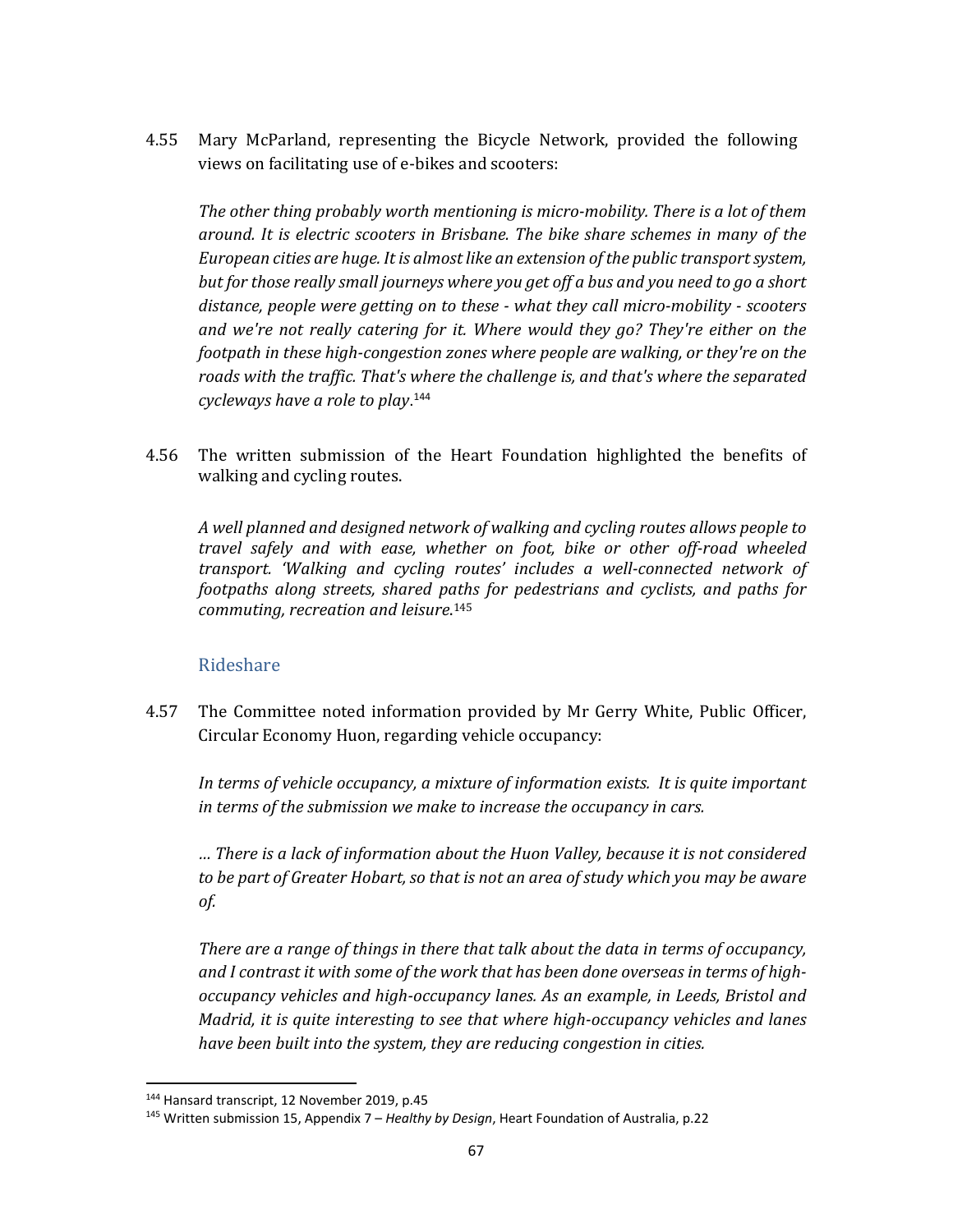4.55 Mary McParland, representing the Bicycle Network, provided the following views on facilitating use of e-bikes and scooters:

*The other thing probably worth mentioning is micro‐mobility. There is a lot of them around. It is electric scooters in Brisbane. The bike share schemes in many of the European cities are huge. It is almostlike an extension ofthe public transportsystem, but for those really small journeys where you get off a bus and you need to go a short distance, people were getting on to these ‐ what they call micro‐mobility ‐ scooters and we're not really catering for it. Where would they go? They're either on the footpath in these high‐congestion zones where people are walking, or they're on the roads with the traffic. That's where the challenge is, and that's where the separated cycleways have a role to play*. <sup>144</sup>

4.56 The written submission of the Heart Foundation highlighted the benefits of walking and cycling routes.

*A well planned and designed network of walking and cycling routes allows people to travel safely and with ease, whether on foot, bike or other off‐road wheeled transport. 'Walking and cycling routes' includes a well‐connected network of footpaths along streets, shared paths for pedestrians and cyclists, and paths for commuting, recreation and leisure*. 145

# Rideshare

4.57 The Committee noted information provided by Mr Gerry White, Public Officer, Circular Economy Huon, regarding vehicle occupancy:

*In terms of vehicle occupancy, a mixture of information exists. It is quite important in terms of the submission we make to increase the occupancy in cars.* 

*… There is a lack of information about the Huon Valley, because it is not considered to be part of Greater Hobart, so that is not an area of study which you may be aware of.*

*There are a range of things in there that talk about the data in terms of occupancy, and I contrast it with some of the work that has been done overseas in terms of high‐ occupancy vehicles and high‐occupancy lanes. As an example, in Leeds, Bristol and Madrid, it is quite interesting to see that where high‐occupancy vehicles and lanes have been built into the system, they are reducing congestion in cities.*

<sup>144</sup> Hansard transcript, 12 November 2019, p.45

<sup>145</sup> Written submission 15, Appendix 7 – *Healthy by Design*, Heart Foundation of Australia, p.22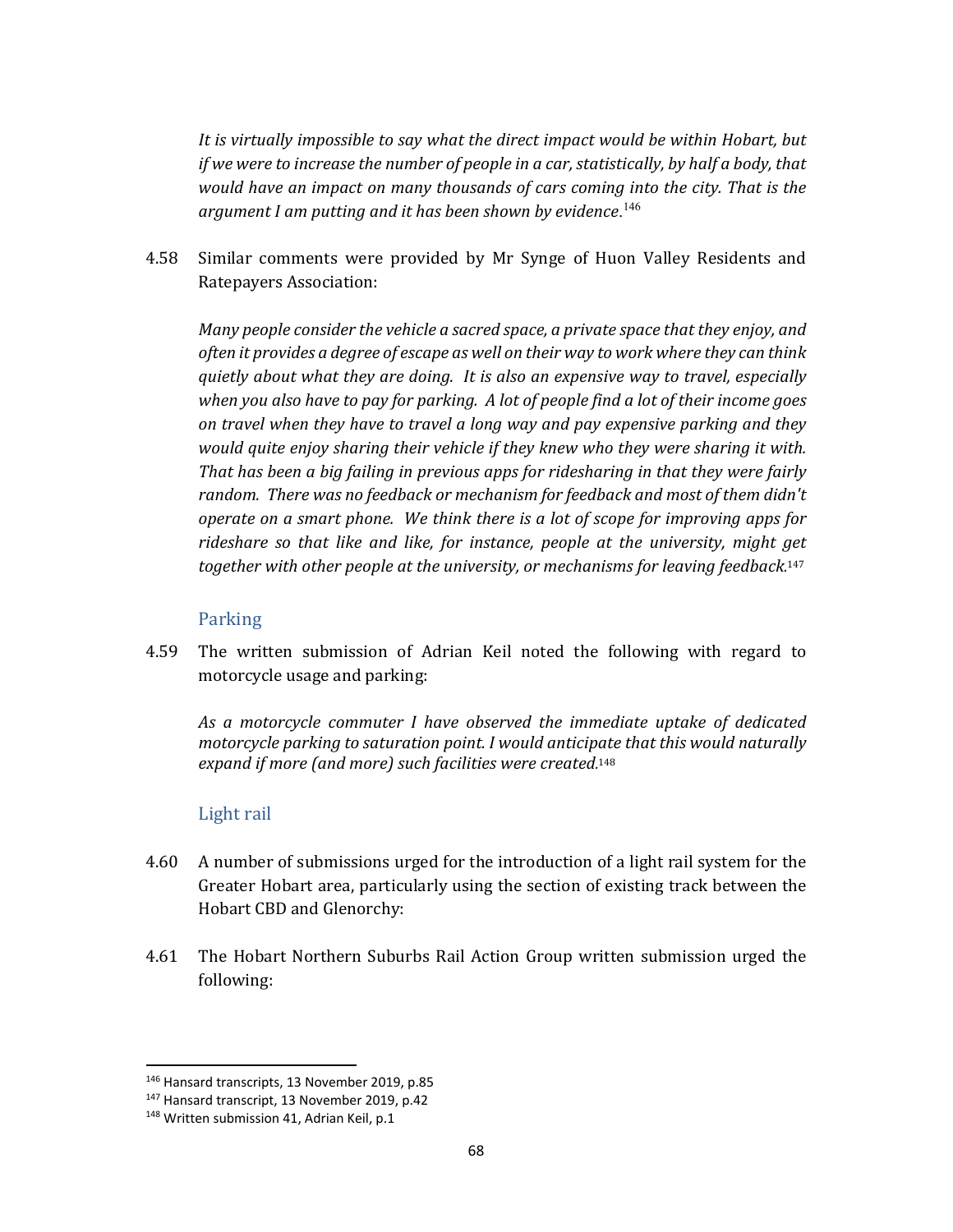*It is virtually impossible to say what the direct impact would be within Hobart, but if we were to increase the number of people in a car, statistically, by half a body, that would have an impact on many thousands of cars coming into the city. That is the argument I am putting and it has been shown by evidence*. 146

4.58 Similar comments were provided by Mr Synge of Huon Valley Residents and Ratepayers Association:

*Many people consider the vehicle a sacred space, a private space that they enjoy, and often it provides a degree of escape as well on their way to work where they can think quietly about what they are doing. It is also an expensive way to travel, especially* when you also have to pay for parking. A lot of people find a lot of their income goes *on travel when they have to travel a long way and pay expensive parking and they would quite enjoy sharing their vehicle if they knew who they were sharing it with. That has been a big failing in previous apps for ridesharing in that they were fairly random. There was no feedback or mechanism for feedback and most of them didn't operate on a smart phone. We think there is a lot of scope for improving apps for rideshare so that like and like, for instance, people at the university, might get together with other people at the university, or mechanisms for leaving feedback.* 147

#### Parking

4.59 The written submission of Adrian Keil noted the following with regard to motorcycle usage and parking:

*As a motorcycle commuter I have observed the immediate uptake of dedicated motorcycle parking to saturation point. I would anticipate that this would naturally expand if more (and more) such facilities were created.* 148

#### Light rail

- 4.60 A number of submissions urged for the introduction of a light rail system for the Greater Hobart area, particularly using the section of existing track between the Hobart CBD and Glenorchy:
- 4.61 The Hobart Northern Suburbs Rail Action Group written submission urged the following:

<sup>146</sup> Hansard transcripts, 13 November 2019, p.85

<sup>147</sup> Hansard transcript, 13 November 2019, p.42

<sup>&</sup>lt;sup>148</sup> Written submission 41, Adrian Keil, p.1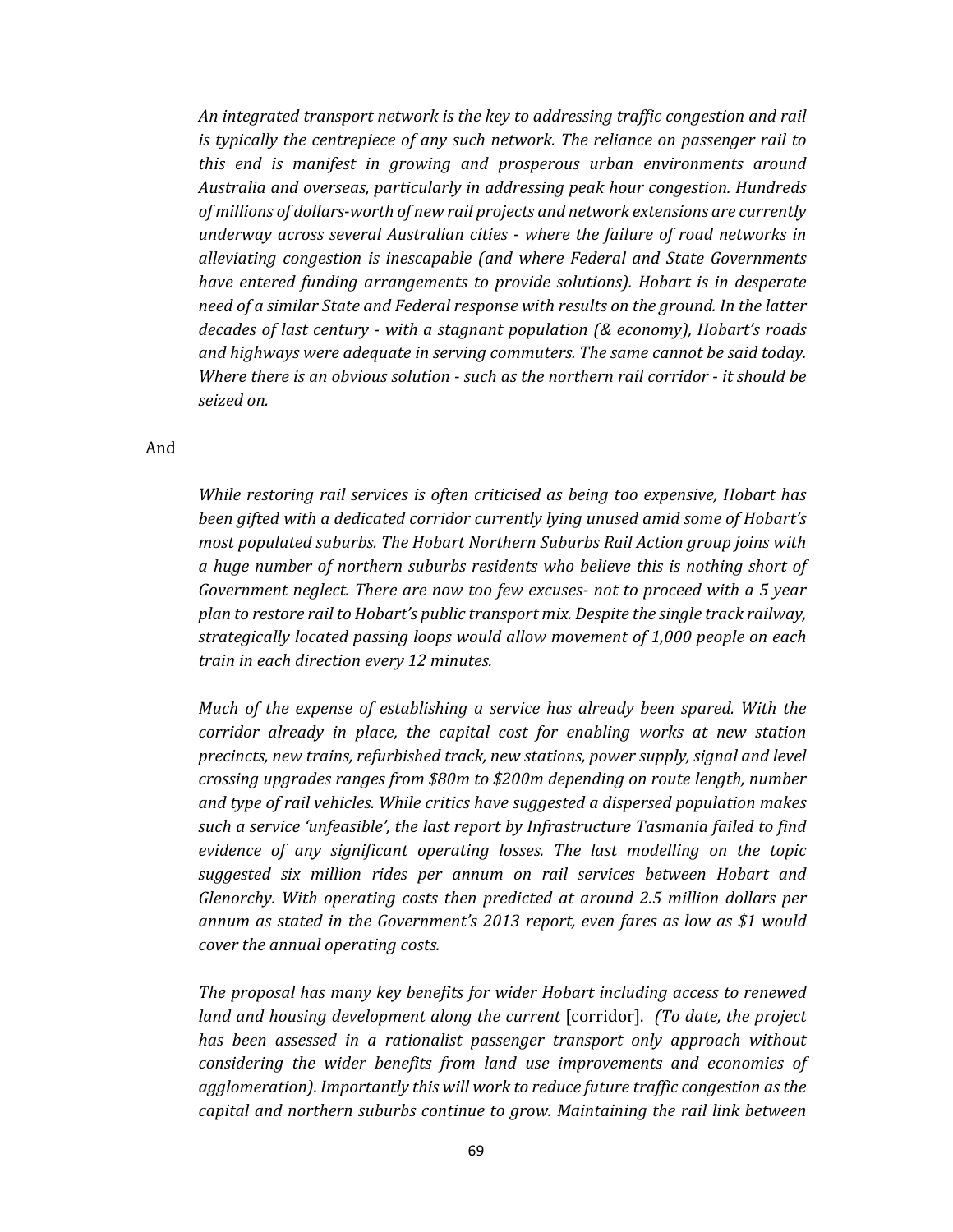*An integrated transport network is the key to addressing traffic congestion and rail is typically the centrepiece of any such network. The reliance on passenger rail to this end is manifest in growing and prosperous urban environments around Australia and overseas, particularly in addressing peak hour congestion. Hundreds of millions of dollars‐worth of new rail projects and network extensions are currently underway across several Australian cities ‐ where the failure of road networks in alleviating congestion is inescapable (and where Federal and State Governments have entered funding arrangements to provide solutions). Hobart is in desperate need of a similar State and Federal response with results on the ground. In the latter decades of last century ‐ with a stagnant population (& economy), Hobart's roads and highways were adequate in serving commuters. The same cannot be said today. Where there is an obvious solution ‐ such as the northern rail corridor ‐ it should be seized on.*

#### And

*While restoring rail services is often criticised as being too expensive, Hobart has been gifted with a dedicated corridor currently lying unused amid some of Hobart's most populated suburbs. The Hobart Northern Suburbs Rail Action group joins with a huge number of northern suburbs residents who believe this is nothing short of Government neglect. There are now too few excuses‐ not to proceed with a 5 year plan to restore rail to Hobart's public transport mix. Despite the single track railway, strategically located passing loops would allow movement of 1,000 people on each train in each direction every 12 minutes.* 

*Much of the expense of establishing a service has already been spared. With the corridor already in place, the capital cost for enabling works at new station precincts, new trains, refurbished track, new stations, power supply, signal and level crossing upgrades ranges from \$80m to \$200m depending on route length, number and type of rail vehicles. While critics have suggested a dispersed population makes such a service 'unfeasible', the last report by Infrastructure Tasmania failed to find evidence of any significant operating losses. The last modelling on the topic suggested six million rides per annum on rail services between Hobart and Glenorchy. With operating costs then predicted at around 2.5 million dollars per annum as stated in the Government's 2013 report, even fares as low as \$1 would cover the annual operating costs.* 

*The proposal has many key benefits for wider Hobart including access to renewed land and housing development along the current* [corridor]. *(To date, the project has been assessed in a rationalist passenger transport only approach without considering the wider benefits from land use improvements and economies of agglomeration). Importantly this will work to reduce future traffic congestion as the capital and northern suburbs continue to grow. Maintaining the rail link between*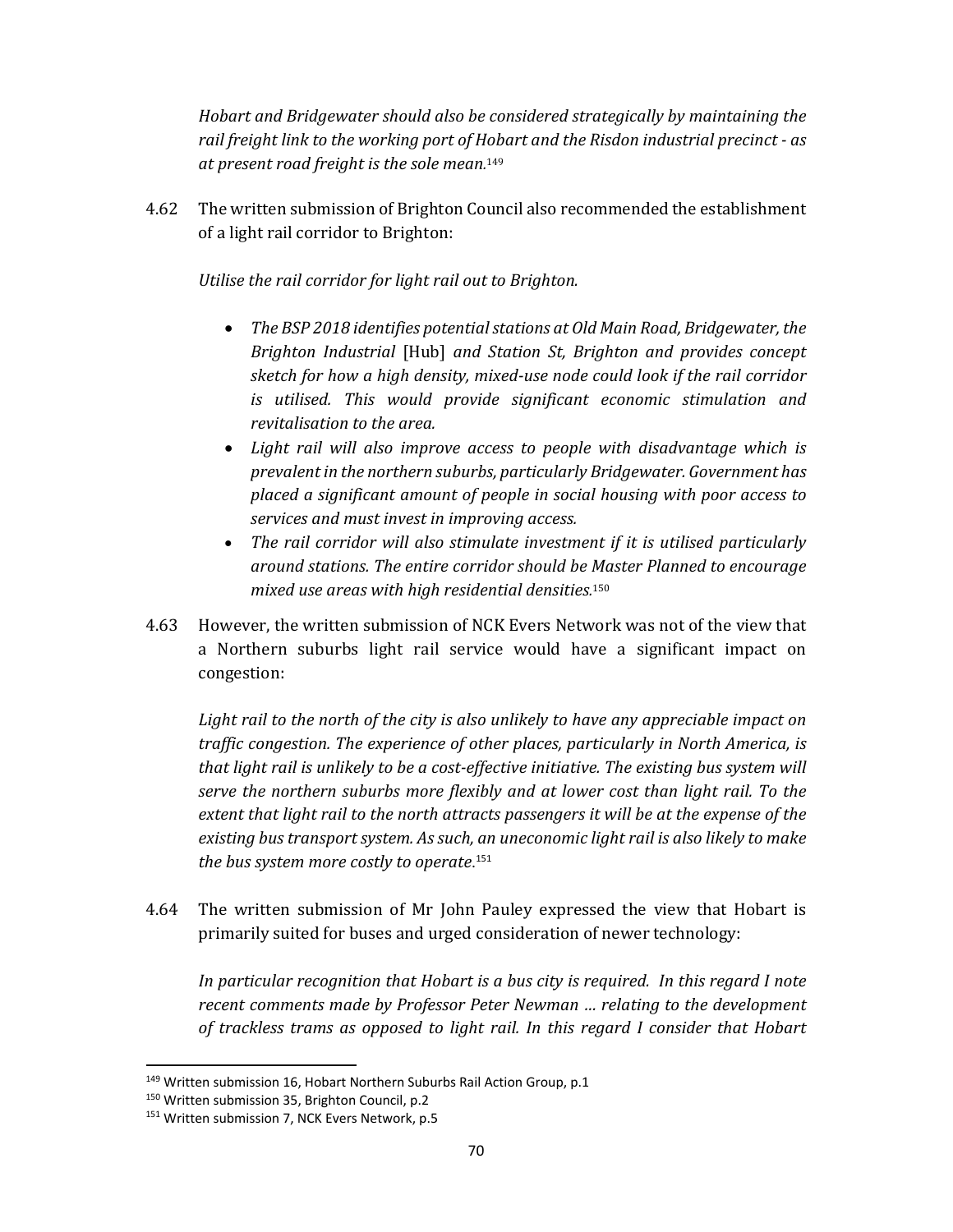*Hobart and Bridgewater should also be considered strategically by maintaining the rail freight link to the working port of Hobart and the Risdon industrial precinct ‐ as at present road freight is the sole mean.* 149

4.62 The written submission of Brighton Council also recommended the establishment of a light rail corridor to Brighton:

*Utilise the rail corridor for light rail out to Brighton.*

- **•** The BSP 2018 identifies potential stations at Old Main Road, Bridgewater, the *Brighton Industrial* [Hub] *and Station St, Brighton and provides concept sketch for how a high density, mixed‐use node could look if the rail corridor is utilised. This would provide significant economic stimulation and revitalisation to the area.*
- *Light rail will also improve access to people with disadvantage which is prevalent in the northern suburbs, particularly Bridgewater. Government has placed a significant amount of people in social housing with poor access to services and must invest in improving access.*
- *The rail corridor will also stimulate investment if it is utilised particularly around stations. The entire corridor should be Master Planned to encourage mixed use areas with high residential densities.* 150
- 4.63 However, the written submission of NCK Evers Network was not of the view that a Northern suburbs light rail service would have a significant impact on congestion:

*Light rail to the north of the city is also unlikely to have any appreciable impact on traffic congestion. The experience of other places, particularly in North America, is that light rail is unlikely to be a cost‐effective initiative. The existing bus system will serve the northern suburbs more flexibly and at lower cost than light rail. To the extent that light rail to the north attracts passengers it will be at the expense of the existing bus transportsystem. As such, an uneconomic light rail is also likely to make the bus system more costly to operate*. 151

4.64 The written submission of Mr John Pauley expressed the view that Hobart is primarily suited for buses and urged consideration of newer technology:

*In particular recognition that Hobart is a bus city is required. In this regard I note recent comments made by Professor Peter Newman … relating to the development of trackless trams as opposed to light rail. In this regard I consider that Hobart*

<sup>&</sup>lt;sup>149</sup> Written submission 16, Hobart Northern Suburbs Rail Action Group, p.1

<sup>150</sup> Written submission 35, Brighton Council, p.2

<sup>&</sup>lt;sup>151</sup> Written submission 7, NCK Evers Network, p.5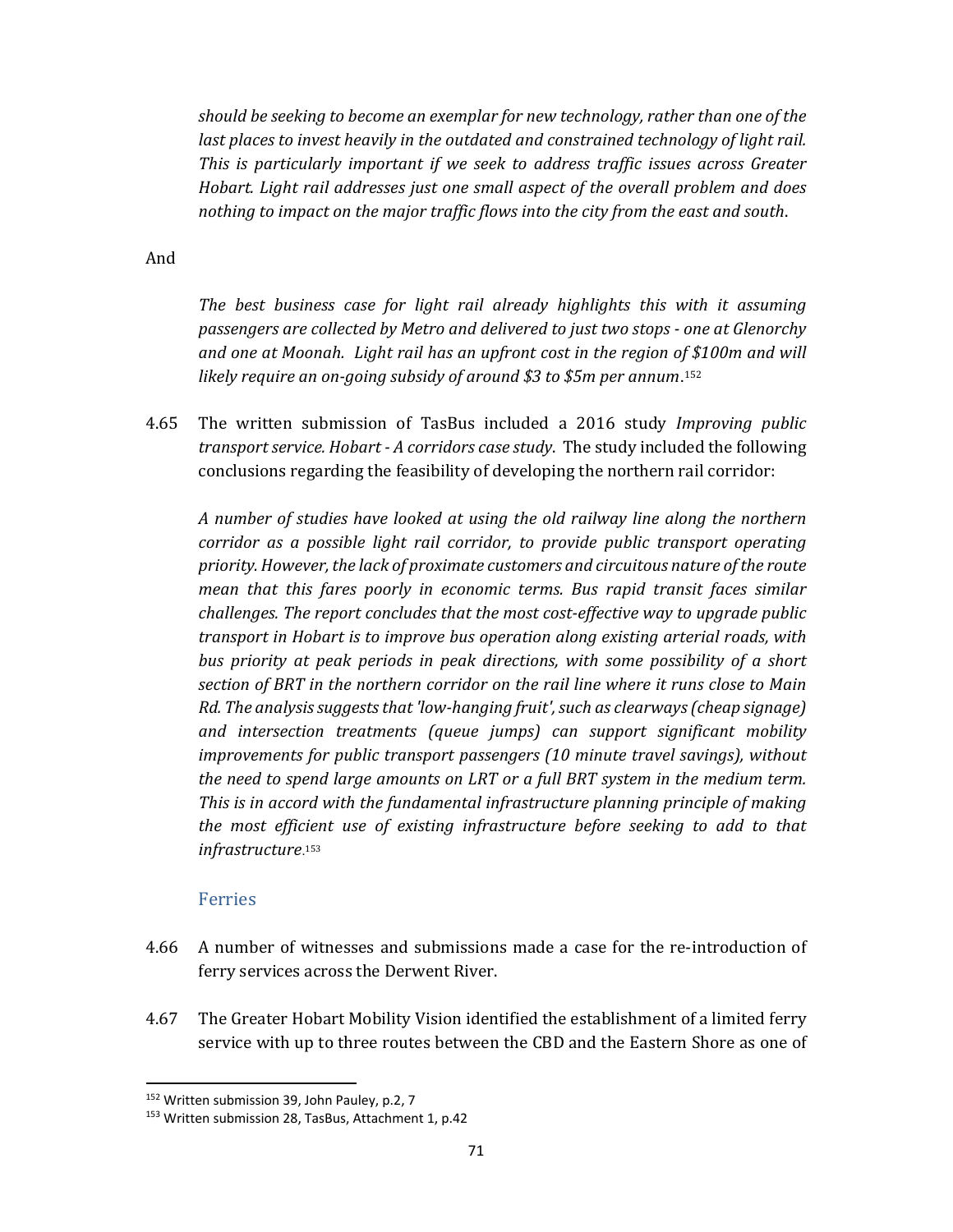*should be seeking to become an exemplar for new technology, rather than one of the last places to invest heavily in the outdated and constrained technology of light rail. This is particularly important if we seek to address traffic issues across Greater Hobart. Light rail addresses just one small aspect of the overall problem and does nothing to impact on the major traffic flows into the city from the east and south*.

And

*The best business case for light rail already highlights this with it assuming passengers are collected by Metro and delivered to just two stops ‐ one at Glenorchy and one at Moonah. Light rail has an upfront cost in the region of \$100m and will likely require an on‐going subsidy of around \$3 to \$5m per annum*.<sup>152</sup>

4.65 The written submission of TasBus included a 2016 study *Improving public transport service. Hobart ‐ A corridors case study*. The study included the following conclusions regarding the feasibility of developing the northern rail corridor:

*A number of studies have looked at using the old railway line along the northern corridor as a possible light rail corridor, to provide public transport operating priority.However,the lack of proximate customers and circuitous nature ofthe route mean that this fares poorly in economic terms. Bus rapid transit faces similar challenges. The report concludes that the most cost‐effective way to upgrade public transport in Hobart is to improve bus operation along existing arterial roads, with bus priority at peak periods in peak directions, with some possibility of a short section of BRT in the northern corridor on the rail line where it runs close to Main Rd. The analysissuggeststhat 'low‐hanging fruit',such as clearways(cheap signage) and intersection treatments (queue jumps) can support significant mobility improvements for public transport passengers (10 minute travel savings), without the need to spend large amounts on LRT or a full BRT system in the medium term. This is in accord with the fundamental infrastructure planning principle of making the most efficient use of existing infrastructure before seeking to add to that infrastructure*.<sup>153</sup>

#### Ferries

- 4.66 A number of witnesses and submissions made a case for the re-introduction of ferry services across the Derwent River.
- 4.67 The Greater Hobart Mobility Vision identified the establishment of a limited ferry service with up to three routes between the CBD and the Eastern Shore as one of

<sup>152</sup> Written submission 39, John Pauley, p.2, 7

<sup>153</sup> Written submission 28, TasBus, Attachment 1, p.42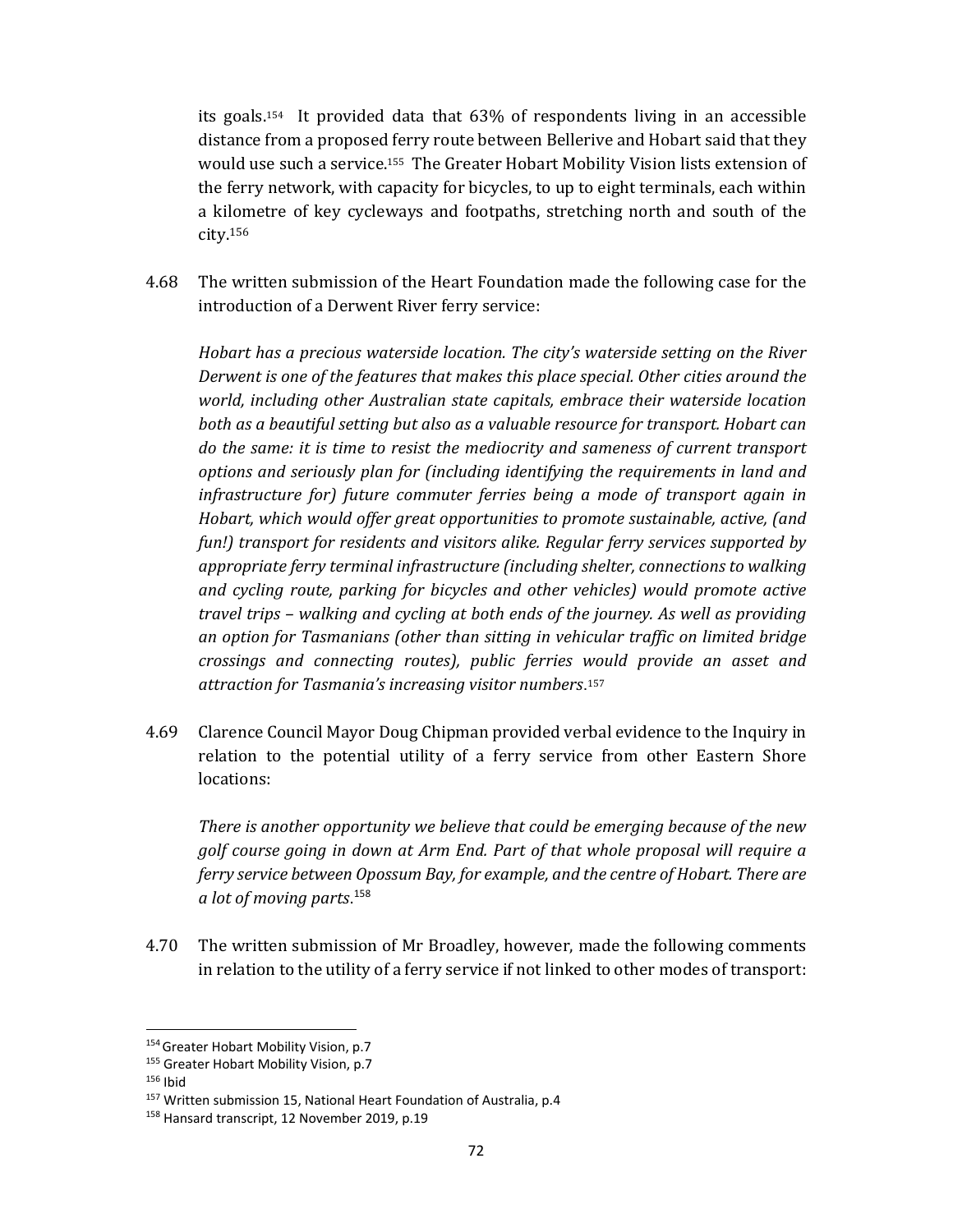its goals.154 It provided data that 63% of respondents living in an accessible distance from a proposed ferry route between Bellerive and Hobart said that they would use such a service.155 The Greater Hobart Mobility Vision lists extension of the ferry network, with capacity for bicycles, to up to eight terminals, each within a kilometre of key cycleways and footpaths, stretching north and south of the city.156

4.68 The written submission of the Heart Foundation made the following case for the introduction of a Derwent River ferry service:

*Hobart has a precious waterside location. The city's waterside setting on the River Derwent is one of the features that makes this place special. Other cities around the world, including other Australian state capitals, embrace their waterside location both as a beautiful setting but also as a valuable resource for transport. Hobart can do the same: it is time to resist the mediocrity and sameness of current transport options and seriously plan for (including identifying the requirements in land and infrastructure for) future commuter ferries being a mode of transport again in Hobart, which would offer great opportunities to promote sustainable, active, (and fun!) transport for residents and visitors alike. Regular ferry services supported by appropriate ferry terminal infrastructure (including shelter, connections to walking and cycling route, parking for bicycles and other vehicles) would promote active travel trips – walking and cycling at both ends of the journey. As well as providing an option for Tasmanians (other than sitting in vehicular traffic on limited bridge crossings and connecting routes), public ferries would provide an asset and attraction for Tasmania's increasing visitor numbers*.<sup>157</sup>

4.69 Clarence Council Mayor Doug Chipman provided verbal evidence to the Inquiry in relation to the potential utility of a ferry service from other Eastern Shore locations:

*There is another opportunity we believe that could be emerging because of the new golf course going in down at Arm End. Part of that whole proposal will require a ferry service between Opossum Bay, for example, and the centre of Hobart. There are a lot of moving parts*. 158

4.70 The written submission of Mr Broadley, however, made the following comments in relation to the utility of a ferry service if not linked to other modes of transport:

 154 Greater Hobart Mobility Vision, p.7

<sup>&</sup>lt;sup>155</sup> Greater Hobart Mobility Vision, p.7

 $156$  Ibid

<sup>&</sup>lt;sup>157</sup> Written submission 15, National Heart Foundation of Australia, p.4

<sup>158</sup> Hansard transcript, 12 November 2019, p.19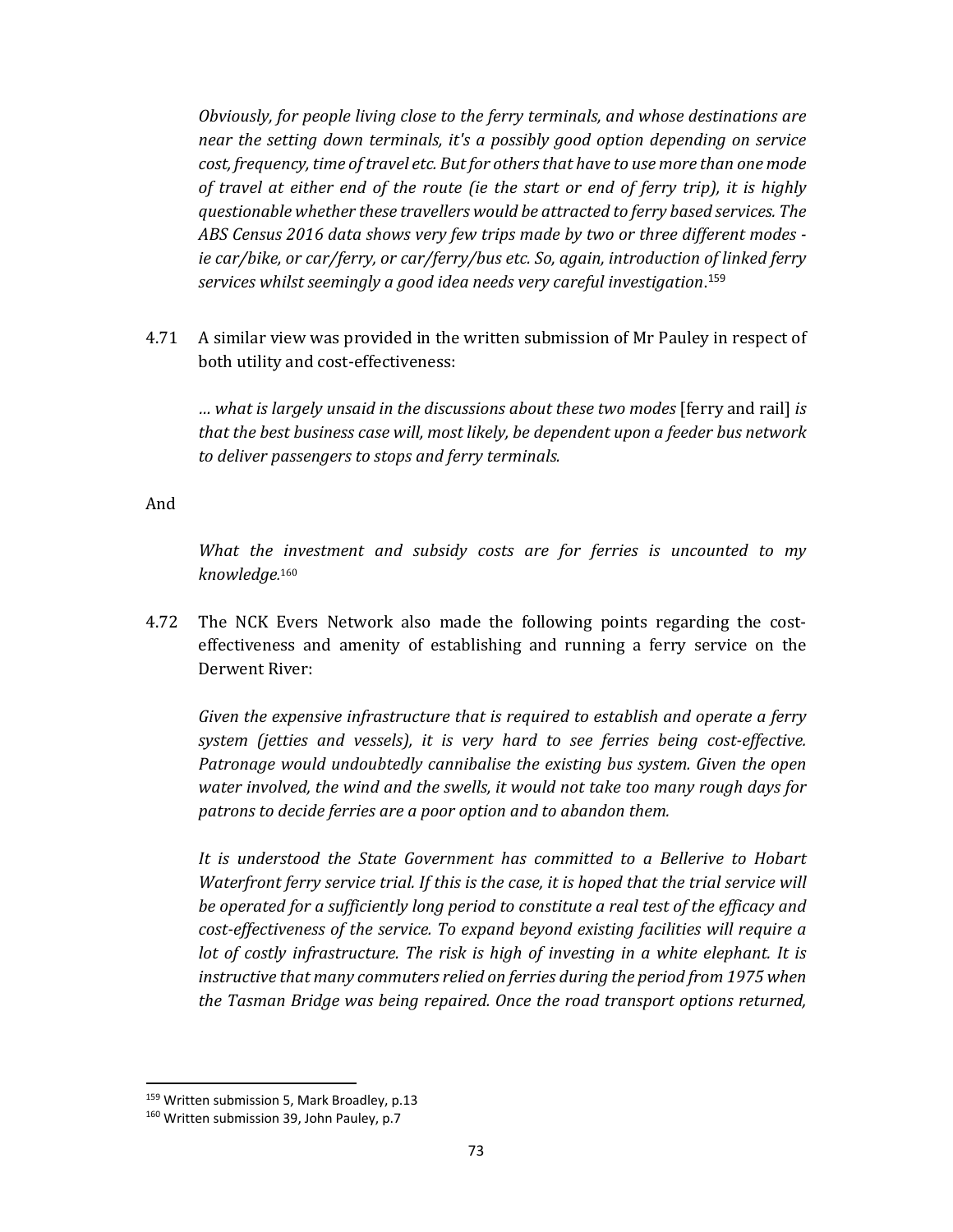*Obviously, for people living close to the ferry terminals, and whose destinations are near the setting down terminals, it's a possibly good option depending on service cost, frequency, time of travel etc. Butfor othersthat have to use more than one mode of travel at either end of the route (ie the start or end of ferry trip), it is highly questionable whether these travellers would be attracted to ferry based services. The ABS Census 2016 data shows very few trips made by two or three different modes ‐ ie car/bike, or car/ferry, or car/ferry/bus etc. So, again, introduction of linked ferry services whilst seemingly a good idea needs very careful investigation*. 159

4.71 A similar view was provided in the written submission of Mr Pauley in respect of both utility and cost-effectiveness:

*… what is largely unsaid in the discussions about these two modes* [ferry and rail] *is that the best business case will, most likely, be dependent upon a feeder bus network to deliver passengers to stops and ferry terminals.*

And

*What the investment and subsidy costs are for ferries is uncounted to my knowledge.* 160

4.72 The NCK Evers Network also made the following points regarding the costeffectiveness and amenity of establishing and running a ferry service on the Derwent River:

*Given the expensive infrastructure that is required to establish and operate a ferry system (jetties and vessels), it is very hard to see ferries being cost‐effective. Patronage would undoubtedly cannibalise the existing bus system. Given the open water involved, the wind and the swells, it would not take too many rough days for patrons to decide ferries are a poor option and to abandon them.* 

*It is understood the State Government has committed to a Bellerive to Hobart Waterfront ferry service trial. If this is the case, it is hoped that the trial service will be operated for a sufficiently long period to constitute a real test of the efficacy and cost‐effectiveness of the service. To expand beyond existing facilities will require a lot of costly infrastructure. The risk is high of investing in a white elephant. It is instructive that many commuters relied on ferries during the period from 1975 when the Tasman Bridge was being repaired. Once the road transport options returned,*

<sup>&</sup>lt;sup>159</sup> Written submission 5, Mark Broadley, p.13

<sup>&</sup>lt;sup>160</sup> Written submission 39, John Pauley, p.7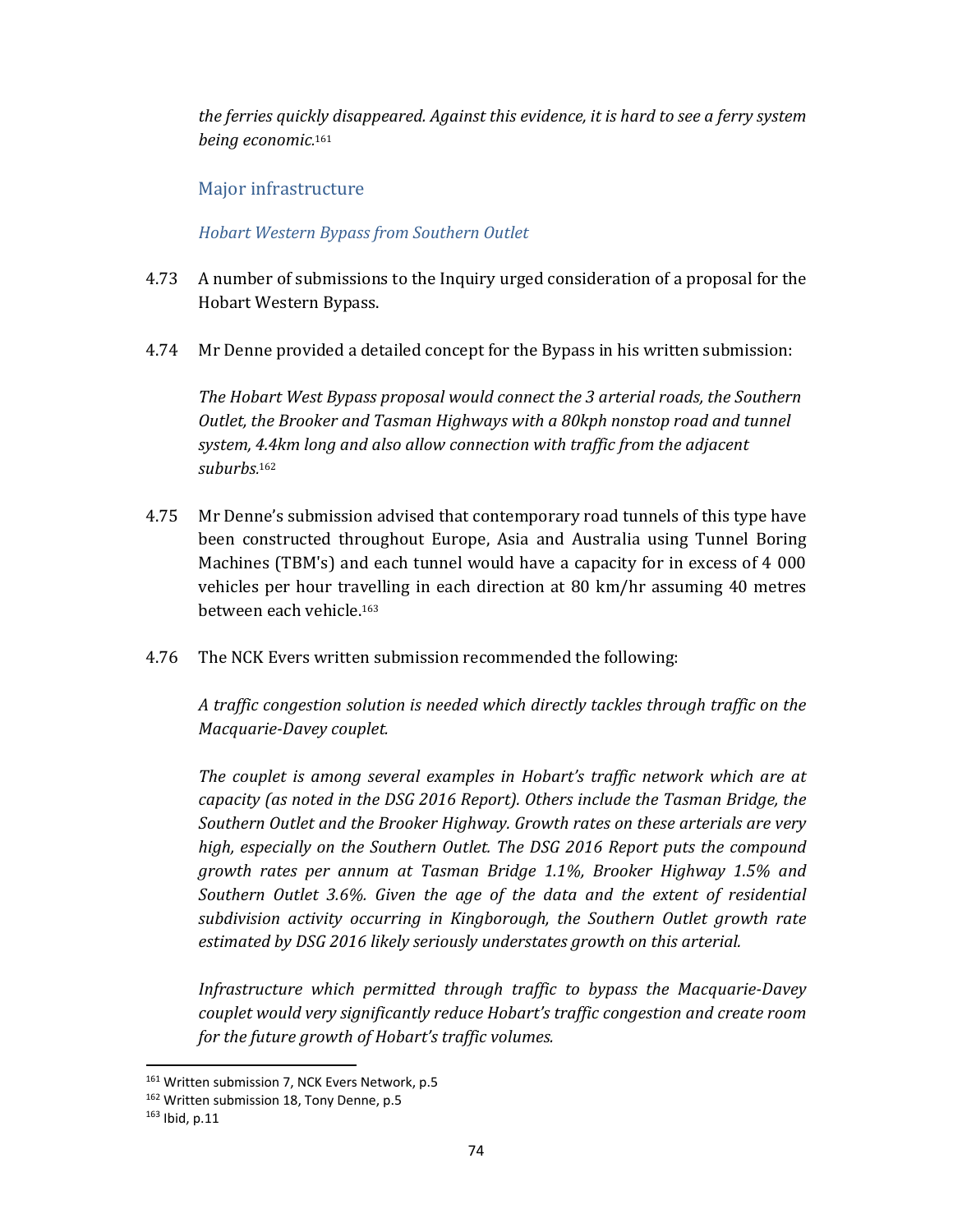*the ferries quickly disappeared. Against this evidence, it is hard to see a ferry system being economic.* 161

### Major infrastructure

*Hobart Western Bypass from Southern Outlet*

- 4.73 A number of submissions to the Inquiry urged consideration of a proposal for the Hobart Western Bypass.
- 4.74 Mr Denne provided a detailed concept for the Bypass in his written submission:

*The Hobart West Bypass proposal would connect the 3 arterial roads, the Southern Outlet, the Brooker and Tasman Highways with a 80kph nonstop road and tunnel system, 4.4km long and also allow connection with traffic from the adjacent suburbs.* 162

- 4.75 Mr Denne's submission advised that contemporary road tunnels of this type have been constructed throughout Europe, Asia and Australia using Tunnel Boring Machines (TBM's) and each tunnel would have a capacity for in excess of 4 000 vehicles per hour travelling in each direction at 80 km/hr assuming 40 metres between each vehicle.163
- 4.76 The NCK Evers written submission recommended the following:

*A traffic congestion solution is needed which directly tackles through traffic on the Macquarie‐Davey couplet.* 

*The couplet is among several examples in Hobart's traffic network which are at capacity (as noted in the DSG 2016 Report). Others include the Tasman Bridge, the Southern Outlet and the Brooker Highway. Growth rates on these arterials are very high, especially on the Southern Outlet. The DSG 2016 Report puts the compound growth rates per annum at Tasman Bridge 1.1%, Brooker Highway 1.5% and Southern Outlet 3.6%. Given the age of the data and the extent of residential subdivision activity occurring in Kingborough, the Southern Outlet growth rate estimated by DSG 2016 likely seriously understates growth on this arterial.* 

*Infrastructure which permitted through traffic to bypass the Macquarie‐Davey couplet would very significantly reduce Hobart's traffic congestion and create room for the future growth of Hobart's traffic volumes.* 

<sup>161</sup> Written submission 7, NCK Evers Network, p.5

<sup>162</sup> Written submission 18, Tony Denne, p.5

 $163$  Ibid, p.11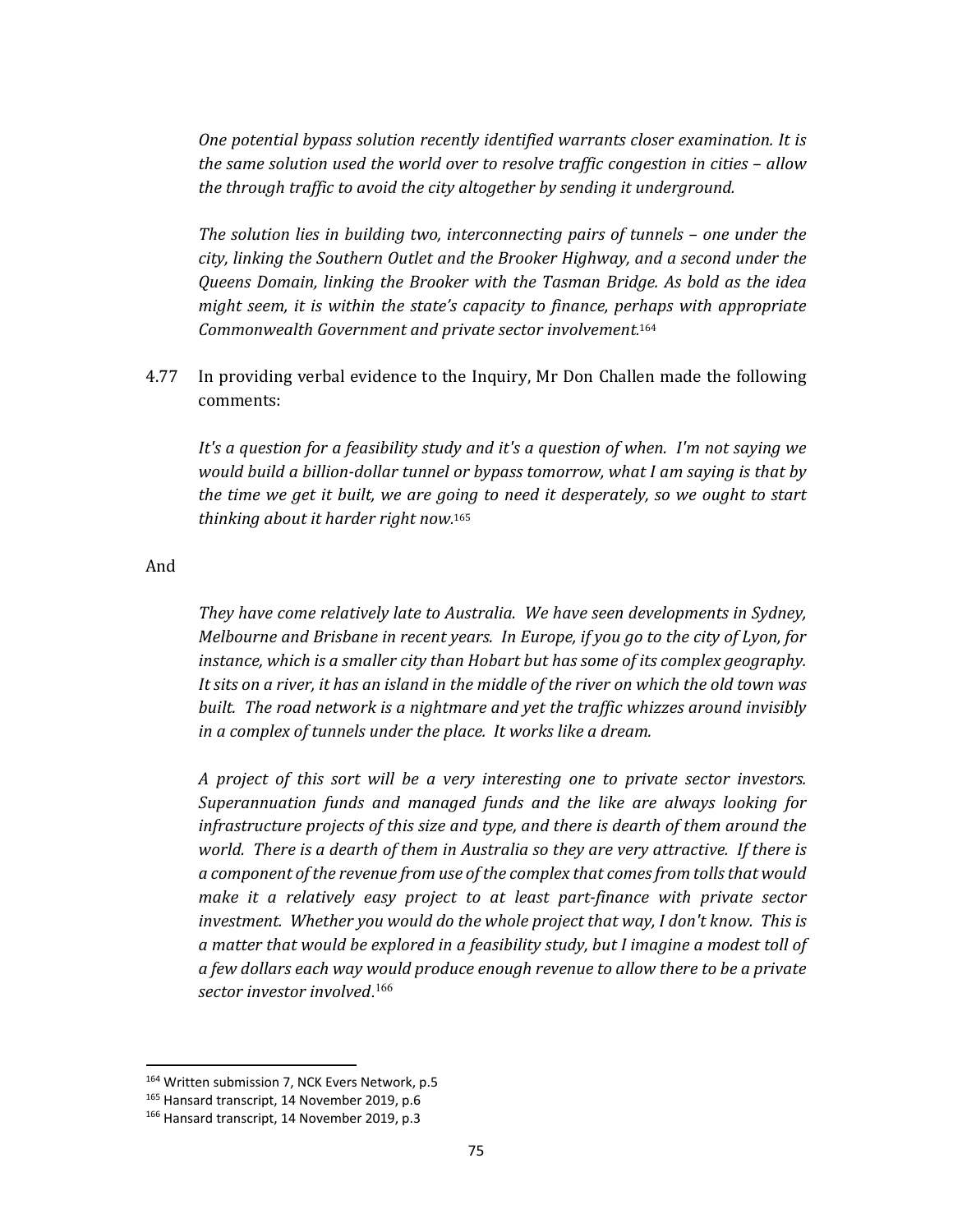*One potential bypass solution recently identified warrants closer examination. It is the same solution used the world over to resolve traffic congestion in cities – allow the through traffic to avoid the city altogether by sending it underground.* 

*The solution lies in building two, interconnecting pairs of tunnels – one under the city, linking the Southern Outlet and the Brooker Highway, and a second under the Queens Domain, linking the Brooker with the Tasman Bridge. As bold as the idea might seem, it is within the state's capacity to finance, perhaps with appropriate Commonwealth Government and private sector involvement.* 164

4.77 In providing verbal evidence to the Inquiry, Mr Don Challen made the following comments:

*It's a question for a feasibility study and it's a question of when. I'm not saying we would build a billion‐dollar tunnel or bypass tomorrow, what I am saying is that by the time we get it built, we are going to need it desperately, so we ought to start thinking about it harder right now.* 165

And

*They have come relatively late to Australia. We have seen developments in Sydney, Melbourne and Brisbane in recent years. In Europe, if you go to the city of Lyon, for instance, which is a smaller city than Hobart but has some of its complex geography.*  It sits on a river, it has an island in the middle of the river on which the old town was *built. The road network is a nightmare and yet the traffic whizzes around invisibly in a complex of tunnels under the place. It works like a dream.*

*A project of this sort will be a very interesting one to private sector investors. Superannuation funds and managed funds and the like are always looking for infrastructure projects of this size and type, and there is dearth of them around the world. There is a dearth of them in Australia so they are very attractive. If there is a component of the revenue from use of the complex that comesfrom tollsthat would make it a relatively easy project to at least part‐finance with private sector investment. Whether you would do the whole project that way, I don't know. This is a matter that would be explored in a feasibility study, but I imagine a modest toll of a few dollars each way would produce enough revenue to allow there to be a private sector investor involved*. 166

<sup>164</sup> Written submission 7, NCK Evers Network, p.5

<sup>165</sup> Hansard transcript, 14 November 2019, p.6

<sup>166</sup> Hansard transcript, 14 November 2019, p.3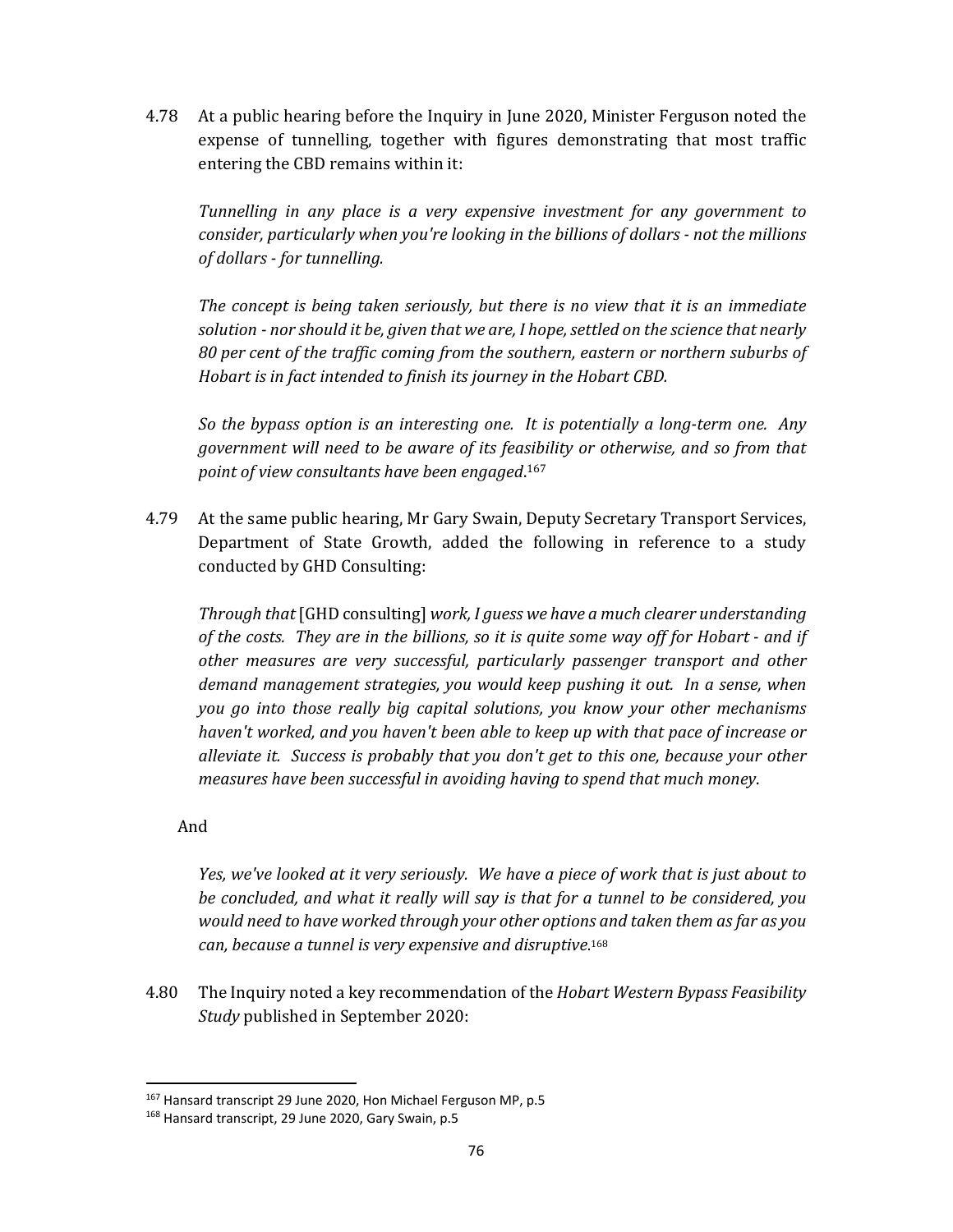4.78 At a public hearing before the Inquiry in June 2020, Minister Ferguson noted the expense of tunnelling, together with figures demonstrating that most traffic entering the CBD remains within it:

*Tunnelling in any place is a very expensive investment for any government to consider, particularly when you're looking in the billions of dollars ‐ not the millions of dollars ‐ for tunnelling.*

*The concept is being taken seriously, but there is no view that it is an immediate solution ‐ nor should it be, given that we are, I hope,settled on the science that nearly 80 per cent of the traffic coming from the southern, eastern or northern suburbs of Hobart is in fact intended to finish its journey in the Hobart CBD.*

*So the bypass option is an interesting one. It is potentially a long‐term one. Any government will need to be aware of its feasibility or otherwise, and so from that point of view consultants have been engaged*. 167

4.79 At the same public hearing, Mr Gary Swain, Deputy Secretary Transport Services, Department of State Growth, added the following in reference to a study conducted by GHD Consulting:

*Through that* [GHD consulting] *work, I guess we have a much clearer understanding* of the costs. They are in the billions, so it is quite some way off for Hobart - and if *other measures are very successful, particularly passenger transport and other demand management strategies, you would keep pushing it out. In a sense, when you go into those really big capital solutions, you know your other mechanisms haven't worked, and you haven't been able to keep up with that pace of increase or alleviate it. Success is probably that you don't get to this one, because your other measures have been successful in avoiding having to spend that much money*.

### And

*Yes, we've looked at it very seriously. We have a piece of work that is just about to be concluded, and what it really will say is that for a tunnel to be considered, you would need to have worked through your other options and taken them as far as you can, because a tunnel is very expensive and disruptive*. 168

4.80 The Inquiry noted a key recommendation of the *Hobart Western Bypass Feasibility Study* published in September 2020:

 <sup>167</sup> Hansard transcript 29 June 2020, Hon Michael Ferguson MP, p.5

<sup>168</sup> Hansard transcript, 29 June 2020, Gary Swain, p.5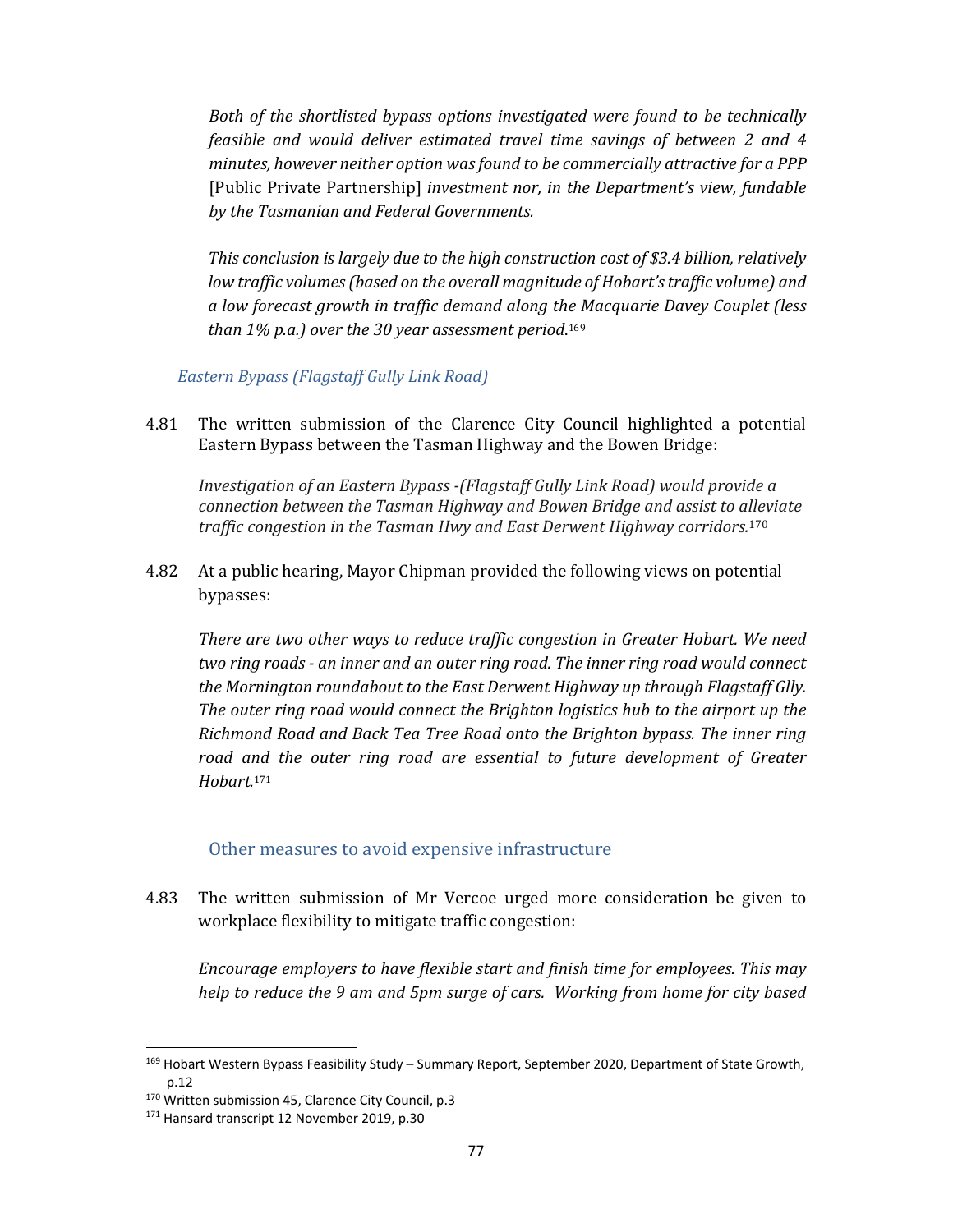*Both of the shortlisted bypass options investigated were found to be technically feasible and would deliver estimated travel time savings of between 2 and 4 minutes, however neither option wasfound to be commercially attractive for a PPP* [Public Private Partnership] *investment nor, in the Department's view, fundable by the Tasmanian and Federal Governments.*

 *This conclusion is largely due to the high construction cost of \$3.4 billion, relatively low traffic volumes(based on the overall magnitude of Hobart'straffic volume) and a low forecast growth in traffic demand along the Macquarie Davey Couplet (less than 1% p.a.) over the 30 year assessment period*. 169

### *Eastern Bypass (Flagstaff Gully Link Road)*

4.81 The written submission of the Clarence City Council highlighted a potential Eastern Bypass between the Tasman Highway and the Bowen Bridge:

*Investigation of an Eastern Bypass ‐(Flagstaff Gully Link Road) would provide a connection between the Tasman Highway and Bowen Bridge and assist to alleviate traffic congestion in the Tasman Hwy and East Derwent Highway corridors.*<sup>170</sup>

4.82 At a public hearing, Mayor Chipman provided the following views on potential bypasses:

*There are two other ways to reduce traffic congestion in Greater Hobart. We need two ring roads ‐ an inner and an outer ring road. The inner ring road would connect the Mornington roundabout to the East Derwent Highway up through Flagstaff Glly. The outer ring road would connect the Brighton logistics hub to the airport up the Richmond Road and Back Tea Tree Road onto the Brighton bypass. The inner ring road and the outer ring road are essential to future development of Greater Hobart.* 171

#### Other measures to avoid expensive infrastructure

4.83 The written submission of Mr Vercoe urged more consideration be given to workplace flexibility to mitigate traffic congestion:

*Encourage employers to have flexible start and finish time for employees. This may help to reduce the 9 am and 5pm surge of cars. Working from home for city based*

<sup>169</sup> Hobart Western Bypass Feasibility Study – Summary Report, September 2020, Department of State Growth, p.12

<sup>170</sup> Written submission 45, Clarence City Council, p.3

<sup>&</sup>lt;sup>171</sup> Hansard transcript 12 November 2019, p.30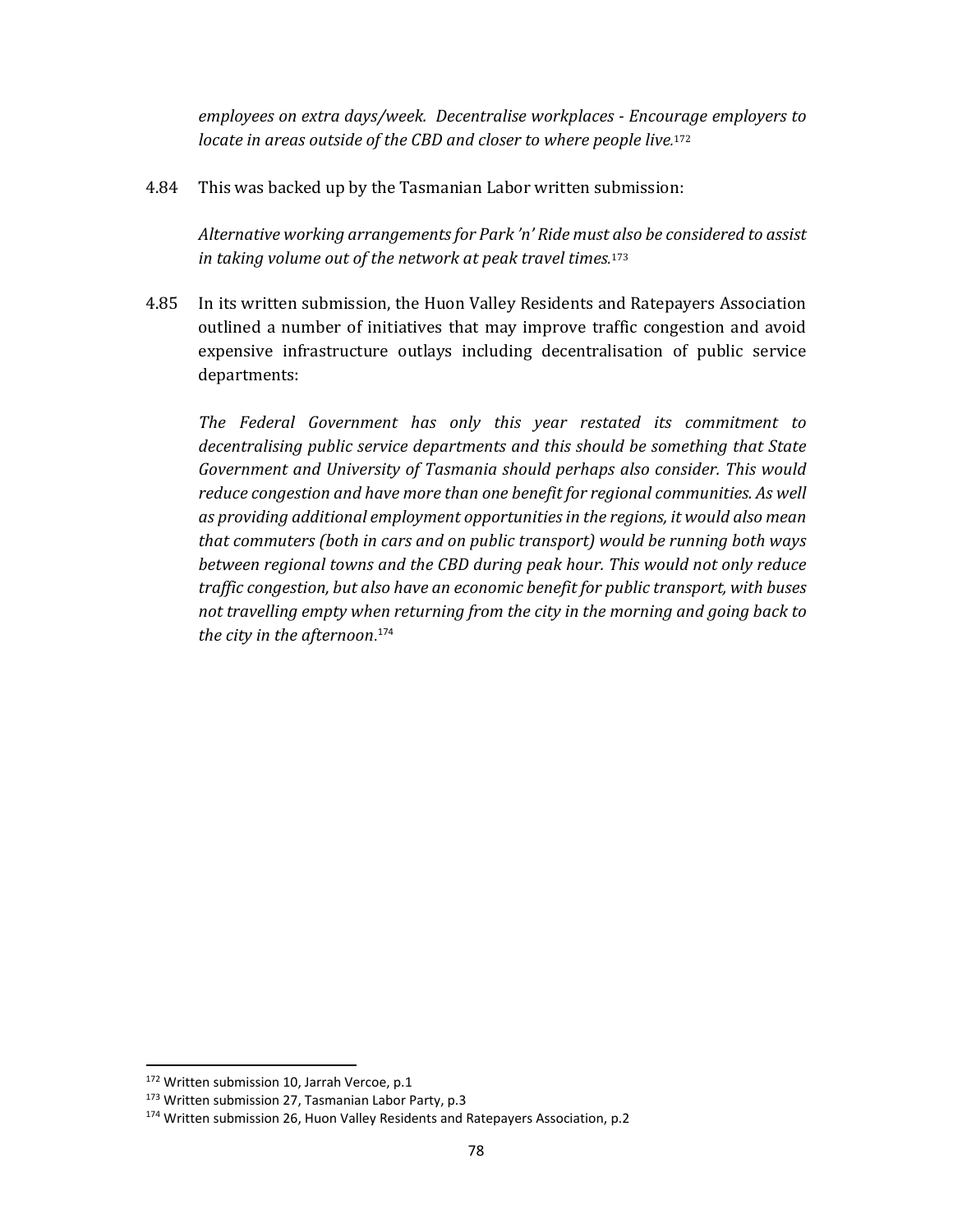*employees on extra days/week. Decentralise workplaces ‐ Encourage employers to locate in areas outside of the CBD and closer to where people live.* 172

4.84 This was backed up by the Tasmanian Labor written submission:

*Alternative working arrangementsfor Park 'n' Ride must also be considered to assist in taking volume out of the network at peak travel times.* 173

4.85 In its written submission, the Huon Valley Residents and Ratepayers Association outlined a number of initiatives that may improve traffic congestion and avoid expensive infrastructure outlays including decentralisation of public service departments:

*The Federal Government has only this year restated its commitment to decentralising public service departments and this should be something that State Government and University of Tasmania should perhaps also consider. This would reduce congestion and have more than one benefit for regional communities. As well as providing additional employment opportunitiesin the regions, it would also mean that commuters (both in cars and on public transport) would be running both ways between regional towns and the CBD during peak hour. This would not only reduce traffic congestion, but also have an economic benefit for public transport, with buses not travelling empty when returning from the city in the morning and going back to the city in the afternoon*. 174

<sup>172</sup> Written submission 10, Jarrah Vercoe, p.1

<sup>173</sup> Written submission 27, Tasmanian Labor Party, p.3

<sup>174</sup> Written submission 26, Huon Valley Residents and Ratepayers Association, p.2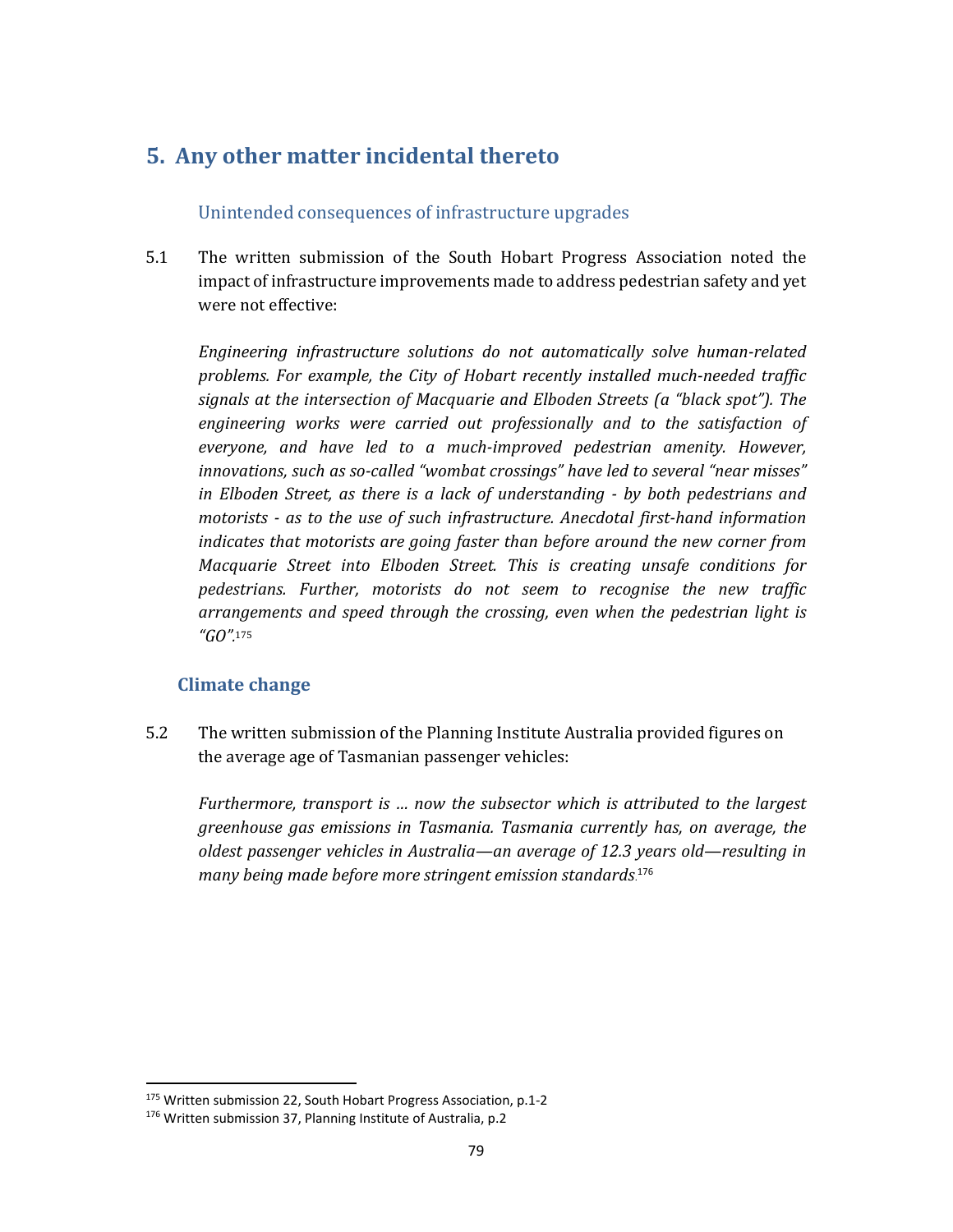# **5. Any other matter incidental thereto**

## Unintended consequences of infrastructure upgrades

5.1 The written submission of the South Hobart Progress Association noted the impact of infrastructure improvements made to address pedestrian safety and yet were not effective:

*Engineering infrastructure solutions do not automatically solve human‐related problems. For example, the City of Hobart recently installed much‐needed traffic signals at the intersection of Macquarie and Elboden Streets (a "black spot"). The engineering works were carried out professionally and to the satisfaction of everyone, and have led to a much‐improved pedestrian amenity. However, innovations, such as so‐called "wombat crossings" have led to several "near misses" in Elboden Street, as there is a lack of understanding ‐ by both pedestrians and motorists ‐ as to the use of such infrastructure. Anecdotal first‐hand information indicates that motorists are going faster than before around the new corner from Macquarie Street into Elboden Street. This is creating unsafe conditions for pedestrians. Further, motorists do not seem to recognise the new traffic arrangements and speed through the crossing, even when the pedestrian light is "GO".* 175

# **Climate change**

5.2 The written submission of the Planning Institute Australia provided figures on the average age of Tasmanian passenger vehicles:

*Furthermore, transport is … now the subsector which is attributed to the largest greenhouse gas emissions in Tasmania. Tasmania currently has, on average, the oldest passenger vehicles in Australia—an average of 12.3 years old—resulting in many being made before more stringent emission standards*. 176

<sup>175</sup> Written submission 22, South Hobart Progress Association, p.1‐2

<sup>176</sup> Written submission 37, Planning Institute of Australia, p.2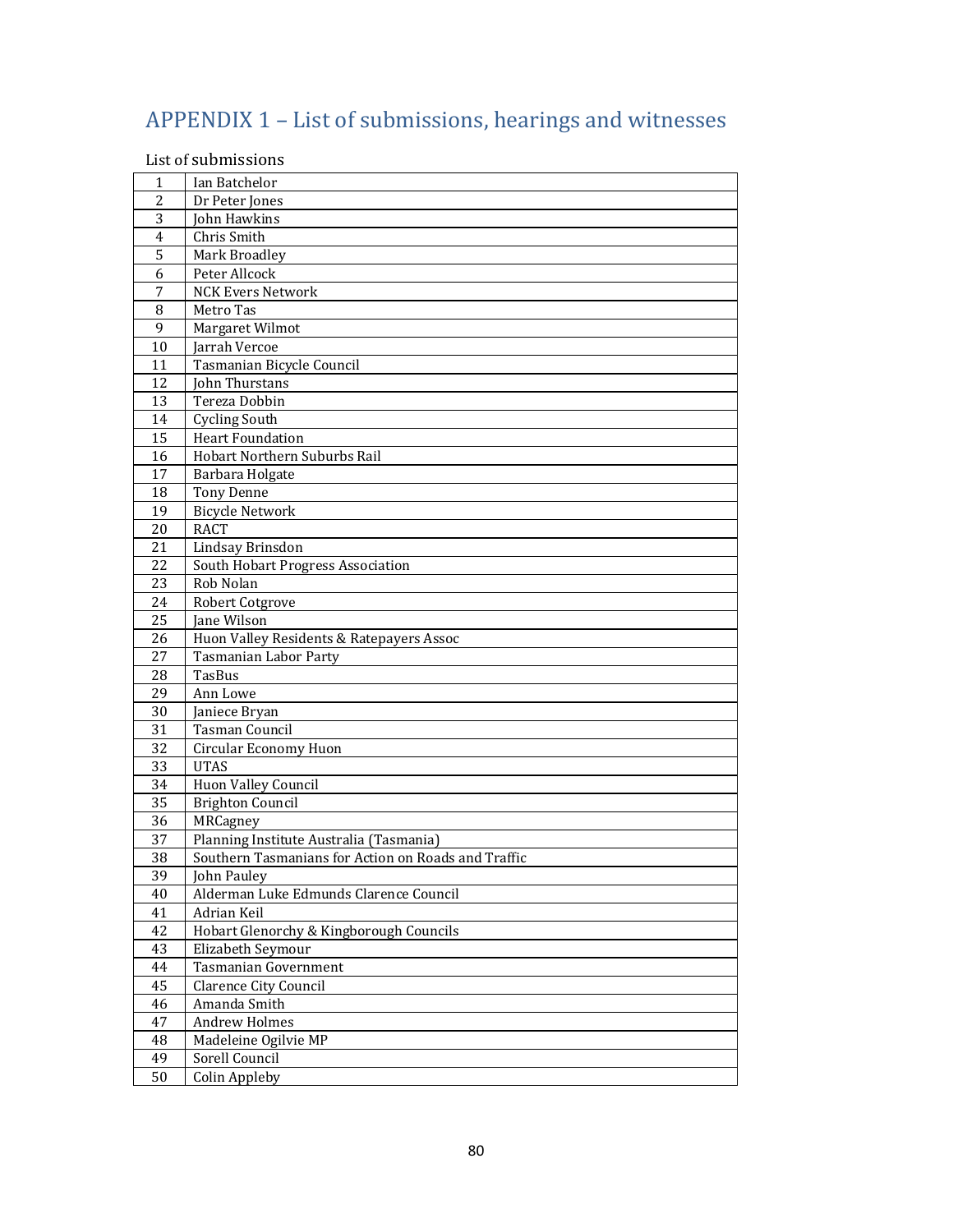# APPENDIX 1 – List of submissions, hearings and witnesses

List of submissions

| 1                   | Ian Batchelor                                       |
|---------------------|-----------------------------------------------------|
| $\overline{2}$<br>3 | Dr Peter Jones                                      |
|                     | John Hawkins                                        |
| $\overline{4}$<br>5 | Chris Smith                                         |
| 6                   | Mark Broadley<br>Peter Allcock                      |
|                     |                                                     |
| 7                   | <b>NCK Evers Network</b>                            |
| 8<br>9              | Metro Tas                                           |
|                     | Margaret Wilmot                                     |
| 10                  | Jarrah Vercoe<br>Tasmanian Bicycle Council          |
| 11<br>12            |                                                     |
| 13                  | John Thurstans<br>Tereza Dobbin                     |
|                     |                                                     |
| 14<br>15            | <b>Cycling South</b><br><b>Heart Foundation</b>     |
|                     | Hobart Northern Suburbs Rail                        |
| 16<br>17            |                                                     |
|                     | Barbara Holgate<br><b>Tony Denne</b>                |
| 18<br>19            |                                                     |
| 20                  | <b>Bicycle Network</b><br><b>RACT</b>               |
| 21                  | Lindsay Brinsdon                                    |
| 22                  | South Hobart Progress Association                   |
| 23                  | Rob Nolan                                           |
| 24                  | Robert Cotgrove                                     |
| 25                  | Jane Wilson                                         |
| 26                  | Huon Valley Residents & Ratepayers Assoc            |
| 27                  | <b>Tasmanian Labor Party</b>                        |
| 28                  | <b>TasBus</b>                                       |
| 29                  | Ann Lowe                                            |
| 30                  | Janiece Bryan                                       |
| 31                  | <b>Tasman Council</b>                               |
| 32                  | Circular Economy Huon                               |
| 33                  | <b>UTAS</b>                                         |
| 34                  | Huon Valley Council                                 |
| 35                  | <b>Brighton Council</b>                             |
| 36                  | MRCagney                                            |
| 37                  | Planning Institute Australia (Tasmania)             |
| 38                  | Southern Tasmanians for Action on Roads and Traffic |
| 39                  | John Pauley                                         |
| 40                  | Alderman Luke Edmunds Clarence Council              |
| 41                  | Adrian Keil                                         |
| 42                  | Hobart Glenorchy & Kingborough Councils             |
| 43                  | Elizabeth Seymour                                   |
| 44                  | Tasmanian Government                                |
| 45                  | <b>Clarence City Council</b>                        |
| 46                  | Amanda Smith                                        |
| 47                  | <b>Andrew Holmes</b>                                |
| 48                  | Madeleine Ogilvie MP                                |
| 49                  | Sorell Council                                      |
| 50                  | Colin Appleby                                       |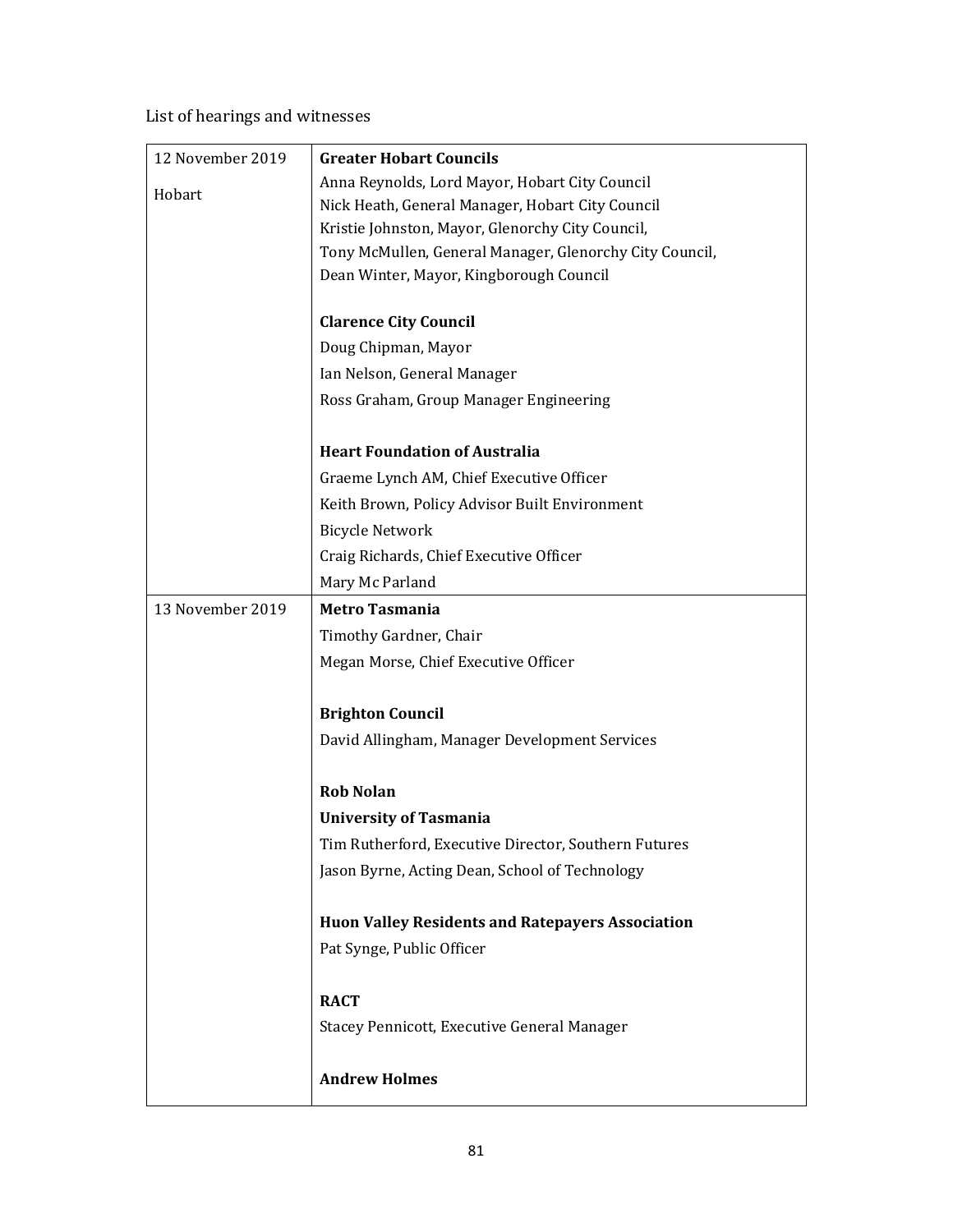List of hearings and witnesses

| 12 November 2019 | <b>Greater Hobart Councils</b>                                                                     |
|------------------|----------------------------------------------------------------------------------------------------|
| Hobart           | Anna Reynolds, Lord Mayor, Hobart City Council<br>Nick Heath, General Manager, Hobart City Council |
|                  | Kristie Johnston, Mayor, Glenorchy City Council,                                                   |
|                  | Tony McMullen, General Manager, Glenorchy City Council,                                            |
|                  | Dean Winter, Mayor, Kingborough Council                                                            |
|                  |                                                                                                    |
|                  | <b>Clarence City Council</b>                                                                       |
|                  | Doug Chipman, Mayor                                                                                |
|                  | Ian Nelson, General Manager                                                                        |
|                  | Ross Graham, Group Manager Engineering                                                             |
|                  |                                                                                                    |
|                  | <b>Heart Foundation of Australia</b>                                                               |
|                  | Graeme Lynch AM, Chief Executive Officer                                                           |
|                  | Keith Brown, Policy Advisor Built Environment                                                      |
|                  | <b>Bicycle Network</b>                                                                             |
|                  | Craig Richards, Chief Executive Officer                                                            |
|                  | Mary Mc Parland                                                                                    |
| 13 November 2019 | <b>Metro Tasmania</b>                                                                              |
|                  | Timothy Gardner, Chair                                                                             |
|                  | Megan Morse, Chief Executive Officer                                                               |
|                  |                                                                                                    |
|                  | <b>Brighton Council</b>                                                                            |
|                  | David Allingham, Manager Development Services                                                      |
|                  | <b>Rob Nolan</b>                                                                                   |
|                  | <b>University of Tasmania</b>                                                                      |
|                  | Tim Rutherford, Executive Director, Southern Futures                                               |
|                  | Jason Byrne, Acting Dean, School of Technology                                                     |
|                  |                                                                                                    |
|                  | <b>Huon Valley Residents and Ratepayers Association</b>                                            |
|                  | Pat Synge, Public Officer                                                                          |
|                  |                                                                                                    |
|                  | <b>RACT</b>                                                                                        |
|                  | Stacey Pennicott, Executive General Manager                                                        |
|                  | <b>Andrew Holmes</b>                                                                               |
|                  |                                                                                                    |